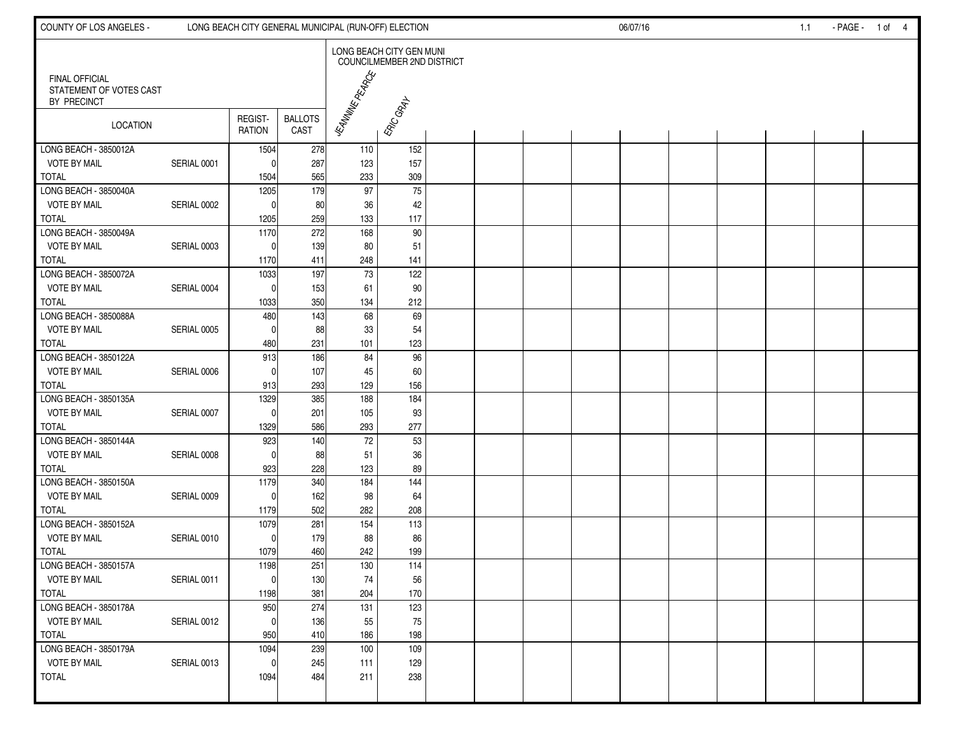| COUNTY OF LOS ANGELES -                                  |             |                   |                        | LONG BEACH CITY GENERAL MUNICIPAL (RUN-OFF) ELECTION |                            |  |  | 06/07/16 |  | 1.1 | - PAGE - 1 of 4 |
|----------------------------------------------------------|-------------|-------------------|------------------------|------------------------------------------------------|----------------------------|--|--|----------|--|-----|-----------------|
| FINAL OFFICIAL<br>STATEMENT OF VOTES CAST<br>BY PRECINCT |             |                   |                        | LONG BEACH CITY GEN MUNI<br><b>ISANNINE PEARCE</b>   | COUNCILMEMBER 2ND DISTRICT |  |  |          |  |     |                 |
| LOCATION                                                 |             | REGIST-<br>RATION | <b>BALLOTS</b><br>CAST |                                                      | ERICGRAT                   |  |  |          |  |     |                 |
| LONG BEACH - 3850012A                                    |             | 1504              | 278                    | 110                                                  | 152                        |  |  |          |  |     |                 |
| <b>VOTE BY MAIL</b>                                      | SERIAL 0001 | $\Omega$          | 287                    | 123                                                  | 157                        |  |  |          |  |     |                 |
| <b>TOTAL</b>                                             |             | 1504              | 565                    | 233                                                  | 309                        |  |  |          |  |     |                 |
| LONG BEACH - 3850040A                                    |             | 1205              | 179                    | 97                                                   | 75                         |  |  |          |  |     |                 |
| <b>VOTE BY MAIL</b>                                      | SERIAL 0002 | $\Omega$          | 80                     | 36                                                   | 42                         |  |  |          |  |     |                 |
| <b>TOTAL</b>                                             |             | 1205              | 259                    | 133                                                  | 117                        |  |  |          |  |     |                 |
| LONG BEACH - 3850049A                                    |             | 1170              | 272                    | 168                                                  | $90\,$                     |  |  |          |  |     |                 |
| <b>VOTE BY MAIL</b>                                      | SERIAL 0003 | $\Omega$          | 139                    | 80                                                   | 51                         |  |  |          |  |     |                 |
| <b>TOTAL</b>                                             |             | 1170              | 411                    | 248                                                  | 141                        |  |  |          |  |     |                 |
| LONG BEACH - 3850072A                                    |             | 1033              | 197                    | 73                                                   | 122                        |  |  |          |  |     |                 |
| <b>VOTE BY MAIL</b>                                      | SERIAL 0004 | $\Omega$          | 153                    | 61                                                   | 90                         |  |  |          |  |     |                 |
| <b>TOTAL</b>                                             |             | 1033              | 350                    | 134                                                  | 212                        |  |  |          |  |     |                 |
| LONG BEACH - 3850088A                                    |             | 480               | 143                    | 68                                                   | 69                         |  |  |          |  |     |                 |
| <b>VOTE BY MAIL</b>                                      | SERIAL 0005 | $\Omega$          | 88                     | 33                                                   | 54                         |  |  |          |  |     |                 |
| <b>TOTAL</b>                                             |             | 480               | 231                    | 101                                                  | 123                        |  |  |          |  |     |                 |
| LONG BEACH - 3850122A                                    |             | 913               | 186                    | 84                                                   | 96                         |  |  |          |  |     |                 |
| <b>VOTE BY MAIL</b>                                      | SERIAL 0006 | $\Omega$          | 107                    | 45                                                   | 60                         |  |  |          |  |     |                 |
| <b>TOTAL</b>                                             |             | 913               | 293                    | 129                                                  | 156                        |  |  |          |  |     |                 |
| LONG BEACH - 3850135A                                    |             | 1329              | 385                    | 188                                                  | 184                        |  |  |          |  |     |                 |
| <b>VOTE BY MAIL</b>                                      | SERIAL 0007 | 0                 | 201                    | 105                                                  | 93                         |  |  |          |  |     |                 |
| <b>TOTAL</b>                                             |             | 1329              | 586                    | 293                                                  | 277                        |  |  |          |  |     |                 |
| LONG BEACH - 3850144A                                    |             | 923               | 140                    | 72                                                   | 53                         |  |  |          |  |     |                 |
| <b>VOTE BY MAIL</b>                                      | SERIAL 0008 | $\Omega$          | 88                     | 51                                                   | 36                         |  |  |          |  |     |                 |
| <b>TOTAL</b>                                             |             | 923               | 228                    | 123                                                  | 89                         |  |  |          |  |     |                 |
| LONG BEACH - 3850150A                                    |             | 1179              | 340                    | 184                                                  | 144                        |  |  |          |  |     |                 |
| <b>VOTE BY MAIL</b>                                      | SERIAL 0009 | $\Omega$          | 162                    | 98                                                   | 64                         |  |  |          |  |     |                 |
| <b>TOTAL</b><br>LONG BEACH - 3850152A                    |             | 1179              | 502                    | 282                                                  | 208                        |  |  |          |  |     |                 |
| <b>VOTE BY MAIL</b>                                      | SERIAL 0010 | 1079<br>$\Omega$  | 281<br>179             | 154                                                  | 113<br>86                  |  |  |          |  |     |                 |
|                                                          |             | 1079              | 460                    | 88<br>242                                            | 199                        |  |  |          |  |     |                 |
| TOTAL<br>LONG BEACH - 3850157A                           |             | 1198              | 251                    | 130                                                  | 114                        |  |  |          |  |     |                 |
| <b>VOTE BY MAIL</b>                                      | SERIAL 0011 | $\Omega$          | 130                    | 74                                                   | 56                         |  |  |          |  |     |                 |
| <b>TOTAL</b>                                             |             | 1198              | 381                    | 204                                                  | 170                        |  |  |          |  |     |                 |
| LONG BEACH - 3850178A                                    |             | 950               | 274                    | 131                                                  | 123                        |  |  |          |  |     |                 |
| <b>VOTE BY MAIL</b>                                      | SERIAL 0012 | $\mathbf{0}$      | 136                    | 55                                                   | 75                         |  |  |          |  |     |                 |
| <b>TOTAL</b>                                             |             | 950               | 410                    | 186                                                  | 198                        |  |  |          |  |     |                 |
| LONG BEACH - 3850179A                                    |             | 1094              | 239                    | 100                                                  | 109                        |  |  |          |  |     |                 |
| <b>VOTE BY MAIL</b>                                      | SERIAL 0013 | $\mathbf{0}$      | 245                    | 111                                                  | 129                        |  |  |          |  |     |                 |
| <b>TOTAL</b>                                             |             | 1094              | 484                    | 211                                                  | 238                        |  |  |          |  |     |                 |
|                                                          |             |                   |                        |                                                      |                            |  |  |          |  |     |                 |
|                                                          |             |                   |                        |                                                      |                            |  |  |          |  |     |                 |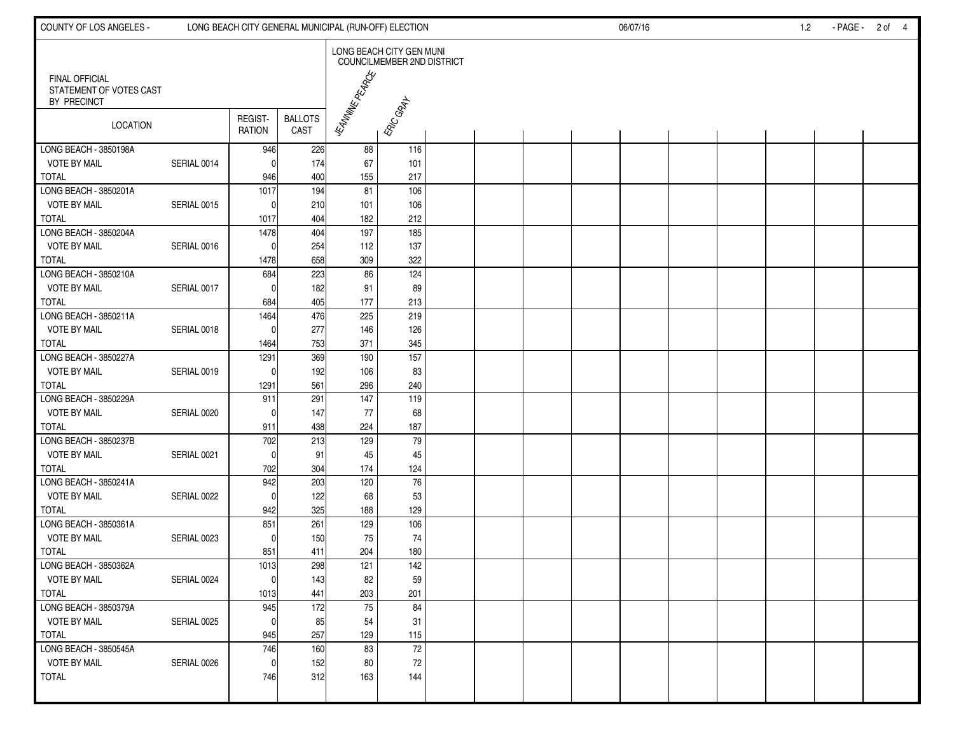| COUNTY OF LOS ANGELES -                                  |             |                          |                        | LONG BEACH CITY GENERAL MUNICIPAL (RUN-OFF) ELECTION |                            |  |  | 06/07/16 |  | 1.2 | - PAGE - 2 of 4 |
|----------------------------------------------------------|-------------|--------------------------|------------------------|------------------------------------------------------|----------------------------|--|--|----------|--|-----|-----------------|
| FINAL OFFICIAL<br>STATEMENT OF VOTES CAST<br>BY PRECINCT |             |                          |                        | LONG BEACH CITY GEN MUNI<br><b>ISANNINE PEARCE</b>   | COUNCILMEMBER 2ND DISTRICT |  |  |          |  |     |                 |
| LOCATION                                                 |             | REGIST-<br><b>RATION</b> | <b>BALLOTS</b><br>CAST |                                                      | ERIC GRAT                  |  |  |          |  |     |                 |
| LONG BEACH - 3850198A                                    |             | 946                      | 226                    | 88                                                   | 116                        |  |  |          |  |     |                 |
| <b>VOTE BY MAIL</b>                                      | SERIAL 0014 | $\Omega$                 | 174                    | 67                                                   | 101                        |  |  |          |  |     |                 |
| <b>TOTAL</b>                                             |             | 946                      | 400                    | 155                                                  | 217                        |  |  |          |  |     |                 |
| LONG BEACH - 3850201A                                    |             | 1017                     | 194                    | 81                                                   | 106                        |  |  |          |  |     |                 |
| <b>VOTE BY MAIL</b>                                      | SERIAL 0015 | $\Omega$                 | 210                    | 101                                                  | 106                        |  |  |          |  |     |                 |
| <b>TOTAL</b>                                             |             | 1017                     | 404                    | 182                                                  | 212                        |  |  |          |  |     |                 |
| LONG BEACH - 3850204A                                    |             | 1478                     | 404                    | 197                                                  | 185                        |  |  |          |  |     |                 |
| VOTE BY MAIL                                             | SERIAL 0016 | $\Omega$                 | 254                    | 112                                                  | 137                        |  |  |          |  |     |                 |
| <b>TOTAL</b>                                             |             | 1478                     | 658                    | 309                                                  | 322                        |  |  |          |  |     |                 |
| LONG BEACH - 3850210A                                    |             | 684                      | 223                    | 86                                                   | 124                        |  |  |          |  |     |                 |
| <b>VOTE BY MAIL</b>                                      | SERIAL 0017 | $\Omega$                 | 182                    | 91                                                   | 89                         |  |  |          |  |     |                 |
| <b>TOTAL</b>                                             |             | 684                      | 405                    | 177                                                  | 213                        |  |  |          |  |     |                 |
| LONG BEACH - 3850211A                                    |             | 1464                     | 476                    | 225                                                  | 219                        |  |  |          |  |     |                 |
| <b>VOTE BY MAIL</b>                                      | SERIAL 0018 | $\Omega$                 | 277                    | 146                                                  | 126                        |  |  |          |  |     |                 |
| <b>TOTAL</b>                                             |             | 1464                     | 753                    | 371                                                  | 345                        |  |  |          |  |     |                 |
| LONG BEACH - 3850227A                                    |             | 1291                     | 369                    | 190                                                  | 157                        |  |  |          |  |     |                 |
| <b>VOTE BY MAIL</b>                                      | SERIAL 0019 | $\Omega$                 | 192                    | 106                                                  | 83                         |  |  |          |  |     |                 |
| <b>TOTAL</b>                                             |             | 1291                     | 561                    | 296                                                  | 240                        |  |  |          |  |     |                 |
| LONG BEACH - 3850229A                                    |             | 911                      | 291                    | 147                                                  | 119                        |  |  |          |  |     |                 |
| <b>VOTE BY MAIL</b>                                      | SERIAL 0020 | $\Omega$                 | 147                    | 77                                                   | 68                         |  |  |          |  |     |                 |
| <b>TOTAL</b>                                             |             | 911                      | 438                    | 224                                                  | 187                        |  |  |          |  |     |                 |
| LONG BEACH - 3850237B                                    |             | 702                      | 213                    | 129                                                  | 79                         |  |  |          |  |     |                 |
| <b>VOTE BY MAIL</b>                                      | SERIAL 0021 | $\mathbf{0}$             | 91                     | 45                                                   | 45                         |  |  |          |  |     |                 |
| <b>TOTAL</b>                                             |             | 702                      | 304                    | 174                                                  | 124                        |  |  |          |  |     |                 |
| LONG BEACH - 3850241A                                    |             | 942                      | 203                    | 120                                                  | $76\,$                     |  |  |          |  |     |                 |
| <b>VOTE BY MAIL</b>                                      | SERIAL 0022 | $\mathbf{0}$             | 122                    | 68                                                   | 53                         |  |  |          |  |     |                 |
| <b>TOTAL</b>                                             |             | 942                      | 325                    | 188                                                  | 129                        |  |  |          |  |     |                 |
| LONG BEACH - 3850361A                                    |             | 851                      | 261                    | 129                                                  | 106                        |  |  |          |  |     |                 |
| <b>VOTE BY MAIL</b>                                      | SERIAL 0023 | $\Omega$                 | 150                    | 75                                                   | 74                         |  |  |          |  |     |                 |
| <b>TOTAL</b>                                             |             | 851                      | 411                    | 204                                                  | 180                        |  |  |          |  |     |                 |
| LONG BEACH - 3850362A                                    |             | 1013                     | 298                    | 121                                                  | 142                        |  |  |          |  |     |                 |
| <b>VOTE BY MAIL</b>                                      | SERIAL 0024 | $\Omega$                 | 143                    | 82                                                   | 59                         |  |  |          |  |     |                 |
| <b>TOTAL</b>                                             |             | 1013                     | 441                    | 203                                                  | 201                        |  |  |          |  |     |                 |
| LONG BEACH - 3850379A                                    |             | 945                      | 172                    | $\overline{75}$                                      | 84                         |  |  |          |  |     |                 |
| <b>VOTE BY MAIL</b>                                      | SERIAL 0025 | $\Omega$                 | 85                     | 54                                                   | 31                         |  |  |          |  |     |                 |
| <b>TOTAL</b>                                             |             | 945                      | 257                    | 129                                                  | 115                        |  |  |          |  |     |                 |
| LONG BEACH - 3850545A                                    |             | 746                      | 160                    | 83                                                   | $72\,$                     |  |  |          |  |     |                 |
| <b>VOTE BY MAIL</b>                                      | SERIAL 0026 | $\mathbf{0}$             | 152                    | 80                                                   | $72\,$                     |  |  |          |  |     |                 |
| <b>TOTAL</b>                                             |             | 746                      | 312                    | 163                                                  | 144                        |  |  |          |  |     |                 |
|                                                          |             |                          |                        |                                                      |                            |  |  |          |  |     |                 |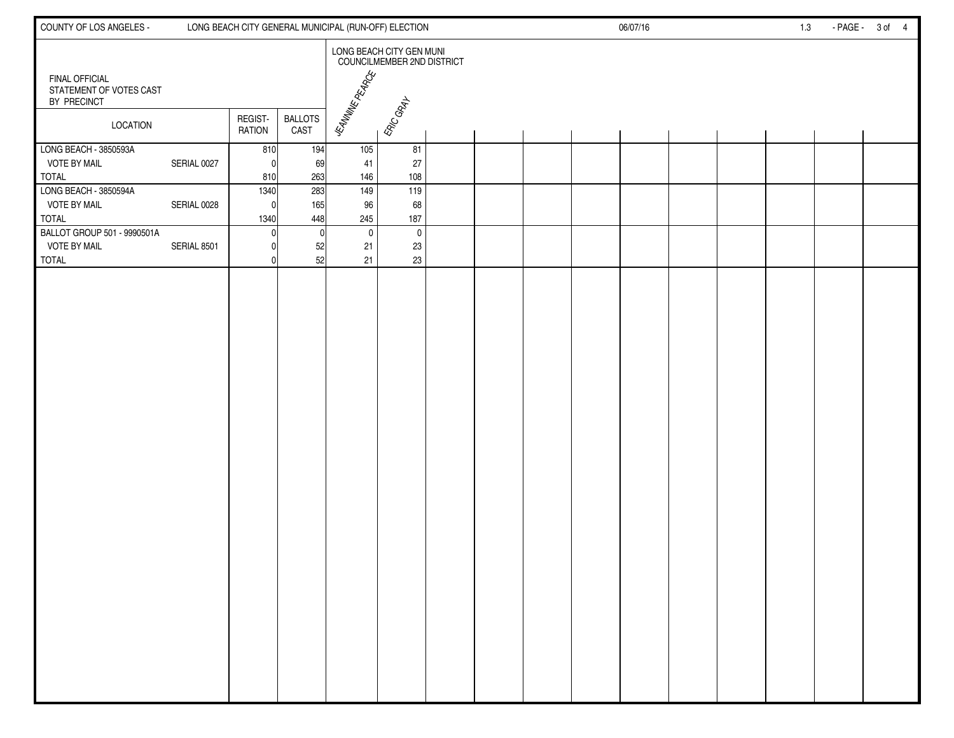| COUNTY OF LOS ANGELES -                                            |             |                          |                        | LONG BEACH CITY GENERAL MUNICIPAL (RUN-OFF) ELECTION |                                                        |  |  | 06/07/16 |  | 1.3 | - PAGE - 3 of 4 |
|--------------------------------------------------------------------|-------------|--------------------------|------------------------|------------------------------------------------------|--------------------------------------------------------|--|--|----------|--|-----|-----------------|
| <b>FINAL OFFICIAL</b><br>STATEMENT OF VOTES CAST<br>BY PRECINCT    |             |                          |                        | EAMINE PEARCE                                        | LONG BEACH CITY GEN MUNI<br>COUNCILMEMBER 2ND DISTRICT |  |  |          |  |     |                 |
| LOCATION                                                           |             | REGIST-<br><b>RATION</b> | <b>BALLOTS</b><br>CAST |                                                      | ERIC GRAY                                              |  |  |          |  |     |                 |
| LONG BEACH - 3850593A<br><b>VOTE BY MAIL</b><br><b>TOTAL</b>       | SERIAL 0027 | 810<br>$\Omega$<br>810   | 194<br>69<br>263       | 105<br>41<br>146                                     | 81<br>27<br>108                                        |  |  |          |  |     |                 |
| LONG BEACH - 3850594A<br><b>VOTE BY MAIL</b><br><b>TOTAL</b>       | SERIAL 0028 | 1340<br>$\Omega$<br>1340 | 283<br>165<br>448      | 149<br>96<br>245                                     | 119<br>68<br>187                                       |  |  |          |  |     |                 |
| BALLOT GROUP 501 - 9990501A<br><b>VOTE BY MAIL</b><br><b>TOTAL</b> | SERIAL 8501 |                          | $\Omega$<br>52<br>52   | $\mathbf 0$<br>21<br>21                              | 0<br>23<br>23                                          |  |  |          |  |     |                 |
|                                                                    |             |                          |                        |                                                      |                                                        |  |  |          |  |     |                 |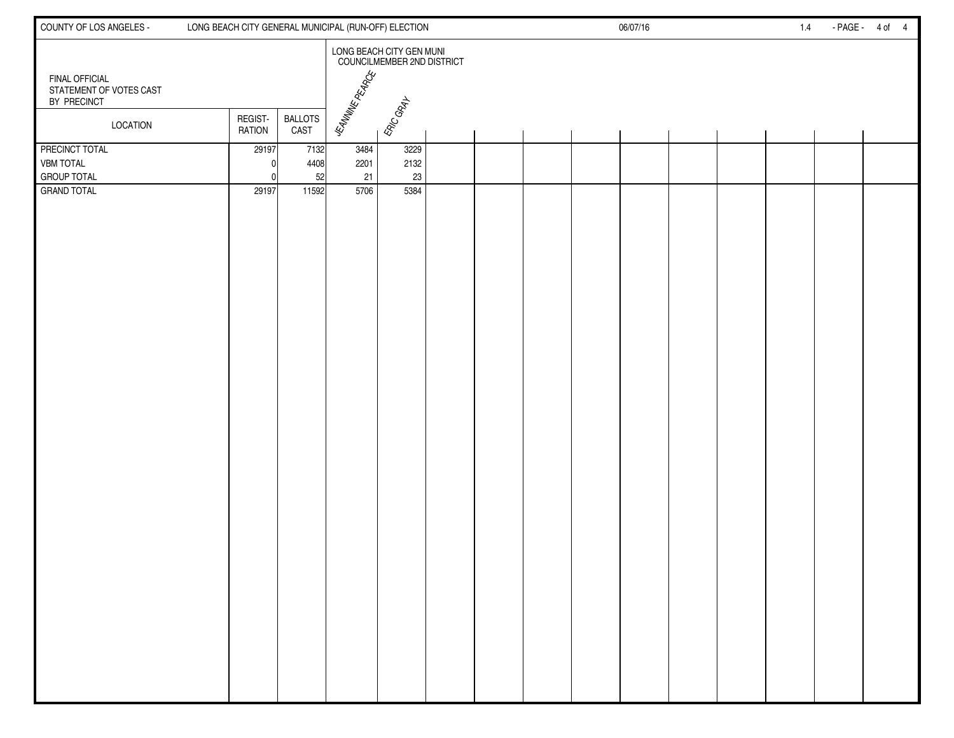| COUNTY OF LOS ANGELES -                                         | LONG BEACH CITY GENERAL MUNICIPAL (RUN-OFF) ELECTION |                        |                    |                                                        |  |  | 06/07/16 |  | 1.4 | - PAGE - 4 of 4 |
|-----------------------------------------------------------------|------------------------------------------------------|------------------------|--------------------|--------------------------------------------------------|--|--|----------|--|-----|-----------------|
| <b>FINAL OFFICIAL</b><br>STATEMENT OF VOTES CAST<br>BY PRECINCT |                                                      |                        | ISAMINE PEARCE     | LONG BEACH CITY GEN MUNI<br>COUNCILMEMBER 2ND DISTRICT |  |  |          |  |     |                 |
| LOCATION                                                        | REGIST-<br><b>RATION</b>                             | <b>BALLOTS</b><br>CAST |                    | ERIC GRAY                                              |  |  |          |  |     |                 |
| PRECINCT TOTAL<br><b>VBM TOTAL</b><br><b>GROUP TOTAL</b>        | 29197                                                | 7132<br>4408<br>52     | 3484<br>2201<br>21 | 3229<br>2132<br>23                                     |  |  |          |  |     |                 |
| <b>GRAND TOTAL</b>                                              | 29197                                                | 11592                  | 5706               | 5384                                                   |  |  |          |  |     |                 |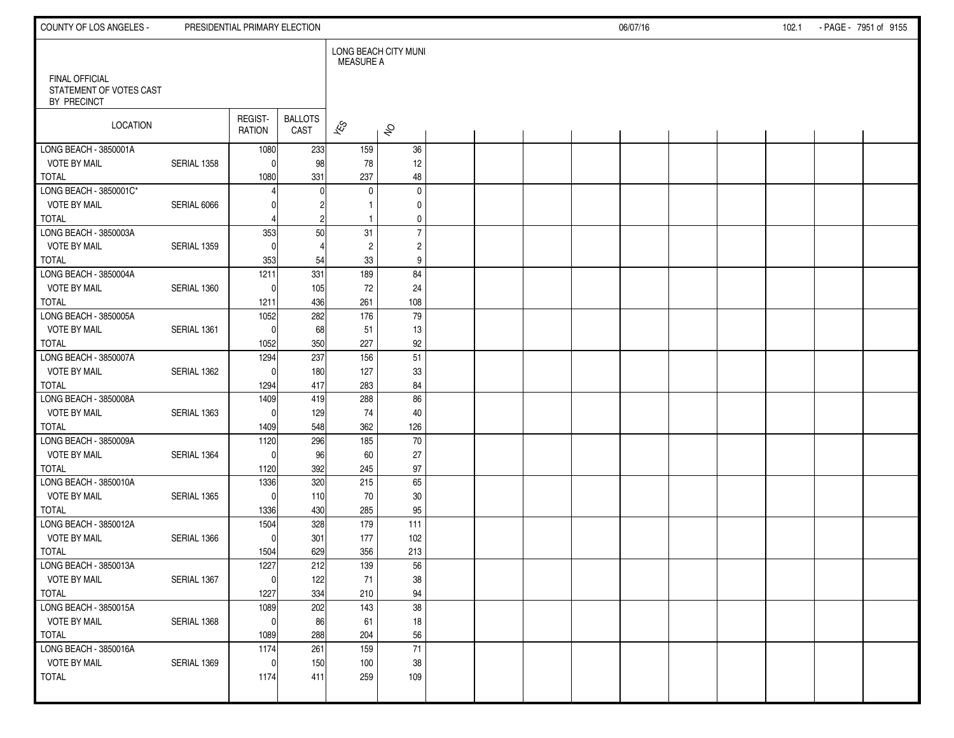| COUNTY OF LOS ANGELES -                                         |             | PRESIDENTIAL PRIMARY ELECTION |                        |                          |                      |  |  | 06/07/16 |  | 102.1 | - PAGE - 7951 of 9155 |  |
|-----------------------------------------------------------------|-------------|-------------------------------|------------------------|--------------------------|----------------------|--|--|----------|--|-------|-----------------------|--|
|                                                                 |             |                               |                        | <b>MEASURE A</b>         | LONG BEACH CITY MUNI |  |  |          |  |       |                       |  |
| <b>FINAL OFFICIAL</b><br>STATEMENT OF VOTES CAST<br>BY PRECINCT |             |                               |                        |                          |                      |  |  |          |  |       |                       |  |
| LOCATION                                                        |             | REGIST-<br><b>RATION</b>      | <b>BALLOTS</b><br>CAST | $\overline{\mathscr{K}}$ | $\hat{\mathcal{S}}$  |  |  |          |  |       |                       |  |
| LONG BEACH - 3850001A                                           |             | 1080                          | 233                    | 159                      | 36                   |  |  |          |  |       |                       |  |
| <b>VOTE BY MAIL</b>                                             | SERIAL 1358 | $\Omega$                      | 98                     | 78                       | 12                   |  |  |          |  |       |                       |  |
| <b>TOTAL</b>                                                    |             | 1080                          | 331                    | 237                      | 48                   |  |  |          |  |       |                       |  |
| LONG BEACH - 3850001C*                                          |             |                               |                        | $\mathbf{0}$             | $\pmb{0}$            |  |  |          |  |       |                       |  |
| <b>VOTE BY MAIL</b>                                             | SERIAL 6066 |                               |                        |                          | 0                    |  |  |          |  |       |                       |  |
| <b>TOTAL</b>                                                    |             |                               | 2                      | $\mathbf{1}$             | 0                    |  |  |          |  |       |                       |  |
| LONG BEACH - 3850003A                                           |             | 353                           | 50                     | 31                       | $\overline{7}$       |  |  |          |  |       |                       |  |
| <b>VOTE BY MAIL</b>                                             | SERIAL 1359 | $\Omega$                      |                        | $\overline{c}$           | $\sqrt{2}$           |  |  |          |  |       |                       |  |
| <b>TOTAL</b>                                                    |             | 353                           | 54                     | 33                       | 9                    |  |  |          |  |       |                       |  |
| LONG BEACH - 3850004A                                           |             | 1211                          | 331                    | 189                      | 84                   |  |  |          |  |       |                       |  |
| <b>VOTE BY MAIL</b>                                             | SERIAL 1360 | $\cap$                        | 105                    | $72\,$                   | 24                   |  |  |          |  |       |                       |  |
| <b>TOTAL</b>                                                    |             | 1211                          | 436                    | 261                      | 108                  |  |  |          |  |       |                       |  |
| LONG BEACH - 3850005A                                           |             | 1052                          | 282                    | 176                      | 79                   |  |  |          |  |       |                       |  |
| <b>VOTE BY MAIL</b>                                             | SERIAL 1361 | $\mathbf{0}$                  | 68                     | 51                       | 13                   |  |  |          |  |       |                       |  |
| <b>TOTAL</b>                                                    |             | 1052                          | 350                    | 227                      | 92                   |  |  |          |  |       |                       |  |
| LONG BEACH - 3850007A                                           |             | 1294                          | 237                    | 156                      | 51                   |  |  |          |  |       |                       |  |
| <b>VOTE BY MAIL</b>                                             | SERIAL 1362 | $\Omega$                      | 180                    | 127                      | 33                   |  |  |          |  |       |                       |  |
| <b>TOTAL</b>                                                    |             | 1294                          | 417                    | 283                      | 84                   |  |  |          |  |       |                       |  |
| LONG BEACH - 3850008A                                           |             | 1409                          | 419                    | 288                      | 86                   |  |  |          |  |       |                       |  |
| <b>VOTE BY MAIL</b>                                             | SERIAL 1363 | $\Omega$                      | 129                    | 74                       | 40                   |  |  |          |  |       |                       |  |
| <b>TOTAL</b>                                                    |             | 1409                          | 548                    | 362                      | 126                  |  |  |          |  |       |                       |  |
| LONG BEACH - 3850009A                                           |             | 1120                          | 296                    | 185                      | 70                   |  |  |          |  |       |                       |  |
| <b>VOTE BY MAIL</b>                                             | SERIAL 1364 | $\Omega$                      | 96                     | 60                       | 27                   |  |  |          |  |       |                       |  |
| <b>TOTAL</b>                                                    |             | 1120                          | 392                    | 245                      | 97                   |  |  |          |  |       |                       |  |
| LONG BEACH - 3850010A                                           |             | 1336                          | 320                    | 215                      | 65                   |  |  |          |  |       |                       |  |
| <b>VOTE BY MAIL</b>                                             | SERIAL 1365 | $\mathbf{0}$                  | 110                    | 70                       | 30                   |  |  |          |  |       |                       |  |
| <b>TOTAL</b><br>LONG BEACH - 3850012A                           |             | 1336                          | 430                    | 285                      | 95                   |  |  |          |  |       |                       |  |
|                                                                 |             | 1504                          | 328                    | 179                      | 111                  |  |  |          |  |       |                       |  |
| VOTE BY MAIL                                                    | SERIAL 1366 | $\Omega$                      | 301<br>629             | 177<br>356               | 102<br>213           |  |  |          |  |       |                       |  |
| TOTAL                                                           |             | 1504                          |                        |                          |                      |  |  |          |  |       |                       |  |
| LONG BEACH - 3850013A<br><b>VOTE BY MAIL</b>                    | SERIAL 1367 | 1227<br>$\Omega$              | 212                    | 139                      | 56                   |  |  |          |  |       |                       |  |
| <b>TOTAL</b>                                                    |             | 1227                          | 122<br>334             | 71<br>210                | 38<br>94             |  |  |          |  |       |                       |  |
| LONG BEACH - 3850015A                                           |             | 1089                          | 202                    | 143                      | $\overline{38}$      |  |  |          |  |       |                       |  |
| <b>VOTE BY MAIL</b>                                             | SERIAL 1368 | $\Omega$                      | 86                     | 61                       | 18                   |  |  |          |  |       |                       |  |
| <b>TOTAL</b>                                                    |             | 1089                          | 288                    | 204                      | 56                   |  |  |          |  |       |                       |  |
| LONG BEACH - 3850016A                                           |             | 1174                          | 261                    | 159                      | 71                   |  |  |          |  |       |                       |  |
| <b>VOTE BY MAIL</b>                                             | SERIAL 1369 | $\mathbf{0}$                  | 150                    | 100                      | 38                   |  |  |          |  |       |                       |  |
| <b>TOTAL</b>                                                    |             | 1174                          | 411                    | 259                      | 109                  |  |  |          |  |       |                       |  |
|                                                                 |             |                               |                        |                          |                      |  |  |          |  |       |                       |  |
|                                                                 |             |                               |                        |                          |                      |  |  |          |  |       |                       |  |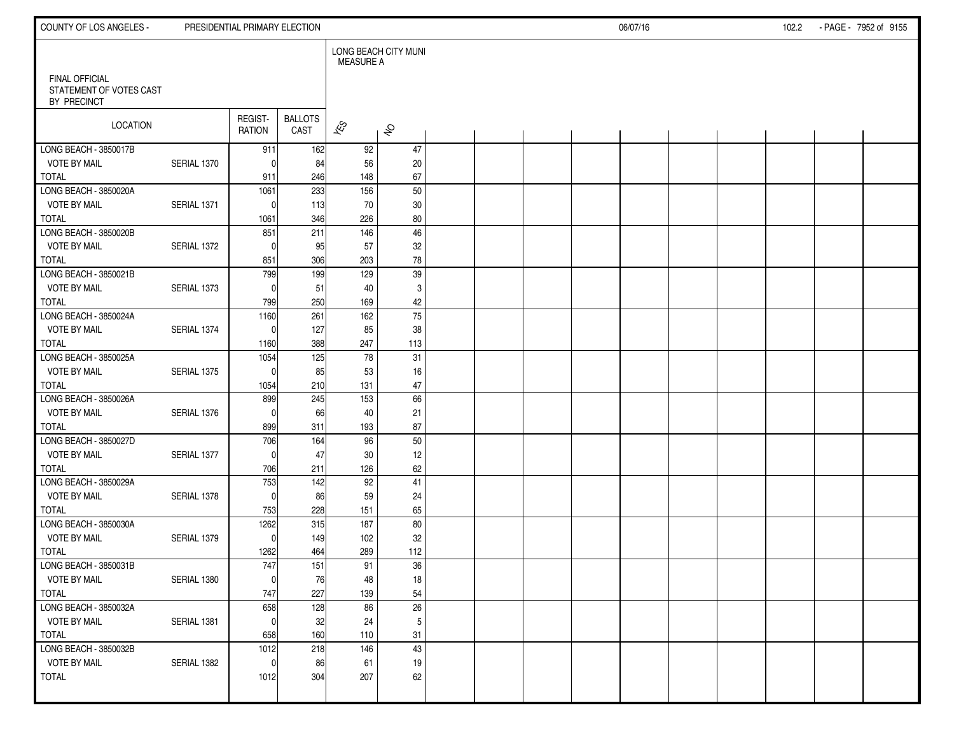| COUNTY OF LOS ANGELES -                                         |             | PRESIDENTIAL PRIMARY ELECTION |                        |                                          |                     |  |  | 06/07/16 |  | 102.2 | - PAGE - 7952 of 9155 |  |
|-----------------------------------------------------------------|-------------|-------------------------------|------------------------|------------------------------------------|---------------------|--|--|----------|--|-------|-----------------------|--|
|                                                                 |             |                               |                        | LONG BEACH CITY MUNI<br><b>MEASURE A</b> |                     |  |  |          |  |       |                       |  |
| <b>FINAL OFFICIAL</b><br>STATEMENT OF VOTES CAST<br>BY PRECINCT |             |                               |                        |                                          |                     |  |  |          |  |       |                       |  |
| LOCATION                                                        |             | REGIST-<br><b>RATION</b>      | <b>BALLOTS</b><br>CAST | $\overline{\mathscr{K}}$                 | $\hat{\mathcal{S}}$ |  |  |          |  |       |                       |  |
| LONG BEACH - 3850017B                                           |             | 911                           | 162                    | 92                                       | 47                  |  |  |          |  |       |                       |  |
| <b>VOTE BY MAIL</b>                                             | SERIAL 1370 | $\Omega$                      | 84                     | 56                                       | 20                  |  |  |          |  |       |                       |  |
| <b>TOTAL</b>                                                    |             | 911                           | 246                    | 148                                      | 67                  |  |  |          |  |       |                       |  |
| LONG BEACH - 3850020A                                           |             | 1061                          | 233                    | 156                                      | 50                  |  |  |          |  |       |                       |  |
| <b>VOTE BY MAIL</b>                                             | SERIAL 1371 | $\Omega$                      | 113                    | 70                                       | 30                  |  |  |          |  |       |                       |  |
| <b>TOTAL</b>                                                    |             | 1061                          | 346                    | 226                                      | 80                  |  |  |          |  |       |                       |  |
| LONG BEACH - 3850020B                                           |             | 851                           | 211                    | 146                                      | 46                  |  |  |          |  |       |                       |  |
| <b>VOTE BY MAIL</b>                                             | SERIAL 1372 | $\Omega$                      | 95                     | 57                                       | 32                  |  |  |          |  |       |                       |  |
| <b>TOTAL</b>                                                    |             | 851                           | 306                    | 203                                      | ${\bf 78}$          |  |  |          |  |       |                       |  |
| LONG BEACH - 3850021B                                           |             | 799                           | 199                    | 129                                      | 39                  |  |  |          |  |       |                       |  |
| <b>VOTE BY MAIL</b>                                             | SERIAL 1373 | $\Omega$                      | 51                     | 40                                       | 3                   |  |  |          |  |       |                       |  |
| <b>TOTAL</b>                                                    |             | 799                           | 250                    | 169                                      | 42                  |  |  |          |  |       |                       |  |
| LONG BEACH - 3850024A                                           |             | 1160                          | 261                    | 162                                      | 75                  |  |  |          |  |       |                       |  |
| <b>VOTE BY MAIL</b>                                             | SERIAL 1374 | $\mathbf{0}$                  | 127                    | 85                                       | 38                  |  |  |          |  |       |                       |  |
| <b>TOTAL</b>                                                    |             | 1160                          | 388                    | 247                                      | 113                 |  |  |          |  |       |                       |  |
| LONG BEACH - 3850025A                                           |             | 1054                          | 125                    | 78                                       | 31                  |  |  |          |  |       |                       |  |
| <b>VOTE BY MAIL</b>                                             | SERIAL 1375 | $\Omega$                      | 85                     | 53                                       | 16                  |  |  |          |  |       |                       |  |
| <b>TOTAL</b>                                                    |             | 1054                          | 210                    | 131                                      | 47                  |  |  |          |  |       |                       |  |
| LONG BEACH - 3850026A                                           |             | 899                           | 245                    | 153                                      | 66                  |  |  |          |  |       |                       |  |
| <b>VOTE BY MAIL</b>                                             | SERIAL 1376 | $\Omega$                      | 66                     | 40                                       | 21                  |  |  |          |  |       |                       |  |
| <b>TOTAL</b>                                                    |             | 899                           | 311                    | 193                                      | 87                  |  |  |          |  |       |                       |  |
| LONG BEACH - 3850027D                                           |             | 706                           | 164                    | 96                                       | 50                  |  |  |          |  |       |                       |  |
| <b>VOTE BY MAIL</b>                                             | SERIAL 1377 | $\Omega$                      | 47                     | 30                                       | 12                  |  |  |          |  |       |                       |  |
| <b>TOTAL</b>                                                    |             | 706                           | 211                    | 126                                      | 62                  |  |  |          |  |       |                       |  |
| LONG BEACH - 3850029A                                           |             | 753                           | 142                    | 92                                       | $41$                |  |  |          |  |       |                       |  |
| <b>VOTE BY MAIL</b>                                             | SERIAL 1378 | $\mathbf{0}$                  | 86                     | 59                                       | 24                  |  |  |          |  |       |                       |  |
| <b>TOTAL</b>                                                    |             | 753                           | 228                    | 151                                      | 65                  |  |  |          |  |       |                       |  |
| LONG BEACH - 3850030A                                           |             | 1262                          | 315                    | 187                                      | 80                  |  |  |          |  |       |                       |  |
| VOTE BY MAIL                                                    | SERIAL 1379 | $\Omega$                      | 149                    | 102                                      | 32                  |  |  |          |  |       |                       |  |
| TOTAL                                                           |             | 1262                          | 464                    | 289                                      | 112                 |  |  |          |  |       |                       |  |
| LONG BEACH - 3850031B                                           |             | 747                           | 151                    | 91                                       | 36                  |  |  |          |  |       |                       |  |
| <b>VOTE BY MAIL</b>                                             | SERIAL 1380 | $\Omega$                      | 76                     | 48                                       | 18                  |  |  |          |  |       |                       |  |
| <b>TOTAL</b>                                                    |             | 747                           | 227                    | 139                                      | 54                  |  |  |          |  |       |                       |  |
| LONG BEACH - 3850032A                                           |             | 658                           | 128                    | 86                                       | $\overline{26}$     |  |  |          |  |       |                       |  |
| <b>VOTE BY MAIL</b>                                             | SERIAL 1381 | $\Omega$                      | 32                     | 24                                       | 5                   |  |  |          |  |       |                       |  |
| <b>TOTAL</b>                                                    |             | 658                           | 160                    | 110                                      | 31<br>43            |  |  |          |  |       |                       |  |
| LONG BEACH - 3850032B                                           |             | 1012                          | 218                    | 146                                      |                     |  |  |          |  |       |                       |  |
| <b>VOTE BY MAIL</b>                                             | SERIAL 1382 | $\mathbf{0}$                  | 86                     | 61                                       | 19                  |  |  |          |  |       |                       |  |
| <b>TOTAL</b>                                                    |             | 1012                          | 304                    | 207                                      | 62                  |  |  |          |  |       |                       |  |
|                                                                 |             |                               |                        |                                          |                     |  |  |          |  |       |                       |  |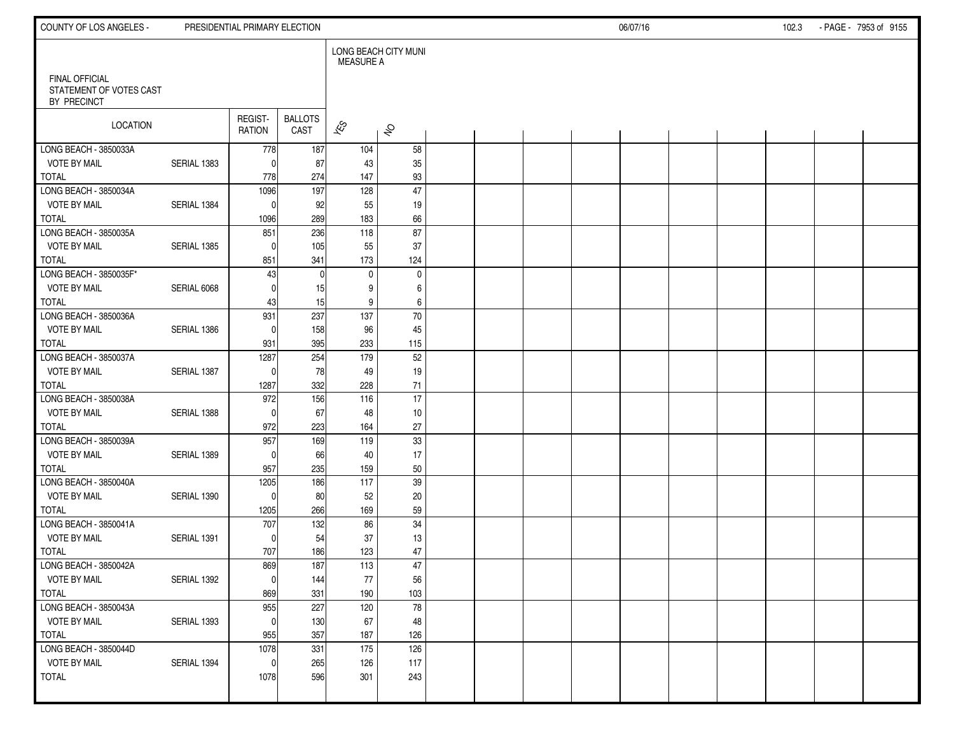| COUNTY OF LOS ANGELES -                                         |             | PRESIDENTIAL PRIMARY ELECTION |                        |                          |                      |  |  | 06/07/16 |  | 102.3 | - PAGE - 7953 of 9155 |  |
|-----------------------------------------------------------------|-------------|-------------------------------|------------------------|--------------------------|----------------------|--|--|----------|--|-------|-----------------------|--|
|                                                                 |             |                               |                        | <b>MEASURE A</b>         | LONG BEACH CITY MUNI |  |  |          |  |       |                       |  |
| <b>FINAL OFFICIAL</b><br>STATEMENT OF VOTES CAST<br>BY PRECINCT |             |                               |                        |                          |                      |  |  |          |  |       |                       |  |
| LOCATION                                                        |             | REGIST-<br><b>RATION</b>      | <b>BALLOTS</b><br>CAST | $\overline{\mathscr{K}}$ | $\hat{\mathcal{S}}$  |  |  |          |  |       |                       |  |
| LONG BEACH - 3850033A                                           |             | 778                           | 187                    | 104                      | 58                   |  |  |          |  |       |                       |  |
| <b>VOTE BY MAIL</b>                                             | SERIAL 1383 | $\Omega$                      | 87                     | 43                       | 35                   |  |  |          |  |       |                       |  |
| <b>TOTAL</b>                                                    |             | 778                           | 274                    | 147                      | 93                   |  |  |          |  |       |                       |  |
| LONG BEACH - 3850034A                                           |             | 1096                          | 197                    | 128                      | 47                   |  |  |          |  |       |                       |  |
| <b>VOTE BY MAIL</b>                                             | SERIAL 1384 | $\Omega$                      | 92                     | 55                       | 19                   |  |  |          |  |       |                       |  |
| <b>TOTAL</b>                                                    |             | 1096                          | 289                    | 183                      | 66                   |  |  |          |  |       |                       |  |
| LONG BEACH - 3850035A                                           |             | 851                           | 236                    | 118                      | 87                   |  |  |          |  |       |                       |  |
| <b>VOTE BY MAIL</b>                                             | SERIAL 1385 | $\Omega$                      | 105                    | 55                       | 37                   |  |  |          |  |       |                       |  |
| <b>TOTAL</b>                                                    |             | 851                           | 341                    | 173                      | 124                  |  |  |          |  |       |                       |  |
| LONG BEACH - 3850035F*                                          |             | 43                            | $\Omega$               | $\mathbf 0$              | $\mathbf 0$          |  |  |          |  |       |                       |  |
| <b>VOTE BY MAIL</b>                                             | SERIAL 6068 | $\Omega$                      | 15                     | 9                        | 6                    |  |  |          |  |       |                       |  |
| <b>TOTAL</b>                                                    |             | 43                            | 15                     | 9                        | 6                    |  |  |          |  |       |                       |  |
| LONG BEACH - 3850036A                                           |             | 931                           | 237                    | 137                      | 70                   |  |  |          |  |       |                       |  |
| <b>VOTE BY MAIL</b>                                             | SERIAL 1386 | $\mathbf{0}$                  | 158                    | 96                       | 45                   |  |  |          |  |       |                       |  |
| <b>TOTAL</b>                                                    |             | 931                           | 395                    | 233                      | 115                  |  |  |          |  |       |                       |  |
| LONG BEACH - 3850037A                                           |             | 1287                          | 254                    | 179                      | $52\,$               |  |  |          |  |       |                       |  |
| <b>VOTE BY MAIL</b>                                             | SERIAL 1387 | $\mathbf{0}$                  | 78                     | 49                       | 19                   |  |  |          |  |       |                       |  |
| <b>TOTAL</b>                                                    |             | 1287                          | 332                    | 228                      | $71$                 |  |  |          |  |       |                       |  |
| LONG BEACH - 3850038A                                           |             | 972                           | 156                    | 116                      | 17                   |  |  |          |  |       |                       |  |
| <b>VOTE BY MAIL</b>                                             | SERIAL 1388 | $\Omega$                      | 67                     | 48                       | 10                   |  |  |          |  |       |                       |  |
| <b>TOTAL</b>                                                    |             | 972                           | 223                    | 164                      | 27                   |  |  |          |  |       |                       |  |
| LONG BEACH - 3850039A                                           |             | 957                           | 169                    | 119                      | 33                   |  |  |          |  |       |                       |  |
| <b>VOTE BY MAIL</b>                                             | SERIAL 1389 | $\Omega$                      | 66                     | 40                       | 17                   |  |  |          |  |       |                       |  |
| <b>TOTAL</b>                                                    |             | 957                           | 235                    | 159                      | 50                   |  |  |          |  |       |                       |  |
| LONG BEACH - 3850040A                                           |             | 1205                          | 186                    | 117                      | 39                   |  |  |          |  |       |                       |  |
| <b>VOTE BY MAIL</b>                                             | SERIAL 1390 | $\mathbf{0}$                  | 80                     | 52                       | 20                   |  |  |          |  |       |                       |  |
| <b>TOTAL</b>                                                    |             | 1205                          | 266                    | 169                      | 59                   |  |  |          |  |       |                       |  |
| LONG BEACH - 3850041A                                           |             | 707                           | 132                    | 86                       | 34                   |  |  |          |  |       |                       |  |
| <b>VOTE BY MAIL</b>                                             | SERIAL 1391 | $\Omega$                      | 54                     | 37                       | 13                   |  |  |          |  |       |                       |  |
| TOTAL                                                           |             | 707                           | 186                    | 123                      | 47                   |  |  |          |  |       |                       |  |
| LONG BEACH - 3850042A                                           |             | 869                           | 187                    | 113                      | 47                   |  |  |          |  |       |                       |  |
| <b>VOTE BY MAIL</b><br><b>TOTAL</b>                             | SERIAL 1392 | $\Omega$                      | 144<br>331             | 77                       | 56<br>103            |  |  |          |  |       |                       |  |
| LONG BEACH - 3850043A                                           |             | 869<br>955                    | 227                    | 190<br>120               | $\overline{78}$      |  |  |          |  |       |                       |  |
| <b>VOTE BY MAIL</b>                                             | SERIAL 1393 | $\Omega$                      |                        |                          |                      |  |  |          |  |       |                       |  |
| <b>TOTAL</b>                                                    |             | 955                           | 130<br>357             | 67<br>187                | 48<br>126            |  |  |          |  |       |                       |  |
| LONG BEACH - 3850044D                                           |             | 1078                          | 331                    | 175                      | 126                  |  |  |          |  |       |                       |  |
| <b>VOTE BY MAIL</b>                                             | SERIAL 1394 | $\cap$                        | 265                    | 126                      | 117                  |  |  |          |  |       |                       |  |
| <b>TOTAL</b>                                                    |             | 1078                          | 596                    | 301                      | 243                  |  |  |          |  |       |                       |  |
|                                                                 |             |                               |                        |                          |                      |  |  |          |  |       |                       |  |
|                                                                 |             |                               |                        |                          |                      |  |  |          |  |       |                       |  |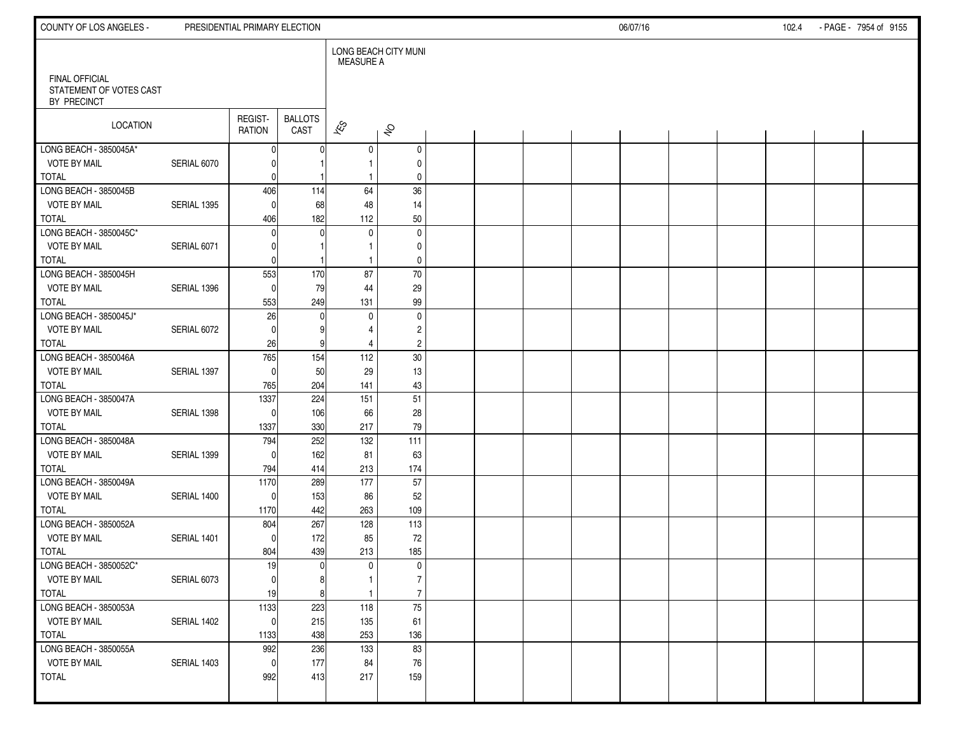| COUNTY OF LOS ANGELES -                          |             | PRESIDENTIAL PRIMARY ELECTION |                        |                                          |                          |  |  | 06/07/16 |  | 102.4 | - PAGE 7954 of 9155 |  |
|--------------------------------------------------|-------------|-------------------------------|------------------------|------------------------------------------|--------------------------|--|--|----------|--|-------|---------------------|--|
| <b>FINAL OFFICIAL</b><br>STATEMENT OF VOTES CAST |             |                               |                        | LONG BEACH CITY MUNI<br><b>MEASURE A</b> |                          |  |  |          |  |       |                     |  |
| BY PRECINCT                                      |             |                               |                        |                                          |                          |  |  |          |  |       |                     |  |
| LOCATION                                         |             | REGIST-<br><b>RATION</b>      | <b>BALLOTS</b><br>CAST | $\overline{\mathscr{K}}$                 | $\hat{\mathcal{S}}$      |  |  |          |  |       |                     |  |
| LONG BEACH - 3850045A*                           |             | 0                             | 0                      | 0                                        | 0                        |  |  |          |  |       |                     |  |
| <b>VOTE BY MAIL</b>                              | SERIAL 6070 | $\Omega$                      |                        | 1                                        | 0                        |  |  |          |  |       |                     |  |
| <b>TOTAL</b>                                     |             | $\Omega$                      |                        | 1                                        | 0                        |  |  |          |  |       |                     |  |
| LONG BEACH - 3850045B                            |             | 406                           | 114                    | 64                                       | 36                       |  |  |          |  |       |                     |  |
| <b>VOTE BY MAIL</b>                              | SERIAL 1395 | $\Omega$                      | 68                     | 48                                       | 14                       |  |  |          |  |       |                     |  |
| <b>TOTAL</b>                                     |             | 406                           | 182                    | 112                                      | $50\,$                   |  |  |          |  |       |                     |  |
| LONG BEACH - 3850045C*                           |             |                               |                        | $\mathbf 0$                              | $\pmb{0}$                |  |  |          |  |       |                     |  |
| <b>VOTE BY MAIL</b>                              | SERIAL 6071 | $\Omega$                      |                        | 1                                        | 0                        |  |  |          |  |       |                     |  |
| <b>TOTAL</b>                                     |             | 0                             |                        | $\mathbf{1}$                             | 0                        |  |  |          |  |       |                     |  |
| LONG BEACH - 3850045H                            |             | 553                           | 170                    | 87                                       | 70                       |  |  |          |  |       |                     |  |
| <b>VOTE BY MAIL</b>                              | SERIAL 1396 | $\Omega$                      | 79                     | 44                                       | 29                       |  |  |          |  |       |                     |  |
| <b>TOTAL</b>                                     |             | 553                           | 249                    | 131                                      | 99                       |  |  |          |  |       |                     |  |
| LONG BEACH - 3850045J*                           |             | 26                            | 0                      | 0                                        | $\mathsf{O}\xspace$      |  |  |          |  |       |                     |  |
| <b>VOTE BY MAIL</b>                              | SERIAL 6072 | $\mathbf{0}$                  |                        | 4                                        | $\overline{\mathbf{c}}$  |  |  |          |  |       |                     |  |
| <b>TOTAL</b><br>LONG BEACH - 3850046A            |             | 26<br>765                     | 9<br>154               | 4                                        | $\overline{c}$<br>$30\,$ |  |  |          |  |       |                     |  |
|                                                  |             | $\Omega$                      |                        | 112                                      |                          |  |  |          |  |       |                     |  |
| <b>VOTE BY MAIL</b><br><b>TOTAL</b>              | SERIAL 1397 |                               | 50                     | 29                                       | 13                       |  |  |          |  |       |                     |  |
| LONG BEACH - 3850047A                            |             | 765<br>1337                   | 204<br>224             | 141<br>151                               | 43<br>51                 |  |  |          |  |       |                     |  |
| <b>VOTE BY MAIL</b>                              | SERIAL 1398 | 0                             | 106                    | 66                                       | $28\,$                   |  |  |          |  |       |                     |  |
| <b>TOTAL</b>                                     |             | 1337                          | 330                    | 217                                      | 79                       |  |  |          |  |       |                     |  |
| LONG BEACH - 3850048A                            |             | 794                           | 252                    | 132                                      | 111                      |  |  |          |  |       |                     |  |
| <b>VOTE BY MAIL</b>                              | SERIAL 1399 | $\Omega$                      | 162                    | 81                                       | 63                       |  |  |          |  |       |                     |  |
| <b>TOTAL</b>                                     |             | 794                           | 414                    | 213                                      | 174                      |  |  |          |  |       |                     |  |
| LONG BEACH - 3850049A                            |             | 1170                          | 289                    | 177                                      | 57                       |  |  |          |  |       |                     |  |
| <b>VOTE BY MAIL</b>                              | SERIAL 1400 | $\mathbf{0}$                  | 153                    | 86                                       | 52                       |  |  |          |  |       |                     |  |
| <b>TOTAL</b>                                     |             | 1170                          | 442                    | 263                                      | 109                      |  |  |          |  |       |                     |  |
| LONG BEACH - 3850052A                            |             | 804                           | 267                    | 128                                      | 113                      |  |  |          |  |       |                     |  |
| <b>VOTE BY MAIL</b>                              | SERIAL 1401 | $\Omega$                      | 172                    | 85                                       | $72\,$                   |  |  |          |  |       |                     |  |
| TOTAL                                            |             | 804                           | 439                    | 213                                      | 185                      |  |  |          |  |       |                     |  |
| LONG BEACH - 3850052C*                           |             | 19                            | 01                     | 0                                        | 0                        |  |  |          |  |       |                     |  |
| <b>VOTE BY MAIL</b>                              | SERIAL 6073 | $\Omega$                      |                        |                                          | $\overline{7}$           |  |  |          |  |       |                     |  |
| <b>TOTAL</b>                                     |             | 19                            | 8                      | 1                                        | $\overline{7}$           |  |  |          |  |       |                     |  |
| LONG BEACH - 3850053A                            |             | 1133                          | 223                    | 118                                      | $\overline{75}$          |  |  |          |  |       |                     |  |
| <b>VOTE BY MAIL</b>                              | SERIAL 1402 | $\mathbf 0$                   | 215                    | 135                                      | 61                       |  |  |          |  |       |                     |  |
| <b>TOTAL</b>                                     |             | 1133                          | 438                    | 253                                      | 136                      |  |  |          |  |       |                     |  |
| LONG BEACH - 3850055A                            |             | 992                           | 236                    | 133                                      | 83                       |  |  |          |  |       |                     |  |
| <b>VOTE BY MAIL</b>                              | SERIAL 1403 | $\Omega$                      | 177                    | 84                                       | 76                       |  |  |          |  |       |                     |  |
| <b>TOTAL</b>                                     |             | 992                           | 413                    | 217                                      | 159                      |  |  |          |  |       |                     |  |
|                                                  |             |                               |                        |                                          |                          |  |  |          |  |       |                     |  |
|                                                  |             |                               |                        |                                          |                          |  |  |          |  |       |                     |  |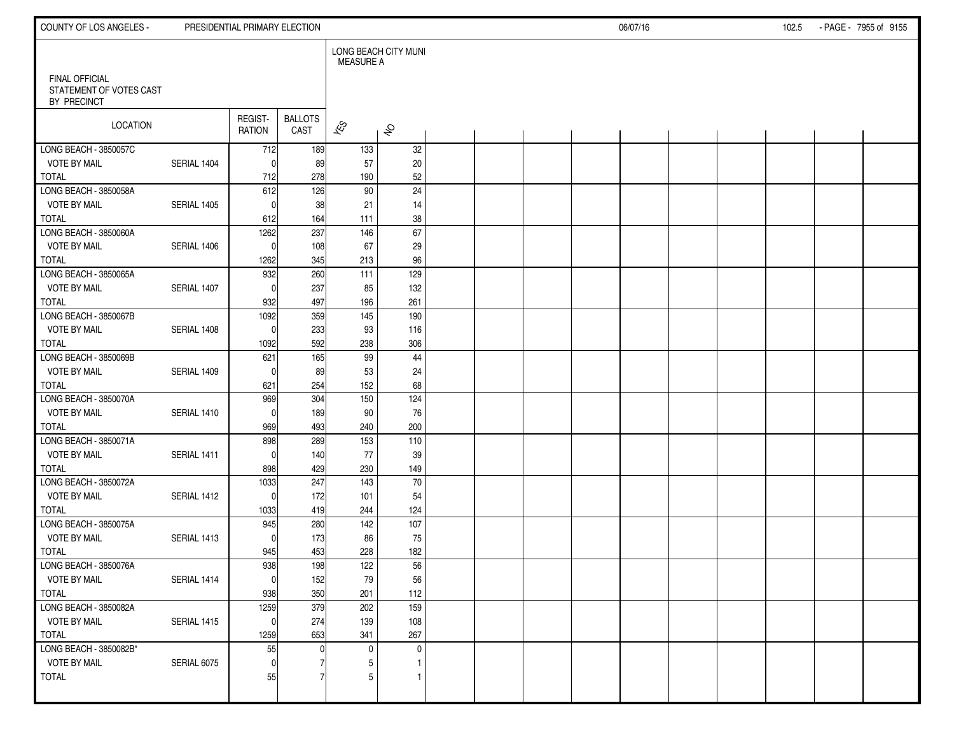| COUNTY OF LOS ANGELES -                                         |             | PRESIDENTIAL PRIMARY ELECTION |                        |                          |                      |  |  | 06/07/16 |  | 102.5 | - PAGE - 7955 of 9155 |  |
|-----------------------------------------------------------------|-------------|-------------------------------|------------------------|--------------------------|----------------------|--|--|----------|--|-------|-----------------------|--|
|                                                                 |             |                               |                        | <b>MEASURE A</b>         | LONG BEACH CITY MUNI |  |  |          |  |       |                       |  |
| <b>FINAL OFFICIAL</b><br>STATEMENT OF VOTES CAST<br>BY PRECINCT |             |                               |                        |                          |                      |  |  |          |  |       |                       |  |
| LOCATION                                                        |             | REGIST-<br><b>RATION</b>      | <b>BALLOTS</b><br>CAST | $\overline{\mathscr{K}}$ | $\hat{\mathcal{S}}$  |  |  |          |  |       |                       |  |
| LONG BEACH - 3850057C                                           |             | 712                           | 189                    | 133                      | 32                   |  |  |          |  |       |                       |  |
| <b>VOTE BY MAIL</b>                                             | SERIAL 1404 | $\Omega$                      | 89                     | 57                       | 20                   |  |  |          |  |       |                       |  |
| <b>TOTAL</b>                                                    |             | 712                           | 278                    | 190                      | $52\,$               |  |  |          |  |       |                       |  |
| LONG BEACH - 3850058A                                           |             | 612                           | 126                    | 90                       | 24                   |  |  |          |  |       |                       |  |
| <b>VOTE BY MAIL</b>                                             | SERIAL 1405 | $\Omega$                      | 38                     | 21                       | 14                   |  |  |          |  |       |                       |  |
| <b>TOTAL</b>                                                    |             | 612                           | 164                    | 111                      | 38                   |  |  |          |  |       |                       |  |
| LONG BEACH - 3850060A                                           |             | 1262                          | 237                    | 146                      | 67                   |  |  |          |  |       |                       |  |
| <b>VOTE BY MAIL</b>                                             | SERIAL 1406 | $\Omega$                      | 108                    | 67                       | 29                   |  |  |          |  |       |                       |  |
| <b>TOTAL</b>                                                    |             | 1262                          | 345                    | 213                      | 96                   |  |  |          |  |       |                       |  |
| LONG BEACH - 3850065A                                           |             | 932                           | 260                    | 111                      | 129                  |  |  |          |  |       |                       |  |
| <b>VOTE BY MAIL</b>                                             | SERIAL 1407 | $\Omega$                      | 237                    | 85                       | 132                  |  |  |          |  |       |                       |  |
| <b>TOTAL</b>                                                    |             | 932                           | 497                    | 196                      | 261                  |  |  |          |  |       |                       |  |
| LONG BEACH - 3850067B                                           |             | 1092                          | 359                    | 145                      | 190                  |  |  |          |  |       |                       |  |
| <b>VOTE BY MAIL</b>                                             | SERIAL 1408 | $\mathbf{0}$                  | 233                    | 93                       | 116                  |  |  |          |  |       |                       |  |
| <b>TOTAL</b>                                                    |             | 1092                          | 592                    | 238                      | 306                  |  |  |          |  |       |                       |  |
| LONG BEACH - 3850069B                                           |             | 621                           | 165                    | 99                       | 44                   |  |  |          |  |       |                       |  |
| <b>VOTE BY MAIL</b>                                             | SERIAL 1409 | $\Omega$                      | 89                     | 53                       | 24                   |  |  |          |  |       |                       |  |
| <b>TOTAL</b>                                                    |             | 621                           | 254                    | 152                      | 68                   |  |  |          |  |       |                       |  |
| LONG BEACH - 3850070A                                           |             | 969                           | 304                    | 150                      | 124                  |  |  |          |  |       |                       |  |
| <b>VOTE BY MAIL</b>                                             | SERIAL 1410 | $\Omega$                      | 189                    | 90                       | 76                   |  |  |          |  |       |                       |  |
| <b>TOTAL</b>                                                    |             | 969                           | 493                    | 240                      | 200                  |  |  |          |  |       |                       |  |
| LONG BEACH - 3850071A                                           |             | 898                           | 289                    | 153                      | 110                  |  |  |          |  |       |                       |  |
| <b>VOTE BY MAIL</b>                                             | SERIAL 1411 | $\Omega$                      | 140                    | 77                       | 39                   |  |  |          |  |       |                       |  |
| <b>TOTAL</b>                                                    |             | 898                           | 429                    | 230                      | 149                  |  |  |          |  |       |                       |  |
| LONG BEACH - 3850072A                                           |             | 1033                          | 247                    | 143                      | 70                   |  |  |          |  |       |                       |  |
| <b>VOTE BY MAIL</b>                                             | SERIAL 1412 | $\mathbf{0}$                  | 172                    | 101                      | 54                   |  |  |          |  |       |                       |  |
| <b>TOTAL</b>                                                    |             | 1033                          | 419                    | 244                      | 124                  |  |  |          |  |       |                       |  |
| LONG BEACH - 3850075A                                           |             | 945                           | 280                    | 142                      | 107                  |  |  |          |  |       |                       |  |
| <b>VOTE BY MAIL</b>                                             | SERIAL 1413 | $\Omega$                      | 173                    | 86                       | 75                   |  |  |          |  |       |                       |  |
| TOTAL                                                           |             | 945                           | 453                    | 228                      | 182                  |  |  |          |  |       |                       |  |
| LONG BEACH - 3850076A                                           |             | 938                           | 198                    | 122                      | 56                   |  |  |          |  |       |                       |  |
| <b>VOTE BY MAIL</b>                                             | SERIAL 1414 | $\Omega$                      | 152                    | 79                       | 56                   |  |  |          |  |       |                       |  |
| <b>TOTAL</b>                                                    |             | 938                           | 350                    | 201                      | 112                  |  |  |          |  |       |                       |  |
| LONG BEACH - 3850082A                                           |             | 1259                          | 379                    | 202                      | 159                  |  |  |          |  |       |                       |  |
| <b>VOTE BY MAIL</b>                                             | SERIAL 1415 | $\Omega$                      | 274                    | 139                      | 108                  |  |  |          |  |       |                       |  |
| <b>TOTAL</b>                                                    |             | 1259                          | 653                    | 341                      | 267                  |  |  |          |  |       |                       |  |
| LONG BEACH - 3850082B*                                          |             | 55                            | ∩                      | $\mathbf 0$              | $\mathbf 0$          |  |  |          |  |       |                       |  |
| <b>VOTE BY MAIL</b>                                             | SERIAL 6075 | $\Omega$                      |                        | 5                        |                      |  |  |          |  |       |                       |  |
| <b>TOTAL</b>                                                    |             | 55                            |                        | 5                        |                      |  |  |          |  |       |                       |  |
|                                                                 |             |                               |                        |                          |                      |  |  |          |  |       |                       |  |
|                                                                 |             |                               |                        |                          |                      |  |  |          |  |       |                       |  |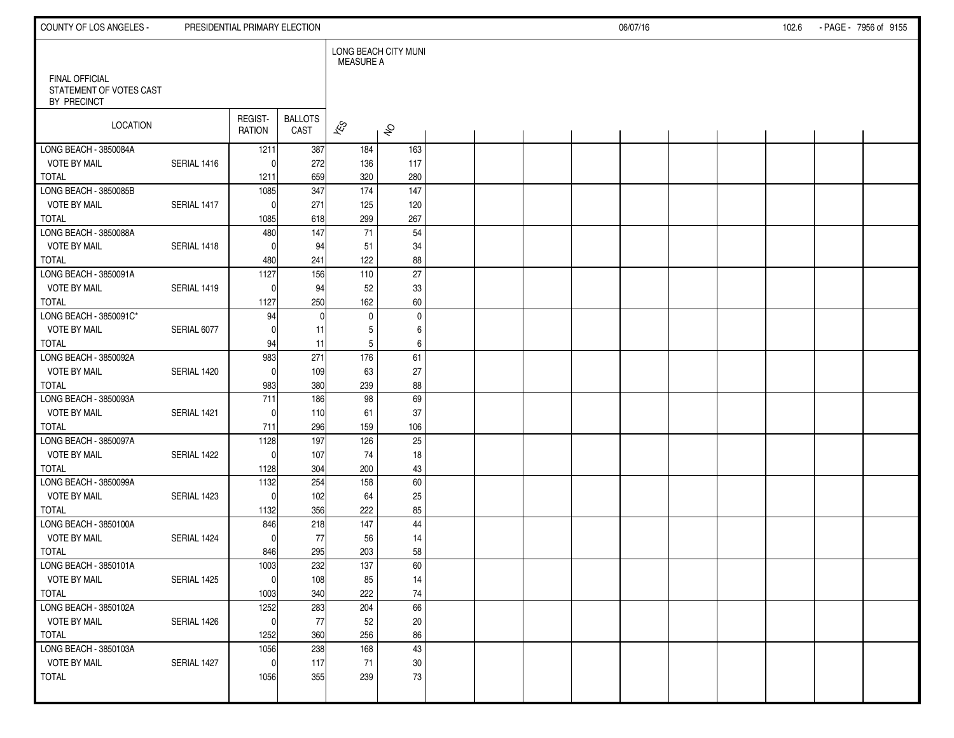| LONG BEACH CITY MUNI<br><b>MEASURE A</b><br><b>FINAL OFFICIAL</b><br>STATEMENT OF VOTES CAST<br>BY PRECINCT<br>REGIST-<br><b>BALLOTS</b><br>LOCATION<br>$\overline{\mathcal{K}}$ S<br>$\hat{\mathcal{S}}$<br>CAST<br>RATION<br>LONG BEACH - 3850084A<br>387<br>1211<br>184<br>163<br><b>VOTE BY MAIL</b><br>SERIAL 1416<br>272<br>136<br>117<br>$\Omega$<br><b>TOTAL</b><br>1211<br>659<br>320<br>280<br>LONG BEACH - 3850085B<br>1085<br>347<br>174<br>147<br><b>VOTE BY MAIL</b><br>SERIAL 1417<br>271<br>125<br>120<br>$\Omega$<br><b>TOTAL</b><br>1085<br>299<br>267<br>618<br>54<br>71<br>LONG BEACH - 3850088A<br>480<br>147<br><b>VOTE BY MAIL</b><br>34<br>SERIAL 1418<br>94<br>$\Omega$<br>51<br><b>TOTAL</b><br>88<br>480<br>241<br>122<br>27<br>1127<br>156<br>LONG BEACH - 3850091A<br>110<br><b>VOTE BY MAIL</b><br>$33\,$<br>SERIAL 1419<br>94<br>52<br>$\Omega$<br>162<br>60<br><b>TOTAL</b><br>1127<br>250<br>$\pmb{0}$<br>LONG BEACH - 3850091C*<br>94<br>$\mathbf 0$<br>$\mathbf{0}$<br><b>VOTE BY MAIL</b><br>SERIAL 6077<br>5<br>6<br>$\mathbf 0$<br>11<br><b>TOTAL</b><br>11<br>$5\,$<br>94<br>6<br>LONG BEACH - 3850092A<br>983<br>271<br>176<br>61<br><b>VOTE BY MAIL</b><br>27<br>SERIAL 1420<br>109<br>63<br>$\Omega$<br><b>TOTAL</b><br>239<br>983<br>380<br>88<br>LONG BEACH - 3850093A<br>711<br>98<br>69<br>186<br><b>VOTE BY MAIL</b><br>37<br>SERIAL 1421<br>$\mathbf{0}$<br>110<br>61<br><b>TOTAL</b><br>296<br>106<br>711<br>159 |
|-------------------------------------------------------------------------------------------------------------------------------------------------------------------------------------------------------------------------------------------------------------------------------------------------------------------------------------------------------------------------------------------------------------------------------------------------------------------------------------------------------------------------------------------------------------------------------------------------------------------------------------------------------------------------------------------------------------------------------------------------------------------------------------------------------------------------------------------------------------------------------------------------------------------------------------------------------------------------------------------------------------------------------------------------------------------------------------------------------------------------------------------------------------------------------------------------------------------------------------------------------------------------------------------------------------------------------------------------------------------------------------------------------------------------------------------------------------------|
|                                                                                                                                                                                                                                                                                                                                                                                                                                                                                                                                                                                                                                                                                                                                                                                                                                                                                                                                                                                                                                                                                                                                                                                                                                                                                                                                                                                                                                                                   |
|                                                                                                                                                                                                                                                                                                                                                                                                                                                                                                                                                                                                                                                                                                                                                                                                                                                                                                                                                                                                                                                                                                                                                                                                                                                                                                                                                                                                                                                                   |
|                                                                                                                                                                                                                                                                                                                                                                                                                                                                                                                                                                                                                                                                                                                                                                                                                                                                                                                                                                                                                                                                                                                                                                                                                                                                                                                                                                                                                                                                   |
|                                                                                                                                                                                                                                                                                                                                                                                                                                                                                                                                                                                                                                                                                                                                                                                                                                                                                                                                                                                                                                                                                                                                                                                                                                                                                                                                                                                                                                                                   |
|                                                                                                                                                                                                                                                                                                                                                                                                                                                                                                                                                                                                                                                                                                                                                                                                                                                                                                                                                                                                                                                                                                                                                                                                                                                                                                                                                                                                                                                                   |
|                                                                                                                                                                                                                                                                                                                                                                                                                                                                                                                                                                                                                                                                                                                                                                                                                                                                                                                                                                                                                                                                                                                                                                                                                                                                                                                                                                                                                                                                   |
|                                                                                                                                                                                                                                                                                                                                                                                                                                                                                                                                                                                                                                                                                                                                                                                                                                                                                                                                                                                                                                                                                                                                                                                                                                                                                                                                                                                                                                                                   |
|                                                                                                                                                                                                                                                                                                                                                                                                                                                                                                                                                                                                                                                                                                                                                                                                                                                                                                                                                                                                                                                                                                                                                                                                                                                                                                                                                                                                                                                                   |
|                                                                                                                                                                                                                                                                                                                                                                                                                                                                                                                                                                                                                                                                                                                                                                                                                                                                                                                                                                                                                                                                                                                                                                                                                                                                                                                                                                                                                                                                   |
|                                                                                                                                                                                                                                                                                                                                                                                                                                                                                                                                                                                                                                                                                                                                                                                                                                                                                                                                                                                                                                                                                                                                                                                                                                                                                                                                                                                                                                                                   |
|                                                                                                                                                                                                                                                                                                                                                                                                                                                                                                                                                                                                                                                                                                                                                                                                                                                                                                                                                                                                                                                                                                                                                                                                                                                                                                                                                                                                                                                                   |
|                                                                                                                                                                                                                                                                                                                                                                                                                                                                                                                                                                                                                                                                                                                                                                                                                                                                                                                                                                                                                                                                                                                                                                                                                                                                                                                                                                                                                                                                   |
|                                                                                                                                                                                                                                                                                                                                                                                                                                                                                                                                                                                                                                                                                                                                                                                                                                                                                                                                                                                                                                                                                                                                                                                                                                                                                                                                                                                                                                                                   |
|                                                                                                                                                                                                                                                                                                                                                                                                                                                                                                                                                                                                                                                                                                                                                                                                                                                                                                                                                                                                                                                                                                                                                                                                                                                                                                                                                                                                                                                                   |
|                                                                                                                                                                                                                                                                                                                                                                                                                                                                                                                                                                                                                                                                                                                                                                                                                                                                                                                                                                                                                                                                                                                                                                                                                                                                                                                                                                                                                                                                   |
|                                                                                                                                                                                                                                                                                                                                                                                                                                                                                                                                                                                                                                                                                                                                                                                                                                                                                                                                                                                                                                                                                                                                                                                                                                                                                                                                                                                                                                                                   |
|                                                                                                                                                                                                                                                                                                                                                                                                                                                                                                                                                                                                                                                                                                                                                                                                                                                                                                                                                                                                                                                                                                                                                                                                                                                                                                                                                                                                                                                                   |
|                                                                                                                                                                                                                                                                                                                                                                                                                                                                                                                                                                                                                                                                                                                                                                                                                                                                                                                                                                                                                                                                                                                                                                                                                                                                                                                                                                                                                                                                   |
|                                                                                                                                                                                                                                                                                                                                                                                                                                                                                                                                                                                                                                                                                                                                                                                                                                                                                                                                                                                                                                                                                                                                                                                                                                                                                                                                                                                                                                                                   |
|                                                                                                                                                                                                                                                                                                                                                                                                                                                                                                                                                                                                                                                                                                                                                                                                                                                                                                                                                                                                                                                                                                                                                                                                                                                                                                                                                                                                                                                                   |
|                                                                                                                                                                                                                                                                                                                                                                                                                                                                                                                                                                                                                                                                                                                                                                                                                                                                                                                                                                                                                                                                                                                                                                                                                                                                                                                                                                                                                                                                   |
|                                                                                                                                                                                                                                                                                                                                                                                                                                                                                                                                                                                                                                                                                                                                                                                                                                                                                                                                                                                                                                                                                                                                                                                                                                                                                                                                                                                                                                                                   |
|                                                                                                                                                                                                                                                                                                                                                                                                                                                                                                                                                                                                                                                                                                                                                                                                                                                                                                                                                                                                                                                                                                                                                                                                                                                                                                                                                                                                                                                                   |
| LONG BEACH - 3850097A<br>197<br>126<br>25<br>1128                                                                                                                                                                                                                                                                                                                                                                                                                                                                                                                                                                                                                                                                                                                                                                                                                                                                                                                                                                                                                                                                                                                                                                                                                                                                                                                                                                                                                 |
| <b>VOTE BY MAIL</b><br>SERIAL 1422<br>74<br>18<br>107<br>$\Omega$                                                                                                                                                                                                                                                                                                                                                                                                                                                                                                                                                                                                                                                                                                                                                                                                                                                                                                                                                                                                                                                                                                                                                                                                                                                                                                                                                                                                 |
| 304<br>200<br>43<br><b>TOTAL</b><br>1128                                                                                                                                                                                                                                                                                                                                                                                                                                                                                                                                                                                                                                                                                                                                                                                                                                                                                                                                                                                                                                                                                                                                                                                                                                                                                                                                                                                                                          |
| LONG BEACH - 3850099A<br>60<br>254<br>1132<br>158                                                                                                                                                                                                                                                                                                                                                                                                                                                                                                                                                                                                                                                                                                                                                                                                                                                                                                                                                                                                                                                                                                                                                                                                                                                                                                                                                                                                                 |
| <b>VOTE BY MAIL</b><br>102<br>25<br>SERIAL 1423<br>$\mathbf{0}$<br>64                                                                                                                                                                                                                                                                                                                                                                                                                                                                                                                                                                                                                                                                                                                                                                                                                                                                                                                                                                                                                                                                                                                                                                                                                                                                                                                                                                                             |
| 1132<br>356<br>222<br>85<br><b>TOTAL</b>                                                                                                                                                                                                                                                                                                                                                                                                                                                                                                                                                                                                                                                                                                                                                                                                                                                                                                                                                                                                                                                                                                                                                                                                                                                                                                                                                                                                                          |
| LONG BEACH - 3850100A<br>44<br>846<br>147<br>218<br><b>VOTE BY MAIL</b><br>SERIAL 1424<br>$\Omega$                                                                                                                                                                                                                                                                                                                                                                                                                                                                                                                                                                                                                                                                                                                                                                                                                                                                                                                                                                                                                                                                                                                                                                                                                                                                                                                                                                |
| 77<br>14<br>56<br>203<br>58<br>846<br>295                                                                                                                                                                                                                                                                                                                                                                                                                                                                                                                                                                                                                                                                                                                                                                                                                                                                                                                                                                                                                                                                                                                                                                                                                                                                                                                                                                                                                         |
| TOTAL<br>LONG BEACH - 3850101A<br>1003<br>232<br>137<br>60                                                                                                                                                                                                                                                                                                                                                                                                                                                                                                                                                                                                                                                                                                                                                                                                                                                                                                                                                                                                                                                                                                                                                                                                                                                                                                                                                                                                        |
| 14<br><b>VOTE BY MAIL</b><br>SERIAL 1425<br>$\Omega$<br>108<br>85                                                                                                                                                                                                                                                                                                                                                                                                                                                                                                                                                                                                                                                                                                                                                                                                                                                                                                                                                                                                                                                                                                                                                                                                                                                                                                                                                                                                 |
| $74$<br>340<br>222<br><b>TOTAL</b><br>1003                                                                                                                                                                                                                                                                                                                                                                                                                                                                                                                                                                                                                                                                                                                                                                                                                                                                                                                                                                                                                                                                                                                                                                                                                                                                                                                                                                                                                        |
| 66<br>283<br>LONG BEACH - 3850102A<br>1252<br>204                                                                                                                                                                                                                                                                                                                                                                                                                                                                                                                                                                                                                                                                                                                                                                                                                                                                                                                                                                                                                                                                                                                                                                                                                                                                                                                                                                                                                 |
| 77<br><b>VOTE BY MAIL</b><br>SERIAL 1426<br>52<br>20<br>$\mathbf{0}$                                                                                                                                                                                                                                                                                                                                                                                                                                                                                                                                                                                                                                                                                                                                                                                                                                                                                                                                                                                                                                                                                                                                                                                                                                                                                                                                                                                              |
| 1252<br>360<br>256<br>86<br><b>TOTAL</b>                                                                                                                                                                                                                                                                                                                                                                                                                                                                                                                                                                                                                                                                                                                                                                                                                                                                                                                                                                                                                                                                                                                                                                                                                                                                                                                                                                                                                          |
| 43<br>LONG BEACH - 3850103A<br>1056<br>238<br>168                                                                                                                                                                                                                                                                                                                                                                                                                                                                                                                                                                                                                                                                                                                                                                                                                                                                                                                                                                                                                                                                                                                                                                                                                                                                                                                                                                                                                 |
| $30\,$<br><b>VOTE BY MAIL</b><br>SERIAL 1427<br>117<br>71<br>$\mathbf{0}$                                                                                                                                                                                                                                                                                                                                                                                                                                                                                                                                                                                                                                                                                                                                                                                                                                                                                                                                                                                                                                                                                                                                                                                                                                                                                                                                                                                         |
| $73\,$<br><b>TOTAL</b><br>1056<br>355<br>239                                                                                                                                                                                                                                                                                                                                                                                                                                                                                                                                                                                                                                                                                                                                                                                                                                                                                                                                                                                                                                                                                                                                                                                                                                                                                                                                                                                                                      |
|                                                                                                                                                                                                                                                                                                                                                                                                                                                                                                                                                                                                                                                                                                                                                                                                                                                                                                                                                                                                                                                                                                                                                                                                                                                                                                                                                                                                                                                                   |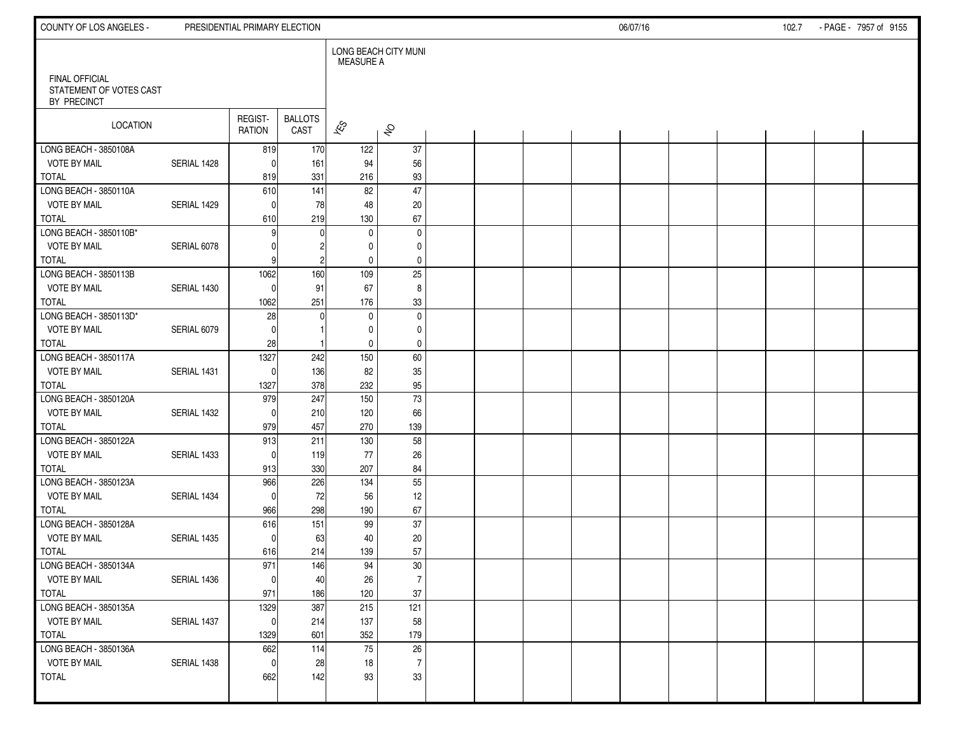| COUNTY OF LOS ANGELES -                                         |             | PRESIDENTIAL PRIMARY ELECTION |                        |                          |                      |  |  | 06/07/16 |  | 102.7 | - PAGE 7957 of 9155 |  |
|-----------------------------------------------------------------|-------------|-------------------------------|------------------------|--------------------------|----------------------|--|--|----------|--|-------|---------------------|--|
|                                                                 |             |                               |                        | <b>MEASURE A</b>         | LONG BEACH CITY MUNI |  |  |          |  |       |                     |  |
| <b>FINAL OFFICIAL</b><br>STATEMENT OF VOTES CAST<br>BY PRECINCT |             |                               |                        |                          |                      |  |  |          |  |       |                     |  |
| LOCATION                                                        |             | REGIST-<br><b>RATION</b>      | <b>BALLOTS</b><br>CAST | $\overline{\mathscr{K}}$ | $\hat{\mathcal{S}}$  |  |  |          |  |       |                     |  |
| LONG BEACH - 3850108A                                           |             | 819                           | 170                    | 122                      | 37                   |  |  |          |  |       |                     |  |
| <b>VOTE BY MAIL</b>                                             | SERIAL 1428 | $\Omega$                      | 161                    | 94                       | 56                   |  |  |          |  |       |                     |  |
| <b>TOTAL</b>                                                    |             | 819                           | 331                    | 216                      | 93                   |  |  |          |  |       |                     |  |
| LONG BEACH - 3850110A                                           |             | 610                           | 141                    | 82                       | 47                   |  |  |          |  |       |                     |  |
| <b>VOTE BY MAIL</b>                                             | SERIAL 1429 | $\Omega$                      | 78                     | 48                       | 20                   |  |  |          |  |       |                     |  |
| <b>TOTAL</b>                                                    |             | 610                           | 219                    | 130                      | 67                   |  |  |          |  |       |                     |  |
| LONG BEACH - 3850110B*                                          |             |                               |                        | $\mathbf 0$              | $\pmb{0}$            |  |  |          |  |       |                     |  |
| <b>VOTE BY MAIL</b>                                             | SERIAL 6078 |                               |                        | $\mathbf 0$              | $\mathbf 0$          |  |  |          |  |       |                     |  |
| <b>TOTAL</b>                                                    |             |                               |                        | $\mathbf 0$              | $\pmb{0}$            |  |  |          |  |       |                     |  |
| LONG BEACH - 3850113B                                           |             | 1062                          | 160                    | 109                      | 25                   |  |  |          |  |       |                     |  |
| <b>VOTE BY MAIL</b>                                             | SERIAL 1430 | $\Omega$                      | 91                     | 67                       | 8                    |  |  |          |  |       |                     |  |
| <b>TOTAL</b>                                                    |             | 1062                          | 251                    | 176                      | $33\,$               |  |  |          |  |       |                     |  |
| LONG BEACH - 3850113D*                                          |             | 28                            |                        | $\mathbf 0$              | $\mathbf 0$          |  |  |          |  |       |                     |  |
| <b>VOTE BY MAIL</b>                                             | SERIAL 6079 | $\mathbf{0}$                  |                        | 0                        | 0                    |  |  |          |  |       |                     |  |
| <b>TOTAL</b>                                                    |             | 28                            |                        | $\mathbf 0$              | $\mathbf 0$          |  |  |          |  |       |                     |  |
| LONG BEACH - 3850117A                                           |             | 1327                          | 242                    | 150                      | 60                   |  |  |          |  |       |                     |  |
| <b>VOTE BY MAIL</b>                                             | SERIAL 1431 | $\mathbf{0}$                  | 136                    | 82                       | 35                   |  |  |          |  |       |                     |  |
| <b>TOTAL</b>                                                    |             | 1327                          | 378                    | 232                      | 95                   |  |  |          |  |       |                     |  |
| LONG BEACH - 3850120A                                           |             | 979                           | 247                    | 150                      | 73                   |  |  |          |  |       |                     |  |
| <b>VOTE BY MAIL</b>                                             | SERIAL 1432 | $\Omega$                      | 210                    | 120                      | 66                   |  |  |          |  |       |                     |  |
| <b>TOTAL</b>                                                    |             | 979                           | 457                    | 270                      | 139<br>58            |  |  |          |  |       |                     |  |
| LONG BEACH - 3850122A                                           |             | 913                           | 211                    | 130                      |                      |  |  |          |  |       |                     |  |
| <b>VOTE BY MAIL</b>                                             | SERIAL 1433 | $\Omega$                      | 119                    | 77                       | 26                   |  |  |          |  |       |                     |  |
| <b>TOTAL</b>                                                    |             | 913                           | 330                    | 207                      | 84<br>55             |  |  |          |  |       |                     |  |
| LONG BEACH - 3850123A<br><b>VOTE BY MAIL</b>                    |             | 966<br>$\mathbf{0}$           | 226                    | 134                      |                      |  |  |          |  |       |                     |  |
| <b>TOTAL</b>                                                    | SERIAL 1434 | 966                           | $72\,$<br>298          | 56<br>190                | 12<br>67             |  |  |          |  |       |                     |  |
| LONG BEACH - 3850128A                                           |             | 616                           | 151                    | 99                       | 37                   |  |  |          |  |       |                     |  |
| VOTE BY MAIL                                                    | SERIAL 1435 | $\Omega$                      | 63                     | 40                       | 20                   |  |  |          |  |       |                     |  |
|                                                                 |             | 616                           | 214                    | 139                      | 57                   |  |  |          |  |       |                     |  |
| TOTAL<br>LONG BEACH - 3850134A                                  |             | 971                           | 146                    | 94                       | 30                   |  |  |          |  |       |                     |  |
| <b>VOTE BY MAIL</b>                                             | SERIAL 1436 | $\Omega$                      | 40                     | 26                       | $\overline{7}$       |  |  |          |  |       |                     |  |
| <b>TOTAL</b>                                                    |             | 971                           | 186                    | 120                      | 37                   |  |  |          |  |       |                     |  |
| LONG BEACH - 3850135A                                           |             | 1329                          | 387                    | 215                      | 121                  |  |  |          |  |       |                     |  |
| <b>VOTE BY MAIL</b>                                             | SERIAL 1437 | $\Omega$                      | 214                    | 137                      | 58                   |  |  |          |  |       |                     |  |
| <b>TOTAL</b>                                                    |             | 1329                          | 601                    | 352                      | 179                  |  |  |          |  |       |                     |  |
| LONG BEACH - 3850136A                                           |             | 662                           | 114                    | 75                       | 26                   |  |  |          |  |       |                     |  |
| <b>VOTE BY MAIL</b>                                             | SERIAL 1438 | $\mathbf{0}$                  | 28                     | 18                       | $\overline{7}$       |  |  |          |  |       |                     |  |
| <b>TOTAL</b>                                                    |             | 662                           | 142                    | 93                       | $33\,$               |  |  |          |  |       |                     |  |
|                                                                 |             |                               |                        |                          |                      |  |  |          |  |       |                     |  |
|                                                                 |             |                               |                        |                          |                      |  |  |          |  |       |                     |  |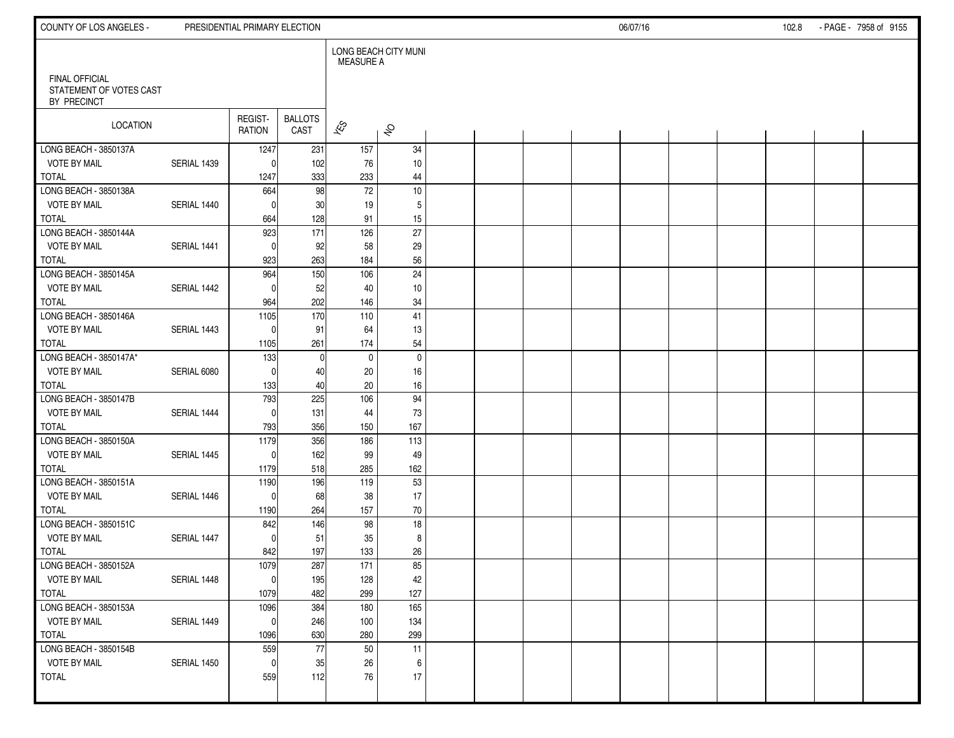| COUNTY OF LOS ANGELES -                |             | PRESIDENTIAL PRIMARY ELECTION |                        |                                          |                     |  |  | 06/07/16 |  | 102.8 | - PAGE - 7958 of 9155 |  |
|----------------------------------------|-------------|-------------------------------|------------------------|------------------------------------------|---------------------|--|--|----------|--|-------|-----------------------|--|
| <b>FINAL OFFICIAL</b>                  |             |                               |                        | LONG BEACH CITY MUNI<br><b>MEASURE A</b> |                     |  |  |          |  |       |                       |  |
| STATEMENT OF VOTES CAST<br>BY PRECINCT |             |                               |                        |                                          |                     |  |  |          |  |       |                       |  |
| LOCATION                               |             | REGIST-<br><b>RATION</b>      | <b>BALLOTS</b><br>CAST | $\approx$                                | $\hat{\mathcal{S}}$ |  |  |          |  |       |                       |  |
| LONG BEACH - 3850137A                  |             | 1247                          | 231                    | 157                                      | 34                  |  |  |          |  |       |                       |  |
| <b>VOTE BY MAIL</b>                    | SERIAL 1439 | $\Omega$                      | 102                    | 76                                       | 10                  |  |  |          |  |       |                       |  |
| <b>TOTAL</b>                           |             | 1247                          | 333                    | 233                                      | 44                  |  |  |          |  |       |                       |  |
| LONG BEACH - 3850138A                  |             | 664                           | 98                     | 72                                       | $10$                |  |  |          |  |       |                       |  |
| <b>VOTE BY MAIL</b>                    | SERIAL 1440 | $\Omega$                      | 30                     | 19                                       | 5                   |  |  |          |  |       |                       |  |
| <b>TOTAL</b>                           |             | 664                           | 128                    | 91                                       | 15                  |  |  |          |  |       |                       |  |
| LONG BEACH - 3850144A                  |             | 923                           | 171                    | 126                                      | 27                  |  |  |          |  |       |                       |  |
| <b>VOTE BY MAIL</b>                    | SERIAL 1441 | $\Omega$                      | 92                     | 58                                       | 29                  |  |  |          |  |       |                       |  |
| <b>TOTAL</b>                           |             | 923                           | 263                    | 184                                      | 56                  |  |  |          |  |       |                       |  |
| LONG BEACH - 3850145A                  |             | 964                           | 150                    | 106                                      | 24                  |  |  |          |  |       |                       |  |
| <b>VOTE BY MAIL</b>                    | SERIAL 1442 | $\Omega$                      | 52                     | 40                                       | 10                  |  |  |          |  |       |                       |  |
| <b>TOTAL</b>                           |             | 964                           | 202                    | 146                                      | 34                  |  |  |          |  |       |                       |  |
| LONG BEACH - 3850146A                  |             | 1105                          | 170                    | 110                                      | 41                  |  |  |          |  |       |                       |  |
| <b>VOTE BY MAIL</b>                    | SERIAL 1443 | $\Omega$                      | 91                     | 64                                       | 13                  |  |  |          |  |       |                       |  |
| <b>TOTAL</b>                           |             | 1105                          | 261                    | 174                                      | 54                  |  |  |          |  |       |                       |  |
| LONG BEACH - 3850147A*                 |             | 133                           | $\mathbf{0}$           | $\mathbf 0$                              | $\mathbf 0$         |  |  |          |  |       |                       |  |
| <b>VOTE BY MAIL</b>                    | SERIAL 6080 | $\Omega$                      | 40                     | 20                                       | 16                  |  |  |          |  |       |                       |  |
| <b>TOTAL</b>                           |             | 133                           | 40                     | $20\,$                                   | $16$                |  |  |          |  |       |                       |  |
| LONG BEACH - 3850147B                  |             | 793                           | 225                    | 106                                      | 94                  |  |  |          |  |       |                       |  |
| <b>VOTE BY MAIL</b>                    | SERIAL 1444 | $\Omega$                      | 131                    | 44                                       | 73                  |  |  |          |  |       |                       |  |
| <b>TOTAL</b>                           |             | 793                           | 356                    | 150                                      | 167                 |  |  |          |  |       |                       |  |
| LONG BEACH - 3850150A                  |             | 1179                          | 356                    | 186                                      | 113                 |  |  |          |  |       |                       |  |
| <b>VOTE BY MAIL</b>                    | SERIAL 1445 | $\Omega$                      | 162                    | 99                                       | 49                  |  |  |          |  |       |                       |  |
| <b>TOTAL</b>                           |             | 1179                          | 518                    | 285                                      | 162                 |  |  |          |  |       |                       |  |
| LONG BEACH - 3850151A                  |             | 1190                          | 196                    | 119                                      | 53                  |  |  |          |  |       |                       |  |
| <b>VOTE BY MAIL</b>                    | SERIAL 1446 | $\Omega$                      | 68                     | 38                                       | 17                  |  |  |          |  |       |                       |  |
| <b>TOTAL</b>                           |             | 1190                          | 264                    | 157                                      | $70\,$              |  |  |          |  |       |                       |  |
| LONG BEACH - 3850151C                  |             | 842                           | 146                    | 98                                       | 18                  |  |  |          |  |       |                       |  |
| <b>VOTE BY MAIL</b>                    | SERIAL 1447 | $\Omega$                      | 51                     | 35                                       | 8                   |  |  |          |  |       |                       |  |
| TOTAL                                  |             | 842                           | 197                    | 133                                      | $26\,$              |  |  |          |  |       |                       |  |
| LONG BEACH - 3850152A                  |             | 1079                          | 287                    | 171                                      | 85                  |  |  |          |  |       |                       |  |
| <b>VOTE BY MAIL</b>                    | SERIAL 1448 | $\Omega$                      | 195                    | 128                                      | 42                  |  |  |          |  |       |                       |  |
| <b>TOTAL</b>                           |             | 1079                          | 482                    | 299                                      | 127                 |  |  |          |  |       |                       |  |
| LONG BEACH - 3850153A                  |             | 1096                          | 384                    | 180                                      | 165                 |  |  |          |  |       |                       |  |
| <b>VOTE BY MAIL</b>                    | SERIAL 1449 | $\Omega$                      | 246                    | 100                                      | 134                 |  |  |          |  |       |                       |  |
| <b>TOTAL</b>                           |             | 1096                          | 630                    | 280                                      | 299                 |  |  |          |  |       |                       |  |
| LONG BEACH - 3850154B                  |             | 559                           | 77                     | 50                                       | 11                  |  |  |          |  |       |                       |  |
| <b>VOTE BY MAIL</b>                    | SERIAL 1450 | $\Omega$                      | 35                     | 26                                       | 6                   |  |  |          |  |       |                       |  |
| <b>TOTAL</b>                           |             | 559                           | 112                    | $76\,$                                   | 17                  |  |  |          |  |       |                       |  |
|                                        |             |                               |                        |                                          |                     |  |  |          |  |       |                       |  |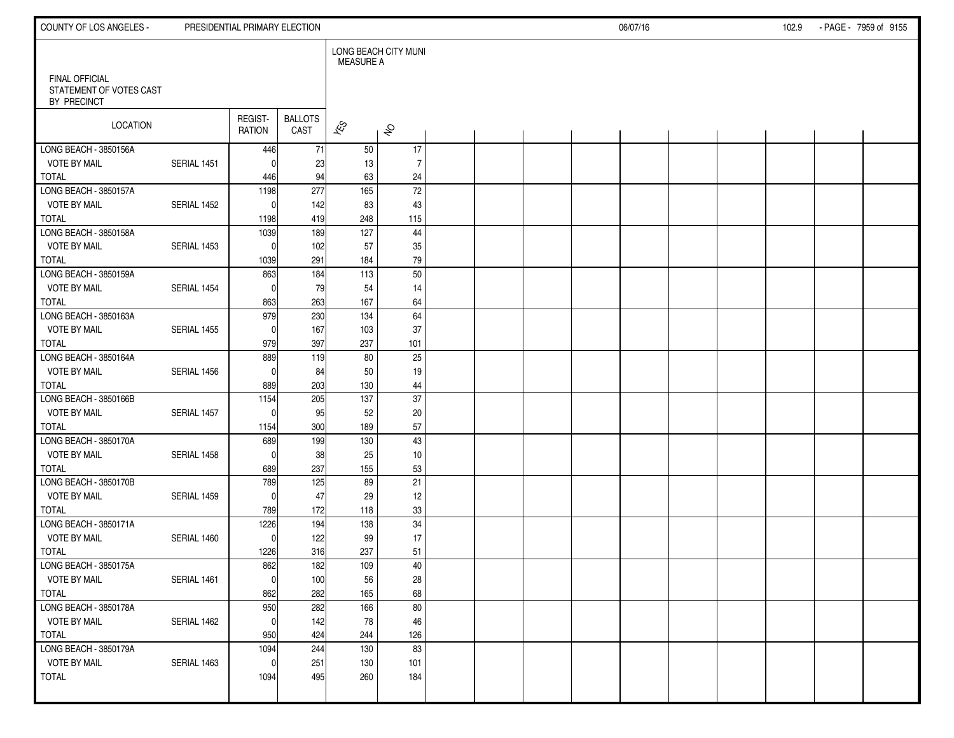| COUNTY OF LOS ANGELES -                |             | PRESIDENTIAL PRIMARY ELECTION |                        |                                          |                     |  |  | 06/07/16 |  | 102.9 | - PAGE - 7959 of 9155 |  |
|----------------------------------------|-------------|-------------------------------|------------------------|------------------------------------------|---------------------|--|--|----------|--|-------|-----------------------|--|
| <b>FINAL OFFICIAL</b>                  |             |                               |                        | LONG BEACH CITY MUNI<br><b>MEASURE A</b> |                     |  |  |          |  |       |                       |  |
| STATEMENT OF VOTES CAST<br>BY PRECINCT |             |                               |                        |                                          |                     |  |  |          |  |       |                       |  |
| LOCATION                               |             | REGIST-<br>RATION             | <b>BALLOTS</b><br>CAST | $\overline{\mathcal{K}}$ S               | $\hat{\mathcal{S}}$ |  |  |          |  |       |                       |  |
| LONG BEACH - 3850156A                  |             | 446                           | 71                     | 50                                       | $\overline{17}$     |  |  |          |  |       |                       |  |
| <b>VOTE BY MAIL</b>                    | SERIAL 1451 | $\Omega$                      | 23                     | 13                                       | $\overline{7}$      |  |  |          |  |       |                       |  |
| <b>TOTAL</b>                           |             | 446                           | 94                     | 63                                       | 24                  |  |  |          |  |       |                       |  |
| LONG BEACH - 3850157A                  |             | 1198                          | 277                    | 165                                      | 72                  |  |  |          |  |       |                       |  |
| <b>VOTE BY MAIL</b>                    | SERIAL 1452 | $\Omega$                      | 142                    | 83                                       | 43                  |  |  |          |  |       |                       |  |
| <b>TOTAL</b>                           |             | 1198                          | 419                    | 248                                      | 115                 |  |  |          |  |       |                       |  |
| LONG BEACH - 3850158A                  |             | 1039                          | 189                    | 127                                      | 44                  |  |  |          |  |       |                       |  |
| <b>VOTE BY MAIL</b>                    | SERIAL 1453 | $\mathbf{0}$                  | 102                    | 57                                       | $35\,$              |  |  |          |  |       |                       |  |
| <b>TOTAL</b>                           |             | 1039                          | 291                    | 184                                      | 79                  |  |  |          |  |       |                       |  |
| LONG BEACH - 3850159A                  |             | 863                           | 184                    | 113                                      | 50                  |  |  |          |  |       |                       |  |
| <b>VOTE BY MAIL</b>                    | SERIAL 1454 | $\Omega$                      | 79                     | 54                                       | 14                  |  |  |          |  |       |                       |  |
| <b>TOTAL</b>                           |             | 863                           | 263                    | 167                                      | 64                  |  |  |          |  |       |                       |  |
| LONG BEACH - 3850163A                  |             | 979                           | 230                    | 134                                      | 64                  |  |  |          |  |       |                       |  |
| <b>VOTE BY MAIL</b>                    | SERIAL 1455 | $\mathbf{0}$                  | 167                    | 103                                      | 37                  |  |  |          |  |       |                       |  |
| <b>TOTAL</b>                           |             | 979                           | 397                    | 237                                      | 101                 |  |  |          |  |       |                       |  |
| LONG BEACH - 3850164A                  |             | 889                           | 119                    | 80                                       | 25                  |  |  |          |  |       |                       |  |
| <b>VOTE BY MAIL</b>                    | SERIAL 1456 | $\Omega$                      | 84                     | 50                                       | 19                  |  |  |          |  |       |                       |  |
| <b>TOTAL</b>                           |             | 889                           | 203                    | 130                                      | 44                  |  |  |          |  |       |                       |  |
| LONG BEACH - 3850166B                  |             | 1154                          | 205                    | 137                                      | 37                  |  |  |          |  |       |                       |  |
| <b>VOTE BY MAIL</b>                    | SERIAL 1457 | $\Omega$                      | 95                     | 52                                       | $20\,$              |  |  |          |  |       |                       |  |
| <b>TOTAL</b>                           |             | 1154                          | 300                    | 189                                      | 57                  |  |  |          |  |       |                       |  |
| LONG BEACH - 3850170A                  |             | 689                           | 199                    | 130                                      | 43                  |  |  |          |  |       |                       |  |
| <b>VOTE BY MAIL</b>                    | SERIAL 1458 | $\Omega$                      | 38                     | 25                                       | 10                  |  |  |          |  |       |                       |  |
| <b>TOTAL</b>                           |             | 689                           | 237                    | 155                                      | 53                  |  |  |          |  |       |                       |  |
| LONG BEACH - 3850170B                  |             | 789                           | 125                    | 89                                       | 21                  |  |  |          |  |       |                       |  |
| <b>VOTE BY MAIL</b>                    | SERIAL 1459 | $\mathbf{0}$                  | 47                     | 29                                       | 12                  |  |  |          |  |       |                       |  |
| <b>TOTAL</b><br>LONG BEACH - 3850171A  |             | 789                           | 172                    | 118                                      | $33\,$<br>$34\,$    |  |  |          |  |       |                       |  |
| <b>VOTE BY MAIL</b>                    | SERIAL 1460 | 1226<br>$\Omega$              | 194                    | 138                                      | 17                  |  |  |          |  |       |                       |  |
|                                        |             |                               | 122<br>316             | 99<br>237                                | 51                  |  |  |          |  |       |                       |  |
| TOTAL<br>LONG BEACH - 3850175A         |             | 1226                          |                        |                                          |                     |  |  |          |  |       |                       |  |
| <b>VOTE BY MAIL</b>                    | SERIAL 1461 | 862<br>$\Omega$               | 182<br>100             | 109<br>56                                | 40<br>28            |  |  |          |  |       |                       |  |
| <b>TOTAL</b>                           |             | 862                           | 282                    | 165                                      | 68                  |  |  |          |  |       |                       |  |
| LONG BEACH - 3850178A                  |             | 950                           | 282                    | 166                                      | $80\,$              |  |  |          |  |       |                       |  |
| <b>VOTE BY MAIL</b>                    | SERIAL 1462 | $\mathbf{0}$                  | 142                    | 78                                       | 46                  |  |  |          |  |       |                       |  |
| <b>TOTAL</b>                           |             | 950                           | 424                    | 244                                      | 126                 |  |  |          |  |       |                       |  |
| LONG BEACH - 3850179A                  |             | 1094                          | 244                    | 130                                      | 83                  |  |  |          |  |       |                       |  |
| <b>VOTE BY MAIL</b>                    | SERIAL 1463 | $\mathbf{0}$                  | 251                    | 130                                      | 101                 |  |  |          |  |       |                       |  |
| <b>TOTAL</b>                           |             | 1094                          | 495                    | 260                                      | 184                 |  |  |          |  |       |                       |  |
|                                        |             |                               |                        |                                          |                     |  |  |          |  |       |                       |  |
|                                        |             |                               |                        |                                          |                     |  |  |          |  |       |                       |  |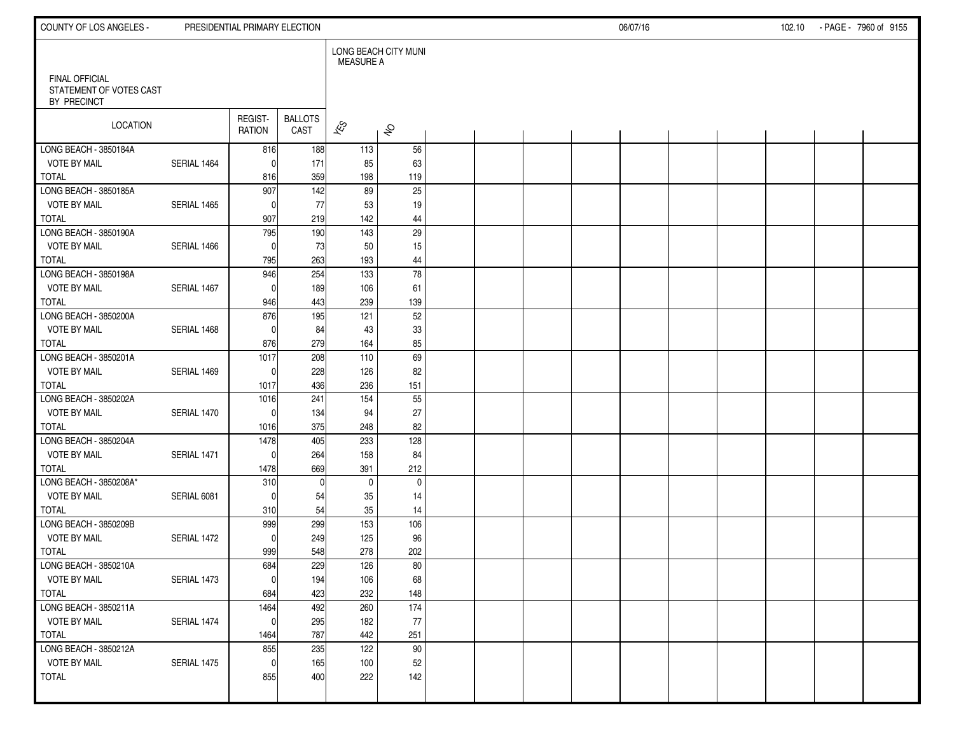| COUNTY OF LOS ANGELES -                |             | PRESIDENTIAL PRIMARY ELECTION |                        |                                          |                     |  |  | 06/07/16 |  | 102.10 - PAGE - 7960 of 9155 |  |
|----------------------------------------|-------------|-------------------------------|------------------------|------------------------------------------|---------------------|--|--|----------|--|------------------------------|--|
| <b>FINAL OFFICIAL</b>                  |             |                               |                        | LONG BEACH CITY MUNI<br><b>MEASURE A</b> |                     |  |  |          |  |                              |  |
| STATEMENT OF VOTES CAST<br>BY PRECINCT |             |                               |                        |                                          |                     |  |  |          |  |                              |  |
| LOCATION                               |             | REGIST-<br>RATION             | <b>BALLOTS</b><br>CAST | $\overline{\mathcal{K}}$ S               | $\hat{\mathcal{S}}$ |  |  |          |  |                              |  |
| LONG BEACH - 3850184A                  |             | 816                           | 188                    | 113                                      | 56                  |  |  |          |  |                              |  |
| <b>VOTE BY MAIL</b>                    | SERIAL 1464 | $\Omega$                      | 171                    | 85                                       | 63                  |  |  |          |  |                              |  |
| <b>TOTAL</b>                           |             | 816                           | 359                    | 198                                      | 119                 |  |  |          |  |                              |  |
| LONG BEACH - 3850185A                  |             | 907                           | 142                    | 89                                       | 25                  |  |  |          |  |                              |  |
| <b>VOTE BY MAIL</b>                    | SERIAL 1465 | $\Omega$                      | 77                     | 53                                       | 19                  |  |  |          |  |                              |  |
| <b>TOTAL</b>                           |             | 907                           | 219                    | 142                                      | 44                  |  |  |          |  |                              |  |
| LONG BEACH - 3850190A                  |             | 795                           | 190                    | 143                                      | 29                  |  |  |          |  |                              |  |
| <b>VOTE BY MAIL</b>                    | SERIAL 1466 | $\mathbf{0}$                  | 73                     | 50                                       | 15                  |  |  |          |  |                              |  |
| <b>TOTAL</b>                           |             | 795                           | 263                    | 193                                      | 44                  |  |  |          |  |                              |  |
| LONG BEACH - 3850198A                  |             | 946                           | 254                    | 133                                      | 78                  |  |  |          |  |                              |  |
| <b>VOTE BY MAIL</b>                    | SERIAL 1467 | $\Omega$                      | 189                    | 106                                      | 61                  |  |  |          |  |                              |  |
| <b>TOTAL</b>                           |             | 946                           | 443                    | 239                                      | 139                 |  |  |          |  |                              |  |
| LONG BEACH - 3850200A                  |             | 876                           | 195                    | 121                                      | $52\,$              |  |  |          |  |                              |  |
| <b>VOTE BY MAIL</b>                    | SERIAL 1468 | $\Omega$                      | 84                     | 43                                       | $33\,$              |  |  |          |  |                              |  |
| <b>TOTAL</b>                           |             | 876                           | 279                    | 164                                      | 85                  |  |  |          |  |                              |  |
| LONG BEACH - 3850201A                  |             | 1017                          | 208                    | 110                                      | 69                  |  |  |          |  |                              |  |
| <b>VOTE BY MAIL</b>                    | SERIAL 1469 | $\Omega$                      | 228                    | 126                                      | 82                  |  |  |          |  |                              |  |
| <b>TOTAL</b>                           |             | 1017                          | 436                    | 236                                      | 151                 |  |  |          |  |                              |  |
| LONG BEACH - 3850202A                  |             | 1016                          | 241                    | 154                                      | 55                  |  |  |          |  |                              |  |
| <b>VOTE BY MAIL</b>                    | SERIAL 1470 | $\Omega$                      | 134                    | 94                                       | 27                  |  |  |          |  |                              |  |
| <b>TOTAL</b><br>LONG BEACH - 3850204A  |             | 1016                          | 375                    | 248<br>233                               | 82<br>128           |  |  |          |  |                              |  |
| <b>VOTE BY MAIL</b>                    | SERIAL 1471 | 1478<br>$\Omega$              | 405                    | 158                                      |                     |  |  |          |  |                              |  |
|                                        |             |                               | 264                    | 391                                      | 84<br>212           |  |  |          |  |                              |  |
| <b>TOTAL</b><br>LONG BEACH - 3850208A* |             | 1478<br>310                   | 669<br>$\mathbf{0}$    | $\mathbf 0$                              | $\mathbf 0$         |  |  |          |  |                              |  |
| <b>VOTE BY MAIL</b>                    | SERIAL 6081 | $\mathbf{0}$                  | 54                     | 35                                       | 14                  |  |  |          |  |                              |  |
| <b>TOTAL</b>                           |             | 310                           | 54                     | 35                                       | 14                  |  |  |          |  |                              |  |
| LONG BEACH - 3850209B                  |             | 999                           | 299                    | 153                                      | 106                 |  |  |          |  |                              |  |
| <b>VOTE BY MAIL</b>                    | SERIAL 1472 | $\Omega$                      | 249                    | 125                                      | 96                  |  |  |          |  |                              |  |
|                                        |             | 999                           | 548                    | 278                                      | 202                 |  |  |          |  |                              |  |
| TOTAL<br>LONG BEACH - 3850210A         |             | 684                           | 229                    | 126                                      | 80                  |  |  |          |  |                              |  |
| <b>VOTE BY MAIL</b>                    | SERIAL 1473 | $\Omega$                      | 194                    | 106                                      | 68                  |  |  |          |  |                              |  |
| <b>TOTAL</b>                           |             | 684                           | 423                    | 232                                      | 148                 |  |  |          |  |                              |  |
| LONG BEACH - 3850211A                  |             | 1464                          | 492                    | 260                                      | 174                 |  |  |          |  |                              |  |
| <b>VOTE BY MAIL</b>                    | SERIAL 1474 | $\mathbf 0$                   | 295                    | 182                                      | 77                  |  |  |          |  |                              |  |
| <b>TOTAL</b>                           |             | 1464                          | 787                    | 442                                      | 251                 |  |  |          |  |                              |  |
| LONG BEACH - 3850212A                  |             | 855                           | 235                    | 122                                      | $90\,$              |  |  |          |  |                              |  |
| <b>VOTE BY MAIL</b>                    | SERIAL 1475 | $\Omega$                      | 165                    | 100                                      | $52\,$              |  |  |          |  |                              |  |
| <b>TOTAL</b>                           |             | 855                           | 400                    | 222                                      | 142                 |  |  |          |  |                              |  |
|                                        |             |                               |                        |                                          |                     |  |  |          |  |                              |  |
|                                        |             |                               |                        |                                          |                     |  |  |          |  |                              |  |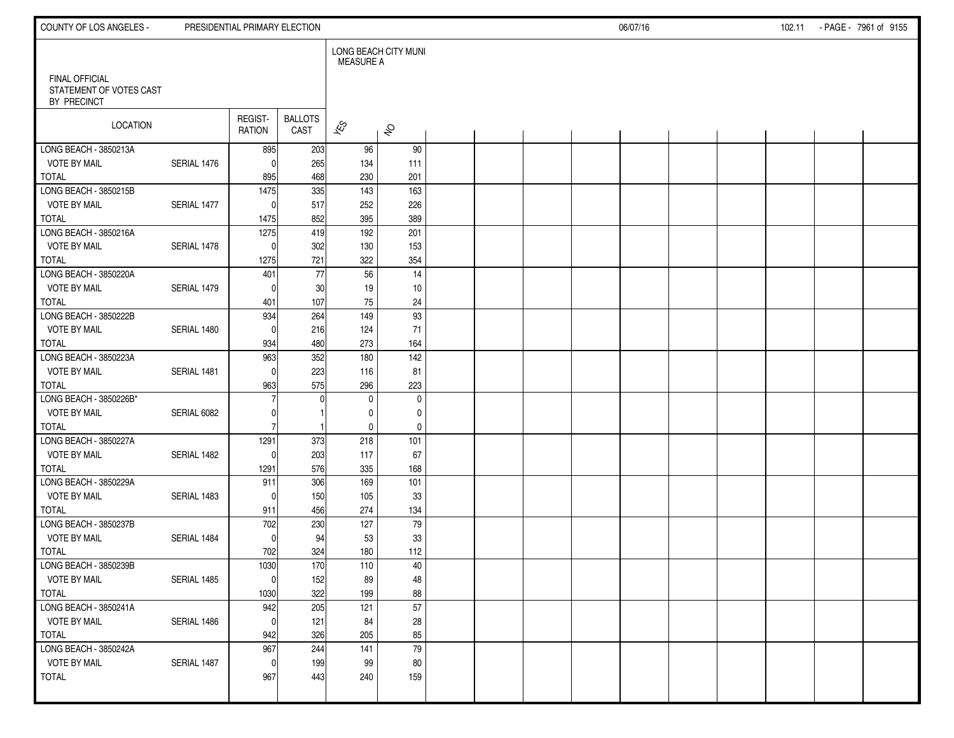| COUNTY OF LOS ANGELES -                                         |             | PRESIDENTIAL PRIMARY ELECTION |                        |                                          |                     |  |  | 06/07/16 |  | 102.11 - PAGE - 7961 of 9155 |  |
|-----------------------------------------------------------------|-------------|-------------------------------|------------------------|------------------------------------------|---------------------|--|--|----------|--|------------------------------|--|
|                                                                 |             |                               |                        | LONG BEACH CITY MUNI<br><b>MEASURE A</b> |                     |  |  |          |  |                              |  |
| <b>FINAL OFFICIAL</b><br>STATEMENT OF VOTES CAST<br>BY PRECINCT |             |                               |                        |                                          |                     |  |  |          |  |                              |  |
| LOCATION                                                        |             | REGIST-<br>RATION             | <b>BALLOTS</b><br>CAST | $\overline{\mathcal{K}}$ S               | $\hat{\mathcal{S}}$ |  |  |          |  |                              |  |
| LONG BEACH - 3850213A                                           |             | 895                           | 203                    | 96                                       | 90                  |  |  |          |  |                              |  |
| <b>VOTE BY MAIL</b>                                             | SERIAL 1476 | $\Omega$                      | 265                    | 134                                      | 111                 |  |  |          |  |                              |  |
| <b>TOTAL</b>                                                    |             | 895                           | 468                    | 230                                      | 201                 |  |  |          |  |                              |  |
| LONG BEACH - 3850215B                                           |             | 1475                          | 335                    | 143                                      | 163                 |  |  |          |  |                              |  |
| <b>VOTE BY MAIL</b>                                             | SERIAL 1477 | $\Omega$                      | 517                    | 252                                      | 226                 |  |  |          |  |                              |  |
| <b>TOTAL</b>                                                    |             | 1475                          | 852                    | 395                                      | 389                 |  |  |          |  |                              |  |
| LONG BEACH - 3850216A                                           |             | 1275                          | 419                    | 192                                      | 201                 |  |  |          |  |                              |  |
| <b>VOTE BY MAIL</b>                                             | SERIAL 1478 | $\Omega$                      | 302                    | 130                                      | 153                 |  |  |          |  |                              |  |
| <b>TOTAL</b>                                                    |             | 1275                          | 721                    | 322                                      | 354                 |  |  |          |  |                              |  |
| LONG BEACH - 3850220A                                           |             | 401                           | 77                     | 56                                       | 14                  |  |  |          |  |                              |  |
| <b>VOTE BY MAIL</b>                                             | SERIAL 1479 | $\Omega$                      | 30                     | 19                                       | 10                  |  |  |          |  |                              |  |
| <b>TOTAL</b>                                                    |             | 401                           | 107                    | 75                                       | 24                  |  |  |          |  |                              |  |
| LONG BEACH - 3850222B                                           |             | 934                           | 264                    | 149                                      | 93                  |  |  |          |  |                              |  |
| <b>VOTE BY MAIL</b>                                             | SERIAL 1480 | $\Omega$                      | 216                    | 124                                      | 71                  |  |  |          |  |                              |  |
| <b>TOTAL</b><br>LONG BEACH - 3850223A                           |             | 934                           | 480                    | 273                                      | 164                 |  |  |          |  |                              |  |
|                                                                 |             | 963                           | 352                    | 180                                      | 142                 |  |  |          |  |                              |  |
| <b>VOTE BY MAIL</b><br><b>TOTAL</b>                             | SERIAL 1481 | $\Omega$                      | 223                    | 116<br>296                               | 81                  |  |  |          |  |                              |  |
| LONG BEACH - 3850226B*                                          |             | 963                           | 575                    | $\mathbf 0$                              | 223<br>$\mathsf{O}$ |  |  |          |  |                              |  |
| <b>VOTE BY MAIL</b>                                             | SERIAL 6082 | 0                             |                        | 0                                        |                     |  |  |          |  |                              |  |
| <b>TOTAL</b>                                                    |             |                               |                        | 0                                        | 0<br>0              |  |  |          |  |                              |  |
| LONG BEACH - 3850227A                                           |             | 1291                          | 373                    | 218                                      | 101                 |  |  |          |  |                              |  |
| <b>VOTE BY MAIL</b>                                             | SERIAL 1482 | $\Omega$                      | 203                    | 117                                      | 67                  |  |  |          |  |                              |  |
| <b>TOTAL</b>                                                    |             | 1291                          | 576                    | 335                                      | 168                 |  |  |          |  |                              |  |
| LONG BEACH - 3850229A                                           |             | 911                           | 306                    | 169                                      | 101                 |  |  |          |  |                              |  |
| <b>VOTE BY MAIL</b>                                             | SERIAL 1483 | $\Omega$                      | 150                    | 105                                      | 33                  |  |  |          |  |                              |  |
| <b>TOTAL</b>                                                    |             | 911                           | 456                    | 274                                      | 134                 |  |  |          |  |                              |  |
| LONG BEACH - 3850237B                                           |             | 702                           | 230                    | 127                                      | 79                  |  |  |          |  |                              |  |
| <b>VOTE BY MAIL</b>                                             | SERIAL 1484 | $\Omega$                      | 94                     | 53                                       | 33                  |  |  |          |  |                              |  |
| TOTAL                                                           |             | 702                           | 324                    | 180                                      | 112                 |  |  |          |  |                              |  |
| LONG BEACH - 3850239B                                           |             | 1030                          | 170                    | 110                                      | 40                  |  |  |          |  |                              |  |
| <b>VOTE BY MAIL</b>                                             | SERIAL 1485 | $\Omega$                      | 152                    | 89                                       | 48                  |  |  |          |  |                              |  |
| <b>TOTAL</b>                                                    |             | 1030                          | 322                    | 199                                      | 88                  |  |  |          |  |                              |  |
| LONG BEACH - 3850241A                                           |             | 942                           | 205                    | 121                                      | 57                  |  |  |          |  |                              |  |
| <b>VOTE BY MAIL</b>                                             | SERIAL 1486 | $\mathbf{0}$                  | 121                    | 84                                       | 28                  |  |  |          |  |                              |  |
| <b>TOTAL</b>                                                    |             | 942                           | 326                    | 205                                      | 85                  |  |  |          |  |                              |  |
| LONG BEACH - 3850242A                                           |             | 967                           | 244                    | 141                                      | 79                  |  |  |          |  |                              |  |
| <b>VOTE BY MAIL</b>                                             | SERIAL 1487 | $\mathbf{0}$                  | 199                    | 99                                       | $80\,$              |  |  |          |  |                              |  |
| <b>TOTAL</b>                                                    |             | 967                           | 443                    | 240                                      | 159                 |  |  |          |  |                              |  |
|                                                                 |             |                               |                        |                                          |                     |  |  |          |  |                              |  |
|                                                                 |             |                               |                        |                                          |                     |  |  |          |  |                              |  |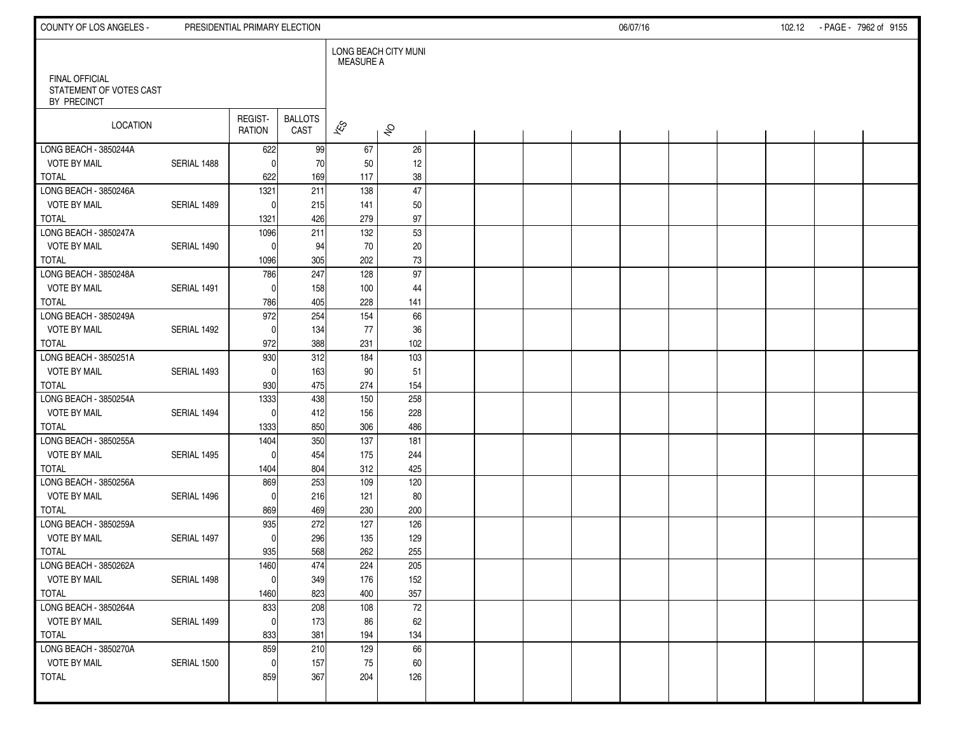| COUNTY OF LOS ANGELES -                                         |             | PRESIDENTIAL PRIMARY ELECTION |                        |                                          |                     |  |  | 06/07/16 |  | 102.12 - PAGE - 7962 of 9155 |  |
|-----------------------------------------------------------------|-------------|-------------------------------|------------------------|------------------------------------------|---------------------|--|--|----------|--|------------------------------|--|
|                                                                 |             |                               |                        | LONG BEACH CITY MUNI<br><b>MEASURE A</b> |                     |  |  |          |  |                              |  |
| <b>FINAL OFFICIAL</b><br>STATEMENT OF VOTES CAST<br>BY PRECINCT |             |                               |                        |                                          |                     |  |  |          |  |                              |  |
| LOCATION                                                        |             | REGIST-<br>RATION             | <b>BALLOTS</b><br>CAST | $\overline{\mathcal{K}}$ S               | $\hat{\mathcal{S}}$ |  |  |          |  |                              |  |
| LONG BEACH - 3850244A                                           |             | 622                           | 99                     | 67                                       | 26                  |  |  |          |  |                              |  |
| <b>VOTE BY MAIL</b>                                             | SERIAL 1488 | $\Omega$                      | 70                     | 50                                       | 12                  |  |  |          |  |                              |  |
| <b>TOTAL</b>                                                    |             | 622                           | 169                    | 117                                      | $38\,$              |  |  |          |  |                              |  |
| LONG BEACH - 3850246A                                           |             | 1321                          | 211                    | 138                                      | $47\,$              |  |  |          |  |                              |  |
| <b>VOTE BY MAIL</b>                                             | SERIAL 1489 | $\Omega$                      | 215                    | 141                                      | 50                  |  |  |          |  |                              |  |
| <b>TOTAL</b>                                                    |             | 1321                          | 426                    | 279                                      | 97                  |  |  |          |  |                              |  |
| LONG BEACH - 3850247A                                           |             | 1096                          | 211                    | 132                                      | 53                  |  |  |          |  |                              |  |
| <b>VOTE BY MAIL</b>                                             | SERIAL 1490 | $\Omega$                      | 94                     | 70                                       | $20\,$              |  |  |          |  |                              |  |
| <b>TOTAL</b>                                                    |             | 1096                          | 305                    | 202                                      | 73                  |  |  |          |  |                              |  |
| LONG BEACH - 3850248A                                           |             | 786                           | 247                    | 128                                      | 97                  |  |  |          |  |                              |  |
| <b>VOTE BY MAIL</b>                                             | SERIAL 1491 | $\Omega$                      | 158                    | 100                                      | 44                  |  |  |          |  |                              |  |
| <b>TOTAL</b>                                                    |             | 786                           | 405                    | 228                                      | 141                 |  |  |          |  |                              |  |
| LONG BEACH - 3850249A                                           |             | 972                           | 254                    | 154                                      | 66                  |  |  |          |  |                              |  |
| <b>VOTE BY MAIL</b>                                             | SERIAL 1492 | $\mathbf{0}$                  | 134                    | 77                                       | $36\,$              |  |  |          |  |                              |  |
| <b>TOTAL</b>                                                    |             | 972                           | 388                    | 231                                      | 102                 |  |  |          |  |                              |  |
| LONG BEACH - 3850251A                                           |             | 930                           | 312                    | 184                                      | 103                 |  |  |          |  |                              |  |
| <b>VOTE BY MAIL</b>                                             | SERIAL 1493 | $\Omega$                      | 163                    | 90                                       | 51                  |  |  |          |  |                              |  |
| <b>TOTAL</b>                                                    |             | 930                           | 475                    | 274                                      | 154                 |  |  |          |  |                              |  |
| LONG BEACH - 3850254A                                           |             | 1333                          | 438                    | 150                                      | 258                 |  |  |          |  |                              |  |
| <b>VOTE BY MAIL</b>                                             | SERIAL 1494 | $\Omega$                      | 412                    | 156                                      | 228                 |  |  |          |  |                              |  |
| <b>TOTAL</b>                                                    |             | 1333                          | 850                    | 306                                      | 486                 |  |  |          |  |                              |  |
| LONG BEACH - 3850255A                                           |             | 1404                          | 350                    | 137                                      | 181                 |  |  |          |  |                              |  |
| <b>VOTE BY MAIL</b>                                             | SERIAL 1495 | $\Omega$                      | 454                    | 175                                      | 244                 |  |  |          |  |                              |  |
| <b>TOTAL</b>                                                    |             | 1404                          | 804                    | 312                                      | 425                 |  |  |          |  |                              |  |
| LONG BEACH - 3850256A                                           |             | 869<br>$\mathbf{0}$           | 253                    | 109                                      | 120                 |  |  |          |  |                              |  |
| <b>VOTE BY MAIL</b>                                             | SERIAL 1496 | 869                           | 216<br>469             | 121                                      | 80<br>200           |  |  |          |  |                              |  |
| <b>TOTAL</b><br>LONG BEACH - 3850259A                           |             | 935                           | 272                    | 230<br>127                               | 126                 |  |  |          |  |                              |  |
| <b>VOTE BY MAIL</b>                                             | SERIAL 1497 | $\Omega$                      | 296                    | 135                                      | 129                 |  |  |          |  |                              |  |
|                                                                 |             | 935                           | 568                    | 262                                      | 255                 |  |  |          |  |                              |  |
| TOTAL<br>LONG BEACH - 3850262A                                  |             | 1460                          | 474                    | 224                                      | 205                 |  |  |          |  |                              |  |
| <b>VOTE BY MAIL</b>                                             | SERIAL 1498 | $\Omega$                      | 349                    | 176                                      | 152                 |  |  |          |  |                              |  |
| <b>TOTAL</b>                                                    |             | 1460                          | 823                    | 400                                      | 357                 |  |  |          |  |                              |  |
| LONG BEACH - 3850264A                                           |             | 833                           | 208                    | 108                                      | 72                  |  |  |          |  |                              |  |
| <b>VOTE BY MAIL</b>                                             | SERIAL 1499 | $\mathbf 0$                   | 173                    | 86                                       | 62                  |  |  |          |  |                              |  |
| <b>TOTAL</b>                                                    |             | 833                           | 381                    | 194                                      | 134                 |  |  |          |  |                              |  |
| LONG BEACH - 3850270A                                           |             | 859                           | 210                    | 129                                      | 66                  |  |  |          |  |                              |  |
| <b>VOTE BY MAIL</b>                                             | SERIAL 1500 | $\mathbf 0$                   | 157                    | 75                                       | 60                  |  |  |          |  |                              |  |
| <b>TOTAL</b>                                                    |             | 859                           | 367                    | 204                                      | 126                 |  |  |          |  |                              |  |
|                                                                 |             |                               |                        |                                          |                     |  |  |          |  |                              |  |
|                                                                 |             |                               |                        |                                          |                     |  |  |          |  |                              |  |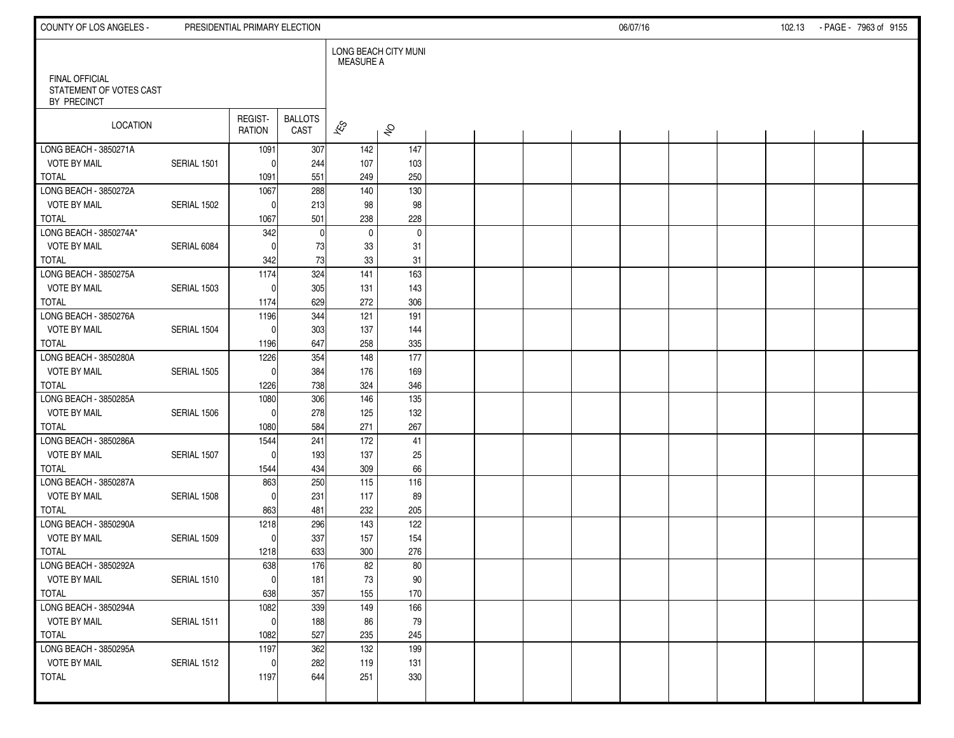| COUNTY OF LOS ANGELES -                |             | PRESIDENTIAL PRIMARY ELECTION |                        |                                          |                     |  |  | 06/07/16 |  | 102.13 - PAGE - 7963 of 9155 |  |
|----------------------------------------|-------------|-------------------------------|------------------------|------------------------------------------|---------------------|--|--|----------|--|------------------------------|--|
| <b>FINAL OFFICIAL</b>                  |             |                               |                        | LONG BEACH CITY MUNI<br><b>MEASURE A</b> |                     |  |  |          |  |                              |  |
| STATEMENT OF VOTES CAST<br>BY PRECINCT |             |                               |                        |                                          |                     |  |  |          |  |                              |  |
| LOCATION                               |             | REGIST-<br>RATION             | <b>BALLOTS</b><br>CAST | $\overline{\mathcal{K}}$ S               | $\hat{\mathcal{S}}$ |  |  |          |  |                              |  |
| LONG BEACH - 3850271A                  |             | 1091                          | 307                    | 142                                      | 147                 |  |  |          |  |                              |  |
| <b>VOTE BY MAIL</b>                    | SERIAL 1501 | $\Omega$                      | 244                    | 107                                      | 103                 |  |  |          |  |                              |  |
| <b>TOTAL</b>                           |             | 1091                          | 551                    | 249                                      | 250                 |  |  |          |  |                              |  |
| LONG BEACH - 3850272A                  |             | 1067                          | 288                    | 140                                      | 130                 |  |  |          |  |                              |  |
| <b>VOTE BY MAIL</b>                    | SERIAL 1502 | $\Omega$                      | 213                    | 98                                       | 98                  |  |  |          |  |                              |  |
| <b>TOTAL</b>                           |             | 1067                          | 501                    | 238                                      | 228                 |  |  |          |  |                              |  |
| LONG BEACH - 3850274A*                 |             | 342                           | $\mathbf 0$            | $\mathbf 0$                              | $\mathbf 0$         |  |  |          |  |                              |  |
| <b>VOTE BY MAIL</b>                    | SERIAL 6084 | $\Omega$                      | 73                     | 33                                       | 31                  |  |  |          |  |                              |  |
| <b>TOTAL</b>                           |             | 342                           | 73                     | 33                                       | 31                  |  |  |          |  |                              |  |
| LONG BEACH - 3850275A                  |             | 1174                          | 324                    | 141                                      | 163                 |  |  |          |  |                              |  |
| <b>VOTE BY MAIL</b>                    | SERIAL 1503 | $\Omega$                      | 305                    | 131                                      | 143                 |  |  |          |  |                              |  |
| <b>TOTAL</b>                           |             | 1174                          | 629                    | 272                                      | 306                 |  |  |          |  |                              |  |
| LONG BEACH - 3850276A                  |             | 1196                          | 344                    | 121                                      | 191                 |  |  |          |  |                              |  |
| <b>VOTE BY MAIL</b>                    | SERIAL 1504 | $\Omega$                      | 303                    | 137                                      | 144                 |  |  |          |  |                              |  |
| <b>TOTAL</b>                           |             | 1196                          | 647                    | 258                                      | 335                 |  |  |          |  |                              |  |
| LONG BEACH - 3850280A                  |             | 1226                          | 354                    | 148                                      | 177                 |  |  |          |  |                              |  |
| <b>VOTE BY MAIL</b>                    | SERIAL 1505 | $\Omega$                      | 384                    | 176                                      | 169                 |  |  |          |  |                              |  |
| <b>TOTAL</b>                           |             | 1226                          | 738                    | 324                                      | 346                 |  |  |          |  |                              |  |
| LONG BEACH - 3850285A                  |             | 1080                          | 306                    | 146                                      | 135                 |  |  |          |  |                              |  |
| <b>VOTE BY MAIL</b>                    | SERIAL 1506 | $\Omega$                      | 278                    | 125                                      | 132                 |  |  |          |  |                              |  |
| <b>TOTAL</b>                           |             | 1080                          | 584                    | 271                                      | 267                 |  |  |          |  |                              |  |
| LONG BEACH - 3850286A                  |             | 1544                          | 241                    | 172                                      | 41                  |  |  |          |  |                              |  |
| <b>VOTE BY MAIL</b>                    | SERIAL 1507 | $\Omega$                      | 193                    | 137                                      | 25                  |  |  |          |  |                              |  |
| <b>TOTAL</b>                           |             | 1544                          | 434                    | 309                                      | 66                  |  |  |          |  |                              |  |
| LONG BEACH - 3850287A                  |             | 863<br>$\Omega$               | 250                    | 115                                      | 116                 |  |  |          |  |                              |  |
| <b>VOTE BY MAIL</b>                    | SERIAL 1508 |                               | 231                    | 117                                      | 89                  |  |  |          |  |                              |  |
| <b>TOTAL</b><br>LONG BEACH - 3850290A  |             | 863                           | 481                    | 232                                      | 205                 |  |  |          |  |                              |  |
| <b>VOTE BY MAIL</b>                    | SERIAL 1509 | 1218<br>$\Omega$              | 296                    | 143                                      | 122                 |  |  |          |  |                              |  |
|                                        |             |                               | 337                    | 157<br>300                               | 154<br>276          |  |  |          |  |                              |  |
| TOTAL<br>LONG BEACH - 3850292A         |             | 1218                          | 633                    |                                          |                     |  |  |          |  |                              |  |
| <b>VOTE BY MAIL</b>                    | SERIAL 1510 | 638<br>$\Omega$               | 176<br>181             | 82<br>73                                 | 80<br>$90\,$        |  |  |          |  |                              |  |
| <b>TOTAL</b>                           |             | 638                           | 357                    | 155                                      | 170                 |  |  |          |  |                              |  |
| LONG BEACH - 3850294A                  |             | 1082                          | 339                    | 149                                      | 166                 |  |  |          |  |                              |  |
| <b>VOTE BY MAIL</b>                    | SERIAL 1511 | $\mathbf 0$                   | 188                    | 86                                       | 79                  |  |  |          |  |                              |  |
| <b>TOTAL</b>                           |             | 1082                          | 527                    | 235                                      | 245                 |  |  |          |  |                              |  |
| LONG BEACH - 3850295A                  |             | 1197                          | 362                    | 132                                      | 199                 |  |  |          |  |                              |  |
| <b>VOTE BY MAIL</b>                    | SERIAL 1512 | $\mathbf 0$                   | 282                    | 119                                      | 131                 |  |  |          |  |                              |  |
| <b>TOTAL</b>                           |             | 1197                          | 644                    | 251                                      | 330                 |  |  |          |  |                              |  |
|                                        |             |                               |                        |                                          |                     |  |  |          |  |                              |  |
|                                        |             |                               |                        |                                          |                     |  |  |          |  |                              |  |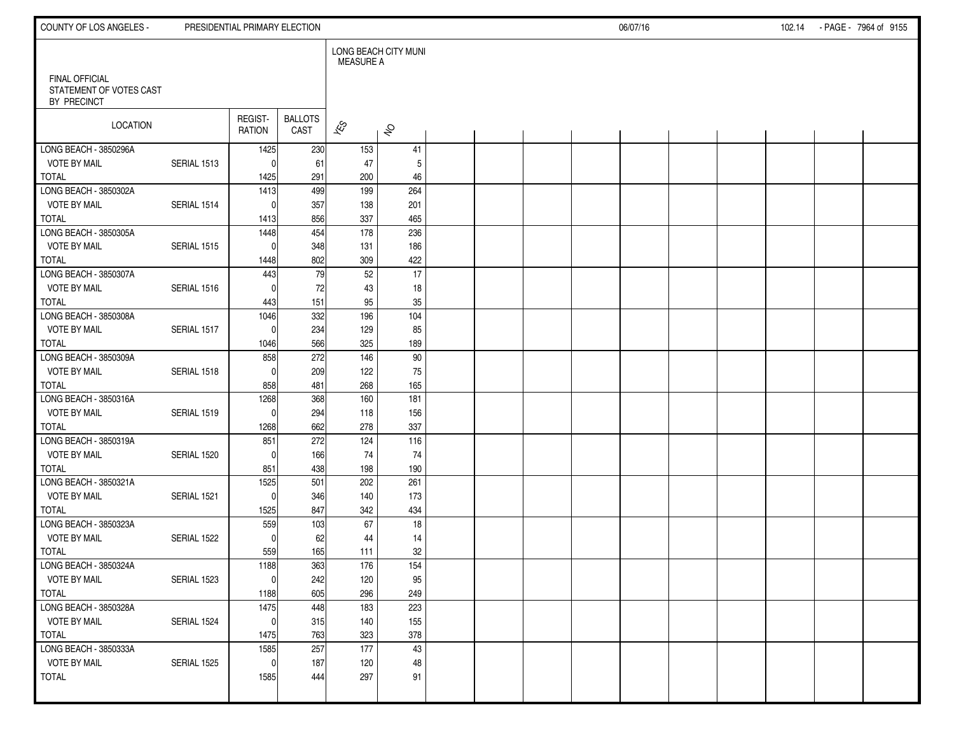| COUNTY OF LOS ANGELES -                      |             | PRESIDENTIAL PRIMARY ELECTION |                        |                                          |                     |  |  | 06/07/16 |  | 102.14 - PAGE - 7964 of 9155 |  |
|----------------------------------------------|-------------|-------------------------------|------------------------|------------------------------------------|---------------------|--|--|----------|--|------------------------------|--|
| <b>FINAL OFFICIAL</b>                        |             |                               |                        | LONG BEACH CITY MUNI<br><b>MEASURE A</b> |                     |  |  |          |  |                              |  |
| STATEMENT OF VOTES CAST<br>BY PRECINCT       |             |                               |                        |                                          |                     |  |  |          |  |                              |  |
| LOCATION                                     |             | REGIST-<br>RATION             | <b>BALLOTS</b><br>CAST | $\overline{\mathcal{K}}$ S               | $\hat{\mathcal{S}}$ |  |  |          |  |                              |  |
| LONG BEACH - 3850296A                        |             | 1425                          | 230                    | 153                                      | 41                  |  |  |          |  |                              |  |
| <b>VOTE BY MAIL</b>                          | SERIAL 1513 | $\Omega$                      | 61                     | 47                                       | 5                   |  |  |          |  |                              |  |
| <b>TOTAL</b>                                 |             | 1425                          | 291                    | 200                                      | 46                  |  |  |          |  |                              |  |
| LONG BEACH - 3850302A                        |             | 1413                          | 499                    | 199                                      | 264                 |  |  |          |  |                              |  |
| <b>VOTE BY MAIL</b>                          | SERIAL 1514 | $\Omega$                      | 357                    | 138                                      | 201                 |  |  |          |  |                              |  |
| <b>TOTAL</b>                                 |             | 1413                          | 856                    | 337                                      | 465                 |  |  |          |  |                              |  |
| LONG BEACH - 3850305A                        |             | 1448                          | 454                    | 178                                      | 236                 |  |  |          |  |                              |  |
| <b>VOTE BY MAIL</b>                          | SERIAL 1515 | $\Omega$                      | 348                    | 131                                      | 186                 |  |  |          |  |                              |  |
| <b>TOTAL</b>                                 |             | 1448                          | 802                    | 309                                      | 422                 |  |  |          |  |                              |  |
| LONG BEACH - 3850307A                        |             | 443                           | 79                     | 52                                       | 17                  |  |  |          |  |                              |  |
| <b>VOTE BY MAIL</b>                          | SERIAL 1516 | $\mathbf{0}$                  | 72                     | 43                                       | 18                  |  |  |          |  |                              |  |
| <b>TOTAL</b>                                 |             | 443                           | 151                    | 95                                       | $35\,$              |  |  |          |  |                              |  |
| LONG BEACH - 3850308A                        |             | 1046                          | 332                    | 196                                      | 104                 |  |  |          |  |                              |  |
| <b>VOTE BY MAIL</b>                          | SERIAL 1517 | $\Omega$                      | 234                    | 129                                      | 85                  |  |  |          |  |                              |  |
| <b>TOTAL</b>                                 |             | 1046                          | 566                    | 325                                      | 189                 |  |  |          |  |                              |  |
| LONG BEACH - 3850309A                        |             | 858                           | 272                    | 146                                      | $90\,$              |  |  |          |  |                              |  |
| <b>VOTE BY MAIL</b>                          | SERIAL 1518 | $\Omega$                      | 209                    | 122                                      | 75                  |  |  |          |  |                              |  |
| <b>TOTAL</b>                                 |             | 858                           | 481                    | 268                                      | 165                 |  |  |          |  |                              |  |
| LONG BEACH - 3850316A                        |             | 1268                          | 368                    | 160                                      | 181                 |  |  |          |  |                              |  |
| <b>VOTE BY MAIL</b>                          | SERIAL 1519 | $\Omega$                      | 294                    | 118                                      | 156                 |  |  |          |  |                              |  |
| <b>TOTAL</b><br>LONG BEACH - 3850319A        |             | 1268                          | 662<br>272             | 278<br>124                               | 337                 |  |  |          |  |                              |  |
|                                              |             | 851                           |                        |                                          | 116                 |  |  |          |  |                              |  |
| <b>VOTE BY MAIL</b>                          | SERIAL 1520 | $\Omega$                      | 166                    | 74                                       | 74                  |  |  |          |  |                              |  |
| <b>TOTAL</b>                                 |             | 851                           | 438                    | 198                                      | 190                 |  |  |          |  |                              |  |
| LONG BEACH - 3850321A<br><b>VOTE BY MAIL</b> | SERIAL 1521 | 1525<br>$\Omega$              | 501                    | 202<br>140                               | 261<br>173          |  |  |          |  |                              |  |
|                                              |             | 1525                          | 346<br>847             | 342                                      | 434                 |  |  |          |  |                              |  |
| <b>TOTAL</b><br>LONG BEACH - 3850323A        |             | 559                           | 103                    | 67                                       | $18$                |  |  |          |  |                              |  |
| <b>VOTE BY MAIL</b>                          | SERIAL 1522 | $\Omega$                      | 62                     | 44                                       | 14                  |  |  |          |  |                              |  |
|                                              |             | 559                           | 165                    | 111                                      | $32\,$              |  |  |          |  |                              |  |
| TOTAL<br>LONG BEACH - 3850324A               |             | 1188                          | 363                    | 176                                      | 154                 |  |  |          |  |                              |  |
| <b>VOTE BY MAIL</b>                          | SERIAL 1523 | $\Omega$                      | 242                    | 120                                      | 95                  |  |  |          |  |                              |  |
| <b>TOTAL</b>                                 |             | 1188                          | 605                    | 296                                      | 249                 |  |  |          |  |                              |  |
| LONG BEACH - 3850328A                        |             | 1475                          | 448                    | 183                                      | 223                 |  |  |          |  |                              |  |
| <b>VOTE BY MAIL</b>                          | SERIAL 1524 | $\mathbf 0$                   | 315                    | 140                                      | 155                 |  |  |          |  |                              |  |
| <b>TOTAL</b>                                 |             | 1475                          | 763                    | 323                                      | 378                 |  |  |          |  |                              |  |
| LONG BEACH - 3850333A                        |             | 1585                          | 257                    | 177                                      | 43                  |  |  |          |  |                              |  |
| <b>VOTE BY MAIL</b>                          | SERIAL 1525 | $\mathbf{0}$                  | 187                    | 120                                      | 48                  |  |  |          |  |                              |  |
| <b>TOTAL</b>                                 |             | 1585                          | 444                    | 297                                      | 91                  |  |  |          |  |                              |  |
|                                              |             |                               |                        |                                          |                     |  |  |          |  |                              |  |
|                                              |             |                               |                        |                                          |                     |  |  |          |  |                              |  |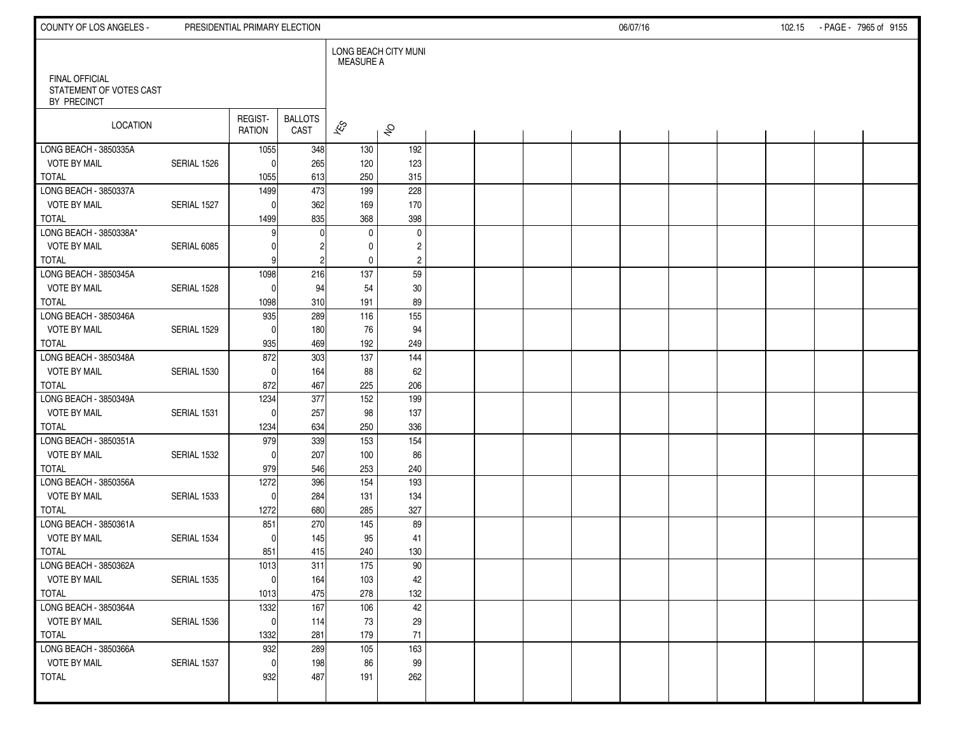| COUNTY OF LOS ANGELES -                                         |             | PRESIDENTIAL PRIMARY ELECTION |                        |                                          |                     |  |  | 06/07/16 |  | 102.15 - PAGE - 7965 of 9155 |  |
|-----------------------------------------------------------------|-------------|-------------------------------|------------------------|------------------------------------------|---------------------|--|--|----------|--|------------------------------|--|
|                                                                 |             |                               |                        | LONG BEACH CITY MUNI<br><b>MEASURE A</b> |                     |  |  |          |  |                              |  |
| <b>FINAL OFFICIAL</b><br>STATEMENT OF VOTES CAST<br>BY PRECINCT |             |                               |                        |                                          |                     |  |  |          |  |                              |  |
| LOCATION                                                        |             | REGIST-<br>RATION             | <b>BALLOTS</b><br>CAST | $\overline{\mathcal{K}}$ S               | $\hat{\mathcal{S}}$ |  |  |          |  |                              |  |
| LONG BEACH - 3850335A                                           |             | 1055                          | 348                    | 130                                      | 192                 |  |  |          |  |                              |  |
| <b>VOTE BY MAIL</b>                                             | SERIAL 1526 | $\Omega$                      | 265                    | 120                                      | 123                 |  |  |          |  |                              |  |
| <b>TOTAL</b>                                                    |             | 1055                          | 613                    | 250                                      | 315                 |  |  |          |  |                              |  |
| LONG BEACH - 3850337A                                           |             | 1499                          | 473                    | 199                                      | 228                 |  |  |          |  |                              |  |
| <b>VOTE BY MAIL</b>                                             | SERIAL 1527 | $\Omega$                      | 362                    | 169                                      | 170                 |  |  |          |  |                              |  |
| <b>TOTAL</b>                                                    |             | 1499                          | 835                    | 368                                      | 398                 |  |  |          |  |                              |  |
| LONG BEACH - 3850338A*                                          |             |                               |                        | $\mathbf 0$                              | $\mathsf{O}$        |  |  |          |  |                              |  |
| <b>VOTE BY MAIL</b>                                             | SERIAL 6085 | n                             |                        | 0                                        | $\overline{c}$      |  |  |          |  |                              |  |
| <b>TOTAL</b>                                                    |             | 9                             |                        | $\pmb{0}$                                | $\overline{c}$      |  |  |          |  |                              |  |
| LONG BEACH - 3850345A                                           |             | 1098                          | 216                    | 137                                      | 59                  |  |  |          |  |                              |  |
| <b>VOTE BY MAIL</b>                                             | SERIAL 1528 | $\Omega$                      | 94                     | 54                                       | $30\,$              |  |  |          |  |                              |  |
| <b>TOTAL</b>                                                    |             | 1098                          | 310                    | 191                                      | 89                  |  |  |          |  |                              |  |
| LONG BEACH - 3850346A                                           |             | 935                           | 289                    | 116                                      | 155                 |  |  |          |  |                              |  |
| <b>VOTE BY MAIL</b>                                             | SERIAL 1529 | $\Omega$                      | 180                    | 76                                       | 94                  |  |  |          |  |                              |  |
| <b>TOTAL</b>                                                    |             | 935                           | 469                    | 192                                      | 249                 |  |  |          |  |                              |  |
| LONG BEACH - 3850348A                                           |             | 872                           | 303                    | 137                                      | 144                 |  |  |          |  |                              |  |
| <b>VOTE BY MAIL</b>                                             | SERIAL 1530 | $\Omega$                      | 164                    | 88                                       | 62                  |  |  |          |  |                              |  |
| <b>TOTAL</b>                                                    |             | 872                           | 467                    | 225                                      | 206                 |  |  |          |  |                              |  |
| LONG BEACH - 3850349A                                           |             | 1234                          | 377                    | 152                                      | 199                 |  |  |          |  |                              |  |
| <b>VOTE BY MAIL</b>                                             | SERIAL 1531 | $\Omega$                      | 257                    | 98                                       | 137                 |  |  |          |  |                              |  |
| <b>TOTAL</b>                                                    |             | 1234                          | 634                    | 250                                      | 336                 |  |  |          |  |                              |  |
| LONG BEACH - 3850351A                                           |             | 979                           | 339                    | 153                                      | 154                 |  |  |          |  |                              |  |
| <b>VOTE BY MAIL</b>                                             | SERIAL 1532 | $\Omega$                      | 207                    | 100                                      | 86                  |  |  |          |  |                              |  |
| <b>TOTAL</b>                                                    |             | 979                           | 546                    | 253                                      | 240                 |  |  |          |  |                              |  |
| LONG BEACH - 3850356A                                           |             | 1272                          | 396                    | 154                                      | 193                 |  |  |          |  |                              |  |
| VOTE BY MAIL                                                    | SERIAL 1533 | $\Omega$                      | 284                    | 131                                      | 134                 |  |  |          |  |                              |  |
| <b>TOTAL</b><br>LONG BEACH - 3850361A                           |             | 1272                          | 680                    | 285                                      | 327                 |  |  |          |  |                              |  |
| <b>VOTE BY MAIL</b>                                             | SERIAL 1534 | 851<br>$\Omega$               | 270<br>145             | 145<br>95                                | 89<br>41            |  |  |          |  |                              |  |
|                                                                 |             | 851                           | 415                    | 240                                      | 130                 |  |  |          |  |                              |  |
| TOTAL<br>LONG BEACH - 3850362A                                  |             |                               | 311                    | 175                                      |                     |  |  |          |  |                              |  |
| <b>VOTE BY MAIL</b>                                             | SERIAL 1535 | 1013<br>$\Omega$              | 164                    | 103                                      | 90<br>42            |  |  |          |  |                              |  |
| <b>TOTAL</b>                                                    |             | 1013                          | 475                    | 278                                      | 132                 |  |  |          |  |                              |  |
| LONG BEACH - 3850364A                                           |             | 1332                          | 167                    | 106                                      | 42                  |  |  |          |  |                              |  |
| <b>VOTE BY MAIL</b>                                             | SERIAL 1536 | $\mathbf 0$                   | 114                    | 73                                       | 29                  |  |  |          |  |                              |  |
| <b>TOTAL</b>                                                    |             | 1332                          | 281                    | 179                                      | 71                  |  |  |          |  |                              |  |
| LONG BEACH - 3850366A                                           |             | 932                           | 289                    | 105                                      | 163                 |  |  |          |  |                              |  |
| <b>VOTE BY MAIL</b>                                             | SERIAL 1537 | $\Omega$                      | 198                    | 86                                       | 99                  |  |  |          |  |                              |  |
| <b>TOTAL</b>                                                    |             | 932                           | 487                    | 191                                      | 262                 |  |  |          |  |                              |  |
|                                                                 |             |                               |                        |                                          |                     |  |  |          |  |                              |  |
|                                                                 |             |                               |                        |                                          |                     |  |  |          |  |                              |  |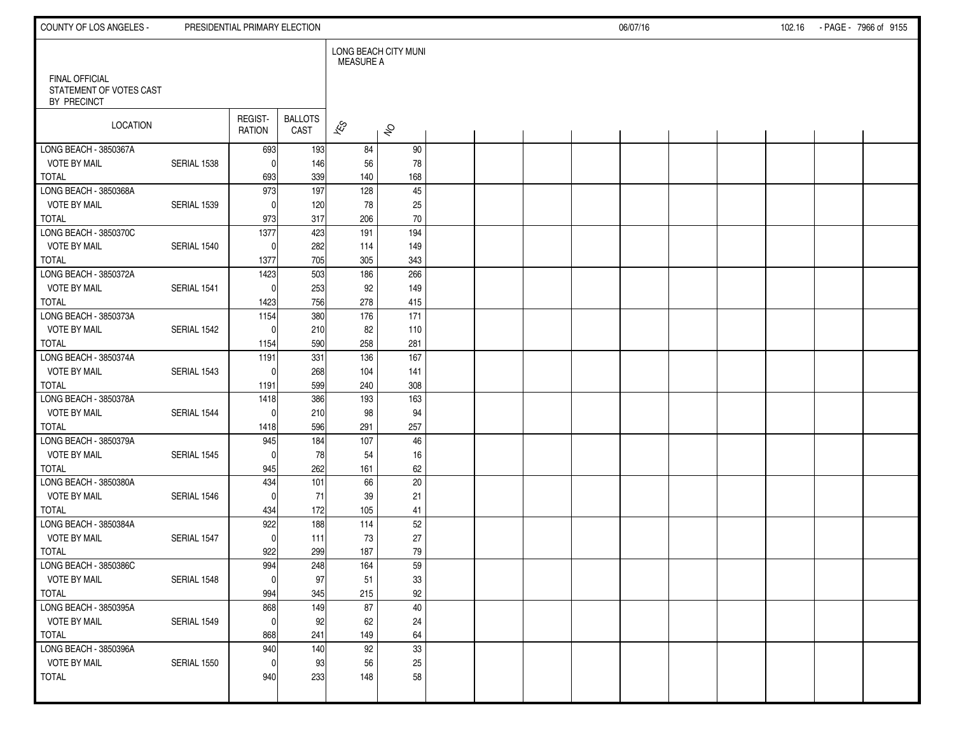| COUNTY OF LOS ANGELES -                      |             | PRESIDENTIAL PRIMARY ELECTION |                        |                                          |                     |  |  | 06/07/16 |  | 102.16 - PAGE - 7966 of 9155 |  |
|----------------------------------------------|-------------|-------------------------------|------------------------|------------------------------------------|---------------------|--|--|----------|--|------------------------------|--|
| <b>FINAL OFFICIAL</b>                        |             |                               |                        | LONG BEACH CITY MUNI<br><b>MEASURE A</b> |                     |  |  |          |  |                              |  |
| STATEMENT OF VOTES CAST<br>BY PRECINCT       |             |                               |                        |                                          |                     |  |  |          |  |                              |  |
| LOCATION                                     |             | REGIST-<br>RATION             | <b>BALLOTS</b><br>CAST | $\overline{\mathcal{K}}$ S               | $\hat{\mathcal{S}}$ |  |  |          |  |                              |  |
| LONG BEACH - 3850367A                        |             | 693                           | 193                    | 84                                       | 90                  |  |  |          |  |                              |  |
| <b>VOTE BY MAIL</b>                          | SERIAL 1538 | $\Omega$                      | 146                    | 56                                       | 78                  |  |  |          |  |                              |  |
| <b>TOTAL</b>                                 |             | 693                           | 339                    | 140                                      | 168                 |  |  |          |  |                              |  |
| LONG BEACH - 3850368A                        |             | 973                           | 197                    | 128                                      | 45                  |  |  |          |  |                              |  |
| <b>VOTE BY MAIL</b>                          | SERIAL 1539 | $\Omega$                      | 120                    | 78                                       | 25                  |  |  |          |  |                              |  |
| <b>TOTAL</b>                                 |             | 973                           | 317                    | 206                                      | $70\,$              |  |  |          |  |                              |  |
| LONG BEACH - 3850370C                        |             | 1377                          | 423                    | 191                                      | 194                 |  |  |          |  |                              |  |
| <b>VOTE BY MAIL</b>                          | SERIAL 1540 | $\Omega$                      | 282                    | 114                                      | 149                 |  |  |          |  |                              |  |
| <b>TOTAL</b>                                 |             | 1377                          | 705                    | 305                                      | 343                 |  |  |          |  |                              |  |
| LONG BEACH - 3850372A                        |             | 1423                          | 503                    | 186                                      | 266                 |  |  |          |  |                              |  |
| <b>VOTE BY MAIL</b>                          | SERIAL 1541 | $\Omega$                      | 253                    | 92                                       | 149                 |  |  |          |  |                              |  |
| <b>TOTAL</b>                                 |             | 1423                          | 756                    | 278                                      | 415                 |  |  |          |  |                              |  |
| LONG BEACH - 3850373A                        |             | 1154                          | 380                    | 176                                      | 171                 |  |  |          |  |                              |  |
| <b>VOTE BY MAIL</b>                          | SERIAL 1542 | $\Omega$                      | 210                    | 82                                       | 110                 |  |  |          |  |                              |  |
| <b>TOTAL</b>                                 |             | 1154                          | 590                    | 258                                      | 281                 |  |  |          |  |                              |  |
| LONG BEACH - 3850374A                        |             | 1191                          | 331                    | 136                                      | 167                 |  |  |          |  |                              |  |
| <b>VOTE BY MAIL</b>                          | SERIAL 1543 | $\Omega$                      | 268                    | 104                                      | 141                 |  |  |          |  |                              |  |
| <b>TOTAL</b>                                 |             | 1191                          | 599                    | 240                                      | 308                 |  |  |          |  |                              |  |
| LONG BEACH - 3850378A                        |             | 1418                          | 386                    | 193                                      | 163                 |  |  |          |  |                              |  |
| <b>VOTE BY MAIL</b>                          | SERIAL 1544 | $\Omega$                      | 210                    | 98                                       | 94                  |  |  |          |  |                              |  |
| <b>TOTAL</b>                                 |             | 1418                          | 596                    | 291                                      | 257                 |  |  |          |  |                              |  |
| LONG BEACH - 3850379A                        |             | 945                           | 184                    | 107                                      | 46                  |  |  |          |  |                              |  |
| <b>VOTE BY MAIL</b>                          | SERIAL 1545 | $\Omega$                      | 78                     | 54                                       | 16                  |  |  |          |  |                              |  |
| <b>TOTAL</b>                                 |             | 945                           | 262                    | 161                                      | 62                  |  |  |          |  |                              |  |
| LONG BEACH - 3850380A                        |             | 434                           | 101                    | 66                                       | $20\,$              |  |  |          |  |                              |  |
| VOTE BY MAIL                                 | SERIAL 1546 | $\mathbf{0}$                  | 71                     | 39                                       | 21                  |  |  |          |  |                              |  |
| <b>TOTAL</b><br>LONG BEACH - 3850384A        |             | 434                           | 172                    | 105                                      | 41                  |  |  |          |  |                              |  |
| <b>VOTE BY MAIL</b>                          | SERIAL 1547 | 922<br>$\Omega$               | 188                    | 114                                      | $52\,$              |  |  |          |  |                              |  |
|                                              |             | 922                           | 111                    | 73<br>187                                | 27<br>79            |  |  |          |  |                              |  |
| TOTAL                                        |             |                               | 299                    |                                          |                     |  |  |          |  |                              |  |
| LONG BEACH - 3850386C<br><b>VOTE BY MAIL</b> | SERIAL 1548 | 994<br>$\Omega$               | 248<br>97              | 164                                      | 59                  |  |  |          |  |                              |  |
| <b>TOTAL</b>                                 |             | 994                           |                        | 51                                       | 33<br>92            |  |  |          |  |                              |  |
| LONG BEACH - 3850395A                        |             | 868                           | 345<br>149             | 215<br>87                                | 40                  |  |  |          |  |                              |  |
| <b>VOTE BY MAIL</b>                          | SERIAL 1549 | $\mathbf{0}$                  | 92                     | 62                                       | 24                  |  |  |          |  |                              |  |
| <b>TOTAL</b>                                 |             | 868                           | 241                    | 149                                      | 64                  |  |  |          |  |                              |  |
| LONG BEACH - 3850396A                        |             | 940                           | 140                    | 92                                       | 33                  |  |  |          |  |                              |  |
| <b>VOTE BY MAIL</b>                          | SERIAL 1550 | $\mathbf{0}$                  | 93                     | 56                                       | 25                  |  |  |          |  |                              |  |
| <b>TOTAL</b>                                 |             | 940                           | 233                    | 148                                      | 58                  |  |  |          |  |                              |  |
|                                              |             |                               |                        |                                          |                     |  |  |          |  |                              |  |
|                                              |             |                               |                        |                                          |                     |  |  |          |  |                              |  |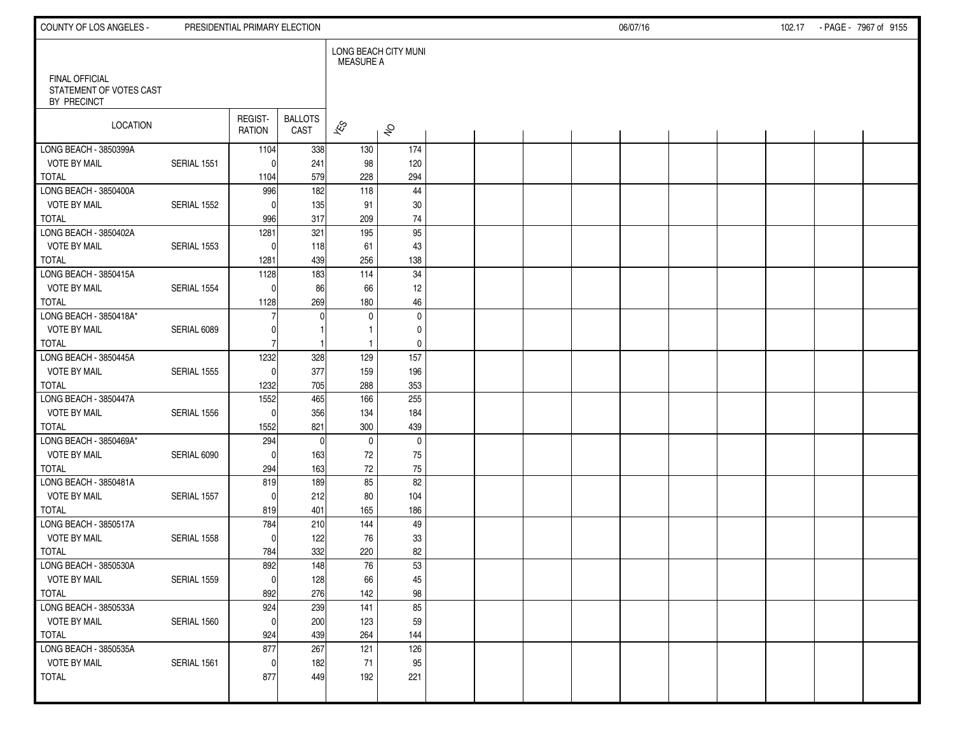| COUNTY OF LOS ANGELES -                       |             | PRESIDENTIAL PRIMARY ELECTION |                        |                                          |                     |  |  | 06/07/16 |  | 102.17 - PAGE - 7967 of 9155 |  |
|-----------------------------------------------|-------------|-------------------------------|------------------------|------------------------------------------|---------------------|--|--|----------|--|------------------------------|--|
| <b>FINAL OFFICIAL</b>                         |             |                               |                        | LONG BEACH CITY MUNI<br><b>MEASURE A</b> |                     |  |  |          |  |                              |  |
| STATEMENT OF VOTES CAST<br>BY PRECINCT        |             |                               |                        |                                          |                     |  |  |          |  |                              |  |
| LOCATION                                      |             | REGIST-<br>RATION             | <b>BALLOTS</b><br>CAST | $\overline{\mathcal{K}}$ S               | $\hat{\mathcal{S}}$ |  |  |          |  |                              |  |
| LONG BEACH - 3850399A                         |             | 1104                          | 338                    | 130                                      | 174                 |  |  |          |  |                              |  |
| <b>VOTE BY MAIL</b>                           | SERIAL 1551 | $\Omega$                      | 241                    | 98                                       | 120                 |  |  |          |  |                              |  |
| <b>TOTAL</b>                                  |             | 1104                          | 579                    | 228                                      | 294                 |  |  |          |  |                              |  |
| LONG BEACH - 3850400A                         |             | 996                           | 182                    | 118                                      | 44                  |  |  |          |  |                              |  |
| <b>VOTE BY MAIL</b>                           | SERIAL 1552 | $\Omega$                      | 135                    | 91                                       | 30                  |  |  |          |  |                              |  |
| <b>TOTAL</b>                                  |             | 996                           | 317                    | 209                                      | $74$                |  |  |          |  |                              |  |
| LONG BEACH - 3850402A                         |             | 1281                          | 321                    | 195                                      | 95                  |  |  |          |  |                              |  |
| <b>VOTE BY MAIL</b>                           | SERIAL 1553 | $\Omega$                      | 118                    | 61                                       | 43                  |  |  |          |  |                              |  |
| <b>TOTAL</b>                                  |             | 1281                          | 439                    | 256                                      | 138                 |  |  |          |  |                              |  |
| LONG BEACH - 3850415A                         |             | 1128                          | 183                    | 114                                      | 34                  |  |  |          |  |                              |  |
| <b>VOTE BY MAIL</b>                           | SERIAL 1554 | $\Omega$                      | 86                     | 66                                       | 12                  |  |  |          |  |                              |  |
| <b>TOTAL</b>                                  |             | 1128                          | 269                    | 180                                      | 46                  |  |  |          |  |                              |  |
| LONG BEACH - 3850418A*<br><b>VOTE BY MAIL</b> | SERIAL 6089 |                               |                        | $\mathbf 0$                              | $\pmb{0}$           |  |  |          |  |                              |  |
| <b>TOTAL</b>                                  |             |                               |                        | $\mathbf{1}$                             | 0<br>0              |  |  |          |  |                              |  |
| LONG BEACH - 3850445A                         |             | 1232                          | 328                    | 129                                      | 157                 |  |  |          |  |                              |  |
| <b>VOTE BY MAIL</b>                           | SERIAL 1555 | $\Omega$                      | 377                    | 159                                      | 196                 |  |  |          |  |                              |  |
| <b>TOTAL</b>                                  |             | 1232                          | 705                    | 288                                      | 353                 |  |  |          |  |                              |  |
| LONG BEACH - 3850447A                         |             | 1552                          | 465                    | 166                                      | 255                 |  |  |          |  |                              |  |
| <b>VOTE BY MAIL</b>                           | SERIAL 1556 | $\Omega$                      | 356                    | 134                                      | 184                 |  |  |          |  |                              |  |
| <b>TOTAL</b>                                  |             | 1552                          | 821                    | 300                                      | 439                 |  |  |          |  |                              |  |
| LONG BEACH - 3850469A*                        |             | 294                           | $\mathbf{0}$           | $\mathbf 0$                              | $\mathbf 0$         |  |  |          |  |                              |  |
| <b>VOTE BY MAIL</b>                           | SERIAL 6090 | $\Omega$                      | 163                    | 72                                       | 75                  |  |  |          |  |                              |  |
| <b>TOTAL</b>                                  |             | 294                           | 163                    | $72\,$                                   | 75                  |  |  |          |  |                              |  |
| LONG BEACH - 3850481A                         |             | 819                           | 189                    | 85                                       | 82                  |  |  |          |  |                              |  |
| <b>VOTE BY MAIL</b>                           | SERIAL 1557 | $\mathbf{0}$                  | 212                    | 80                                       | 104                 |  |  |          |  |                              |  |
| <b>TOTAL</b>                                  |             | 819                           | 401                    | 165                                      | 186                 |  |  |          |  |                              |  |
| LONG BEACH - 3850517A                         |             | 784                           | 210                    | 144                                      | 49                  |  |  |          |  |                              |  |
| <b>VOTE BY MAIL</b>                           | SERIAL 1558 | $\Omega$                      | 122                    | 76                                       | 33                  |  |  |          |  |                              |  |
| TOTAL                                         |             | 784                           | 332                    | 220                                      | 82                  |  |  |          |  |                              |  |
| LONG BEACH - 3850530A                         |             | 892                           | 148                    | 76                                       | 53                  |  |  |          |  |                              |  |
| <b>VOTE BY MAIL</b>                           | SERIAL 1559 | $\Omega$                      | 128                    | 66                                       | 45                  |  |  |          |  |                              |  |
| <b>TOTAL</b>                                  |             | 892                           | 276                    | 142                                      | 98                  |  |  |          |  |                              |  |
| LONG BEACH - 3850533A                         |             | 924                           | 239                    | 141                                      | 85                  |  |  |          |  |                              |  |
| <b>VOTE BY MAIL</b>                           | SERIAL 1560 | $\mathbf{0}$                  | 200                    | 123                                      | 59                  |  |  |          |  |                              |  |
| <b>TOTAL</b>                                  |             | 924                           | 439                    | 264                                      | 144                 |  |  |          |  |                              |  |
| LONG BEACH - 3850535A                         |             | 877                           | 267                    | 121                                      | 126                 |  |  |          |  |                              |  |
| <b>VOTE BY MAIL</b>                           | SERIAL 1561 | $\mathbf 0$                   | 182                    | 71                                       | 95                  |  |  |          |  |                              |  |
| <b>TOTAL</b>                                  |             | 877                           | 449                    | 192                                      | 221                 |  |  |          |  |                              |  |
|                                               |             |                               |                        |                                          |                     |  |  |          |  |                              |  |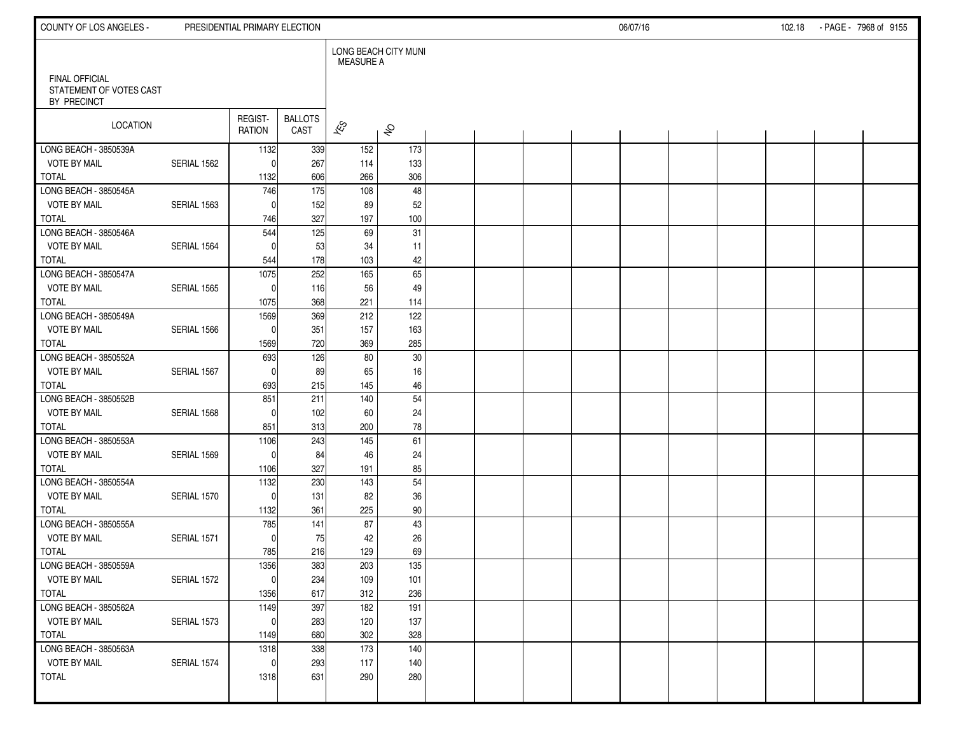| COUNTY OF LOS ANGELES -                |             | PRESIDENTIAL PRIMARY ELECTION |                        |                                          |                     |  |  | 06/07/16 |  | 102.18 - PAGE - 7968 of 9155 |  |
|----------------------------------------|-------------|-------------------------------|------------------------|------------------------------------------|---------------------|--|--|----------|--|------------------------------|--|
| <b>FINAL OFFICIAL</b>                  |             |                               |                        | LONG BEACH CITY MUNI<br><b>MEASURE A</b> |                     |  |  |          |  |                              |  |
| STATEMENT OF VOTES CAST<br>BY PRECINCT |             |                               |                        |                                          |                     |  |  |          |  |                              |  |
| LOCATION                               |             | REGIST-<br>RATION             | <b>BALLOTS</b><br>CAST | $\overline{\mathcal{K}}$ S               | $\hat{\mathcal{S}}$ |  |  |          |  |                              |  |
| LONG BEACH - 3850539A                  |             | 1132                          | 339                    | 152                                      | 173                 |  |  |          |  |                              |  |
| <b>VOTE BY MAIL</b>                    | SERIAL 1562 | $\Omega$                      | 267                    | 114                                      | 133                 |  |  |          |  |                              |  |
| <b>TOTAL</b>                           |             | 1132                          | 606                    | 266                                      | 306                 |  |  |          |  |                              |  |
| LONG BEACH - 3850545A                  |             | 746                           | 175                    | 108                                      | 48                  |  |  |          |  |                              |  |
| <b>VOTE BY MAIL</b>                    | SERIAL 1563 | $\Omega$                      | 152                    | 89                                       | 52                  |  |  |          |  |                              |  |
| <b>TOTAL</b>                           |             | 746                           | 327                    | 197                                      | 100                 |  |  |          |  |                              |  |
| LONG BEACH - 3850546A                  |             | 544                           | 125                    | 69                                       | 31                  |  |  |          |  |                              |  |
| <b>VOTE BY MAIL</b>                    | SERIAL 1564 | $\Omega$                      | 53                     | 34                                       | 11                  |  |  |          |  |                              |  |
| <b>TOTAL</b>                           |             | 544                           | 178                    | 103                                      | 42                  |  |  |          |  |                              |  |
| LONG BEACH - 3850547A                  |             | 1075                          | 252                    | 165                                      | 65                  |  |  |          |  |                              |  |
| <b>VOTE BY MAIL</b>                    | SERIAL 1565 | $\Omega$                      | 116                    | 56                                       | 49                  |  |  |          |  |                              |  |
| <b>TOTAL</b>                           |             | 1075                          | 368                    | 221                                      | 114                 |  |  |          |  |                              |  |
| LONG BEACH - 3850549A                  |             | 1569                          | 369                    | 212                                      | 122                 |  |  |          |  |                              |  |
| <b>VOTE BY MAIL</b>                    | SERIAL 1566 | $\Omega$                      | 351                    | 157                                      | 163                 |  |  |          |  |                              |  |
| <b>TOTAL</b><br>LONG BEACH - 3850552A  |             | 1569                          | 720                    | 369                                      | 285                 |  |  |          |  |                              |  |
|                                        |             | 693                           | 126                    | 80                                       | 30                  |  |  |          |  |                              |  |
| <b>VOTE BY MAIL</b><br><b>TOTAL</b>    | SERIAL 1567 | $\Omega$                      | 89                     | 65                                       | 16                  |  |  |          |  |                              |  |
| LONG BEACH - 3850552B                  |             | 693<br>851                    | 215<br>211             | 145<br>140                               | 46<br>54            |  |  |          |  |                              |  |
| <b>VOTE BY MAIL</b>                    | SERIAL 1568 | $\Omega$                      |                        |                                          |                     |  |  |          |  |                              |  |
|                                        |             | 851                           | 102<br>313             | 60                                       | 24<br>78            |  |  |          |  |                              |  |
| <b>TOTAL</b><br>LONG BEACH - 3850553A  |             | 1106                          | 243                    | 200<br>145                               | 61                  |  |  |          |  |                              |  |
| <b>VOTE BY MAIL</b>                    | SERIAL 1569 | $\Omega$                      | 84                     | 46                                       | 24                  |  |  |          |  |                              |  |
| <b>TOTAL</b>                           |             | 1106                          | 327                    | 191                                      | 85                  |  |  |          |  |                              |  |
| LONG BEACH - 3850554A                  |             | 1132                          | 230                    | 143                                      | 54                  |  |  |          |  |                              |  |
| VOTE BY MAIL                           | SERIAL 1570 | $\Omega$                      | 131                    | 82                                       | $36\,$              |  |  |          |  |                              |  |
| <b>TOTAL</b>                           |             | 1132                          | 361                    | 225                                      | $90\,$              |  |  |          |  |                              |  |
| LONG BEACH - 3850555A                  |             | 785                           | 141                    | 87                                       | 43                  |  |  |          |  |                              |  |
| <b>VOTE BY MAIL</b>                    | SERIAL 1571 | $\Omega$                      | 75                     | 42                                       | 26                  |  |  |          |  |                              |  |
| TOTAL                                  |             | 785                           | 216                    | 129                                      | 69                  |  |  |          |  |                              |  |
| LONG BEACH - 3850559A                  |             | 1356                          | 383                    | 203                                      | 135                 |  |  |          |  |                              |  |
| <b>VOTE BY MAIL</b>                    | SERIAL 1572 | $\mathbf{0}$                  | 234                    | 109                                      | 101                 |  |  |          |  |                              |  |
| <b>TOTAL</b>                           |             | 1356                          | 617                    | 312                                      | 236                 |  |  |          |  |                              |  |
| LONG BEACH - 3850562A                  |             | 1149                          | 397                    | 182                                      | 191                 |  |  |          |  |                              |  |
| <b>VOTE BY MAIL</b>                    | SERIAL 1573 | $\mathbf 0$                   | 283                    | 120                                      | 137                 |  |  |          |  |                              |  |
| <b>TOTAL</b>                           |             | 1149                          | 680                    | 302                                      | 328                 |  |  |          |  |                              |  |
| LONG BEACH - 3850563A                  |             | 1318                          | 338                    | 173                                      | 140                 |  |  |          |  |                              |  |
| <b>VOTE BY MAIL</b>                    | SERIAL 1574 | $\mathbf 0$                   | 293                    | 117                                      | 140                 |  |  |          |  |                              |  |
| <b>TOTAL</b>                           |             | 1318                          | 631                    | 290                                      | 280                 |  |  |          |  |                              |  |
|                                        |             |                               |                        |                                          |                     |  |  |          |  |                              |  |
|                                        |             |                               |                        |                                          |                     |  |  |          |  |                              |  |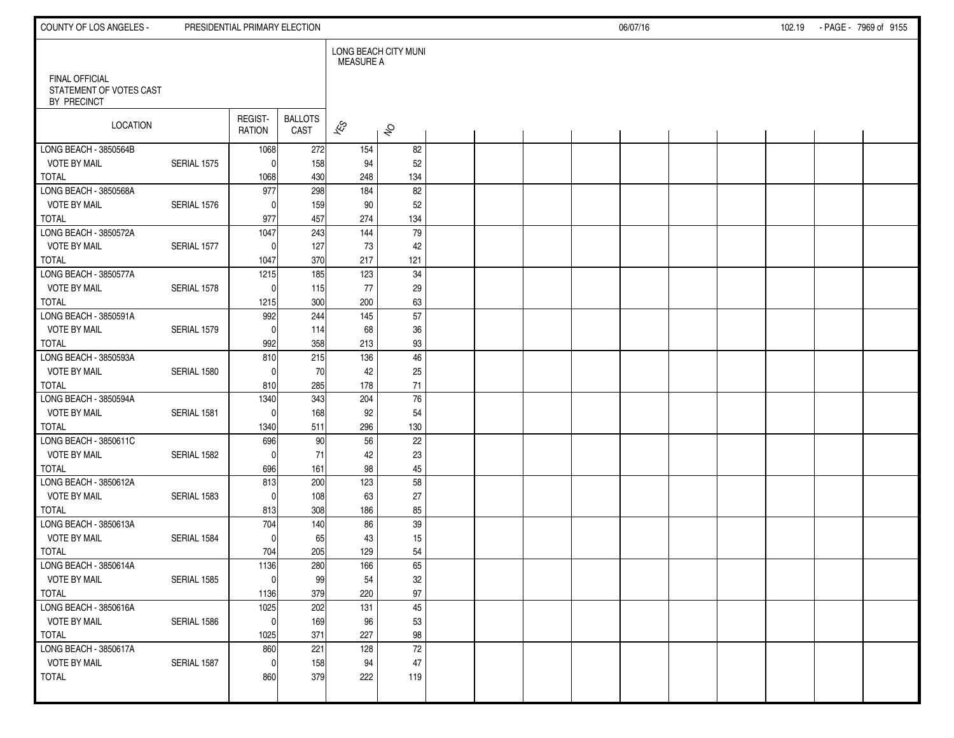| COUNTY OF LOS ANGELES -                                         |             | PRESIDENTIAL PRIMARY ELECTION |                        |                                          |                     |  |  | 06/07/16 |  | 102.19 - PAGE - 7969 of 9155 |  |
|-----------------------------------------------------------------|-------------|-------------------------------|------------------------|------------------------------------------|---------------------|--|--|----------|--|------------------------------|--|
|                                                                 |             |                               |                        | LONG BEACH CITY MUNI<br><b>MEASURE A</b> |                     |  |  |          |  |                              |  |
| <b>FINAL OFFICIAL</b><br>STATEMENT OF VOTES CAST<br>BY PRECINCT |             |                               |                        |                                          |                     |  |  |          |  |                              |  |
| LOCATION                                                        |             | REGIST-<br>RATION             | <b>BALLOTS</b><br>CAST | $\overline{\mathscr{K}}$                 | $\hat{\mathcal{S}}$ |  |  |          |  |                              |  |
| LONG BEACH - 3850564B                                           |             | 1068                          | 272                    | 154                                      | 82                  |  |  |          |  |                              |  |
| <b>VOTE BY MAIL</b>                                             | SERIAL 1575 | $\Omega$                      | 158                    | 94                                       | $52\,$              |  |  |          |  |                              |  |
| <b>TOTAL</b>                                                    |             | 1068                          | 430                    | 248                                      | 134                 |  |  |          |  |                              |  |
| LONG BEACH - 3850568A                                           |             | 977                           | 298                    | 184                                      | 82                  |  |  |          |  |                              |  |
| <b>VOTE BY MAIL</b>                                             | SERIAL 1576 | $\Omega$                      | 159                    | 90                                       | $52\,$              |  |  |          |  |                              |  |
| <b>TOTAL</b>                                                    |             | 977                           | 457                    | 274                                      | 134                 |  |  |          |  |                              |  |
| LONG BEACH - 3850572A                                           |             | 1047                          | 243                    | 144                                      | 79                  |  |  |          |  |                              |  |
| <b>VOTE BY MAIL</b>                                             | SERIAL 1577 | $\Omega$                      | 127                    | 73                                       | 42                  |  |  |          |  |                              |  |
| <b>TOTAL</b>                                                    |             | 1047                          | 370                    | 217                                      | 121                 |  |  |          |  |                              |  |
| LONG BEACH - 3850577A                                           |             | 1215                          | 185                    | 123                                      | 34                  |  |  |          |  |                              |  |
| <b>VOTE BY MAIL</b>                                             | SERIAL 1578 | $\Omega$                      | 115                    | 77                                       | 29                  |  |  |          |  |                              |  |
| <b>TOTAL</b>                                                    |             | 1215                          | 300                    | 200                                      | 63                  |  |  |          |  |                              |  |
| LONG BEACH - 3850591A                                           |             | 992                           | 244                    | 145                                      | $\overline{57}$     |  |  |          |  |                              |  |
| <b>VOTE BY MAIL</b>                                             | SERIAL 1579 | $\mathbf{0}$                  | 114                    | 68                                       | $36\,$              |  |  |          |  |                              |  |
| <b>TOTAL</b>                                                    |             | 992                           | 358                    | 213                                      | 93                  |  |  |          |  |                              |  |
| LONG BEACH - 3850593A                                           |             | 810                           | 215                    | 136                                      | 46                  |  |  |          |  |                              |  |
| <b>VOTE BY MAIL</b>                                             | SERIAL 1580 | $\Omega$                      | 70                     | 42                                       | 25                  |  |  |          |  |                              |  |
| <b>TOTAL</b>                                                    |             | 810                           | 285                    | 178                                      | 71                  |  |  |          |  |                              |  |
| LONG BEACH - 3850594A                                           |             | 1340                          | 343                    | 204                                      | $\overline{76}$     |  |  |          |  |                              |  |
| <b>VOTE BY MAIL</b>                                             | SERIAL 1581 | $\Omega$                      | 168                    | 92                                       | 54                  |  |  |          |  |                              |  |
| <b>TOTAL</b><br>LONG BEACH - 3850611C                           |             | 1340                          | 511                    | 296                                      | 130                 |  |  |          |  |                              |  |
|                                                                 |             | 696<br>$\Omega$               | 90                     | 56                                       | 22                  |  |  |          |  |                              |  |
| <b>VOTE BY MAIL</b>                                             | SERIAL 1582 |                               | 71                     | 42                                       | 23                  |  |  |          |  |                              |  |
| <b>TOTAL</b>                                                    |             | 696                           | 161                    | 98                                       | 45<br>58            |  |  |          |  |                              |  |
| LONG BEACH - 3850612A<br><b>VOTE BY MAIL</b>                    | SERIAL 1583 | 813<br>$\mathbf{0}$           | 200                    | 123                                      |                     |  |  |          |  |                              |  |
|                                                                 |             |                               | 108                    | 63                                       | 27<br>85            |  |  |          |  |                              |  |
| <b>TOTAL</b><br>LONG BEACH - 3850613A                           |             | 813<br>704                    | 308<br>140             | 186<br>86                                | $39\,$              |  |  |          |  |                              |  |
| <b>VOTE BY MAIL</b>                                             | SERIAL 1584 | $\Omega$                      | 65                     | 43                                       | 15                  |  |  |          |  |                              |  |
|                                                                 |             | 704                           | 205                    | 129                                      | 54                  |  |  |          |  |                              |  |
| TOTAL<br>LONG BEACH - 3850614A                                  |             | 1136                          | 280                    | 166                                      | 65                  |  |  |          |  |                              |  |
| <b>VOTE BY MAIL</b>                                             | SERIAL 1585 | $\Omega$                      | 99                     | 54                                       | $32\,$              |  |  |          |  |                              |  |
| <b>TOTAL</b>                                                    |             | 1136                          | 379                    | 220                                      | $97\,$              |  |  |          |  |                              |  |
| LONG BEACH - 3850616A                                           |             | 1025                          | 202                    | 131                                      | 45                  |  |  |          |  |                              |  |
| <b>VOTE BY MAIL</b>                                             | SERIAL 1586 | $\mathbf{0}$                  | 169                    | 96                                       | 53                  |  |  |          |  |                              |  |
| <b>TOTAL</b>                                                    |             | 1025                          | 371                    | 227                                      | 98                  |  |  |          |  |                              |  |
| LONG BEACH - 3850617A                                           |             | 860                           | 221                    | 128                                      | $\overline{72}$     |  |  |          |  |                              |  |
| <b>VOTE BY MAIL</b>                                             | SERIAL 1587 | $\mathbf 0$                   | 158                    | 94                                       | $47\,$              |  |  |          |  |                              |  |
| <b>TOTAL</b>                                                    |             | 860                           | 379                    | 222                                      | 119                 |  |  |          |  |                              |  |
|                                                                 |             |                               |                        |                                          |                     |  |  |          |  |                              |  |
|                                                                 |             |                               |                        |                                          |                     |  |  |          |  |                              |  |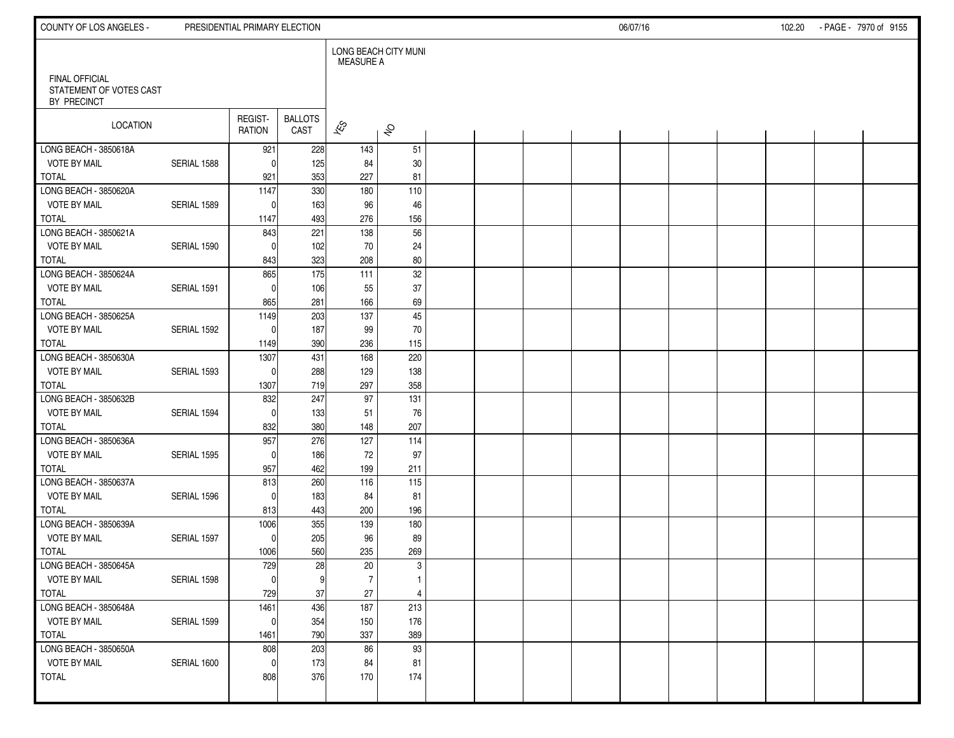| COUNTY OF LOS ANGELES -                                         |             | PRESIDENTIAL PRIMARY ELECTION |                        |                                          |                     |  |  | 06/07/16 |  | 102.20 | - PAGE - 7970 of 9155 |  |
|-----------------------------------------------------------------|-------------|-------------------------------|------------------------|------------------------------------------|---------------------|--|--|----------|--|--------|-----------------------|--|
|                                                                 |             |                               |                        | LONG BEACH CITY MUNI<br><b>MEASURE A</b> |                     |  |  |          |  |        |                       |  |
| <b>FINAL OFFICIAL</b><br>STATEMENT OF VOTES CAST<br>BY PRECINCT |             |                               |                        |                                          |                     |  |  |          |  |        |                       |  |
| LOCATION                                                        |             | REGIST-<br>RATION             | <b>BALLOTS</b><br>CAST | $\overline{\mathcal{K}}$ S               | $\hat{\mathcal{S}}$ |  |  |          |  |        |                       |  |
| LONG BEACH - 3850618A                                           |             | 921                           | 228                    | 143                                      | 51                  |  |  |          |  |        |                       |  |
| <b>VOTE BY MAIL</b>                                             | SERIAL 1588 | $\Omega$                      | 125                    | 84                                       | 30                  |  |  |          |  |        |                       |  |
| <b>TOTAL</b>                                                    |             | 921                           | 353                    | 227                                      | 81                  |  |  |          |  |        |                       |  |
| LONG BEACH - 3850620A                                           |             | 1147                          | 330                    | 180                                      | 110                 |  |  |          |  |        |                       |  |
| <b>VOTE BY MAIL</b>                                             | SERIAL 1589 | $\Omega$                      | 163                    | 96                                       | 46                  |  |  |          |  |        |                       |  |
| <b>TOTAL</b>                                                    |             | 1147                          | 493                    | 276                                      | 156                 |  |  |          |  |        |                       |  |
| LONG BEACH - 3850621A                                           |             | 843                           | 221                    | 138                                      | 56                  |  |  |          |  |        |                       |  |
| <b>VOTE BY MAIL</b>                                             | SERIAL 1590 | $\Omega$                      | 102                    | 70                                       | 24                  |  |  |          |  |        |                       |  |
| <b>TOTAL</b>                                                    |             | 843                           | 323                    | 208                                      | 80                  |  |  |          |  |        |                       |  |
| LONG BEACH - 3850624A                                           |             | 865                           | 175                    | 111                                      | 32                  |  |  |          |  |        |                       |  |
| <b>VOTE BY MAIL</b>                                             | SERIAL 1591 | $\Omega$                      | 106                    | 55                                       | 37                  |  |  |          |  |        |                       |  |
| <b>TOTAL</b>                                                    |             | 865                           | 281                    | 166                                      | 69                  |  |  |          |  |        |                       |  |
| LONG BEACH - 3850625A                                           |             | 1149                          | 203                    | 137                                      | 45                  |  |  |          |  |        |                       |  |
| <b>VOTE BY MAIL</b>                                             | SERIAL 1592 | $\Omega$                      | 187                    | 99                                       | $70\,$              |  |  |          |  |        |                       |  |
| <b>TOTAL</b>                                                    |             | 1149                          | 390                    | 236                                      | 115                 |  |  |          |  |        |                       |  |
| LONG BEACH - 3850630A                                           |             | 1307                          | 431                    | 168                                      | 220                 |  |  |          |  |        |                       |  |
| <b>VOTE BY MAIL</b>                                             | SERIAL 1593 | $\Omega$                      | 288                    | 129                                      | 138                 |  |  |          |  |        |                       |  |
| <b>TOTAL</b>                                                    |             | 1307                          | 719                    | 297                                      | 358                 |  |  |          |  |        |                       |  |
| LONG BEACH - 3850632B                                           |             | 832                           | 247                    | 97                                       | 131                 |  |  |          |  |        |                       |  |
| <b>VOTE BY MAIL</b>                                             | SERIAL 1594 | $\Omega$                      | 133                    | 51                                       | $76\,$              |  |  |          |  |        |                       |  |
| <b>TOTAL</b>                                                    |             | 832                           | 380                    | 148                                      | 207                 |  |  |          |  |        |                       |  |
| LONG BEACH - 3850636A                                           |             | 957                           | 276                    | 127                                      | 114                 |  |  |          |  |        |                       |  |
| <b>VOTE BY MAIL</b>                                             | SERIAL 1595 | $\Omega$                      | 186                    | 72                                       | 97                  |  |  |          |  |        |                       |  |
| <b>TOTAL</b>                                                    |             | 957                           | 462                    | 199                                      | 211                 |  |  |          |  |        |                       |  |
| LONG BEACH - 3850637A                                           |             | 813                           | 260                    | 116                                      | 115                 |  |  |          |  |        |                       |  |
| <b>VOTE BY MAIL</b>                                             | SERIAL 1596 | $\mathbf{0}$                  | 183                    | 84                                       | 81                  |  |  |          |  |        |                       |  |
| <b>TOTAL</b>                                                    |             | 813                           | 443                    | 200                                      | 196                 |  |  |          |  |        |                       |  |
| LONG BEACH - 3850639A                                           |             | 1006                          | 355                    | 139                                      | 180                 |  |  |          |  |        |                       |  |
| <b>VOTE BY MAIL</b>                                             | SERIAL 1597 | $\Omega$                      | 205                    | 96                                       | 89                  |  |  |          |  |        |                       |  |
| TOTAL                                                           |             | 1006                          | 560                    | 235                                      | 269                 |  |  |          |  |        |                       |  |
| LONG BEACH - 3850645A                                           |             | 729                           | 28                     | 20                                       | 3                   |  |  |          |  |        |                       |  |
| <b>VOTE BY MAIL</b>                                             | SERIAL 1598 | $\Omega$                      | 9                      | $\overline{7}$                           | $\mathbf{1}$        |  |  |          |  |        |                       |  |
| <b>TOTAL</b>                                                    |             | 729                           | 37                     | 27                                       | 4                   |  |  |          |  |        |                       |  |
| LONG BEACH - 3850648A                                           |             | 1461                          | 436                    | 187                                      | 213                 |  |  |          |  |        |                       |  |
| <b>VOTE BY MAIL</b>                                             | SERIAL 1599 | $\mathbf 0$                   | 354                    | 150                                      | 176                 |  |  |          |  |        |                       |  |
| <b>TOTAL</b><br>LONG BEACH - 3850650A                           |             | 1461                          | 790                    | 337                                      | 389                 |  |  |          |  |        |                       |  |
|                                                                 |             | 808                           | 203                    | 86                                       | 93                  |  |  |          |  |        |                       |  |
| <b>VOTE BY MAIL</b>                                             | SERIAL 1600 | $\mathbf 0$                   | 173                    | 84                                       | 81                  |  |  |          |  |        |                       |  |
| <b>TOTAL</b>                                                    |             | 808                           | 376                    | 170                                      | 174                 |  |  |          |  |        |                       |  |
|                                                                 |             |                               |                        |                                          |                     |  |  |          |  |        |                       |  |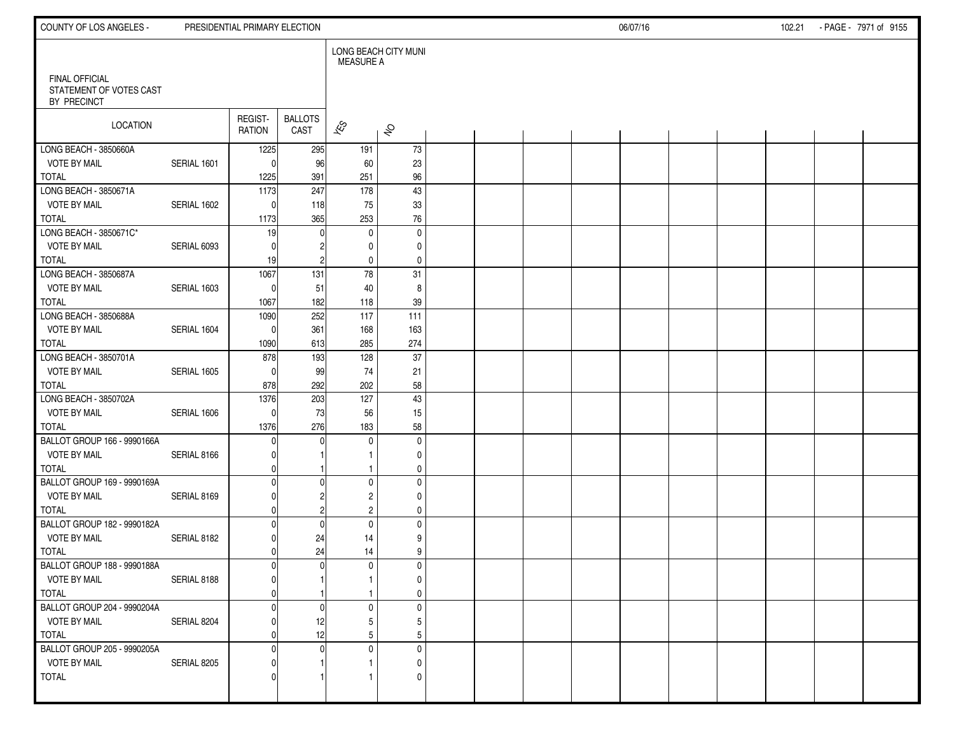| COUNTY OF LOS ANGELES -                            |             | PRESIDENTIAL PRIMARY ELECTION |                        |                                          |                     |  |  | 06/07/16 |  | 102.21 - PAGE - 7971 of 9155 |  |
|----------------------------------------------------|-------------|-------------------------------|------------------------|------------------------------------------|---------------------|--|--|----------|--|------------------------------|--|
| <b>FINAL OFFICIAL</b>                              |             |                               |                        | LONG BEACH CITY MUNI<br><b>MEASURE A</b> |                     |  |  |          |  |                              |  |
| STATEMENT OF VOTES CAST<br>BY PRECINCT             |             |                               |                        |                                          |                     |  |  |          |  |                              |  |
| LOCATION                                           |             | REGIST-<br><b>RATION</b>      | <b>BALLOTS</b><br>CAST | $\overline{\mathscr{K}}$                 | $\hat{\mathcal{S}}$ |  |  |          |  |                              |  |
| LONG BEACH - 3850660A                              |             | 1225                          | 295                    | 191                                      | 73                  |  |  |          |  |                              |  |
| <b>VOTE BY MAIL</b>                                | SERIAL 1601 | $\Omega$                      | 96                     | 60                                       | 23                  |  |  |          |  |                              |  |
| <b>TOTAL</b>                                       |             | 1225                          | 391                    | 251                                      | 96                  |  |  |          |  |                              |  |
| LONG BEACH - 3850671A                              |             | 1173                          | 247                    | 178                                      | 43                  |  |  |          |  |                              |  |
| VOTE BY MAIL                                       | SERIAL 1602 | $\Omega$                      | 118                    | 75                                       | $33\,$              |  |  |          |  |                              |  |
| <b>TOTAL</b>                                       |             | 1173                          | 365                    | 253                                      | $76\,$              |  |  |          |  |                              |  |
| LONG BEACH - 3850671C*                             |             | 19                            | <sup>0</sup>           | $\mathbf 0$                              | $\pmb{0}$           |  |  |          |  |                              |  |
| <b>VOTE BY MAIL</b>                                | SERIAL 6093 | $\Omega$                      |                        | 0                                        | 0                   |  |  |          |  |                              |  |
| <b>TOTAL</b>                                       |             | 19                            |                        | 0                                        | 0                   |  |  |          |  |                              |  |
| LONG BEACH - 3850687A                              |             | 1067                          | 131                    | 78                                       | 31                  |  |  |          |  |                              |  |
| <b>VOTE BY MAIL</b>                                | SERIAL 1603 | $\Omega$                      | 51                     | 40                                       | 8                   |  |  |          |  |                              |  |
| <b>TOTAL</b>                                       |             | 1067                          | 182                    | 118                                      | $39\,$              |  |  |          |  |                              |  |
| LONG BEACH - 3850688A                              |             | 1090                          | 252                    | 117                                      | $111$               |  |  |          |  |                              |  |
| <b>VOTE BY MAIL</b>                                | SERIAL 1604 | $\Omega$                      | 361                    | 168                                      | 163                 |  |  |          |  |                              |  |
| <b>TOTAL</b>                                       |             | 1090                          | 613                    | 285                                      | 274                 |  |  |          |  |                              |  |
| LONG BEACH - 3850701A                              |             | 878                           | 193                    | 128                                      | $37\,$              |  |  |          |  |                              |  |
| <b>VOTE BY MAIL</b>                                | SERIAL 1605 | $\Omega$                      | 99                     | 74                                       | 21                  |  |  |          |  |                              |  |
| <b>TOTAL</b>                                       |             | 878                           | 292                    | 202                                      | 58                  |  |  |          |  |                              |  |
| LONG BEACH - 3850702A                              |             | 1376                          | 203                    | 127                                      | 43                  |  |  |          |  |                              |  |
| <b>VOTE BY MAIL</b>                                | SERIAL 1606 | $\Omega$                      | 73                     | 56                                       | 15                  |  |  |          |  |                              |  |
| <b>TOTAL</b>                                       |             | 1376                          | 276                    | 183                                      | 58                  |  |  |          |  |                              |  |
| BALLOT GROUP 166 - 9990166A                        |             | O                             |                        | $\mathbf 0$                              | $\pmb{0}$           |  |  |          |  |                              |  |
| <b>VOTE BY MAIL</b>                                | SERIAL 8166 |                               |                        |                                          | 0                   |  |  |          |  |                              |  |
| <b>TOTAL</b>                                       |             |                               |                        | $\mathbf{1}$                             | 0                   |  |  |          |  |                              |  |
| BALLOT GROUP 169 - 9990169A                        |             |                               | <sup>0</sup>           | $\mathbf 0$                              | $\pmb{0}$           |  |  |          |  |                              |  |
| <b>VOTE BY MAIL</b>                                | SERIAL 8169 | O                             |                        | $\overline{2}$                           | 0                   |  |  |          |  |                              |  |
| <b>TOTAL</b>                                       |             | O                             | 2                      | $\overline{c}$                           | 0                   |  |  |          |  |                              |  |
| BALLOT GROUP 182 - 9990182A<br><b>VOTE BY MAIL</b> | SERIAL 8182 |                               | $\Omega$               | $\mathbf 0$                              | 0                   |  |  |          |  |                              |  |
|                                                    |             |                               | 24                     | 14                                       | 9                   |  |  |          |  |                              |  |
| TOTAL                                              |             |                               | 24                     | 14                                       | 9                   |  |  |          |  |                              |  |
| BALLOT GROUP 188 - 9990188A<br><b>VOTE BY MAIL</b> | SERIAL 8188 |                               |                        | 0                                        | 0<br>0              |  |  |          |  |                              |  |
| <b>TOTAL</b>                                       |             |                               |                        | 1                                        | 0                   |  |  |          |  |                              |  |
| BALLOT GROUP 204 - 9990204A                        |             |                               | $\Omega$               | $\mathbf 0$                              | $\pmb{0}$           |  |  |          |  |                              |  |
| <b>VOTE BY MAIL</b>                                | SERIAL 8204 |                               | 12                     | 5                                        | 5                   |  |  |          |  |                              |  |
| <b>TOTAL</b>                                       |             |                               | 12                     | 5                                        | 5                   |  |  |          |  |                              |  |
| BALLOT GROUP 205 - 9990205A                        |             |                               | <sup>0</sup>           | $\mathbf 0$                              | $\pmb{0}$           |  |  |          |  |                              |  |
| <b>VOTE BY MAIL</b>                                | SERIAL 8205 |                               |                        |                                          | 0                   |  |  |          |  |                              |  |
| <b>TOTAL</b>                                       |             |                               |                        |                                          | 0                   |  |  |          |  |                              |  |
|                                                    |             |                               |                        |                                          |                     |  |  |          |  |                              |  |
|                                                    |             |                               |                        |                                          |                     |  |  |          |  |                              |  |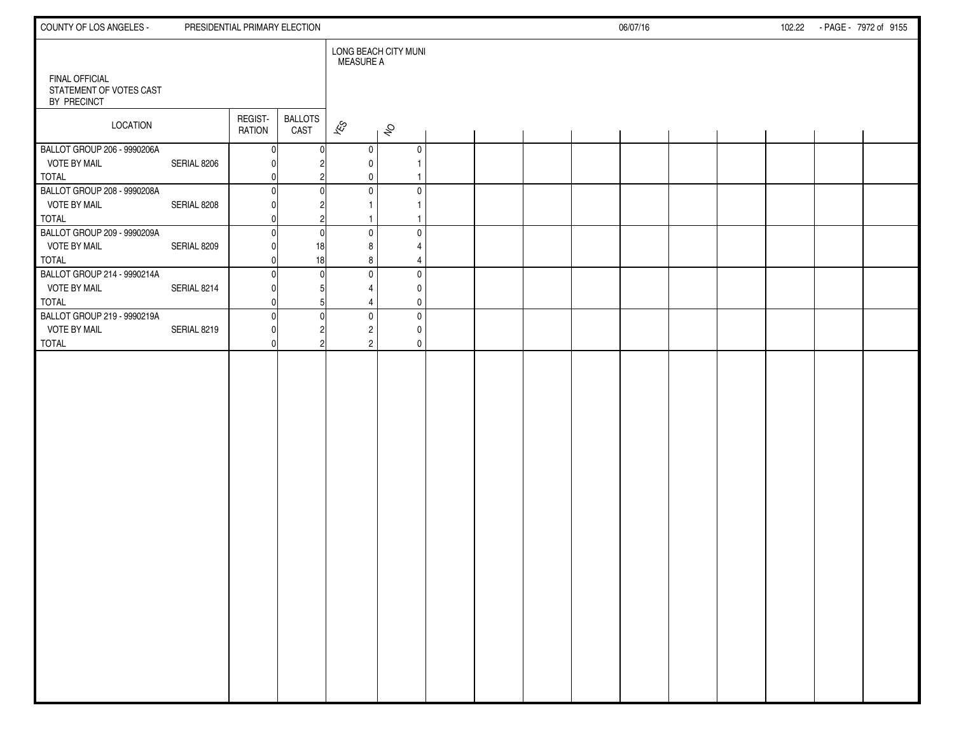| <b>COUNTY OF LOS ANGELES -</b>                                  |             | PRESIDENTIAL PRIMARY ELECTION |                |                             |                      |  |  | 06/07/16 |  | 102.22 - PAGE - 7972 of 9155 |  |
|-----------------------------------------------------------------|-------------|-------------------------------|----------------|-----------------------------|----------------------|--|--|----------|--|------------------------------|--|
|                                                                 |             |                               |                | <b>MEASURE A</b>            | LONG BEACH CITY MUNI |  |  |          |  |                              |  |
| <b>FINAL OFFICIAL</b><br>STATEMENT OF VOTES CAST<br>BY PRECINCT |             |                               |                |                             |                      |  |  |          |  |                              |  |
|                                                                 |             | REGIST-                       | <b>BALLOTS</b> |                             |                      |  |  |          |  |                              |  |
| <b>LOCATION</b>                                                 |             | <b>RATION</b>                 | CAST           | $\mathscr{E}_{\mathcal{S}}$ | $\hat{\mathcal{S}}$  |  |  |          |  |                              |  |
| BALLOT GROUP 206 - 9990206A                                     |             | 0l                            |                | 0                           | 0                    |  |  |          |  |                              |  |
| <b>VOTE BY MAIL</b>                                             | SERIAL 8206 |                               |                | 0                           |                      |  |  |          |  |                              |  |
| <b>TOTAL</b>                                                    |             |                               |                | 0                           |                      |  |  |          |  |                              |  |
| BALLOT GROUP 208 - 9990208A<br><b>VOTE BY MAIL</b>              |             |                               |                | 0<br>1                      | $\pmb{0}$            |  |  |          |  |                              |  |
| <b>TOTAL</b>                                                    | SERIAL 8208 |                               |                | 1                           |                      |  |  |          |  |                              |  |
| BALLOT GROUP 209 - 9990209A                                     |             |                               |                | 0                           | $\pmb{0}$            |  |  |          |  |                              |  |
| <b>VOTE BY MAIL</b>                                             | SERIAL 8209 |                               | 18             | 8                           | 4                    |  |  |          |  |                              |  |
| <b>TOTAL</b>                                                    |             |                               | 18             | 8                           | 4                    |  |  |          |  |                              |  |
| BALLOT GROUP 214 - 9990214A                                     |             |                               |                | 0                           | $\pmb{0}$            |  |  |          |  |                              |  |
| <b>VOTE BY MAIL</b>                                             | SERIAL 8214 |                               |                | 4                           | $\mathbf{0}$         |  |  |          |  |                              |  |
| TOTAL                                                           |             |                               |                | 4                           | 0                    |  |  |          |  |                              |  |
| BALLOT GROUP 219 - 9990219A                                     |             | 01                            |                | $\mathbf 0$                 | $\pmb{0}$            |  |  |          |  |                              |  |
| <b>VOTE BY MAIL</b>                                             | SERIAL 8219 |                               |                | $\overline{c}$              | 0                    |  |  |          |  |                              |  |
| TOTAL                                                           |             |                               |                | $\overline{c}$              | 0                    |  |  |          |  |                              |  |
|                                                                 |             |                               |                |                             |                      |  |  |          |  |                              |  |
|                                                                 |             |                               |                |                             |                      |  |  |          |  |                              |  |
|                                                                 |             |                               |                |                             |                      |  |  |          |  |                              |  |
|                                                                 |             |                               |                |                             |                      |  |  |          |  |                              |  |
|                                                                 |             |                               |                |                             |                      |  |  |          |  |                              |  |
|                                                                 |             |                               |                |                             |                      |  |  |          |  |                              |  |
|                                                                 |             |                               |                |                             |                      |  |  |          |  |                              |  |
|                                                                 |             |                               |                |                             |                      |  |  |          |  |                              |  |
|                                                                 |             |                               |                |                             |                      |  |  |          |  |                              |  |
|                                                                 |             |                               |                |                             |                      |  |  |          |  |                              |  |
|                                                                 |             |                               |                |                             |                      |  |  |          |  |                              |  |
|                                                                 |             |                               |                |                             |                      |  |  |          |  |                              |  |
|                                                                 |             |                               |                |                             |                      |  |  |          |  |                              |  |
|                                                                 |             |                               |                |                             |                      |  |  |          |  |                              |  |
|                                                                 |             |                               |                |                             |                      |  |  |          |  |                              |  |
|                                                                 |             |                               |                |                             |                      |  |  |          |  |                              |  |
|                                                                 |             |                               |                |                             |                      |  |  |          |  |                              |  |
|                                                                 |             |                               |                |                             |                      |  |  |          |  |                              |  |
|                                                                 |             |                               |                |                             |                      |  |  |          |  |                              |  |
|                                                                 |             |                               |                |                             |                      |  |  |          |  |                              |  |
|                                                                 |             |                               |                |                             |                      |  |  |          |  |                              |  |
|                                                                 |             |                               |                |                             |                      |  |  |          |  |                              |  |
|                                                                 |             |                               |                |                             |                      |  |  |          |  |                              |  |
|                                                                 |             |                               |                |                             |                      |  |  |          |  |                              |  |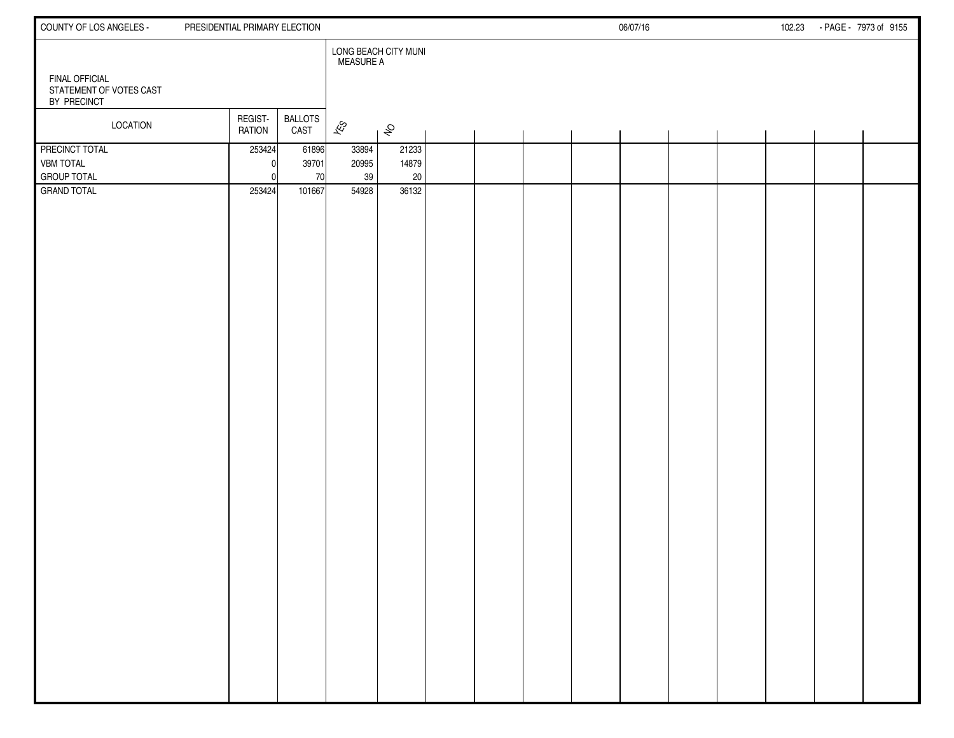| COUNTY OF LOS ANGELES -                          | PRESIDENTIAL PRIMARY ELECTION |                        |                     |                      |  |  | 06/07/16 |  | 102.23 | - PAGE - 7973 of 9155 |
|--------------------------------------------------|-------------------------------|------------------------|---------------------|----------------------|--|--|----------|--|--------|-----------------------|
| <b>FINAL OFFICIAL</b><br>STATEMENT OF VOTES CAST |                               |                        | <b>MEASURE A</b>    | LONG BEACH CITY MUNI |  |  |          |  |        |                       |
| BY PRECINCT                                      |                               |                        |                     |                      |  |  |          |  |        |                       |
| <b>LOCATION</b>                                  | REGIST-<br><b>RATION</b>      | <b>BALLOTS</b><br>CAST | $\hat{\mathcal{K}}$ | $\hat{\mathcal{S}}$  |  |  |          |  |        |                       |
| PRECINCT TOTAL                                   | 253424                        | 61896                  | 33894               | 21233                |  |  |          |  |        |                       |
| <b>VBM TOTAL</b>                                 | 0                             | 39701                  | 20995               | 14879                |  |  |          |  |        |                       |
|                                                  |                               |                        |                     |                      |  |  |          |  |        |                       |
| <b>GROUP TOTAL</b><br><b>GRAND TOTAL</b>         | 253424                        | 70<br>101667           | 39<br>54928         | 20<br>36132          |  |  |          |  |        |                       |
|                                                  |                               |                        |                     |                      |  |  |          |  |        |                       |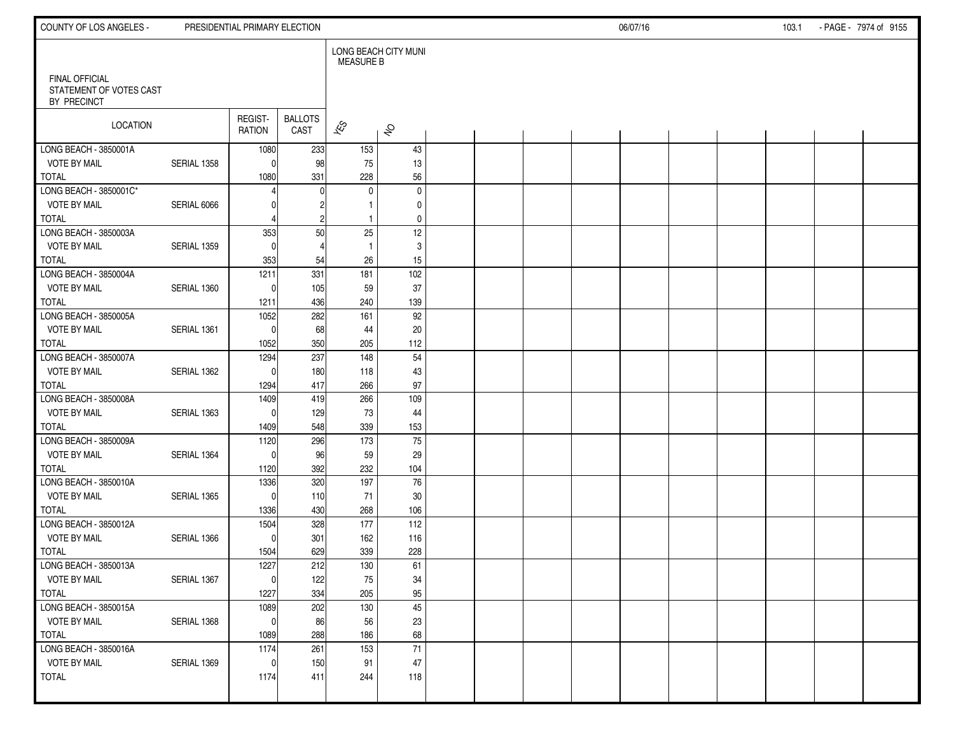| COUNTY OF LOS ANGELES -                      |             | PRESIDENTIAL PRIMARY ELECTION |                        |                                          |                     |  |  | 06/07/16 |  | 103.1 | - PAGE - 7974 of 9155 |  |
|----------------------------------------------|-------------|-------------------------------|------------------------|------------------------------------------|---------------------|--|--|----------|--|-------|-----------------------|--|
| <b>FINAL OFFICIAL</b>                        |             |                               |                        | LONG BEACH CITY MUNI<br><b>MEASURE B</b> |                     |  |  |          |  |       |                       |  |
| STATEMENT OF VOTES CAST<br>BY PRECINCT       |             |                               |                        |                                          |                     |  |  |          |  |       |                       |  |
| LOCATION                                     |             | REGIST-<br>RATION             | <b>BALLOTS</b><br>CAST | $\overline{\mathcal{K}}$ S               | $\hat{\mathcal{S}}$ |  |  |          |  |       |                       |  |
| LONG BEACH - 3850001A                        |             | 1080                          | 233                    | 153                                      | 43                  |  |  |          |  |       |                       |  |
| <b>VOTE BY MAIL</b>                          | SERIAL 1358 | $\Omega$                      | 98                     | 75                                       | 13                  |  |  |          |  |       |                       |  |
| <b>TOTAL</b>                                 |             | 1080                          | 331                    | 228                                      | 56                  |  |  |          |  |       |                       |  |
| LONG BEACH - 3850001C*                       |             |                               |                        | 0                                        | 0                   |  |  |          |  |       |                       |  |
| <b>VOTE BY MAIL</b>                          | SERIAL 6066 |                               |                        |                                          | 0                   |  |  |          |  |       |                       |  |
| <b>TOTAL</b>                                 |             |                               |                        | $\mathbf{1}$                             | 0                   |  |  |          |  |       |                       |  |
| LONG BEACH - 3850003A                        |             | 353                           | 50                     | 25                                       | 12                  |  |  |          |  |       |                       |  |
| <b>VOTE BY MAIL</b>                          | SERIAL 1359 | $\Omega$                      |                        | $\mathbf{1}$                             | 3                   |  |  |          |  |       |                       |  |
| <b>TOTAL</b>                                 |             | 353                           | 54                     | 26                                       | 15                  |  |  |          |  |       |                       |  |
| LONG BEACH - 3850004A                        |             | 1211                          | 331                    | 181                                      | 102                 |  |  |          |  |       |                       |  |
| <b>VOTE BY MAIL</b>                          | SERIAL 1360 | $\Omega$                      | 105                    | 59                                       | 37                  |  |  |          |  |       |                       |  |
| <b>TOTAL</b>                                 |             | 1211                          | 436                    | 240                                      | 139                 |  |  |          |  |       |                       |  |
| LONG BEACH - 3850005A                        |             | 1052                          | 282                    | 161                                      | 92                  |  |  |          |  |       |                       |  |
| <b>VOTE BY MAIL</b>                          | SERIAL 1361 | $\Omega$                      | 68                     | 44                                       | 20                  |  |  |          |  |       |                       |  |
| <b>TOTAL</b>                                 |             | 1052                          | 350                    | 205                                      | 112                 |  |  |          |  |       |                       |  |
| LONG BEACH - 3850007A                        |             | 1294                          | 237                    | 148                                      | 54                  |  |  |          |  |       |                       |  |
| <b>VOTE BY MAIL</b>                          | SERIAL 1362 | $\Omega$                      | 180                    | 118                                      | 43                  |  |  |          |  |       |                       |  |
| <b>TOTAL</b>                                 |             | 1294                          | 417                    | 266                                      | 97                  |  |  |          |  |       |                       |  |
| LONG BEACH - 3850008A                        |             | 1409                          | 419                    | 266                                      | 109                 |  |  |          |  |       |                       |  |
| <b>VOTE BY MAIL</b>                          | SERIAL 1363 | $\Omega$                      | 129                    | 73                                       | 44                  |  |  |          |  |       |                       |  |
| <b>TOTAL</b>                                 |             | 1409                          | 548                    | 339                                      | 153                 |  |  |          |  |       |                       |  |
| LONG BEACH - 3850009A                        |             | 1120                          | 296                    | 173                                      | 75                  |  |  |          |  |       |                       |  |
| <b>VOTE BY MAIL</b>                          | SERIAL 1364 | $\Omega$                      | 96                     | 59                                       | 29                  |  |  |          |  |       |                       |  |
| <b>TOTAL</b>                                 |             | 1120                          | 392                    | 232                                      | 104<br>76           |  |  |          |  |       |                       |  |
| LONG BEACH - 3850010A<br><b>VOTE BY MAIL</b> |             | 1336<br>$\mathbf{0}$          | 320                    | 197                                      |                     |  |  |          |  |       |                       |  |
|                                              | SERIAL 1365 |                               | 110<br>430             | 71                                       | 30<br>106           |  |  |          |  |       |                       |  |
| <b>TOTAL</b><br>LONG BEACH - 3850012A        |             | 1336                          | 328                    | 268<br>177                               | 112                 |  |  |          |  |       |                       |  |
| <b>VOTE BY MAIL</b>                          | SERIAL 1366 | 1504<br>$\Omega$              | 301                    | 162                                      | 116                 |  |  |          |  |       |                       |  |
|                                              |             | 1504                          | 629                    | 339                                      | 228                 |  |  |          |  |       |                       |  |
| TOTAL<br>LONG BEACH - 3850013A               |             |                               |                        |                                          |                     |  |  |          |  |       |                       |  |
| <b>VOTE BY MAIL</b>                          | SERIAL 1367 | 1227<br>$\Omega$              | 212<br>122             | 130<br>75                                | 61<br>34            |  |  |          |  |       |                       |  |
| <b>TOTAL</b>                                 |             | 1227                          | 334                    | 205                                      | 95                  |  |  |          |  |       |                       |  |
| LONG BEACH - 3850015A                        |             | 1089                          | 202                    | 130                                      | 45                  |  |  |          |  |       |                       |  |
| <b>VOTE BY MAIL</b>                          | SERIAL 1368 | $\mathbf 0$                   | 86                     | 56                                       | 23                  |  |  |          |  |       |                       |  |
| <b>TOTAL</b>                                 |             | 1089                          | 288                    | 186                                      | 68                  |  |  |          |  |       |                       |  |
| LONG BEACH - 3850016A                        |             | 1174                          | 261                    | 153                                      | $\overline{71}$     |  |  |          |  |       |                       |  |
| <b>VOTE BY MAIL</b>                          | SERIAL 1369 | $\mathbf 0$                   | 150                    | 91                                       | 47                  |  |  |          |  |       |                       |  |
| <b>TOTAL</b>                                 |             | 1174                          | 411                    | 244                                      | 118                 |  |  |          |  |       |                       |  |
|                                              |             |                               |                        |                                          |                     |  |  |          |  |       |                       |  |
|                                              |             |                               |                        |                                          |                     |  |  |          |  |       |                       |  |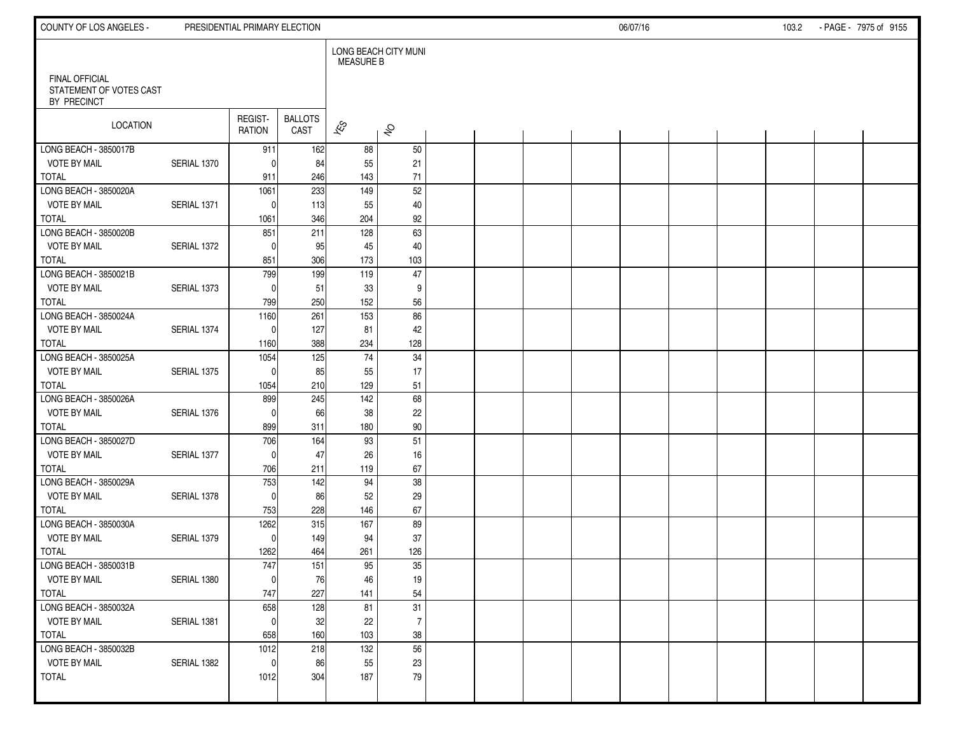| COUNTY OF LOS ANGELES -                          |             | PRESIDENTIAL PRIMARY ELECTION |                        |                                          |                     |  |  | 06/07/16 |  | 103.2 | - PAGE - 7975 of 9155 |  |
|--------------------------------------------------|-------------|-------------------------------|------------------------|------------------------------------------|---------------------|--|--|----------|--|-------|-----------------------|--|
| <b>FINAL OFFICIAL</b><br>STATEMENT OF VOTES CAST |             |                               |                        | LONG BEACH CITY MUNI<br><b>MEASURE B</b> |                     |  |  |          |  |       |                       |  |
| BY PRECINCT                                      |             |                               |                        |                                          |                     |  |  |          |  |       |                       |  |
| LOCATION                                         |             | REGIST-<br>RATION             | <b>BALLOTS</b><br>CAST | $\overline{\mathcal{K}}$ S               | $\hat{\mathcal{S}}$ |  |  |          |  |       |                       |  |
| LONG BEACH - 3850017B                            |             | 911                           | 162                    | 88                                       | 50                  |  |  |          |  |       |                       |  |
| <b>VOTE BY MAIL</b>                              | SERIAL 1370 | $\Omega$                      | 84                     | 55                                       | 21                  |  |  |          |  |       |                       |  |
| <b>TOTAL</b>                                     |             | 911                           | 246                    | 143                                      | 71                  |  |  |          |  |       |                       |  |
| LONG BEACH - 3850020A                            |             | 1061                          | 233                    | 149                                      | 52                  |  |  |          |  |       |                       |  |
| <b>VOTE BY MAIL</b>                              | SERIAL 1371 | $\Omega$                      | 113                    | 55                                       | 40                  |  |  |          |  |       |                       |  |
| <b>TOTAL</b>                                     |             | 1061                          | 346                    | 204                                      | 92                  |  |  |          |  |       |                       |  |
| LONG BEACH - 3850020B                            |             | 851                           | 211                    | 128                                      | 63                  |  |  |          |  |       |                       |  |
| <b>VOTE BY MAIL</b>                              | SERIAL 1372 | $\Omega$                      | 95                     | 45                                       | 40                  |  |  |          |  |       |                       |  |
| <b>TOTAL</b>                                     |             | 851                           | 306                    | 173                                      | 103                 |  |  |          |  |       |                       |  |
| LONG BEACH - 3850021B                            |             | 799                           | 199                    | 119                                      | 47                  |  |  |          |  |       |                       |  |
| <b>VOTE BY MAIL</b>                              | SERIAL 1373 | $\Omega$                      | 51                     | 33                                       | 9                   |  |  |          |  |       |                       |  |
| <b>TOTAL</b>                                     |             | 799                           | 250                    | 152                                      | 56                  |  |  |          |  |       |                       |  |
| LONG BEACH - 3850024A                            |             | 1160                          | 261                    | 153                                      | 86                  |  |  |          |  |       |                       |  |
| <b>VOTE BY MAIL</b>                              | SERIAL 1374 | $\Omega$                      | 127                    | 81                                       | 42                  |  |  |          |  |       |                       |  |
| <b>TOTAL</b>                                     |             | 1160                          | 388                    | 234                                      | 128                 |  |  |          |  |       |                       |  |
| LONG BEACH - 3850025A                            |             | 1054                          | 125                    | 74                                       | 34                  |  |  |          |  |       |                       |  |
| <b>VOTE BY MAIL</b>                              | SERIAL 1375 | $\Omega$                      | 85                     | 55                                       | 17                  |  |  |          |  |       |                       |  |
| <b>TOTAL</b>                                     |             | 1054                          | 210                    | 129                                      | 51                  |  |  |          |  |       |                       |  |
| LONG BEACH - 3850026A                            |             | 899                           | 245                    | 142                                      | 68                  |  |  |          |  |       |                       |  |
| <b>VOTE BY MAIL</b>                              | SERIAL 1376 | $\Omega$                      | 66                     | 38                                       | 22                  |  |  |          |  |       |                       |  |
| <b>TOTAL</b>                                     |             | 899                           | 311                    | 180                                      | 90                  |  |  |          |  |       |                       |  |
| LONG BEACH - 3850027D                            |             | 706                           | 164                    | 93                                       | 51                  |  |  |          |  |       |                       |  |
| <b>VOTE BY MAIL</b>                              | SERIAL 1377 | $\Omega$                      | 47                     | 26                                       | 16                  |  |  |          |  |       |                       |  |
| <b>TOTAL</b>                                     |             | 706                           | 211                    | 119                                      | 67                  |  |  |          |  |       |                       |  |
| LONG BEACH - 3850029A                            |             | 753<br>$\Omega$               | 142                    | 94                                       | 38                  |  |  |          |  |       |                       |  |
| <b>VOTE BY MAIL</b>                              | SERIAL 1378 | 753                           | 86<br>228              | 52<br>146                                | 29                  |  |  |          |  |       |                       |  |
| <b>TOTAL</b><br>LONG BEACH - 3850030A            |             | 1262                          | 315                    | 167                                      | 67<br>89            |  |  |          |  |       |                       |  |
| <b>VOTE BY MAIL</b>                              | SERIAL 1379 | $\Omega$                      | 149                    | 94                                       | 37                  |  |  |          |  |       |                       |  |
|                                                  |             | 1262                          | 464                    | 261                                      | 126                 |  |  |          |  |       |                       |  |
| TOTAL<br>LONG BEACH - 3850031B                   |             | 747                           | 151                    | 95                                       | 35                  |  |  |          |  |       |                       |  |
| <b>VOTE BY MAIL</b>                              | SERIAL 1380 | $\Omega$                      | 76                     | 46                                       | 19                  |  |  |          |  |       |                       |  |
| <b>TOTAL</b>                                     |             | 747                           | 227                    | 141                                      | 54                  |  |  |          |  |       |                       |  |
| LONG BEACH - 3850032A                            |             | 658                           | 128                    | 81                                       | 31                  |  |  |          |  |       |                       |  |
| <b>VOTE BY MAIL</b>                              | SERIAL 1381 | $\Omega$                      | 32                     | 22                                       | $\overline{7}$      |  |  |          |  |       |                       |  |
| <b>TOTAL</b>                                     |             | 658                           | 160                    | 103                                      | $38\,$              |  |  |          |  |       |                       |  |
| LONG BEACH - 3850032B                            |             | 1012                          | 218                    | 132                                      | 56                  |  |  |          |  |       |                       |  |
| <b>VOTE BY MAIL</b>                              | SERIAL 1382 | $\mathbf{0}$                  | 86                     | 55                                       | 23                  |  |  |          |  |       |                       |  |
| <b>TOTAL</b>                                     |             | 1012                          | 304                    | 187                                      | 79                  |  |  |          |  |       |                       |  |
|                                                  |             |                               |                        |                                          |                     |  |  |          |  |       |                       |  |
|                                                  |             |                               |                        |                                          |                     |  |  |          |  |       |                       |  |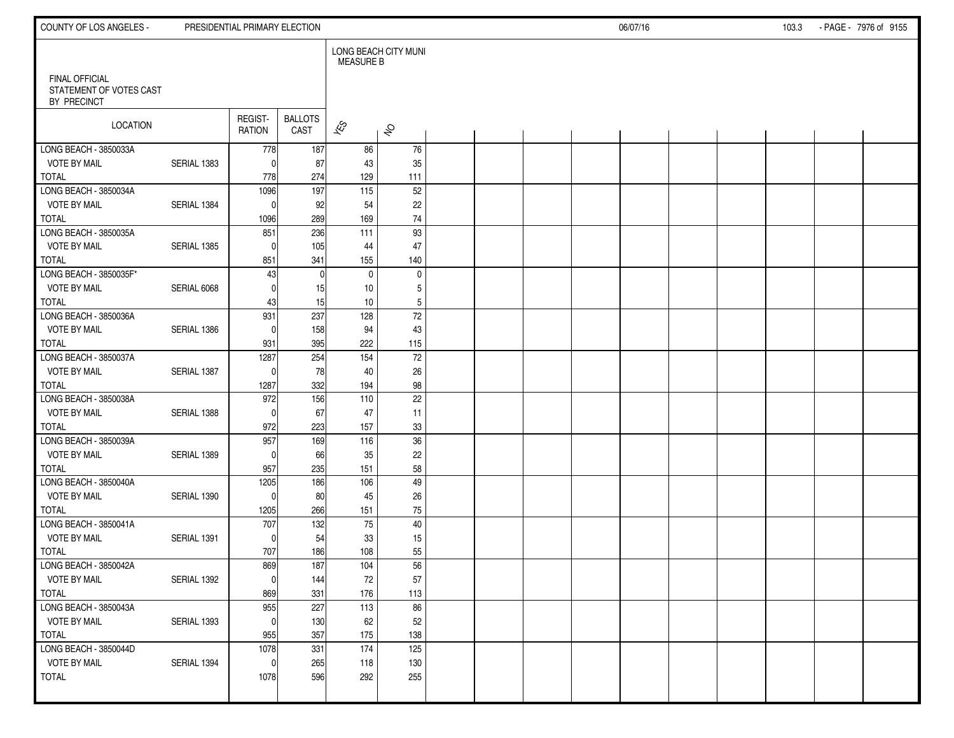| COUNTY OF LOS ANGELES -                                         |             | PRESIDENTIAL PRIMARY ELECTION |                        |                          |                      |  |  | 06/07/16 |  | 103.3 | - PAGE - 7976 of 9155 |  |
|-----------------------------------------------------------------|-------------|-------------------------------|------------------------|--------------------------|----------------------|--|--|----------|--|-------|-----------------------|--|
|                                                                 |             |                               |                        | <b>MEASURE B</b>         | LONG BEACH CITY MUNI |  |  |          |  |       |                       |  |
| <b>FINAL OFFICIAL</b><br>STATEMENT OF VOTES CAST<br>BY PRECINCT |             |                               |                        |                          |                      |  |  |          |  |       |                       |  |
| LOCATION                                                        |             | REGIST-<br>RATION             | <b>BALLOTS</b><br>CAST | $\overline{\mathscr{K}}$ | $\hat{\mathcal{S}}$  |  |  |          |  |       |                       |  |
| LONG BEACH - 3850033A                                           |             | 778                           | 187                    | 86                       | 76                   |  |  |          |  |       |                       |  |
| <b>VOTE BY MAIL</b>                                             | SERIAL 1383 | $\Omega$                      | 87                     | 43                       | 35                   |  |  |          |  |       |                       |  |
| <b>TOTAL</b>                                                    |             | 778                           | 274                    | 129                      | 111                  |  |  |          |  |       |                       |  |
| LONG BEACH - 3850034A                                           |             | 1096                          | 197                    | 115                      | 52                   |  |  |          |  |       |                       |  |
| <b>VOTE BY MAIL</b>                                             | SERIAL 1384 | $\Omega$                      | 92                     | 54                       | 22                   |  |  |          |  |       |                       |  |
| <b>TOTAL</b>                                                    |             | 1096                          | 289                    | 169                      | 74                   |  |  |          |  |       |                       |  |
| LONG BEACH - 3850035A                                           |             | 851                           | 236                    | 111                      | 93                   |  |  |          |  |       |                       |  |
| <b>VOTE BY MAIL</b>                                             | SERIAL 1385 | $\Omega$                      | 105                    | 44                       | 47                   |  |  |          |  |       |                       |  |
| <b>TOTAL</b>                                                    |             | 851                           | 341                    | 155                      | 140                  |  |  |          |  |       |                       |  |
| LONG BEACH - 3850035F*                                          |             | 43                            | $\Omega$               | $\mathbf 0$              | $\mathbf 0$          |  |  |          |  |       |                       |  |
| <b>VOTE BY MAIL</b>                                             | SERIAL 6068 | $\Omega$                      | 15                     | 10                       | 5                    |  |  |          |  |       |                       |  |
| <b>TOTAL</b>                                                    |             | 43                            | 15                     | $10\,$                   | 5                    |  |  |          |  |       |                       |  |
| LONG BEACH - 3850036A                                           |             | 931                           | 237                    | 128                      | 72                   |  |  |          |  |       |                       |  |
| <b>VOTE BY MAIL</b>                                             | SERIAL 1386 | $\mathbf{0}$                  | 158                    | 94                       | 43                   |  |  |          |  |       |                       |  |
| <b>TOTAL</b>                                                    |             | 931                           | 395                    | 222                      | 115                  |  |  |          |  |       |                       |  |
| LONG BEACH - 3850037A                                           |             | 1287                          | 254                    | 154                      | $72\,$               |  |  |          |  |       |                       |  |
| <b>VOTE BY MAIL</b>                                             | SERIAL 1387 | $\mathbf{0}$                  | 78                     | 40                       | 26                   |  |  |          |  |       |                       |  |
| <b>TOTAL</b>                                                    |             | 1287                          | 332                    | 194                      | 98                   |  |  |          |  |       |                       |  |
| LONG BEACH - 3850038A                                           |             | 972                           | 156                    | 110                      | 22                   |  |  |          |  |       |                       |  |
| <b>VOTE BY MAIL</b>                                             | SERIAL 1388 | $\Omega$                      | 67                     | 47                       | 11                   |  |  |          |  |       |                       |  |
| <b>TOTAL</b>                                                    |             | 972                           | 223                    | 157                      | $33\,$               |  |  |          |  |       |                       |  |
| LONG BEACH - 3850039A                                           |             | 957                           | 169                    | 116                      | $\overline{36}$      |  |  |          |  |       |                       |  |
| <b>VOTE BY MAIL</b>                                             | SERIAL 1389 | $\Omega$                      | 66                     | 35                       | 22                   |  |  |          |  |       |                       |  |
| <b>TOTAL</b>                                                    |             | 957                           | 235                    | 151                      | 58                   |  |  |          |  |       |                       |  |
| LONG BEACH - 3850040A                                           |             | 1205                          | 186                    | 106                      | 49                   |  |  |          |  |       |                       |  |
| <b>VOTE BY MAIL</b>                                             | SERIAL 1390 | $\mathbf{0}$                  | 80                     | 45                       | 26                   |  |  |          |  |       |                       |  |
| <b>TOTAL</b><br>LONG BEACH - 3850041A                           |             | 1205                          | 266                    | 151                      | 75                   |  |  |          |  |       |                       |  |
| VOTE BY MAIL                                                    | SERIAL 1391 | 707<br>$\Omega$               | 132                    | 75                       | 40                   |  |  |          |  |       |                       |  |
|                                                                 |             |                               | 54<br>186              | 33                       | 15                   |  |  |          |  |       |                       |  |
| TOTAL                                                           |             | 707                           |                        | 108                      | 55                   |  |  |          |  |       |                       |  |
| LONG BEACH - 3850042A<br><b>VOTE BY MAIL</b>                    | SERIAL 1392 | 869<br>$\Omega$               | 187<br>144             | 104                      | 56<br>57             |  |  |          |  |       |                       |  |
| <b>TOTAL</b>                                                    |             |                               | 331                    | $72\,$<br>176            | 113                  |  |  |          |  |       |                       |  |
| LONG BEACH - 3850043A                                           |             | 869<br>955                    | 227                    | 113                      | 86                   |  |  |          |  |       |                       |  |
| <b>VOTE BY MAIL</b>                                             | SERIAL 1393 | $\Omega$                      | 130                    | 62                       | 52                   |  |  |          |  |       |                       |  |
| <b>TOTAL</b>                                                    |             | 955                           | 357                    | 175                      | 138                  |  |  |          |  |       |                       |  |
| LONG BEACH - 3850044D                                           |             | 1078                          | 331                    | 174                      | 125                  |  |  |          |  |       |                       |  |
| <b>VOTE BY MAIL</b>                                             | SERIAL 1394 | $\cap$                        | 265                    | 118                      | 130                  |  |  |          |  |       |                       |  |
| <b>TOTAL</b>                                                    |             | 1078                          | 596                    | 292                      | 255                  |  |  |          |  |       |                       |  |
|                                                                 |             |                               |                        |                          |                      |  |  |          |  |       |                       |  |
|                                                                 |             |                               |                        |                          |                      |  |  |          |  |       |                       |  |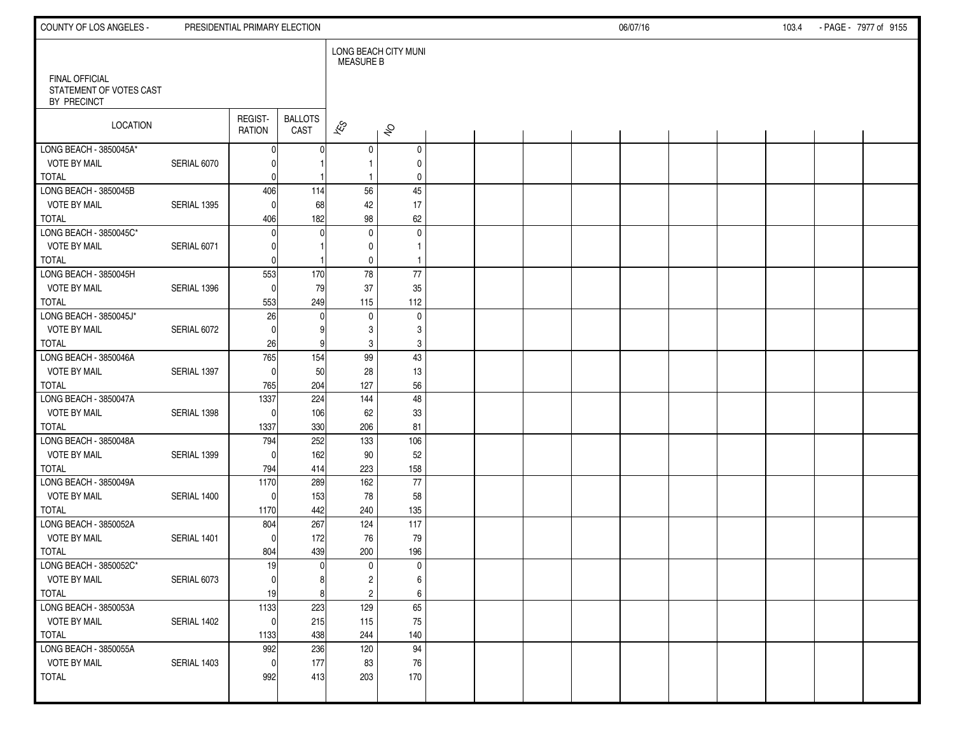| COUNTY OF LOS ANGELES -                          |             | PRESIDENTIAL PRIMARY ELECTION |                        |                                          |                              |  |  | 06/07/16 |  | 103.4 | - PAGE 7977 of 9155 |  |
|--------------------------------------------------|-------------|-------------------------------|------------------------|------------------------------------------|------------------------------|--|--|----------|--|-------|---------------------|--|
| <b>FINAL OFFICIAL</b><br>STATEMENT OF VOTES CAST |             |                               |                        | LONG BEACH CITY MUNI<br><b>MEASURE B</b> |                              |  |  |          |  |       |                     |  |
| BY PRECINCT                                      |             |                               |                        |                                          |                              |  |  |          |  |       |                     |  |
| LOCATION                                         |             | REGIST-<br><b>RATION</b>      | <b>BALLOTS</b><br>CAST | $\overline{\mathcal{K}}$ S               | $\hat{\mathcal{S}}$          |  |  |          |  |       |                     |  |
| LONG BEACH - 3850045A*                           |             | 0                             | 0                      | 0                                        | 0                            |  |  |          |  |       |                     |  |
| <b>VOTE BY MAIL</b>                              | SERIAL 6070 | O                             |                        | 1                                        | 0                            |  |  |          |  |       |                     |  |
| <b>TOTAL</b>                                     |             | $\Omega$                      |                        | $\mathbf{1}$                             | 0                            |  |  |          |  |       |                     |  |
| LONG BEACH - 3850045B                            |             | 406                           | 114                    | 56                                       | 45                           |  |  |          |  |       |                     |  |
| <b>VOTE BY MAIL</b>                              | SERIAL 1395 | $\Omega$                      | 68                     | 42                                       | 17                           |  |  |          |  |       |                     |  |
| <b>TOTAL</b>                                     |             | 406                           | 182                    | 98                                       | 62                           |  |  |          |  |       |                     |  |
| LONG BEACH - 3850045C*<br><b>VOTE BY MAIL</b>    |             | $\Omega$                      |                        | $\mathbf 0$                              | $\pmb{0}$                    |  |  |          |  |       |                     |  |
| <b>TOTAL</b>                                     | SERIAL 6071 | 0                             |                        | 0<br>0                                   | $\mathbf{1}$<br>$\mathbf{1}$ |  |  |          |  |       |                     |  |
| LONG BEACH - 3850045H                            |             | 553                           | 170                    | 78                                       | 77                           |  |  |          |  |       |                     |  |
| <b>VOTE BY MAIL</b>                              | SERIAL 1396 | $\Omega$                      | 79                     | 37                                       | $35\,$                       |  |  |          |  |       |                     |  |
| <b>TOTAL</b>                                     |             | 553                           | 249                    | 115                                      | 112                          |  |  |          |  |       |                     |  |
| LONG BEACH - 3850045J*                           |             | 26                            | 0                      | $\mathbf 0$                              | $\mathbf 0$                  |  |  |          |  |       |                     |  |
| <b>VOTE BY MAIL</b>                              | SERIAL 6072 | $\mathbf{0}$                  |                        | 3                                        | 3                            |  |  |          |  |       |                     |  |
| <b>TOTAL</b>                                     |             | 26                            | 9                      | 3                                        | 3                            |  |  |          |  |       |                     |  |
| LONG BEACH - 3850046A                            |             | 765                           | 154                    | 99                                       | 43                           |  |  |          |  |       |                     |  |
| <b>VOTE BY MAIL</b>                              | SERIAL 1397 | $\Omega$                      | 50                     | 28                                       | 13                           |  |  |          |  |       |                     |  |
| <b>TOTAL</b>                                     |             | 765                           | 204                    | 127                                      | 56                           |  |  |          |  |       |                     |  |
| LONG BEACH - 3850047A                            |             | 1337                          | 224                    | 144                                      | 48                           |  |  |          |  |       |                     |  |
| <b>VOTE BY MAIL</b>                              | SERIAL 1398 | 0                             | 106                    | 62                                       | $33\,$                       |  |  |          |  |       |                     |  |
| <b>TOTAL</b>                                     |             | 1337                          | 330                    | 206                                      | 81                           |  |  |          |  |       |                     |  |
| LONG BEACH - 3850048A                            |             | 794                           | 252                    | 133                                      | 106                          |  |  |          |  |       |                     |  |
| <b>VOTE BY MAIL</b>                              | SERIAL 1399 | $\Omega$                      | 162                    | 90                                       | 52                           |  |  |          |  |       |                     |  |
| <b>TOTAL</b>                                     |             | 794                           | 414                    | 223                                      | 158                          |  |  |          |  |       |                     |  |
| LONG BEACH - 3850049A                            |             | 1170                          | 289                    | 162                                      | 77                           |  |  |          |  |       |                     |  |
| <b>VOTE BY MAIL</b>                              | SERIAL 1400 | $\mathbf{0}$                  | 153                    | 78                                       | 58                           |  |  |          |  |       |                     |  |
| <b>TOTAL</b>                                     |             | 1170                          | 442                    | 240                                      | 135                          |  |  |          |  |       |                     |  |
| LONG BEACH - 3850052A                            |             | 804                           | 267                    | 124                                      | 117                          |  |  |          |  |       |                     |  |
| <b>VOTE BY MAIL</b>                              | SERIAL 1401 | $\Omega$                      | 172                    | 76                                       | 79                           |  |  |          |  |       |                     |  |
| TOTAL                                            |             | 804                           | 439<br>01              | 200                                      | 196                          |  |  |          |  |       |                     |  |
| LONG BEACH - 3850052C*<br><b>VOTE BY MAIL</b>    | SERIAL 6073 | 19<br>$\Omega$                |                        | 0<br>$\overline{c}$                      | 0<br>6                       |  |  |          |  |       |                     |  |
| <b>TOTAL</b>                                     |             | 19                            | 8                      | $\overline{c}$                           | 6                            |  |  |          |  |       |                     |  |
| LONG BEACH - 3850053A                            |             | 1133                          | 223                    | 129                                      | 65                           |  |  |          |  |       |                     |  |
| <b>VOTE BY MAIL</b>                              | SERIAL 1402 | $\mathbf{0}$                  | 215                    | 115                                      | 75                           |  |  |          |  |       |                     |  |
| <b>TOTAL</b>                                     |             | 1133                          | 438                    | 244                                      | 140                          |  |  |          |  |       |                     |  |
| LONG BEACH - 3850055A                            |             | 992                           | 236                    | 120                                      | 94                           |  |  |          |  |       |                     |  |
| <b>VOTE BY MAIL</b>                              | SERIAL 1403 | $\Omega$                      | 177                    | 83                                       | 76                           |  |  |          |  |       |                     |  |
| <b>TOTAL</b>                                     |             | 992                           | 413                    | 203                                      | 170                          |  |  |          |  |       |                     |  |
|                                                  |             |                               |                        |                                          |                              |  |  |          |  |       |                     |  |
|                                                  |             |                               |                        |                                          |                              |  |  |          |  |       |                     |  |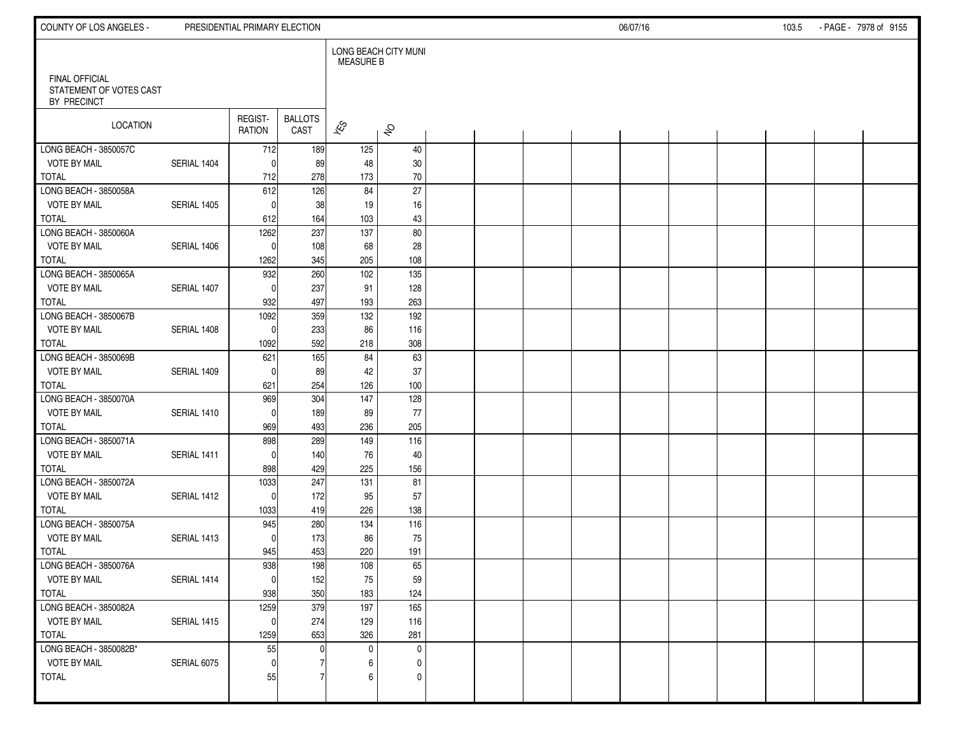| COUNTY OF LOS ANGELES -                          |             | PRESIDENTIAL PRIMARY ELECTION |                        |                  |                      |  |  | 06/07/16 |  | 103.5 | - PAGE - 7978 of 9155 |  |
|--------------------------------------------------|-------------|-------------------------------|------------------------|------------------|----------------------|--|--|----------|--|-------|-----------------------|--|
| <b>FINAL OFFICIAL</b><br>STATEMENT OF VOTES CAST |             |                               |                        | <b>MEASURE B</b> | LONG BEACH CITY MUNI |  |  |          |  |       |                       |  |
| BY PRECINCT                                      |             |                               |                        |                  |                      |  |  |          |  |       |                       |  |
| LOCATION                                         |             | REGIST-<br><b>RATION</b>      | <b>BALLOTS</b><br>CAST | $\approx$        | $\hat{\mathcal{S}}$  |  |  |          |  |       |                       |  |
| LONG BEACH - 3850057C                            |             | 712                           | 189                    | 125              | 40                   |  |  |          |  |       |                       |  |
| <b>VOTE BY MAIL</b>                              | SERIAL 1404 | $\Omega$                      | 89                     | 48               | 30                   |  |  |          |  |       |                       |  |
| <b>TOTAL</b>                                     |             | 712                           | 278                    | 173              | 70                   |  |  |          |  |       |                       |  |
| LONG BEACH - 3850058A                            |             | 612                           | 126                    | 84               | 27                   |  |  |          |  |       |                       |  |
| <b>VOTE BY MAIL</b>                              | SERIAL 1405 | $\Omega$                      | 38                     | 19               | 16                   |  |  |          |  |       |                       |  |
| <b>TOTAL</b>                                     |             | 612                           | 164                    | 103              | 43                   |  |  |          |  |       |                       |  |
| LONG BEACH - 3850060A                            |             | 1262                          | 237                    | 137              | 80                   |  |  |          |  |       |                       |  |
| <b>VOTE BY MAIL</b>                              | SERIAL 1406 | $\mathbf{0}$                  | 108                    | 68               | 28                   |  |  |          |  |       |                       |  |
| <b>TOTAL</b>                                     |             | 1262                          | 345                    | 205              | 108                  |  |  |          |  |       |                       |  |
| LONG BEACH - 3850065A                            |             | 932                           | 260                    | 102              | 135                  |  |  |          |  |       |                       |  |
| <b>VOTE BY MAIL</b>                              | SERIAL 1407 | $\Omega$                      | 237                    | 91               | 128                  |  |  |          |  |       |                       |  |
| <b>TOTAL</b>                                     |             | 932                           | 497                    | 193              | 263                  |  |  |          |  |       |                       |  |
| LONG BEACH - 3850067B                            |             | 1092                          | 359                    | 132              | 192                  |  |  |          |  |       |                       |  |
| <b>VOTE BY MAIL</b>                              | SERIAL 1408 | $\Omega$                      | 233                    | 86               | 116                  |  |  |          |  |       |                       |  |
| <b>TOTAL</b>                                     |             | 1092                          | 592                    | 218              | 308                  |  |  |          |  |       |                       |  |
| LONG BEACH - 3850069B                            |             | 621                           | 165                    | 84               | 63                   |  |  |          |  |       |                       |  |
| <b>VOTE BY MAIL</b>                              | SERIAL 1409 | $\Omega$                      | 89                     | 42               | 37                   |  |  |          |  |       |                       |  |
| <b>TOTAL</b>                                     |             | 621                           | 254                    | 126              | 100                  |  |  |          |  |       |                       |  |
| LONG BEACH - 3850070A                            |             | 969                           | 304                    | 147              | 128                  |  |  |          |  |       |                       |  |
| <b>VOTE BY MAIL</b>                              | SERIAL 1410 | $\Omega$                      | 189                    | 89               | 77                   |  |  |          |  |       |                       |  |
| <b>TOTAL</b>                                     |             | 969                           | 493                    | 236              | 205                  |  |  |          |  |       |                       |  |
| LONG BEACH - 3850071A                            |             | 898                           | 289                    | 149              | 116                  |  |  |          |  |       |                       |  |
| <b>VOTE BY MAIL</b>                              | SERIAL 1411 | $\Omega$                      | 140                    | 76               | 40                   |  |  |          |  |       |                       |  |
| <b>TOTAL</b>                                     |             | 898                           | 429                    | 225              | 156                  |  |  |          |  |       |                       |  |
| LONG BEACH - 3850072A                            |             | 1033                          | 247                    | 131              | 81                   |  |  |          |  |       |                       |  |
| <b>VOTE BY MAIL</b>                              | SERIAL 1412 | $\Omega$                      | 172                    | 95               | 57                   |  |  |          |  |       |                       |  |
| <b>TOTAL</b>                                     |             | 1033                          | 419                    | 226              | 138                  |  |  |          |  |       |                       |  |
| LONG BEACH - 3850075A                            |             | 945                           | 280                    | 134              | 116                  |  |  |          |  |       |                       |  |
| <b>VOTE BY MAIL</b>                              | SERIAL 1413 | $\Omega$                      | 173                    | 86               | 75                   |  |  |          |  |       |                       |  |
| TOTAL                                            |             | 945                           | 453                    | 220              | 191                  |  |  |          |  |       |                       |  |
| LONG BEACH - 3850076A                            |             | 938                           | 198                    | 108              | 65                   |  |  |          |  |       |                       |  |
| <b>VOTE BY MAIL</b>                              | SERIAL 1414 | $\Omega$                      | 152                    | 75               | 59                   |  |  |          |  |       |                       |  |
| <b>TOTAL</b>                                     |             | 938                           | 350                    | 183              | 124                  |  |  |          |  |       |                       |  |
| LONG BEACH - 3850082A                            |             | 1259                          | 379                    | 197              | 165                  |  |  |          |  |       |                       |  |
| <b>VOTE BY MAIL</b>                              | SERIAL 1415 | $\mathbf{0}$                  | 274                    | 129              | 116                  |  |  |          |  |       |                       |  |
| <b>TOTAL</b>                                     |             | 1259                          | 653                    | 326              | 281                  |  |  |          |  |       |                       |  |
| LONG BEACH - 3850082B*                           |             | 55                            | 0                      | $\mathbf 0$      | $\mathbf 0$          |  |  |          |  |       |                       |  |
| <b>VOTE BY MAIL</b>                              | SERIAL 6075 | $\Omega$                      |                        | 6                | 0                    |  |  |          |  |       |                       |  |
| <b>TOTAL</b>                                     |             | 55                            |                        | 6                | 0                    |  |  |          |  |       |                       |  |
|                                                  |             |                               |                        |                  |                      |  |  |          |  |       |                       |  |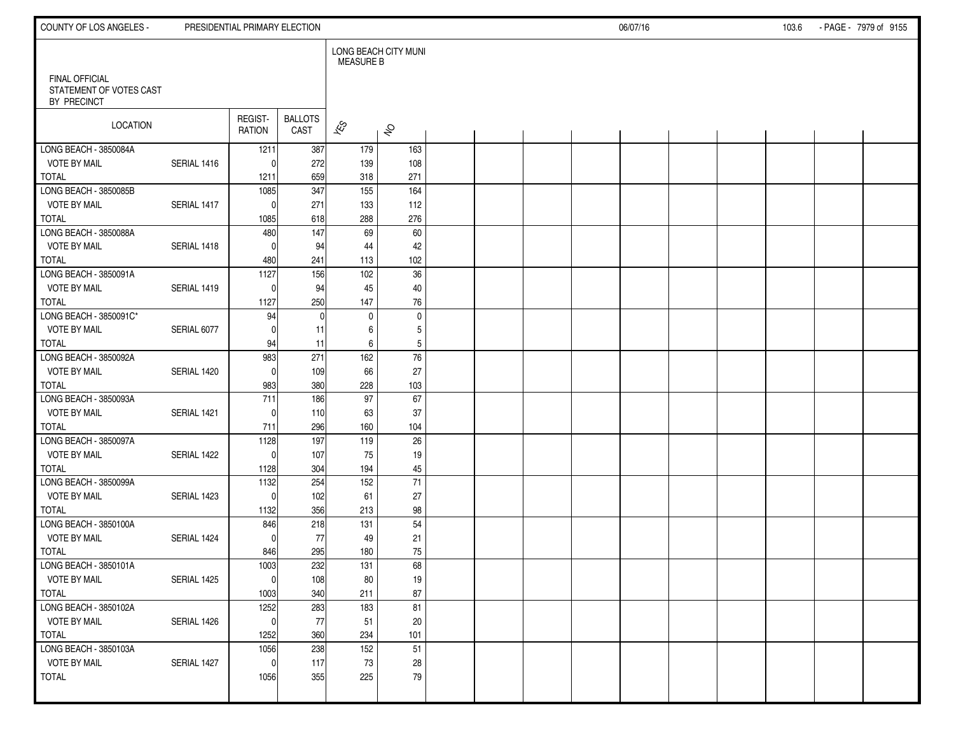| COUNTY OF LOS ANGELES -                |             | PRESIDENTIAL PRIMARY ELECTION |                        |                                          |                     |  |  | 06/07/16 |  | 103.6 | - PAGE - 7979 of 9155 |  |
|----------------------------------------|-------------|-------------------------------|------------------------|------------------------------------------|---------------------|--|--|----------|--|-------|-----------------------|--|
| <b>FINAL OFFICIAL</b>                  |             |                               |                        | LONG BEACH CITY MUNI<br><b>MEASURE B</b> |                     |  |  |          |  |       |                       |  |
| STATEMENT OF VOTES CAST<br>BY PRECINCT |             |                               |                        |                                          |                     |  |  |          |  |       |                       |  |
| LOCATION                               |             | REGIST-<br>RATION             | <b>BALLOTS</b><br>CAST | $\overline{\mathcal{K}}$ S               | $\hat{\mathcal{S}}$ |  |  |          |  |       |                       |  |
| LONG BEACH - 3850084A                  |             | 1211                          | 387                    | 179                                      | 163                 |  |  |          |  |       |                       |  |
| <b>VOTE BY MAIL</b>                    | SERIAL 1416 | $\Omega$                      | 272                    | 139                                      | 108                 |  |  |          |  |       |                       |  |
| <b>TOTAL</b>                           |             | 1211                          | 659                    | 318                                      | 271                 |  |  |          |  |       |                       |  |
| LONG BEACH - 3850085B                  |             | 1085                          | 347                    | 155                                      | 164                 |  |  |          |  |       |                       |  |
| <b>VOTE BY MAIL</b>                    | SERIAL 1417 | $\Omega$                      | 271                    | 133                                      | 112                 |  |  |          |  |       |                       |  |
| <b>TOTAL</b>                           |             | 1085                          | 618                    | 288                                      | 276                 |  |  |          |  |       |                       |  |
| LONG BEACH - 3850088A                  |             | 480                           | 147                    | 69                                       | 60                  |  |  |          |  |       |                       |  |
| <b>VOTE BY MAIL</b>                    | SERIAL 1418 | $\Omega$                      | 94                     | 44                                       | 42                  |  |  |          |  |       |                       |  |
| <b>TOTAL</b>                           |             | 480                           | 241                    | 113                                      | 102                 |  |  |          |  |       |                       |  |
| LONG BEACH - 3850091A                  |             | 1127                          | 156                    | 102                                      | 36                  |  |  |          |  |       |                       |  |
| <b>VOTE BY MAIL</b>                    | SERIAL 1419 | $\Omega$                      | 94                     | 45                                       | 40                  |  |  |          |  |       |                       |  |
| <b>TOTAL</b>                           |             | 1127                          | 250                    | 147                                      | $76\,$              |  |  |          |  |       |                       |  |
| LONG BEACH - 3850091C*                 |             | 94                            | $\mathbf{0}$           | $\mathbf 0$                              | $\pmb{0}$           |  |  |          |  |       |                       |  |
| <b>VOTE BY MAIL</b>                    | SERIAL 6077 | $\mathbf 0$                   | 11                     | 6                                        | 5                   |  |  |          |  |       |                       |  |
| <b>TOTAL</b>                           |             | 94                            | 11                     | $\,6$                                    | 5                   |  |  |          |  |       |                       |  |
| LONG BEACH - 3850092A                  |             | 983                           | 271                    | 162                                      | 76                  |  |  |          |  |       |                       |  |
| <b>VOTE BY MAIL</b>                    | SERIAL 1420 | $\Omega$                      | 109                    | 66                                       | 27                  |  |  |          |  |       |                       |  |
| <b>TOTAL</b>                           |             | 983                           | 380                    | 228                                      | 103                 |  |  |          |  |       |                       |  |
| LONG BEACH - 3850093A                  |             | 711                           | 186                    | 97                                       | 67                  |  |  |          |  |       |                       |  |
| <b>VOTE BY MAIL</b>                    | SERIAL 1421 | $\mathbf{0}$                  | 110                    | 63                                       | 37                  |  |  |          |  |       |                       |  |
| <b>TOTAL</b><br>LONG BEACH - 3850097A  |             | 711<br>1128                   | 296<br>197             | 160<br>119                               | 104<br>26           |  |  |          |  |       |                       |  |
| <b>VOTE BY MAIL</b>                    | SERIAL 1422 | $\Omega$                      | 107                    | 75                                       | 19                  |  |  |          |  |       |                       |  |
| <b>TOTAL</b>                           |             | 1128                          | 304                    | 194                                      | 45                  |  |  |          |  |       |                       |  |
| LONG BEACH - 3850099A                  |             | 1132                          | 254                    | 152                                      | $\overline{71}$     |  |  |          |  |       |                       |  |
| <b>VOTE BY MAIL</b>                    | SERIAL 1423 | $\mathbf{0}$                  | 102                    | 61                                       | 27                  |  |  |          |  |       |                       |  |
| <b>TOTAL</b>                           |             | 1132                          | 356                    | 213                                      | 98                  |  |  |          |  |       |                       |  |
| LONG BEACH - 3850100A                  |             | 846                           | 218                    | 131                                      | 54                  |  |  |          |  |       |                       |  |
| <b>VOTE BY MAIL</b>                    | SERIAL 1424 | $\Omega$                      | 77                     | 49                                       | 21                  |  |  |          |  |       |                       |  |
|                                        |             | 846                           | 295                    | 180                                      | 75                  |  |  |          |  |       |                       |  |
| TOTAL<br>LONG BEACH - 3850101A         |             | 1003                          | 232                    | 131                                      | 68                  |  |  |          |  |       |                       |  |
| <b>VOTE BY MAIL</b>                    | SERIAL 1425 | $\Omega$                      | 108                    | 80                                       | 19                  |  |  |          |  |       |                       |  |
| <b>TOTAL</b>                           |             | 1003                          | 340                    | 211                                      | $87\,$              |  |  |          |  |       |                       |  |
| LONG BEACH - 3850102A                  |             | 1252                          | 283                    | 183                                      | 81                  |  |  |          |  |       |                       |  |
| <b>VOTE BY MAIL</b>                    | SERIAL 1426 | $\mathbf{0}$                  | 77                     | 51                                       | 20                  |  |  |          |  |       |                       |  |
| <b>TOTAL</b>                           |             | 1252                          | 360                    | 234                                      | 101                 |  |  |          |  |       |                       |  |
| LONG BEACH - 3850103A                  |             | 1056                          | 238                    | 152                                      | 51                  |  |  |          |  |       |                       |  |
| <b>VOTE BY MAIL</b>                    | SERIAL 1427 | $\mathbf{0}$                  | 117                    | 73                                       | 28                  |  |  |          |  |       |                       |  |
| <b>TOTAL</b>                           |             | 1056                          | 355                    | 225                                      | 79                  |  |  |          |  |       |                       |  |
|                                        |             |                               |                        |                                          |                     |  |  |          |  |       |                       |  |
|                                        |             |                               |                        |                                          |                     |  |  |          |  |       |                       |  |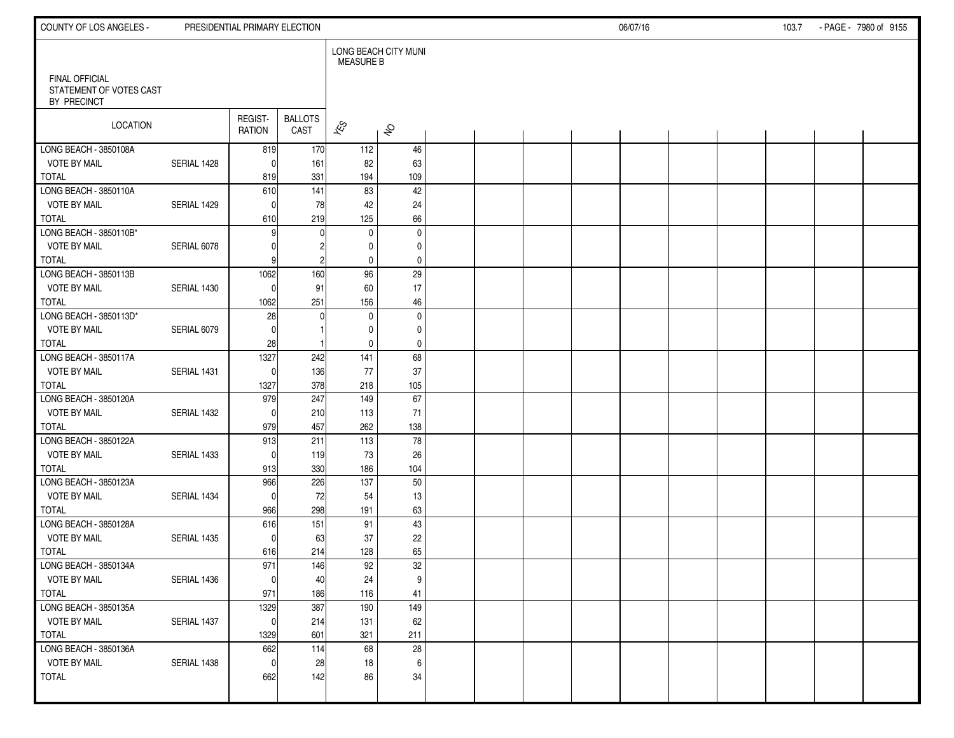| COUNTY OF LOS ANGELES -                                         |             | PRESIDENTIAL PRIMARY ELECTION |                        |                                          |                     |  |  | 06/07/16 |  | 103.7 | - PAGE - 7980 of 9155 |  |
|-----------------------------------------------------------------|-------------|-------------------------------|------------------------|------------------------------------------|---------------------|--|--|----------|--|-------|-----------------------|--|
|                                                                 |             |                               |                        | LONG BEACH CITY MUNI<br><b>MEASURE B</b> |                     |  |  |          |  |       |                       |  |
| <b>FINAL OFFICIAL</b><br>STATEMENT OF VOTES CAST<br>BY PRECINCT |             |                               |                        |                                          |                     |  |  |          |  |       |                       |  |
| LOCATION                                                        |             | REGIST-<br><b>RATION</b>      | <b>BALLOTS</b><br>CAST | $\overline{\mathscr{K}}$                 | $\hat{\mathcal{S}}$ |  |  |          |  |       |                       |  |
| LONG BEACH - 3850108A                                           |             | 819                           | 170                    | 112                                      | 46                  |  |  |          |  |       |                       |  |
| <b>VOTE BY MAIL</b>                                             | SERIAL 1428 | $\Omega$                      | 161                    | 82                                       | 63                  |  |  |          |  |       |                       |  |
| <b>TOTAL</b>                                                    |             | 819                           | 331                    | 194                                      | 109                 |  |  |          |  |       |                       |  |
| LONG BEACH - 3850110A                                           |             | 610                           | 141                    | 83                                       | 42                  |  |  |          |  |       |                       |  |
| <b>VOTE BY MAIL</b>                                             | SERIAL 1429 | $\Omega$                      | 78                     | 42                                       | 24                  |  |  |          |  |       |                       |  |
| <b>TOTAL</b>                                                    |             | 610                           | 219                    | 125                                      | 66                  |  |  |          |  |       |                       |  |
| LONG BEACH - 3850110B*                                          |             |                               |                        | $\mathbf 0$                              | $\pmb{0}$           |  |  |          |  |       |                       |  |
| <b>VOTE BY MAIL</b>                                             | SERIAL 6078 |                               |                        | $\mathbf 0$                              | $\mathbf 0$         |  |  |          |  |       |                       |  |
| <b>TOTAL</b>                                                    |             |                               |                        | $\mathbf 0$                              | $\pmb{0}$           |  |  |          |  |       |                       |  |
| LONG BEACH - 3850113B                                           |             | 1062                          | 160                    | 96                                       | 29                  |  |  |          |  |       |                       |  |
| <b>VOTE BY MAIL</b>                                             | SERIAL 1430 | $\Omega$                      | 91                     | 60                                       | 17                  |  |  |          |  |       |                       |  |
| <b>TOTAL</b>                                                    |             | 1062                          | 251                    | 156                                      | $46\,$              |  |  |          |  |       |                       |  |
| LONG BEACH - 3850113D*                                          |             | 28                            |                        | $\mathbf 0$                              | $\mathbf 0$         |  |  |          |  |       |                       |  |
| <b>VOTE BY MAIL</b>                                             | SERIAL 6079 | $\mathbf{0}$                  |                        | 0                                        | 0                   |  |  |          |  |       |                       |  |
| <b>TOTAL</b>                                                    |             | 28                            |                        | $\mathbf 0$                              | $\mathbf 0$         |  |  |          |  |       |                       |  |
| LONG BEACH - 3850117A                                           |             | 1327                          | 242                    | 141                                      | 68                  |  |  |          |  |       |                       |  |
| <b>VOTE BY MAIL</b>                                             | SERIAL 1431 | $\mathbf{0}$                  | 136                    | 77                                       | 37                  |  |  |          |  |       |                       |  |
| <b>TOTAL</b>                                                    |             | 1327                          | 378                    | 218                                      | 105                 |  |  |          |  |       |                       |  |
| LONG BEACH - 3850120A                                           |             | 979                           | 247                    | 149                                      | 67                  |  |  |          |  |       |                       |  |
| <b>VOTE BY MAIL</b>                                             | SERIAL 1432 | $\Omega$                      | 210                    | 113                                      | 71                  |  |  |          |  |       |                       |  |
| <b>TOTAL</b>                                                    |             | 979                           | 457                    | 262                                      | 138                 |  |  |          |  |       |                       |  |
| LONG BEACH - 3850122A                                           |             | 913                           | 211                    | 113                                      | $\overline{78}$     |  |  |          |  |       |                       |  |
| <b>VOTE BY MAIL</b>                                             | SERIAL 1433 | $\Omega$                      | 119                    | 73                                       | 26                  |  |  |          |  |       |                       |  |
| <b>TOTAL</b>                                                    |             | 913                           | 330                    | 186                                      | 104                 |  |  |          |  |       |                       |  |
| LONG BEACH - 3850123A                                           |             | 966                           | 226                    | 137                                      | 50                  |  |  |          |  |       |                       |  |
| <b>VOTE BY MAIL</b>                                             | SERIAL 1434 | $\mathbf{0}$                  | $72\,$                 | 54                                       | 13                  |  |  |          |  |       |                       |  |
| <b>TOTAL</b>                                                    |             | 966                           | 298                    | 191                                      | 63                  |  |  |          |  |       |                       |  |
| LONG BEACH - 3850128A                                           |             | 616                           | 151                    | 91                                       | 43                  |  |  |          |  |       |                       |  |
| VOTE BY MAIL                                                    | SERIAL 1435 | $\Omega$                      | 63                     | 37                                       | 22                  |  |  |          |  |       |                       |  |
| TOTAL                                                           |             | 616                           | 214                    | 128                                      | 65                  |  |  |          |  |       |                       |  |
| LONG BEACH - 3850134A                                           |             | 971                           | 146                    | 92                                       | 32                  |  |  |          |  |       |                       |  |
| <b>VOTE BY MAIL</b>                                             | SERIAL 1436 | $\Omega$                      | 40                     | 24                                       | 9                   |  |  |          |  |       |                       |  |
| <b>TOTAL</b>                                                    |             | 971                           | 186                    | 116                                      | 41                  |  |  |          |  |       |                       |  |
| LONG BEACH - 3850135A                                           |             | 1329                          | 387                    | 190                                      | 149                 |  |  |          |  |       |                       |  |
| <b>VOTE BY MAIL</b>                                             | SERIAL 1437 | $\Omega$                      | 214                    | 131                                      | 62                  |  |  |          |  |       |                       |  |
| <b>TOTAL</b>                                                    |             | 1329                          | 601                    | 321                                      | 211                 |  |  |          |  |       |                       |  |
| LONG BEACH - 3850136A                                           |             | 662                           | 114                    | 68                                       | 28                  |  |  |          |  |       |                       |  |
| <b>VOTE BY MAIL</b>                                             | SERIAL 1438 | $\mathbf{0}$                  | 28                     | 18                                       | 6                   |  |  |          |  |       |                       |  |
| <b>TOTAL</b>                                                    |             | 662                           | 142                    | 86                                       | 34                  |  |  |          |  |       |                       |  |
|                                                                 |             |                               |                        |                                          |                     |  |  |          |  |       |                       |  |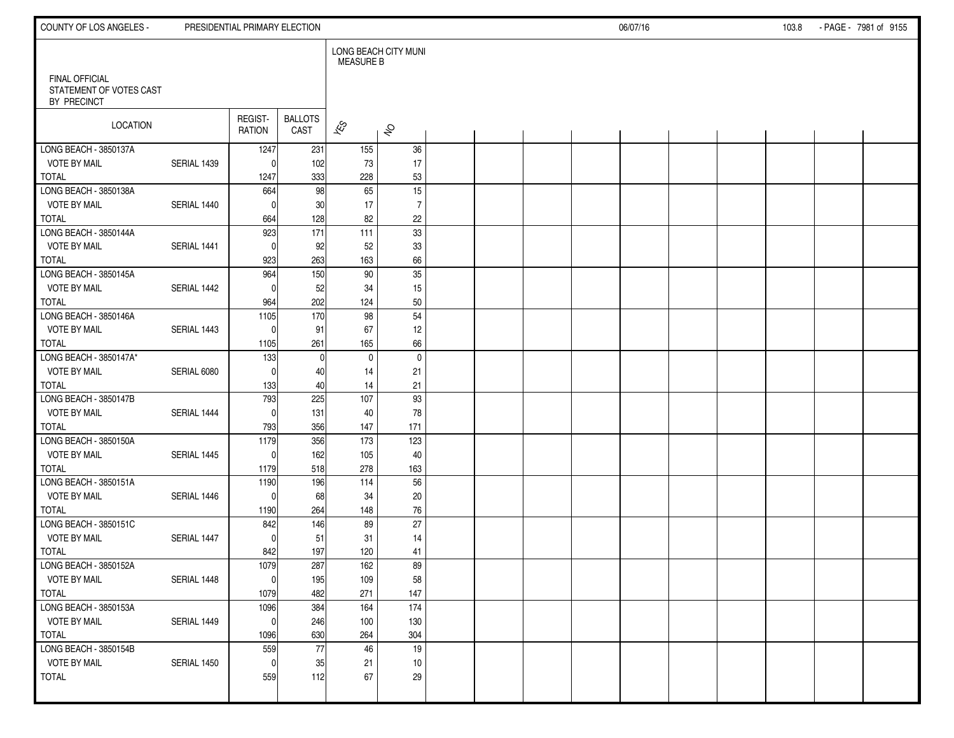| COUNTY OF LOS ANGELES -                                         |             | PRESIDENTIAL PRIMARY ELECTION |                        |                            |                      |  |  | 06/07/16 |  | 103.8 | - PAGE - 7981 of 9155 |  |
|-----------------------------------------------------------------|-------------|-------------------------------|------------------------|----------------------------|----------------------|--|--|----------|--|-------|-----------------------|--|
|                                                                 |             |                               |                        | <b>MEASURE B</b>           | LONG BEACH CITY MUNI |  |  |          |  |       |                       |  |
| <b>FINAL OFFICIAL</b><br>STATEMENT OF VOTES CAST<br>BY PRECINCT |             |                               |                        |                            |                      |  |  |          |  |       |                       |  |
| LOCATION                                                        |             | REGIST-<br>RATION             | <b>BALLOTS</b><br>CAST | $\overline{\mathcal{K}}$ S | $\hat{\mathcal{S}}$  |  |  |          |  |       |                       |  |
| LONG BEACH - 3850137A                                           |             | 1247                          | 231                    | 155                        | 36                   |  |  |          |  |       |                       |  |
| <b>VOTE BY MAIL</b>                                             | SERIAL 1439 | $\Omega$                      | 102                    | 73                         | 17                   |  |  |          |  |       |                       |  |
| <b>TOTAL</b>                                                    |             | 1247                          | 333                    | 228                        | 53                   |  |  |          |  |       |                       |  |
| LONG BEACH - 3850138A                                           |             | 664                           | 98                     | 65                         | 15                   |  |  |          |  |       |                       |  |
| <b>VOTE BY MAIL</b>                                             | SERIAL 1440 | $\Omega$                      | 30                     | 17                         | $\overline{7}$       |  |  |          |  |       |                       |  |
| <b>TOTAL</b>                                                    |             | 664                           | 128                    | 82                         | 22                   |  |  |          |  |       |                       |  |
| LONG BEACH - 3850144A                                           |             | 923                           | 171                    | 111                        | 33                   |  |  |          |  |       |                       |  |
| <b>VOTE BY MAIL</b>                                             | SERIAL 1441 | $\Omega$                      | 92                     | 52                         | $33\,$               |  |  |          |  |       |                       |  |
| <b>TOTAL</b>                                                    |             | 923                           | 263                    | 163                        | 66                   |  |  |          |  |       |                       |  |
| LONG BEACH - 3850145A                                           |             | 964                           | 150                    | $90\,$                     | 35                   |  |  |          |  |       |                       |  |
| <b>VOTE BY MAIL</b>                                             | SERIAL 1442 | $\Omega$                      | 52                     | 34                         | 15                   |  |  |          |  |       |                       |  |
| <b>TOTAL</b>                                                    |             | 964                           | 202                    | 124                        | $50\,$               |  |  |          |  |       |                       |  |
| LONG BEACH - 3850146A                                           |             | 1105                          | 170                    | 98                         | 54                   |  |  |          |  |       |                       |  |
| <b>VOTE BY MAIL</b>                                             | SERIAL 1443 | $\Omega$                      | 91                     | 67                         | 12                   |  |  |          |  |       |                       |  |
| <b>TOTAL</b>                                                    |             | 1105                          | 261                    | 165                        | 66                   |  |  |          |  |       |                       |  |
| LONG BEACH - 3850147A*                                          |             | 133                           | $\Omega$               | $\mathbf 0$                | $\pmb{0}$            |  |  |          |  |       |                       |  |
| <b>VOTE BY MAIL</b>                                             | SERIAL 6080 | $\Omega$                      | 40                     | 14                         | 21                   |  |  |          |  |       |                       |  |
| <b>TOTAL</b>                                                    |             | 133                           | 40                     | 14                         | 21                   |  |  |          |  |       |                       |  |
| LONG BEACH - 3850147B                                           |             | 793                           | 225                    | 107                        | 93                   |  |  |          |  |       |                       |  |
| <b>VOTE BY MAIL</b>                                             | SERIAL 1444 | $\Omega$                      | 131                    | 40                         | 78                   |  |  |          |  |       |                       |  |
| <b>TOTAL</b>                                                    |             | 793                           | 356                    | 147                        | 171                  |  |  |          |  |       |                       |  |
| LONG BEACH - 3850150A                                           |             | 1179                          | 356                    | 173                        | 123                  |  |  |          |  |       |                       |  |
| <b>VOTE BY MAIL</b>                                             | SERIAL 1445 | $\Omega$                      | 162                    | 105                        | 40                   |  |  |          |  |       |                       |  |
| <b>TOTAL</b>                                                    |             | 1179                          | 518                    | 278                        | 163                  |  |  |          |  |       |                       |  |
| LONG BEACH - 3850151A                                           |             | 1190                          | 196                    | 114                        | 56                   |  |  |          |  |       |                       |  |
| <b>VOTE BY MAIL</b>                                             | SERIAL 1446 | $\mathbf{0}$                  | 68                     | 34                         | $20\,$               |  |  |          |  |       |                       |  |
| <b>TOTAL</b><br>LONG BEACH - 3850151C                           |             | 1190                          | 264                    | 148                        | $76\,$<br>27         |  |  |          |  |       |                       |  |
| <b>VOTE BY MAIL</b>                                             | SERIAL 1447 | 842<br>$\Omega$               | 146                    | 89                         |                      |  |  |          |  |       |                       |  |
|                                                                 |             |                               | 51<br>197              | 31                         | 14                   |  |  |          |  |       |                       |  |
| TOTAL                                                           |             | 842                           |                        | 120                        | 41                   |  |  |          |  |       |                       |  |
| LONG BEACH - 3850152A<br><b>VOTE BY MAIL</b>                    | SERIAL 1448 | 1079<br>$\Omega$              | 287                    | 162<br>109                 | 89<br>58             |  |  |          |  |       |                       |  |
| <b>TOTAL</b>                                                    |             | 1079                          | 195<br>482             | 271                        | 147                  |  |  |          |  |       |                       |  |
| LONG BEACH - 3850153A                                           |             | 1096                          | 384                    | 164                        | 174                  |  |  |          |  |       |                       |  |
| <b>VOTE BY MAIL</b>                                             | SERIAL 1449 | $\mathbf{0}$                  | 246                    | 100                        | 130                  |  |  |          |  |       |                       |  |
| <b>TOTAL</b>                                                    |             | 1096                          | 630                    | 264                        | 304                  |  |  |          |  |       |                       |  |
| LONG BEACH - 3850154B                                           |             | 559                           | 77                     | 46                         | 19                   |  |  |          |  |       |                       |  |
| <b>VOTE BY MAIL</b>                                             | SERIAL 1450 | $\Omega$                      | 35                     | 21                         | 10                   |  |  |          |  |       |                       |  |
| <b>TOTAL</b>                                                    |             | 559                           | 112                    | 67                         | 29                   |  |  |          |  |       |                       |  |
|                                                                 |             |                               |                        |                            |                      |  |  |          |  |       |                       |  |
|                                                                 |             |                               |                        |                            |                      |  |  |          |  |       |                       |  |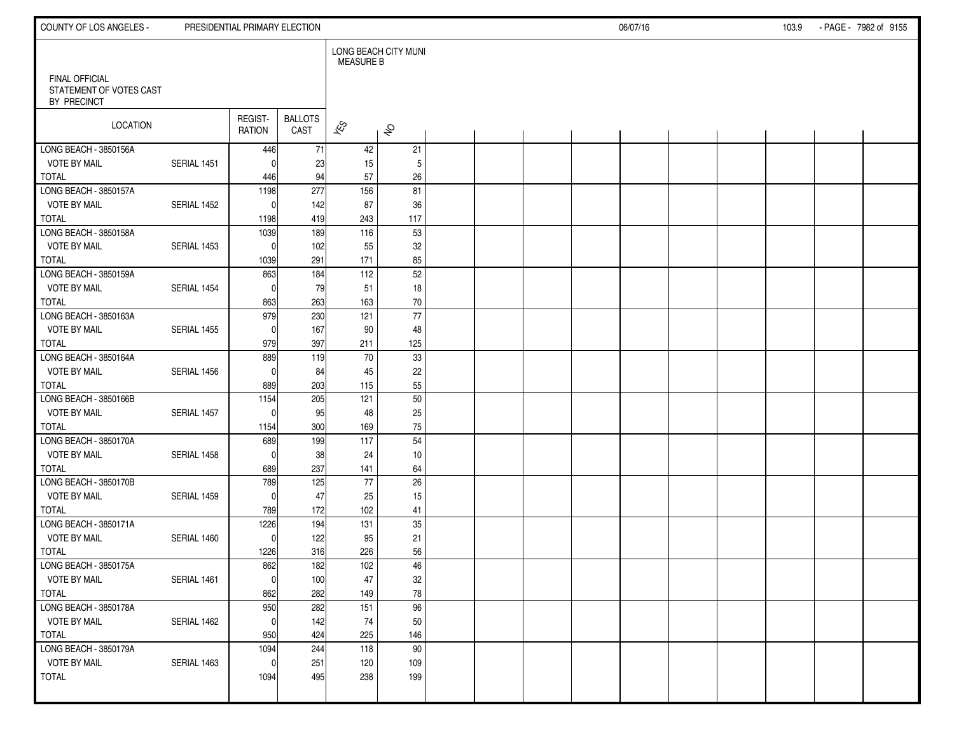| COUNTY OF LOS ANGELES -                |             | PRESIDENTIAL PRIMARY ELECTION |                        |                                          |                     |  |  | 06/07/16 |  | 103.9 | - PAGE - 7982 of 9155 |  |
|----------------------------------------|-------------|-------------------------------|------------------------|------------------------------------------|---------------------|--|--|----------|--|-------|-----------------------|--|
| <b>FINAL OFFICIAL</b>                  |             |                               |                        | LONG BEACH CITY MUNI<br><b>MEASURE B</b> |                     |  |  |          |  |       |                       |  |
| STATEMENT OF VOTES CAST<br>BY PRECINCT |             |                               |                        |                                          |                     |  |  |          |  |       |                       |  |
| LOCATION                               |             | REGIST-<br>RATION             | <b>BALLOTS</b><br>CAST | $\overline{\mathcal{K}}$ S               | $\hat{\mathcal{S}}$ |  |  |          |  |       |                       |  |
| LONG BEACH - 3850156A                  |             | 446                           | 71                     | 42                                       | 21                  |  |  |          |  |       |                       |  |
| <b>VOTE BY MAIL</b>                    | SERIAL 1451 | $\Omega$                      | 23                     | 15                                       | 5                   |  |  |          |  |       |                       |  |
| <b>TOTAL</b>                           |             | 446                           | 94                     | 57                                       | 26                  |  |  |          |  |       |                       |  |
| LONG BEACH - 3850157A                  |             | 1198                          | 277                    | 156                                      | 81                  |  |  |          |  |       |                       |  |
| <b>VOTE BY MAIL</b>                    | SERIAL 1452 | $\Omega$                      | 142                    | 87                                       | 36                  |  |  |          |  |       |                       |  |
| <b>TOTAL</b>                           |             | 1198                          | 419                    | 243                                      | 117                 |  |  |          |  |       |                       |  |
| LONG BEACH - 3850158A                  |             | 1039                          | 189                    | 116                                      | 53                  |  |  |          |  |       |                       |  |
| <b>VOTE BY MAIL</b>                    | SERIAL 1453 | $\mathbf{0}$                  | 102                    | 55                                       | $32\,$              |  |  |          |  |       |                       |  |
| <b>TOTAL</b>                           |             | 1039                          | 291                    | 171                                      | 85                  |  |  |          |  |       |                       |  |
| LONG BEACH - 3850159A                  |             | 863                           | 184                    | 112                                      | 52                  |  |  |          |  |       |                       |  |
| <b>VOTE BY MAIL</b>                    | SERIAL 1454 | $\Omega$                      | 79                     | 51                                       | $18$                |  |  |          |  |       |                       |  |
| <b>TOTAL</b>                           |             | 863                           | 263                    | 163                                      | $70\,$              |  |  |          |  |       |                       |  |
| LONG BEACH - 3850163A                  |             | 979                           | 230                    | 121                                      | $\overline{77}$     |  |  |          |  |       |                       |  |
| <b>VOTE BY MAIL</b>                    | SERIAL 1455 | $\mathbf{0}$                  | 167                    | 90                                       | 48                  |  |  |          |  |       |                       |  |
| <b>TOTAL</b>                           |             | 979                           | 397                    | 211                                      | 125                 |  |  |          |  |       |                       |  |
| LONG BEACH - 3850164A                  |             | 889                           | 119                    | $70\,$                                   | $33\,$              |  |  |          |  |       |                       |  |
| <b>VOTE BY MAIL</b>                    | SERIAL 1456 | $\Omega$                      | 84                     | 45                                       | 22                  |  |  |          |  |       |                       |  |
| <b>TOTAL</b>                           |             | 889                           | 203                    | 115                                      | 55                  |  |  |          |  |       |                       |  |
| LONG BEACH - 3850166B                  |             | 1154                          | 205                    | 121                                      | 50                  |  |  |          |  |       |                       |  |
| <b>VOTE BY MAIL</b>                    | SERIAL 1457 | $\Omega$                      | 95                     | 48                                       | 25                  |  |  |          |  |       |                       |  |
| <b>TOTAL</b>                           |             | 1154                          | 300                    | 169                                      | $75\,$              |  |  |          |  |       |                       |  |
| LONG BEACH - 3850170A                  |             | 689                           | 199                    | 117                                      | 54                  |  |  |          |  |       |                       |  |
| <b>VOTE BY MAIL</b>                    | SERIAL 1458 | $\Omega$                      | 38                     | 24                                       | 10                  |  |  |          |  |       |                       |  |
| <b>TOTAL</b>                           |             | 689                           | 237                    | 141                                      | 64                  |  |  |          |  |       |                       |  |
| LONG BEACH - 3850170B                  |             | 789                           | 125                    | $77\,$                                   | 26                  |  |  |          |  |       |                       |  |
| <b>VOTE BY MAIL</b>                    | SERIAL 1459 | $\mathbf{0}$                  | 47                     | 25                                       | 15                  |  |  |          |  |       |                       |  |
| <b>TOTAL</b>                           |             | 789                           | 172                    | 102                                      | 41                  |  |  |          |  |       |                       |  |
| LONG BEACH - 3850171A                  |             | 1226                          | 194                    | 131                                      | $35\,$              |  |  |          |  |       |                       |  |
| <b>VOTE BY MAIL</b>                    | SERIAL 1460 | $\Omega$                      | 122                    | 95                                       | 21                  |  |  |          |  |       |                       |  |
| TOTAL                                  |             | 1226                          | 316                    | 226                                      | 56                  |  |  |          |  |       |                       |  |
| LONG BEACH - 3850175A                  |             | 862<br>$\Omega$               | 182                    | 102                                      | 46                  |  |  |          |  |       |                       |  |
| <b>VOTE BY MAIL</b>                    | SERIAL 1461 |                               | 100                    | 47                                       | $32\,$              |  |  |          |  |       |                       |  |
| <b>TOTAL</b><br>LONG BEACH - 3850178A  |             | 862<br>950                    | 282<br>282             | 149<br>151                               | 78<br>96            |  |  |          |  |       |                       |  |
| <b>VOTE BY MAIL</b>                    | SERIAL 1462 | $\mathbf{0}$                  | 142                    | 74                                       | 50                  |  |  |          |  |       |                       |  |
| <b>TOTAL</b>                           |             | 950                           | 424                    | 225                                      | 146                 |  |  |          |  |       |                       |  |
| LONG BEACH - 3850179A                  |             | 1094                          | 244                    | 118                                      | 90                  |  |  |          |  |       |                       |  |
| <b>VOTE BY MAIL</b>                    | SERIAL 1463 | $\mathbf{0}$                  | 251                    | 120                                      | 109                 |  |  |          |  |       |                       |  |
| <b>TOTAL</b>                           |             | 1094                          | 495                    | 238                                      | 199                 |  |  |          |  |       |                       |  |
|                                        |             |                               |                        |                                          |                     |  |  |          |  |       |                       |  |
|                                        |             |                               |                        |                                          |                     |  |  |          |  |       |                       |  |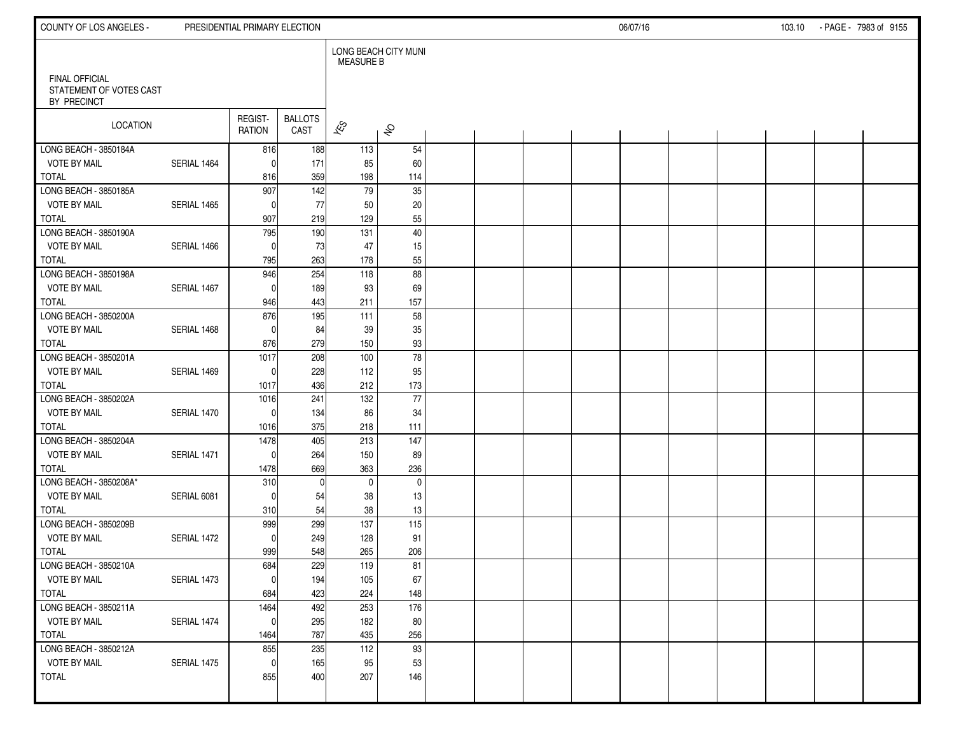| COUNTY OF LOS ANGELES -                                         |             | PRESIDENTIAL PRIMARY ELECTION |                        |                                          |                     |  |  | 06/07/16 |  | 103.10 - PAGE - 7983 of 9155 |  |
|-----------------------------------------------------------------|-------------|-------------------------------|------------------------|------------------------------------------|---------------------|--|--|----------|--|------------------------------|--|
|                                                                 |             |                               |                        | LONG BEACH CITY MUNI<br><b>MEASURE B</b> |                     |  |  |          |  |                              |  |
| <b>FINAL OFFICIAL</b><br>STATEMENT OF VOTES CAST<br>BY PRECINCT |             |                               |                        |                                          |                     |  |  |          |  |                              |  |
| LOCATION                                                        |             | REGIST-<br>RATION             | <b>BALLOTS</b><br>CAST | $\overline{\mathcal{K}}$ S               | $\hat{\mathcal{S}}$ |  |  |          |  |                              |  |
| LONG BEACH - 3850184A                                           |             | 816                           | 188                    | 113                                      | 54                  |  |  |          |  |                              |  |
| <b>VOTE BY MAIL</b>                                             | SERIAL 1464 | $\Omega$                      | 171                    | 85                                       | 60                  |  |  |          |  |                              |  |
| <b>TOTAL</b>                                                    |             | 816                           | 359                    | 198                                      | 114                 |  |  |          |  |                              |  |
| LONG BEACH - 3850185A                                           |             | 907                           | 142                    | 79                                       | 35                  |  |  |          |  |                              |  |
| <b>VOTE BY MAIL</b>                                             | SERIAL 1465 | $\Omega$                      | 77                     | 50                                       | 20                  |  |  |          |  |                              |  |
| <b>TOTAL</b>                                                    |             | 907                           | 219                    | 129                                      | 55                  |  |  |          |  |                              |  |
| LONG BEACH - 3850190A                                           |             | 795                           | 190                    | 131                                      | 40                  |  |  |          |  |                              |  |
| <b>VOTE BY MAIL</b>                                             | SERIAL 1466 | $\Omega$                      | 73                     | 47                                       | 15                  |  |  |          |  |                              |  |
| <b>TOTAL</b>                                                    |             | 795                           | 263                    | 178                                      | 55                  |  |  |          |  |                              |  |
| LONG BEACH - 3850198A                                           |             | 946                           | 254                    | 118                                      | 88                  |  |  |          |  |                              |  |
| <b>VOTE BY MAIL</b>                                             | SERIAL 1467 | $\Omega$                      | 189                    | 93                                       | 69                  |  |  |          |  |                              |  |
| <b>TOTAL</b>                                                    |             | 946                           | 443                    | 211                                      | 157                 |  |  |          |  |                              |  |
| LONG BEACH - 3850200A                                           |             | 876                           | 195                    | 111                                      | 58                  |  |  |          |  |                              |  |
| <b>VOTE BY MAIL</b>                                             | SERIAL 1468 | $\Omega$                      | 84                     | 39                                       | $35\,$              |  |  |          |  |                              |  |
| <b>TOTAL</b>                                                    |             | 876                           | 279                    | 150                                      | $93\,$              |  |  |          |  |                              |  |
| LONG BEACH - 3850201A                                           |             | 1017                          | 208                    | 100                                      | 78                  |  |  |          |  |                              |  |
| <b>VOTE BY MAIL</b>                                             | SERIAL 1469 | $\Omega$                      | 228                    | 112                                      | 95                  |  |  |          |  |                              |  |
| <b>TOTAL</b>                                                    |             | 1017                          | 436                    | 212                                      | 173                 |  |  |          |  |                              |  |
| LONG BEACH - 3850202A                                           |             | 1016                          | 241                    | 132                                      | $\overline{77}$     |  |  |          |  |                              |  |
| <b>VOTE BY MAIL</b>                                             | SERIAL 1470 | $\Omega$                      | 134                    | 86                                       | 34                  |  |  |          |  |                              |  |
| <b>TOTAL</b><br>LONG BEACH - 3850204A                           |             | 1016                          | 375                    | 218                                      | 111<br>147          |  |  |          |  |                              |  |
| <b>VOTE BY MAIL</b>                                             | SERIAL 1471 | 1478<br>$\Omega$              | 405                    | 213<br>150                               |                     |  |  |          |  |                              |  |
|                                                                 |             |                               | 264                    | 363                                      | 89<br>236           |  |  |          |  |                              |  |
| <b>TOTAL</b><br>LONG BEACH - 3850208A*                          |             | 1478<br>310                   | 669<br>$\mathbf{0}$    | $\mathbf 0$                              | $\mathbf 0$         |  |  |          |  |                              |  |
| <b>VOTE BY MAIL</b>                                             | SERIAL 6081 | $\mathbf{0}$                  |                        |                                          |                     |  |  |          |  |                              |  |
| <b>TOTAL</b>                                                    |             | 310                           | 54<br>54               | 38<br>38                                 | 13<br>13            |  |  |          |  |                              |  |
| LONG BEACH - 3850209B                                           |             | 999                           | 299                    | 137                                      | 115                 |  |  |          |  |                              |  |
| <b>VOTE BY MAIL</b>                                             | SERIAL 1472 | $\Omega$                      | 249                    | 128                                      | 91                  |  |  |          |  |                              |  |
|                                                                 |             | 999                           | 548                    | 265                                      | 206                 |  |  |          |  |                              |  |
| TOTAL<br>LONG BEACH - 3850210A                                  |             | 684                           | 229                    | 119                                      | 81                  |  |  |          |  |                              |  |
| <b>VOTE BY MAIL</b>                                             | SERIAL 1473 | $\Omega$                      | 194                    | 105                                      | 67                  |  |  |          |  |                              |  |
| <b>TOTAL</b>                                                    |             | 684                           | 423                    | 224                                      | 148                 |  |  |          |  |                              |  |
| LONG BEACH - 3850211A                                           |             | 1464                          | 492                    | 253                                      | 176                 |  |  |          |  |                              |  |
| <b>VOTE BY MAIL</b>                                             | SERIAL 1474 | $\mathbf 0$                   | 295                    | 182                                      | 80                  |  |  |          |  |                              |  |
| <b>TOTAL</b>                                                    |             | 1464                          | 787                    | 435                                      | 256                 |  |  |          |  |                              |  |
| LONG BEACH - 3850212A                                           |             | 855                           | 235                    | 112                                      | 93                  |  |  |          |  |                              |  |
| <b>VOTE BY MAIL</b>                                             | SERIAL 1475 | $\mathbf{0}$                  | 165                    | 95                                       | 53                  |  |  |          |  |                              |  |
| <b>TOTAL</b>                                                    |             | 855                           | 400                    | 207                                      | 146                 |  |  |          |  |                              |  |
|                                                                 |             |                               |                        |                                          |                     |  |  |          |  |                              |  |
|                                                                 |             |                               |                        |                                          |                     |  |  |          |  |                              |  |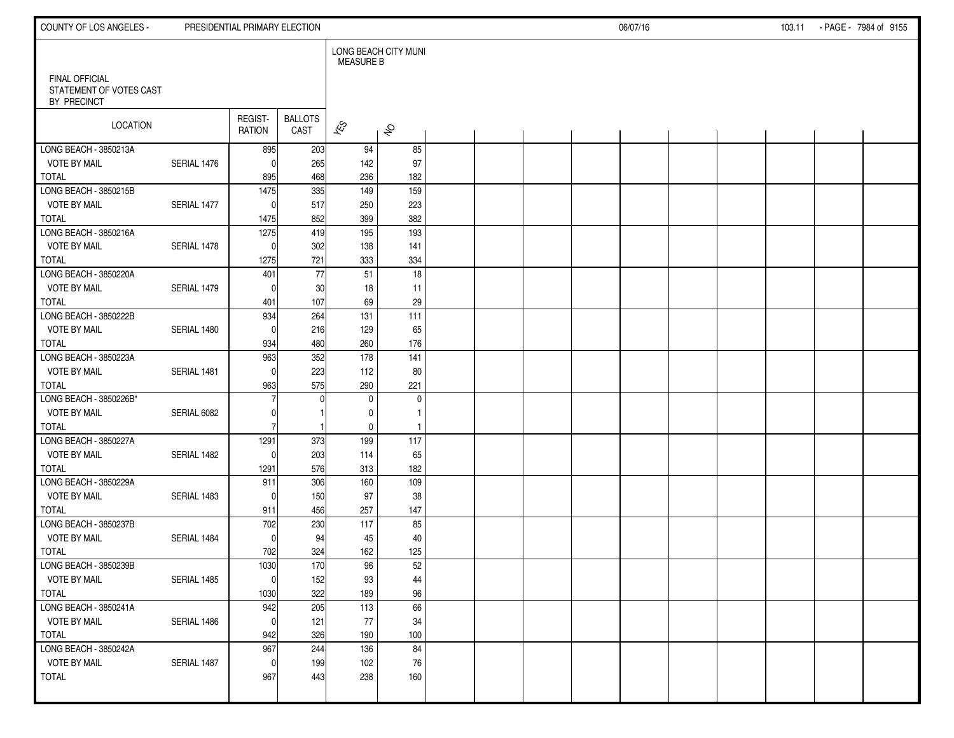| COUNTY OF LOS ANGELES -                |             | PRESIDENTIAL PRIMARY ELECTION |                        |                                          |                     |  |  | 06/07/16 |  | 103.11 - PAGE - 7984 of 9155 |  |
|----------------------------------------|-------------|-------------------------------|------------------------|------------------------------------------|---------------------|--|--|----------|--|------------------------------|--|
| <b>FINAL OFFICIAL</b>                  |             |                               |                        | LONG BEACH CITY MUNI<br><b>MEASURE B</b> |                     |  |  |          |  |                              |  |
| STATEMENT OF VOTES CAST<br>BY PRECINCT |             |                               |                        |                                          |                     |  |  |          |  |                              |  |
| LOCATION                               |             | REGIST-<br>RATION             | <b>BALLOTS</b><br>CAST | $\overline{\mathcal{K}}$ S               | $\hat{\mathcal{S}}$ |  |  |          |  |                              |  |
| LONG BEACH - 3850213A                  |             | 895                           | 203                    | 94                                       | 85                  |  |  |          |  |                              |  |
| <b>VOTE BY MAIL</b>                    | SERIAL 1476 | $\Omega$                      | 265                    | 142                                      | 97                  |  |  |          |  |                              |  |
| <b>TOTAL</b>                           |             | 895                           | 468                    | 236                                      | 182                 |  |  |          |  |                              |  |
| LONG BEACH - 3850215B                  |             | 1475                          | 335                    | 149                                      | 159                 |  |  |          |  |                              |  |
| <b>VOTE BY MAIL</b><br><b>TOTAL</b>    | SERIAL 1477 | $\Omega$                      | 517                    | 250                                      | 223                 |  |  |          |  |                              |  |
| LONG BEACH - 3850216A                  |             | 1475<br>1275                  | 852<br>419             | 399<br>195                               | 382<br>193          |  |  |          |  |                              |  |
| <b>VOTE BY MAIL</b>                    | SERIAL 1478 | $\Omega$                      | 302                    | 138                                      | 141                 |  |  |          |  |                              |  |
| <b>TOTAL</b>                           |             | 1275                          | 721                    | 333                                      | 334                 |  |  |          |  |                              |  |
| LONG BEACH - 3850220A                  |             | 401                           | 77                     | 51                                       | 18                  |  |  |          |  |                              |  |
| <b>VOTE BY MAIL</b>                    | SERIAL 1479 | $\Omega$                      | 30                     | 18                                       | 11                  |  |  |          |  |                              |  |
| <b>TOTAL</b>                           |             | 401                           | 107                    | 69                                       | 29                  |  |  |          |  |                              |  |
| LONG BEACH - 3850222B                  |             | 934                           | 264                    | 131                                      | $111$               |  |  |          |  |                              |  |
| <b>VOTE BY MAIL</b>                    | SERIAL 1480 | $\Omega$                      | 216                    | 129                                      | 65                  |  |  |          |  |                              |  |
| <b>TOTAL</b>                           |             | 934                           | 480                    | 260                                      | 176                 |  |  |          |  |                              |  |
| LONG BEACH - 3850223A                  |             | 963                           | 352                    | 178                                      | 141                 |  |  |          |  |                              |  |
| <b>VOTE BY MAIL</b>                    | SERIAL 1481 | $\Omega$                      | 223                    | 112                                      | 80                  |  |  |          |  |                              |  |
| <b>TOTAL</b>                           |             | 963                           | 575                    | 290                                      | 221                 |  |  |          |  |                              |  |
| LONG BEACH - 3850226B*                 |             |                               |                        | $\mathbf 0$                              | 0                   |  |  |          |  |                              |  |
| <b>VOTE BY MAIL</b>                    | SERIAL 6082 | 0                             |                        | 0                                        | $\mathbf{1}$        |  |  |          |  |                              |  |
| <b>TOTAL</b><br>LONG BEACH - 3850227A  |             |                               |                        | 0<br>199                                 | $\mathbf{1}$<br>117 |  |  |          |  |                              |  |
| <b>VOTE BY MAIL</b>                    | SERIAL 1482 | 1291<br>$\Omega$              | 373<br>203             | 114                                      | 65                  |  |  |          |  |                              |  |
| <b>TOTAL</b>                           |             | 1291                          | 576                    | 313                                      | 182                 |  |  |          |  |                              |  |
| LONG BEACH - 3850229A                  |             | 911                           | 306                    | 160                                      | 109                 |  |  |          |  |                              |  |
| <b>VOTE BY MAIL</b>                    | SERIAL 1483 | $\Omega$                      | 150                    | 97                                       | 38                  |  |  |          |  |                              |  |
| <b>TOTAL</b>                           |             | 911                           | 456                    | 257                                      | 147                 |  |  |          |  |                              |  |
| LONG BEACH - 3850237B                  |             | 702                           | 230                    | 117                                      | 85                  |  |  |          |  |                              |  |
| <b>VOTE BY MAIL</b>                    | SERIAL 1484 | $\Omega$                      | 94                     | 45                                       | 40                  |  |  |          |  |                              |  |
| TOTAL                                  |             | 702                           | 324                    | 162                                      | 125                 |  |  |          |  |                              |  |
| LONG BEACH - 3850239B                  |             | 1030                          | 170                    | 96                                       | 52                  |  |  |          |  |                              |  |
| <b>VOTE BY MAIL</b>                    | SERIAL 1485 | $\Omega$                      | 152                    | 93                                       | 44                  |  |  |          |  |                              |  |
| <b>TOTAL</b>                           |             | 1030                          | 322                    | 189                                      | 96                  |  |  |          |  |                              |  |
| LONG BEACH - 3850241A                  |             | 942                           | 205                    | 113                                      | 66                  |  |  |          |  |                              |  |
| <b>VOTE BY MAIL</b>                    | SERIAL 1486 | $\mathbf{0}$                  | 121                    | 77                                       | 34                  |  |  |          |  |                              |  |
| <b>TOTAL</b>                           |             | 942                           | 326                    | 190                                      | 100                 |  |  |          |  |                              |  |
| LONG BEACH - 3850242A                  |             | 967                           | 244                    | 136                                      | 84                  |  |  |          |  |                              |  |
| <b>VOTE BY MAIL</b>                    | SERIAL 1487 | $\mathbf 0$                   | 199                    | 102                                      | $76\,$              |  |  |          |  |                              |  |
| <b>TOTAL</b>                           |             | 967                           | 443                    | 238                                      | 160                 |  |  |          |  |                              |  |
|                                        |             |                               |                        |                                          |                     |  |  |          |  |                              |  |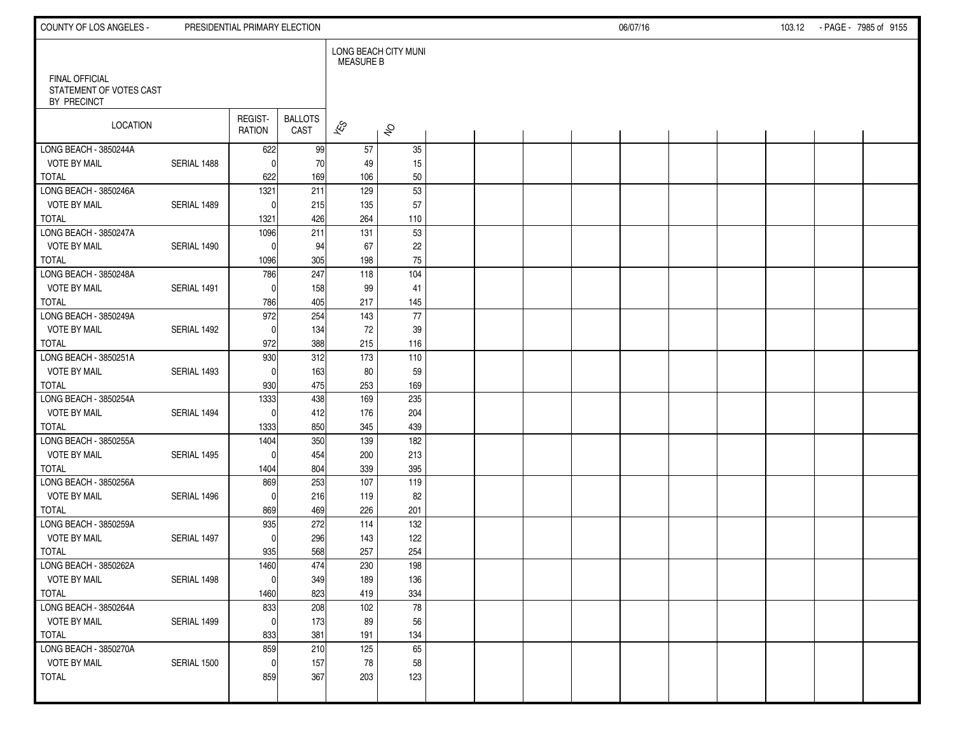| COUNTY OF LOS ANGELES -                                         |             | PRESIDENTIAL PRIMARY ELECTION |                        |                                          |                     |  |  | 06/07/16 |  | 103.12 - PAGE - 7985 of 9155 |  |
|-----------------------------------------------------------------|-------------|-------------------------------|------------------------|------------------------------------------|---------------------|--|--|----------|--|------------------------------|--|
|                                                                 |             |                               |                        | LONG BEACH CITY MUNI<br><b>MEASURE B</b> |                     |  |  |          |  |                              |  |
| <b>FINAL OFFICIAL</b><br>STATEMENT OF VOTES CAST<br>BY PRECINCT |             |                               |                        |                                          |                     |  |  |          |  |                              |  |
| LOCATION                                                        |             | REGIST-<br>RATION             | <b>BALLOTS</b><br>CAST | $\overline{\mathcal{K}}$ S               | $\hat{\mathcal{S}}$ |  |  |          |  |                              |  |
| LONG BEACH - 3850244A                                           |             | 622                           | 99                     | 57                                       | 35                  |  |  |          |  |                              |  |
| <b>VOTE BY MAIL</b>                                             | SERIAL 1488 | $\Omega$                      | 70                     | 49                                       | 15                  |  |  |          |  |                              |  |
| <b>TOTAL</b>                                                    |             | 622                           | 169                    | 106                                      | 50                  |  |  |          |  |                              |  |
| LONG BEACH - 3850246A                                           |             | 1321                          | 211                    | 129                                      | 53                  |  |  |          |  |                              |  |
| <b>VOTE BY MAIL</b>                                             | SERIAL 1489 | $\Omega$                      | 215                    | 135                                      | 57                  |  |  |          |  |                              |  |
| <b>TOTAL</b>                                                    |             | 1321                          | 426                    | 264                                      | 110                 |  |  |          |  |                              |  |
| LONG BEACH - 3850247A                                           |             | 1096                          | 211                    | 131                                      | 53                  |  |  |          |  |                              |  |
| <b>VOTE BY MAIL</b>                                             | SERIAL 1490 | $\Omega$                      | 94                     | 67                                       | 22                  |  |  |          |  |                              |  |
| <b>TOTAL</b>                                                    |             | 1096                          | 305                    | 198                                      | 75                  |  |  |          |  |                              |  |
| LONG BEACH - 3850248A                                           |             | 786                           | 247                    | 118                                      | 104                 |  |  |          |  |                              |  |
| <b>VOTE BY MAIL</b>                                             | SERIAL 1491 | $\Omega$                      | 158                    | 99                                       | 41                  |  |  |          |  |                              |  |
| <b>TOTAL</b>                                                    |             | 786                           | 405                    | 217                                      | 145                 |  |  |          |  |                              |  |
| LONG BEACH - 3850249A                                           |             | 972                           | 254                    | 143                                      | $\overline{77}$     |  |  |          |  |                              |  |
| <b>VOTE BY MAIL</b>                                             | SERIAL 1492 | $\mathbf{0}$                  | 134                    | $72\,$                                   | 39                  |  |  |          |  |                              |  |
| <b>TOTAL</b>                                                    |             | 972                           | 388                    | 215                                      | 116                 |  |  |          |  |                              |  |
| LONG BEACH - 3850251A                                           |             | 930                           | 312                    | 173                                      | 110                 |  |  |          |  |                              |  |
| <b>VOTE BY MAIL</b>                                             | SERIAL 1493 | $\Omega$                      | 163                    | 80                                       | 59                  |  |  |          |  |                              |  |
| <b>TOTAL</b>                                                    |             | 930                           | 475                    | 253                                      | 169                 |  |  |          |  |                              |  |
| LONG BEACH - 3850254A                                           |             | 1333                          | 438                    | 169                                      | 235                 |  |  |          |  |                              |  |
| <b>VOTE BY MAIL</b>                                             | SERIAL 1494 | $\Omega$                      | 412                    | 176                                      | 204                 |  |  |          |  |                              |  |
| <b>TOTAL</b>                                                    |             | 1333                          | 850                    | 345                                      | 439                 |  |  |          |  |                              |  |
| LONG BEACH - 3850255A                                           |             | 1404                          | 350                    | 139                                      | 182                 |  |  |          |  |                              |  |
| <b>VOTE BY MAIL</b>                                             | SERIAL 1495 | $\Omega$                      | 454                    | 200                                      | 213                 |  |  |          |  |                              |  |
| <b>TOTAL</b>                                                    |             | 1404                          | 804                    | 339                                      | 395                 |  |  |          |  |                              |  |
| LONG BEACH - 3850256A                                           |             | 869                           | 253                    | 107                                      | 119                 |  |  |          |  |                              |  |
| <b>VOTE BY MAIL</b>                                             | SERIAL 1496 | $\Omega$                      | 216                    | 119                                      | 82                  |  |  |          |  |                              |  |
| <b>TOTAL</b>                                                    |             | 869                           | 469                    | 226                                      | 201                 |  |  |          |  |                              |  |
| LONG BEACH - 3850259A                                           |             | 935                           | 272                    | 114                                      | 132                 |  |  |          |  |                              |  |
| <b>VOTE BY MAIL</b>                                             | SERIAL 1497 | $\Omega$                      | 296                    | 143                                      | 122                 |  |  |          |  |                              |  |
| TOTAL                                                           |             | 935                           | 568                    | 257                                      | 254                 |  |  |          |  |                              |  |
| LONG BEACH - 3850262A                                           |             | 1460                          | 474                    | 230                                      | 198                 |  |  |          |  |                              |  |
| <b>VOTE BY MAIL</b><br><b>TOTAL</b>                             | SERIAL 1498 | $\Omega$                      | 349<br>823             | 189<br>419                               | 136<br>334          |  |  |          |  |                              |  |
| LONG BEACH - 3850264A                                           |             | 1460<br>833                   | 208                    | 102                                      | $\overline{78}$     |  |  |          |  |                              |  |
| <b>VOTE BY MAIL</b>                                             | SERIAL 1499 | $\mathbf{0}$                  | 173                    | 89                                       | 56                  |  |  |          |  |                              |  |
| <b>TOTAL</b>                                                    |             | 833                           | 381                    | 191                                      | 134                 |  |  |          |  |                              |  |
| LONG BEACH - 3850270A                                           |             | 859                           | 210                    | 125                                      | 65                  |  |  |          |  |                              |  |
| <b>VOTE BY MAIL</b>                                             | SERIAL 1500 | $\mathbf{0}$                  | 157                    | 78                                       | 58                  |  |  |          |  |                              |  |
| <b>TOTAL</b>                                                    |             | 859                           | 367                    | 203                                      | 123                 |  |  |          |  |                              |  |
|                                                                 |             |                               |                        |                                          |                     |  |  |          |  |                              |  |
|                                                                 |             |                               |                        |                                          |                     |  |  |          |  |                              |  |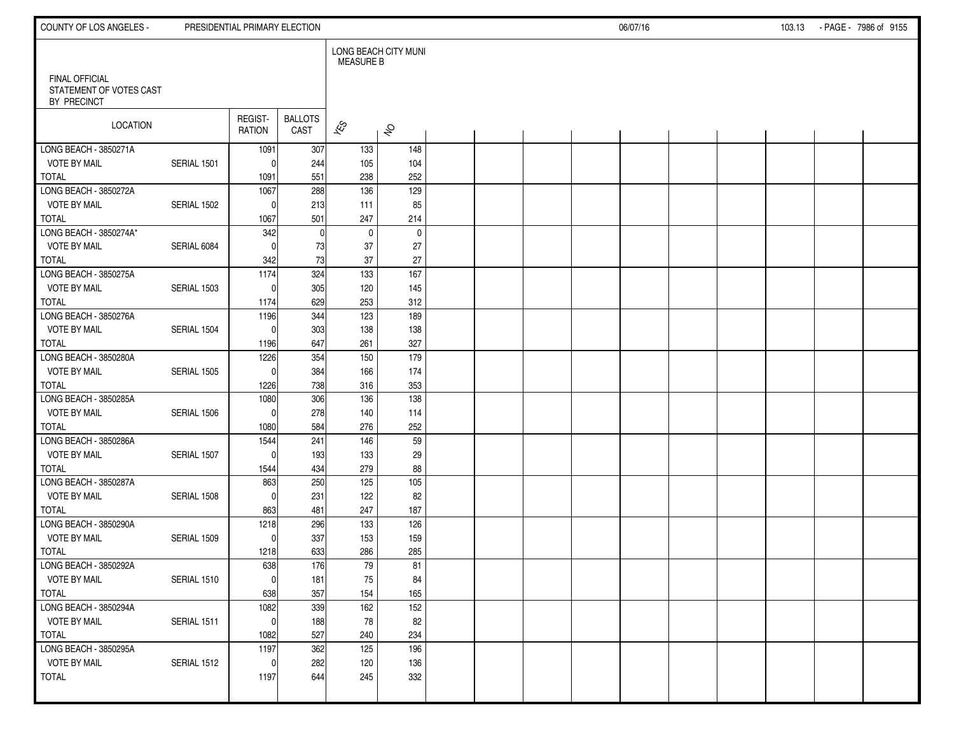| COUNTY OF LOS ANGELES -                      |             | PRESIDENTIAL PRIMARY ELECTION |                        |                                          |                     |  |  | 06/07/16 |  | 103.13 - PAGE - 7986 of 9155 |  |
|----------------------------------------------|-------------|-------------------------------|------------------------|------------------------------------------|---------------------|--|--|----------|--|------------------------------|--|
| <b>FINAL OFFICIAL</b>                        |             |                               |                        | LONG BEACH CITY MUNI<br><b>MEASURE B</b> |                     |  |  |          |  |                              |  |
| STATEMENT OF VOTES CAST<br>BY PRECINCT       |             |                               |                        |                                          |                     |  |  |          |  |                              |  |
| LOCATION                                     |             | REGIST-<br>RATION             | <b>BALLOTS</b><br>CAST | $\overline{\mathcal{K}}$ S               | $\hat{\mathcal{S}}$ |  |  |          |  |                              |  |
| LONG BEACH - 3850271A                        |             | 1091                          | 307                    | 133                                      | 148                 |  |  |          |  |                              |  |
| <b>VOTE BY MAIL</b>                          | SERIAL 1501 | $\Omega$                      | 244                    | 105                                      | 104                 |  |  |          |  |                              |  |
| <b>TOTAL</b>                                 |             | 1091                          | 551                    | 238                                      | 252                 |  |  |          |  |                              |  |
| LONG BEACH - 3850272A                        |             | 1067                          | 288                    | 136                                      | 129                 |  |  |          |  |                              |  |
| <b>VOTE BY MAIL</b>                          | SERIAL 1502 | $\Omega$                      | 213                    | 111                                      | 85                  |  |  |          |  |                              |  |
| <b>TOTAL</b>                                 |             | 1067                          | 501                    | 247                                      | 214                 |  |  |          |  |                              |  |
| LONG BEACH - 3850274A*                       |             | 342                           | $\mathbf 0$            | $\mathbf 0$                              | $\mathbf 0$         |  |  |          |  |                              |  |
| <b>VOTE BY MAIL</b>                          | SERIAL 6084 | $\Omega$                      | 73                     | 37                                       | 27                  |  |  |          |  |                              |  |
| <b>TOTAL</b>                                 |             | 342                           | 73                     | 37                                       | 27                  |  |  |          |  |                              |  |
| LONG BEACH - 3850275A                        |             | 1174                          | 324                    | 133                                      | 167                 |  |  |          |  |                              |  |
| <b>VOTE BY MAIL</b>                          | SERIAL 1503 | $\Omega$                      | 305                    | 120                                      | 145                 |  |  |          |  |                              |  |
| <b>TOTAL</b>                                 |             | 1174                          | 629                    | 253                                      | 312                 |  |  |          |  |                              |  |
| LONG BEACH - 3850276A                        |             | 1196                          | 344                    | 123                                      | 189                 |  |  |          |  |                              |  |
| <b>VOTE BY MAIL</b>                          | SERIAL 1504 | $\Omega$                      | 303                    | 138                                      | 138                 |  |  |          |  |                              |  |
| <b>TOTAL</b>                                 |             | 1196                          | 647                    | 261                                      | 327                 |  |  |          |  |                              |  |
| LONG BEACH - 3850280A                        |             | 1226                          | 354                    | 150                                      | 179                 |  |  |          |  |                              |  |
| <b>VOTE BY MAIL</b>                          | SERIAL 1505 | $\Omega$                      | 384                    | 166                                      | 174                 |  |  |          |  |                              |  |
| <b>TOTAL</b>                                 |             | 1226                          | 738                    | 316                                      | 353                 |  |  |          |  |                              |  |
| LONG BEACH - 3850285A                        |             | 1080                          | 306                    | 136                                      | 138                 |  |  |          |  |                              |  |
| <b>VOTE BY MAIL</b>                          | SERIAL 1506 | $\Omega$                      | 278                    | 140                                      | 114                 |  |  |          |  |                              |  |
| <b>TOTAL</b>                                 |             | 1080                          | 584                    | 276                                      | 252<br>59           |  |  |          |  |                              |  |
| LONG BEACH - 3850286A                        |             | 1544                          | 241                    | 146                                      |                     |  |  |          |  |                              |  |
| <b>VOTE BY MAIL</b>                          | SERIAL 1507 | $\Omega$                      | 193                    | 133                                      | 29                  |  |  |          |  |                              |  |
| <b>TOTAL</b>                                 |             | 1544                          | 434                    | 279                                      | 88                  |  |  |          |  |                              |  |
| LONG BEACH - 3850287A                        |             | 863<br>$\Omega$               | 250                    | 125                                      | 105                 |  |  |          |  |                              |  |
| <b>VOTE BY MAIL</b>                          | SERIAL 1508 |                               | 231                    | 122                                      | 82                  |  |  |          |  |                              |  |
| <b>TOTAL</b><br>LONG BEACH - 3850290A        |             | 863                           | 481                    | 247                                      | 187                 |  |  |          |  |                              |  |
| <b>VOTE BY MAIL</b>                          | SERIAL 1509 | 1218<br>$\Omega$              | 296                    | 133                                      | 126                 |  |  |          |  |                              |  |
|                                              |             |                               | 337                    | 153<br>286                               | 159<br>285          |  |  |          |  |                              |  |
| TOTAL                                        |             | 1218                          | 633                    |                                          |                     |  |  |          |  |                              |  |
| LONG BEACH - 3850292A<br><b>VOTE BY MAIL</b> | SERIAL 1510 | 638<br>$\Omega$               | 176                    | 79<br>75                                 | 81                  |  |  |          |  |                              |  |
| <b>TOTAL</b>                                 |             | 638                           | 181<br>357             |                                          | 84<br>165           |  |  |          |  |                              |  |
| LONG BEACH - 3850294A                        |             | 1082                          | 339                    | 154<br>162                               | 152                 |  |  |          |  |                              |  |
| <b>VOTE BY MAIL</b>                          | SERIAL 1511 | $\mathbf 0$                   | 188                    | 78                                       | 82                  |  |  |          |  |                              |  |
| <b>TOTAL</b>                                 |             | 1082                          | 527                    | 240                                      | 234                 |  |  |          |  |                              |  |
| LONG BEACH - 3850295A                        |             | 1197                          | 362                    | 125                                      | 196                 |  |  |          |  |                              |  |
| <b>VOTE BY MAIL</b>                          | SERIAL 1512 | $\mathbf 0$                   | 282                    | 120                                      | 136                 |  |  |          |  |                              |  |
| <b>TOTAL</b>                                 |             | 1197                          | 644                    | 245                                      | 332                 |  |  |          |  |                              |  |
|                                              |             |                               |                        |                                          |                     |  |  |          |  |                              |  |
|                                              |             |                               |                        |                                          |                     |  |  |          |  |                              |  |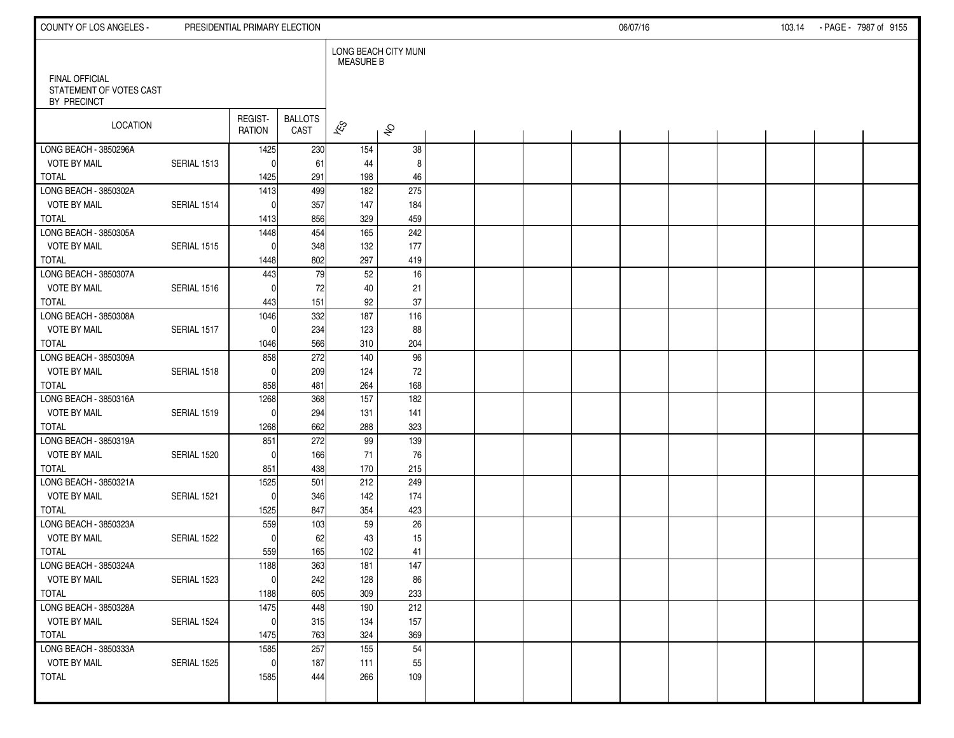| COUNTY OF LOS ANGELES -                      |             | PRESIDENTIAL PRIMARY ELECTION |                        |                                          |                     |  |  | 06/07/16 |  | 103.14 - PAGE - 7987 of 9155 |  |
|----------------------------------------------|-------------|-------------------------------|------------------------|------------------------------------------|---------------------|--|--|----------|--|------------------------------|--|
| <b>FINAL OFFICIAL</b>                        |             |                               |                        | LONG BEACH CITY MUNI<br><b>MEASURE B</b> |                     |  |  |          |  |                              |  |
| STATEMENT OF VOTES CAST<br>BY PRECINCT       |             |                               |                        |                                          |                     |  |  |          |  |                              |  |
| LOCATION                                     |             | REGIST-<br>RATION             | <b>BALLOTS</b><br>CAST | $\overline{\mathcal{K}}$ S               | $\hat{\mathcal{S}}$ |  |  |          |  |                              |  |
| LONG BEACH - 3850296A                        |             | 1425                          | 230                    | 154                                      | 38                  |  |  |          |  |                              |  |
| <b>VOTE BY MAIL</b>                          | SERIAL 1513 | $\Omega$                      | 61                     | 44                                       | 8                   |  |  |          |  |                              |  |
| <b>TOTAL</b>                                 |             | 1425                          | 291                    | 198                                      | 46                  |  |  |          |  |                              |  |
| LONG BEACH - 3850302A                        |             | 1413                          | 499                    | 182                                      | 275                 |  |  |          |  |                              |  |
| <b>VOTE BY MAIL</b>                          | SERIAL 1514 | $\Omega$                      | 357                    | 147                                      | 184                 |  |  |          |  |                              |  |
| <b>TOTAL</b>                                 |             | 1413                          | 856                    | 329                                      | 459                 |  |  |          |  |                              |  |
| LONG BEACH - 3850305A                        |             | 1448                          | 454                    | 165                                      | 242                 |  |  |          |  |                              |  |
| <b>VOTE BY MAIL</b>                          | SERIAL 1515 | $\Omega$                      | 348                    | 132                                      | 177                 |  |  |          |  |                              |  |
| <b>TOTAL</b>                                 |             | 1448                          | 802                    | 297                                      | 419                 |  |  |          |  |                              |  |
| LONG BEACH - 3850307A                        |             | 443                           | 79                     | 52                                       | 16                  |  |  |          |  |                              |  |
| <b>VOTE BY MAIL</b>                          | SERIAL 1516 | $\Omega$                      | 72                     | 40                                       | 21                  |  |  |          |  |                              |  |
| <b>TOTAL</b>                                 |             | 443                           | 151                    | 92                                       | 37                  |  |  |          |  |                              |  |
| LONG BEACH - 3850308A                        |             | 1046                          | 332                    | 187                                      | 116                 |  |  |          |  |                              |  |
| <b>VOTE BY MAIL</b>                          | SERIAL 1517 | $\Omega$                      | 234                    | 123                                      | 88                  |  |  |          |  |                              |  |
| <b>TOTAL</b>                                 |             | 1046                          | 566                    | 310                                      | 204                 |  |  |          |  |                              |  |
| LONG BEACH - 3850309A                        |             | 858                           | 272                    | 140                                      | 96                  |  |  |          |  |                              |  |
| <b>VOTE BY MAIL</b>                          | SERIAL 1518 | $\Omega$                      | 209                    | 124                                      | $72\,$              |  |  |          |  |                              |  |
| <b>TOTAL</b>                                 |             | 858                           | 481                    | 264                                      | 168                 |  |  |          |  |                              |  |
| LONG BEACH - 3850316A                        |             | 1268                          | 368                    | 157                                      | 182                 |  |  |          |  |                              |  |
| <b>VOTE BY MAIL</b>                          | SERIAL 1519 | $\Omega$                      | 294                    | 131                                      | 141                 |  |  |          |  |                              |  |
| <b>TOTAL</b>                                 |             | 1268                          | 662                    | 288                                      | 323                 |  |  |          |  |                              |  |
| LONG BEACH - 3850319A                        |             | 851                           | 272                    | 99                                       | 139                 |  |  |          |  |                              |  |
| <b>VOTE BY MAIL</b>                          | SERIAL 1520 | $\Omega$                      | 166                    | 71                                       | 76                  |  |  |          |  |                              |  |
| <b>TOTAL</b>                                 |             | 851                           | 438                    | 170                                      | 215                 |  |  |          |  |                              |  |
| LONG BEACH - 3850321A                        |             | 1525                          | 501                    | 212                                      | 249                 |  |  |          |  |                              |  |
| <b>VOTE BY MAIL</b>                          | SERIAL 1521 | $\Omega$                      | 346                    | 142                                      | 174                 |  |  |          |  |                              |  |
| <b>TOTAL</b><br>LONG BEACH - 3850323A        |             | 1525                          | 847                    | 354                                      | 423                 |  |  |          |  |                              |  |
| <b>VOTE BY MAIL</b>                          | SERIAL 1522 | 559<br>$\Omega$               | 103                    | 59                                       | $26\,$              |  |  |          |  |                              |  |
|                                              |             | 559                           | 62                     | 43                                       | 15                  |  |  |          |  |                              |  |
| TOTAL                                        |             |                               | 165                    | 102                                      | 41                  |  |  |          |  |                              |  |
| LONG BEACH - 3850324A<br><b>VOTE BY MAIL</b> |             | 1188<br>$\mathbf{0}$          | 363<br>242             | 181                                      | 147<br>86           |  |  |          |  |                              |  |
| <b>TOTAL</b>                                 | SERIAL 1523 |                               | 605                    | 128<br>309                               | 233                 |  |  |          |  |                              |  |
| LONG BEACH - 3850328A                        |             | 1188<br>1475                  | 448                    | 190                                      | 212                 |  |  |          |  |                              |  |
| <b>VOTE BY MAIL</b>                          | SERIAL 1524 | $\mathbf 0$                   | 315                    | 134                                      | 157                 |  |  |          |  |                              |  |
| <b>TOTAL</b>                                 |             | 1475                          | 763                    | 324                                      | 369                 |  |  |          |  |                              |  |
| LONG BEACH - 3850333A                        |             | 1585                          | 257                    | 155                                      | 54                  |  |  |          |  |                              |  |
| <b>VOTE BY MAIL</b>                          | SERIAL 1525 | $\mathbf 0$                   | 187                    | 111                                      | 55                  |  |  |          |  |                              |  |
| <b>TOTAL</b>                                 |             | 1585                          | 444                    | 266                                      | 109                 |  |  |          |  |                              |  |
|                                              |             |                               |                        |                                          |                     |  |  |          |  |                              |  |
|                                              |             |                               |                        |                                          |                     |  |  |          |  |                              |  |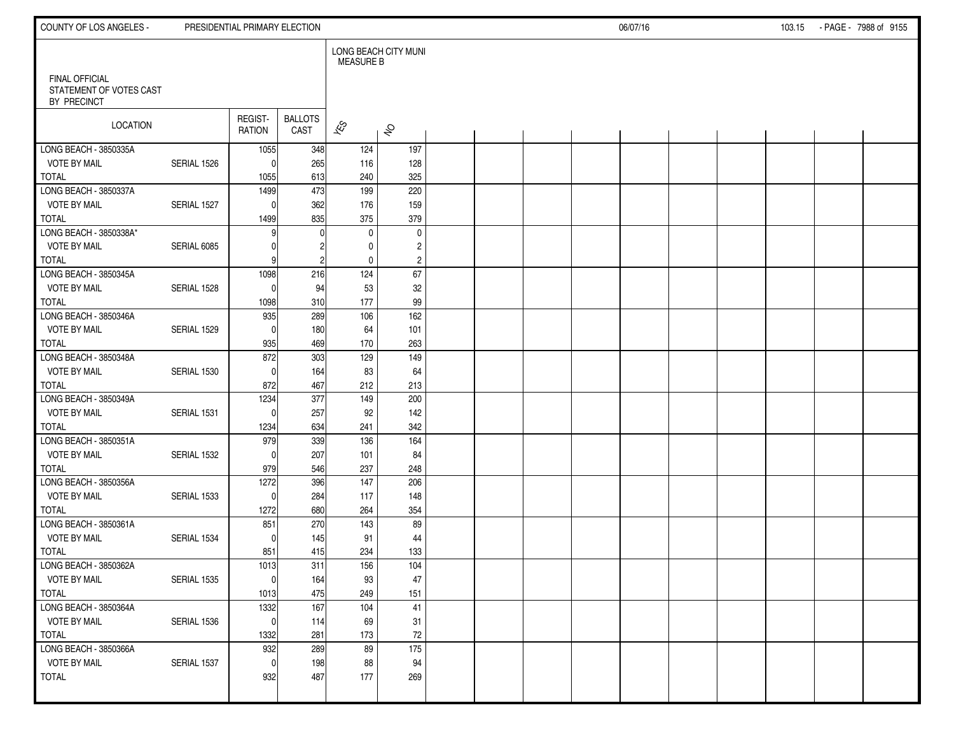| COUNTY OF LOS ANGELES -                |             | PRESIDENTIAL PRIMARY ELECTION |                        |                                          |                         |  |  | 06/07/16 |  | 103.15 - PAGE - 7988 of 9155 |  |
|----------------------------------------|-------------|-------------------------------|------------------------|------------------------------------------|-------------------------|--|--|----------|--|------------------------------|--|
| <b>FINAL OFFICIAL</b>                  |             |                               |                        | LONG BEACH CITY MUNI<br><b>MEASURE B</b> |                         |  |  |          |  |                              |  |
| STATEMENT OF VOTES CAST<br>BY PRECINCT |             |                               |                        |                                          |                         |  |  |          |  |                              |  |
| LOCATION                               |             | REGIST-<br>RATION             | <b>BALLOTS</b><br>CAST | $\overline{\mathcal{K}}$ S               | $\hat{\mathcal{S}}$     |  |  |          |  |                              |  |
| LONG BEACH - 3850335A                  |             | 1055                          | 348                    | 124                                      | 197                     |  |  |          |  |                              |  |
| <b>VOTE BY MAIL</b>                    | SERIAL 1526 | $\Omega$                      | 265                    | 116                                      | 128                     |  |  |          |  |                              |  |
| <b>TOTAL</b>                           |             | 1055                          | 613                    | 240                                      | 325                     |  |  |          |  |                              |  |
| LONG BEACH - 3850337A                  |             | 1499                          | 473                    | 199                                      | 220                     |  |  |          |  |                              |  |
| <b>VOTE BY MAIL</b>                    | SERIAL 1527 | $\Omega$                      | 362                    | 176                                      | 159                     |  |  |          |  |                              |  |
| <b>TOTAL</b>                           |             | 1499                          | 835                    | 375                                      | 379                     |  |  |          |  |                              |  |
| LONG BEACH - 3850338A*                 |             |                               |                        | $\mathbf 0$                              | $\mathsf{O}$            |  |  |          |  |                              |  |
| <b>VOTE BY MAIL</b>                    | SERIAL 6085 | O                             |                        | 0                                        | $\overline{\mathbf{c}}$ |  |  |          |  |                              |  |
| <b>TOTAL</b>                           |             | 9                             |                        | $\pmb{0}$                                | $\overline{c}$          |  |  |          |  |                              |  |
| LONG BEACH - 3850345A                  |             | 1098                          | 216                    | 124                                      | 67                      |  |  |          |  |                              |  |
| <b>VOTE BY MAIL</b>                    | SERIAL 1528 | $\Omega$                      | 94                     | 53                                       | $32\,$                  |  |  |          |  |                              |  |
| <b>TOTAL</b>                           |             | 1098                          | 310                    | 177                                      | 99                      |  |  |          |  |                              |  |
| LONG BEACH - 3850346A                  |             | 935                           | 289                    | 106                                      | 162                     |  |  |          |  |                              |  |
| <b>VOTE BY MAIL</b>                    | SERIAL 1529 | $\Omega$                      | 180                    | 64                                       | 101                     |  |  |          |  |                              |  |
| <b>TOTAL</b>                           |             | 935                           | 469                    | 170                                      | 263                     |  |  |          |  |                              |  |
| LONG BEACH - 3850348A                  |             | 872                           | 303                    | 129                                      | 149                     |  |  |          |  |                              |  |
| <b>VOTE BY MAIL</b>                    | SERIAL 1530 | $\Omega$                      | 164                    | 83                                       | 64                      |  |  |          |  |                              |  |
| <b>TOTAL</b>                           |             | 872                           | 467                    | 212                                      | 213                     |  |  |          |  |                              |  |
| LONG BEACH - 3850349A                  |             | 1234                          | 377                    | 149                                      | 200                     |  |  |          |  |                              |  |
| <b>VOTE BY MAIL</b>                    | SERIAL 1531 | $\Omega$                      | 257                    | 92                                       | 142                     |  |  |          |  |                              |  |
| <b>TOTAL</b>                           |             | 1234                          | 634                    | 241                                      | 342                     |  |  |          |  |                              |  |
| LONG BEACH - 3850351A                  |             | 979                           | 339                    | 136                                      | 164                     |  |  |          |  |                              |  |
| <b>VOTE BY MAIL</b>                    | SERIAL 1532 | $\Omega$                      | 207                    | 101                                      | 84                      |  |  |          |  |                              |  |
| <b>TOTAL</b>                           |             | 979                           | 546                    | 237                                      | 248                     |  |  |          |  |                              |  |
| LONG BEACH - 3850356A                  |             | 1272                          | 396                    | 147                                      | 206                     |  |  |          |  |                              |  |
| <b>VOTE BY MAIL</b>                    | SERIAL 1533 | $\Omega$                      | 284                    | 117                                      | 148                     |  |  |          |  |                              |  |
| <b>TOTAL</b><br>LONG BEACH - 3850361A  |             | 1272<br>851                   | 680<br>270             | 264<br>143                               | 354<br>89               |  |  |          |  |                              |  |
| <b>VOTE BY MAIL</b>                    | SERIAL 1534 | $\Omega$                      | 145                    | 91                                       | 44                      |  |  |          |  |                              |  |
|                                        |             | 851                           | 415                    | 234                                      | 133                     |  |  |          |  |                              |  |
| TOTAL<br>LONG BEACH - 3850362A         |             | 1013                          | 311                    | 156                                      | 104                     |  |  |          |  |                              |  |
| <b>VOTE BY MAIL</b>                    | SERIAL 1535 | $\Omega$                      | 164                    | 93                                       | 47                      |  |  |          |  |                              |  |
| <b>TOTAL</b>                           |             | 1013                          | 475                    | 249                                      | 151                     |  |  |          |  |                              |  |
| LONG BEACH - 3850364A                  |             | 1332                          | 167                    | 104                                      | 41                      |  |  |          |  |                              |  |
| <b>VOTE BY MAIL</b>                    | SERIAL 1536 | $\mathbf 0$                   | 114                    | 69                                       | 31                      |  |  |          |  |                              |  |
| <b>TOTAL</b>                           |             | 1332                          | 281                    | 173                                      | 72                      |  |  |          |  |                              |  |
| LONG BEACH - 3850366A                  |             | 932                           | 289                    | 89                                       | 175                     |  |  |          |  |                              |  |
| <b>VOTE BY MAIL</b>                    | SERIAL 1537 | $\Omega$                      | 198                    | 88                                       | 94                      |  |  |          |  |                              |  |
| <b>TOTAL</b>                           |             | 932                           | 487                    | 177                                      | 269                     |  |  |          |  |                              |  |
|                                        |             |                               |                        |                                          |                         |  |  |          |  |                              |  |
|                                        |             |                               |                        |                                          |                         |  |  |          |  |                              |  |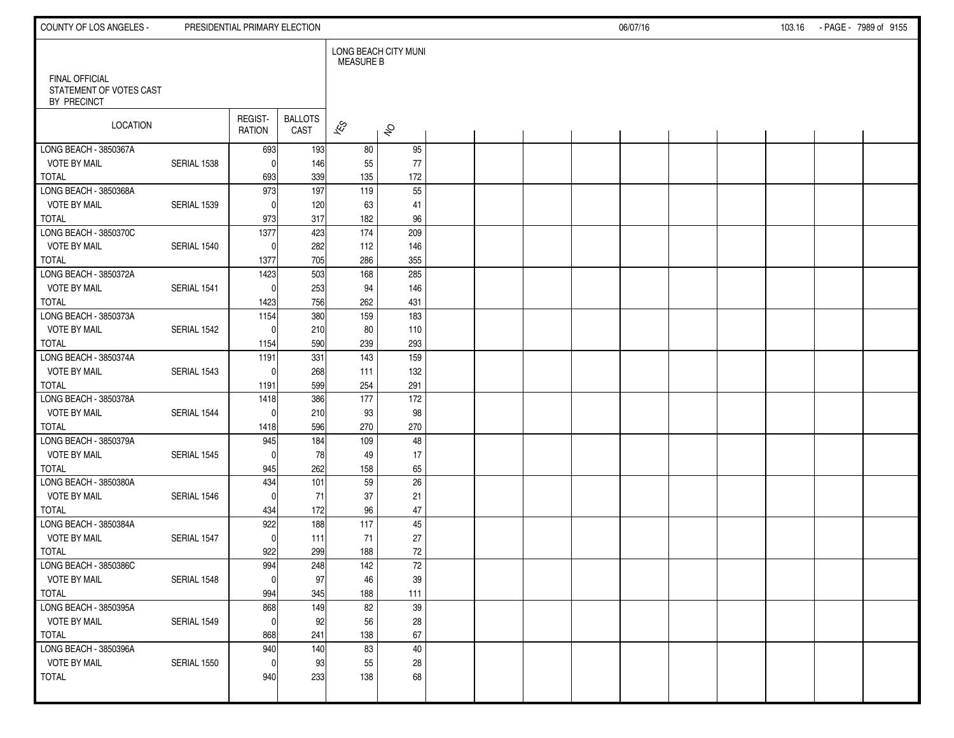| LONG BEACH CITY MUNI<br><b>MEASURE B</b><br><b>FINAL OFFICIAL</b><br>STATEMENT OF VOTES CAST<br>BY PRECINCT<br>REGIST-<br><b>BALLOTS</b><br>LOCATION<br>$\overline{\mathscr{K}}$<br>$\hat{\mathcal{S}}$<br>CAST<br>RATION<br>193<br>80<br>95<br>693<br><b>VOTE BY MAIL</b><br>SERIAL 1538<br>77<br>146<br>55<br>$\Omega$<br><b>TOTAL</b><br>693<br>339<br>135<br>172<br>197<br>55<br>LONG BEACH - 3850368A<br>973<br>119<br><b>VOTE BY MAIL</b><br>SERIAL 1539<br>120<br>63<br>41<br>$\Omega$<br>973<br>317<br>182<br>96<br>LONG BEACH - 3850370C<br>1377<br>423<br>174<br>209<br><b>VOTE BY MAIL</b><br>282<br>SERIAL 1540<br>112<br>146<br>$\Omega$<br>1377<br>705<br>286<br>355<br>168<br>285<br>1423<br>503<br>VOTE BY MAIL<br>253<br>SERIAL 1541<br>94<br>146<br>$\Omega$<br>756<br>262<br>431<br>1423<br>380<br>159<br>LONG BEACH - 3850373A<br>1154<br>183<br><b>VOTE BY MAIL</b><br>SERIAL 1542<br>210<br>80<br>110<br>$\Omega$<br>590<br>239<br>293<br>1154<br>LONG BEACH - 3850374A<br>143<br>159<br>1191<br>331<br><b>VOTE BY MAIL</b><br>132<br>SERIAL 1543<br>268<br>$\Omega$<br>111<br>599<br>254<br>291<br>1191<br>LONG BEACH - 3850378A<br>177<br>172<br>1418<br>386<br><b>VOTE BY MAIL</b><br>98<br>SERIAL 1544<br>210<br>93<br>$\Omega$<br>596<br>270<br>270<br>1418<br>184<br>48<br>945<br>109<br><b>VOTE BY MAIL</b><br>17<br>SERIAL 1545<br>78<br>$\Omega$<br>49<br>262<br>158<br>65<br>945<br>26<br>101<br>59<br>434<br><b>VOTE BY MAIL</b><br>71<br>37<br>21<br>SERIAL 1546<br>$\mathbf{0}$<br>172<br>47<br>434<br>96<br>922<br>188<br>45<br>117<br>VOTE BY MAIL<br>SERIAL 1547<br>27<br>$\Omega$<br>111<br>71<br>922<br>299<br>188<br>$72\,$<br>994<br>248<br>142<br>72<br>97<br>46<br>39<br><b>VOTE BY MAIL</b><br>SERIAL 1548<br>$\Omega$<br>345<br>994<br>188<br>111<br>39<br>82<br>LONG BEACH - 3850395A<br>868<br>149<br>28<br><b>VOTE BY MAIL</b><br>SERIAL 1549<br>56<br>$\Omega$<br>92<br>241<br>138<br>67<br>868<br>40<br>940<br>140<br>83<br><b>VOTE BY MAIL</b><br>SERIAL 1550<br>93<br>55<br>28<br>$\mathbf{0}$<br><b>TOTAL</b><br>68<br>940<br>233<br>138 | COUNTY OF LOS ANGELES - | PRESIDENTIAL PRIMARY ELECTION |  |  |  | 06/07/16 |  | 103.16 - PAGE - 7989 of 9155 |  |
|------------------------------------------------------------------------------------------------------------------------------------------------------------------------------------------------------------------------------------------------------------------------------------------------------------------------------------------------------------------------------------------------------------------------------------------------------------------------------------------------------------------------------------------------------------------------------------------------------------------------------------------------------------------------------------------------------------------------------------------------------------------------------------------------------------------------------------------------------------------------------------------------------------------------------------------------------------------------------------------------------------------------------------------------------------------------------------------------------------------------------------------------------------------------------------------------------------------------------------------------------------------------------------------------------------------------------------------------------------------------------------------------------------------------------------------------------------------------------------------------------------------------------------------------------------------------------------------------------------------------------------------------------------------------------------------------------------------------------------------------------------------------------------------------------------------------------------------------------------------------------------------------------------------------------------------------------------------------------------------------------------------------------------------------------------------------------------------------|-------------------------|-------------------------------|--|--|--|----------|--|------------------------------|--|
|                                                                                                                                                                                                                                                                                                                                                                                                                                                                                                                                                                                                                                                                                                                                                                                                                                                                                                                                                                                                                                                                                                                                                                                                                                                                                                                                                                                                                                                                                                                                                                                                                                                                                                                                                                                                                                                                                                                                                                                                                                                                                                |                         |                               |  |  |  |          |  |                              |  |
|                                                                                                                                                                                                                                                                                                                                                                                                                                                                                                                                                                                                                                                                                                                                                                                                                                                                                                                                                                                                                                                                                                                                                                                                                                                                                                                                                                                                                                                                                                                                                                                                                                                                                                                                                                                                                                                                                                                                                                                                                                                                                                |                         |                               |  |  |  |          |  |                              |  |
|                                                                                                                                                                                                                                                                                                                                                                                                                                                                                                                                                                                                                                                                                                                                                                                                                                                                                                                                                                                                                                                                                                                                                                                                                                                                                                                                                                                                                                                                                                                                                                                                                                                                                                                                                                                                                                                                                                                                                                                                                                                                                                |                         |                               |  |  |  |          |  |                              |  |
|                                                                                                                                                                                                                                                                                                                                                                                                                                                                                                                                                                                                                                                                                                                                                                                                                                                                                                                                                                                                                                                                                                                                                                                                                                                                                                                                                                                                                                                                                                                                                                                                                                                                                                                                                                                                                                                                                                                                                                                                                                                                                                | LONG BEACH - 3850367A   |                               |  |  |  |          |  |                              |  |
|                                                                                                                                                                                                                                                                                                                                                                                                                                                                                                                                                                                                                                                                                                                                                                                                                                                                                                                                                                                                                                                                                                                                                                                                                                                                                                                                                                                                                                                                                                                                                                                                                                                                                                                                                                                                                                                                                                                                                                                                                                                                                                |                         |                               |  |  |  |          |  |                              |  |
|                                                                                                                                                                                                                                                                                                                                                                                                                                                                                                                                                                                                                                                                                                                                                                                                                                                                                                                                                                                                                                                                                                                                                                                                                                                                                                                                                                                                                                                                                                                                                                                                                                                                                                                                                                                                                                                                                                                                                                                                                                                                                                |                         |                               |  |  |  |          |  |                              |  |
|                                                                                                                                                                                                                                                                                                                                                                                                                                                                                                                                                                                                                                                                                                                                                                                                                                                                                                                                                                                                                                                                                                                                                                                                                                                                                                                                                                                                                                                                                                                                                                                                                                                                                                                                                                                                                                                                                                                                                                                                                                                                                                |                         |                               |  |  |  |          |  |                              |  |
|                                                                                                                                                                                                                                                                                                                                                                                                                                                                                                                                                                                                                                                                                                                                                                                                                                                                                                                                                                                                                                                                                                                                                                                                                                                                                                                                                                                                                                                                                                                                                                                                                                                                                                                                                                                                                                                                                                                                                                                                                                                                                                |                         |                               |  |  |  |          |  |                              |  |
|                                                                                                                                                                                                                                                                                                                                                                                                                                                                                                                                                                                                                                                                                                                                                                                                                                                                                                                                                                                                                                                                                                                                                                                                                                                                                                                                                                                                                                                                                                                                                                                                                                                                                                                                                                                                                                                                                                                                                                                                                                                                                                | <b>TOTAL</b>            |                               |  |  |  |          |  |                              |  |
|                                                                                                                                                                                                                                                                                                                                                                                                                                                                                                                                                                                                                                                                                                                                                                                                                                                                                                                                                                                                                                                                                                                                                                                                                                                                                                                                                                                                                                                                                                                                                                                                                                                                                                                                                                                                                                                                                                                                                                                                                                                                                                |                         |                               |  |  |  |          |  |                              |  |
|                                                                                                                                                                                                                                                                                                                                                                                                                                                                                                                                                                                                                                                                                                                                                                                                                                                                                                                                                                                                                                                                                                                                                                                                                                                                                                                                                                                                                                                                                                                                                                                                                                                                                                                                                                                                                                                                                                                                                                                                                                                                                                |                         |                               |  |  |  |          |  |                              |  |
|                                                                                                                                                                                                                                                                                                                                                                                                                                                                                                                                                                                                                                                                                                                                                                                                                                                                                                                                                                                                                                                                                                                                                                                                                                                                                                                                                                                                                                                                                                                                                                                                                                                                                                                                                                                                                                                                                                                                                                                                                                                                                                | <b>TOTAL</b>            |                               |  |  |  |          |  |                              |  |
|                                                                                                                                                                                                                                                                                                                                                                                                                                                                                                                                                                                                                                                                                                                                                                                                                                                                                                                                                                                                                                                                                                                                                                                                                                                                                                                                                                                                                                                                                                                                                                                                                                                                                                                                                                                                                                                                                                                                                                                                                                                                                                | LONG BEACH - 3850372A   |                               |  |  |  |          |  |                              |  |
|                                                                                                                                                                                                                                                                                                                                                                                                                                                                                                                                                                                                                                                                                                                                                                                                                                                                                                                                                                                                                                                                                                                                                                                                                                                                                                                                                                                                                                                                                                                                                                                                                                                                                                                                                                                                                                                                                                                                                                                                                                                                                                |                         |                               |  |  |  |          |  |                              |  |
|                                                                                                                                                                                                                                                                                                                                                                                                                                                                                                                                                                                                                                                                                                                                                                                                                                                                                                                                                                                                                                                                                                                                                                                                                                                                                                                                                                                                                                                                                                                                                                                                                                                                                                                                                                                                                                                                                                                                                                                                                                                                                                | <b>TOTAL</b>            |                               |  |  |  |          |  |                              |  |
|                                                                                                                                                                                                                                                                                                                                                                                                                                                                                                                                                                                                                                                                                                                                                                                                                                                                                                                                                                                                                                                                                                                                                                                                                                                                                                                                                                                                                                                                                                                                                                                                                                                                                                                                                                                                                                                                                                                                                                                                                                                                                                |                         |                               |  |  |  |          |  |                              |  |
|                                                                                                                                                                                                                                                                                                                                                                                                                                                                                                                                                                                                                                                                                                                                                                                                                                                                                                                                                                                                                                                                                                                                                                                                                                                                                                                                                                                                                                                                                                                                                                                                                                                                                                                                                                                                                                                                                                                                                                                                                                                                                                |                         |                               |  |  |  |          |  |                              |  |
|                                                                                                                                                                                                                                                                                                                                                                                                                                                                                                                                                                                                                                                                                                                                                                                                                                                                                                                                                                                                                                                                                                                                                                                                                                                                                                                                                                                                                                                                                                                                                                                                                                                                                                                                                                                                                                                                                                                                                                                                                                                                                                | <b>TOTAL</b>            |                               |  |  |  |          |  |                              |  |
|                                                                                                                                                                                                                                                                                                                                                                                                                                                                                                                                                                                                                                                                                                                                                                                                                                                                                                                                                                                                                                                                                                                                                                                                                                                                                                                                                                                                                                                                                                                                                                                                                                                                                                                                                                                                                                                                                                                                                                                                                                                                                                |                         |                               |  |  |  |          |  |                              |  |
|                                                                                                                                                                                                                                                                                                                                                                                                                                                                                                                                                                                                                                                                                                                                                                                                                                                                                                                                                                                                                                                                                                                                                                                                                                                                                                                                                                                                                                                                                                                                                                                                                                                                                                                                                                                                                                                                                                                                                                                                                                                                                                |                         |                               |  |  |  |          |  |                              |  |
|                                                                                                                                                                                                                                                                                                                                                                                                                                                                                                                                                                                                                                                                                                                                                                                                                                                                                                                                                                                                                                                                                                                                                                                                                                                                                                                                                                                                                                                                                                                                                                                                                                                                                                                                                                                                                                                                                                                                                                                                                                                                                                | <b>TOTAL</b>            |                               |  |  |  |          |  |                              |  |
|                                                                                                                                                                                                                                                                                                                                                                                                                                                                                                                                                                                                                                                                                                                                                                                                                                                                                                                                                                                                                                                                                                                                                                                                                                                                                                                                                                                                                                                                                                                                                                                                                                                                                                                                                                                                                                                                                                                                                                                                                                                                                                |                         |                               |  |  |  |          |  |                              |  |
|                                                                                                                                                                                                                                                                                                                                                                                                                                                                                                                                                                                                                                                                                                                                                                                                                                                                                                                                                                                                                                                                                                                                                                                                                                                                                                                                                                                                                                                                                                                                                                                                                                                                                                                                                                                                                                                                                                                                                                                                                                                                                                |                         |                               |  |  |  |          |  |                              |  |
|                                                                                                                                                                                                                                                                                                                                                                                                                                                                                                                                                                                                                                                                                                                                                                                                                                                                                                                                                                                                                                                                                                                                                                                                                                                                                                                                                                                                                                                                                                                                                                                                                                                                                                                                                                                                                                                                                                                                                                                                                                                                                                | <b>TOTAL</b>            |                               |  |  |  |          |  |                              |  |
|                                                                                                                                                                                                                                                                                                                                                                                                                                                                                                                                                                                                                                                                                                                                                                                                                                                                                                                                                                                                                                                                                                                                                                                                                                                                                                                                                                                                                                                                                                                                                                                                                                                                                                                                                                                                                                                                                                                                                                                                                                                                                                | LONG BEACH - 3850379A   |                               |  |  |  |          |  |                              |  |
|                                                                                                                                                                                                                                                                                                                                                                                                                                                                                                                                                                                                                                                                                                                                                                                                                                                                                                                                                                                                                                                                                                                                                                                                                                                                                                                                                                                                                                                                                                                                                                                                                                                                                                                                                                                                                                                                                                                                                                                                                                                                                                |                         |                               |  |  |  |          |  |                              |  |
|                                                                                                                                                                                                                                                                                                                                                                                                                                                                                                                                                                                                                                                                                                                                                                                                                                                                                                                                                                                                                                                                                                                                                                                                                                                                                                                                                                                                                                                                                                                                                                                                                                                                                                                                                                                                                                                                                                                                                                                                                                                                                                | <b>TOTAL</b>            |                               |  |  |  |          |  |                              |  |
|                                                                                                                                                                                                                                                                                                                                                                                                                                                                                                                                                                                                                                                                                                                                                                                                                                                                                                                                                                                                                                                                                                                                                                                                                                                                                                                                                                                                                                                                                                                                                                                                                                                                                                                                                                                                                                                                                                                                                                                                                                                                                                | LONG BEACH - 3850380A   |                               |  |  |  |          |  |                              |  |
|                                                                                                                                                                                                                                                                                                                                                                                                                                                                                                                                                                                                                                                                                                                                                                                                                                                                                                                                                                                                                                                                                                                                                                                                                                                                                                                                                                                                                                                                                                                                                                                                                                                                                                                                                                                                                                                                                                                                                                                                                                                                                                |                         |                               |  |  |  |          |  |                              |  |
|                                                                                                                                                                                                                                                                                                                                                                                                                                                                                                                                                                                                                                                                                                                                                                                                                                                                                                                                                                                                                                                                                                                                                                                                                                                                                                                                                                                                                                                                                                                                                                                                                                                                                                                                                                                                                                                                                                                                                                                                                                                                                                | <b>TOTAL</b>            |                               |  |  |  |          |  |                              |  |
|                                                                                                                                                                                                                                                                                                                                                                                                                                                                                                                                                                                                                                                                                                                                                                                                                                                                                                                                                                                                                                                                                                                                                                                                                                                                                                                                                                                                                                                                                                                                                                                                                                                                                                                                                                                                                                                                                                                                                                                                                                                                                                | LONG BEACH - 3850384A   |                               |  |  |  |          |  |                              |  |
|                                                                                                                                                                                                                                                                                                                                                                                                                                                                                                                                                                                                                                                                                                                                                                                                                                                                                                                                                                                                                                                                                                                                                                                                                                                                                                                                                                                                                                                                                                                                                                                                                                                                                                                                                                                                                                                                                                                                                                                                                                                                                                |                         |                               |  |  |  |          |  |                              |  |
|                                                                                                                                                                                                                                                                                                                                                                                                                                                                                                                                                                                                                                                                                                                                                                                                                                                                                                                                                                                                                                                                                                                                                                                                                                                                                                                                                                                                                                                                                                                                                                                                                                                                                                                                                                                                                                                                                                                                                                                                                                                                                                | TOTAL                   |                               |  |  |  |          |  |                              |  |
|                                                                                                                                                                                                                                                                                                                                                                                                                                                                                                                                                                                                                                                                                                                                                                                                                                                                                                                                                                                                                                                                                                                                                                                                                                                                                                                                                                                                                                                                                                                                                                                                                                                                                                                                                                                                                                                                                                                                                                                                                                                                                                | LONG BEACH - 3850386C   |                               |  |  |  |          |  |                              |  |
|                                                                                                                                                                                                                                                                                                                                                                                                                                                                                                                                                                                                                                                                                                                                                                                                                                                                                                                                                                                                                                                                                                                                                                                                                                                                                                                                                                                                                                                                                                                                                                                                                                                                                                                                                                                                                                                                                                                                                                                                                                                                                                |                         |                               |  |  |  |          |  |                              |  |
|                                                                                                                                                                                                                                                                                                                                                                                                                                                                                                                                                                                                                                                                                                                                                                                                                                                                                                                                                                                                                                                                                                                                                                                                                                                                                                                                                                                                                                                                                                                                                                                                                                                                                                                                                                                                                                                                                                                                                                                                                                                                                                | <b>TOTAL</b>            |                               |  |  |  |          |  |                              |  |
|                                                                                                                                                                                                                                                                                                                                                                                                                                                                                                                                                                                                                                                                                                                                                                                                                                                                                                                                                                                                                                                                                                                                                                                                                                                                                                                                                                                                                                                                                                                                                                                                                                                                                                                                                                                                                                                                                                                                                                                                                                                                                                |                         |                               |  |  |  |          |  |                              |  |
|                                                                                                                                                                                                                                                                                                                                                                                                                                                                                                                                                                                                                                                                                                                                                                                                                                                                                                                                                                                                                                                                                                                                                                                                                                                                                                                                                                                                                                                                                                                                                                                                                                                                                                                                                                                                                                                                                                                                                                                                                                                                                                |                         |                               |  |  |  |          |  |                              |  |
|                                                                                                                                                                                                                                                                                                                                                                                                                                                                                                                                                                                                                                                                                                                                                                                                                                                                                                                                                                                                                                                                                                                                                                                                                                                                                                                                                                                                                                                                                                                                                                                                                                                                                                                                                                                                                                                                                                                                                                                                                                                                                                | <b>TOTAL</b>            |                               |  |  |  |          |  |                              |  |
|                                                                                                                                                                                                                                                                                                                                                                                                                                                                                                                                                                                                                                                                                                                                                                                                                                                                                                                                                                                                                                                                                                                                                                                                                                                                                                                                                                                                                                                                                                                                                                                                                                                                                                                                                                                                                                                                                                                                                                                                                                                                                                | LONG BEACH - 3850396A   |                               |  |  |  |          |  |                              |  |
|                                                                                                                                                                                                                                                                                                                                                                                                                                                                                                                                                                                                                                                                                                                                                                                                                                                                                                                                                                                                                                                                                                                                                                                                                                                                                                                                                                                                                                                                                                                                                                                                                                                                                                                                                                                                                                                                                                                                                                                                                                                                                                |                         |                               |  |  |  |          |  |                              |  |
|                                                                                                                                                                                                                                                                                                                                                                                                                                                                                                                                                                                                                                                                                                                                                                                                                                                                                                                                                                                                                                                                                                                                                                                                                                                                                                                                                                                                                                                                                                                                                                                                                                                                                                                                                                                                                                                                                                                                                                                                                                                                                                |                         |                               |  |  |  |          |  |                              |  |
|                                                                                                                                                                                                                                                                                                                                                                                                                                                                                                                                                                                                                                                                                                                                                                                                                                                                                                                                                                                                                                                                                                                                                                                                                                                                                                                                                                                                                                                                                                                                                                                                                                                                                                                                                                                                                                                                                                                                                                                                                                                                                                |                         |                               |  |  |  |          |  |                              |  |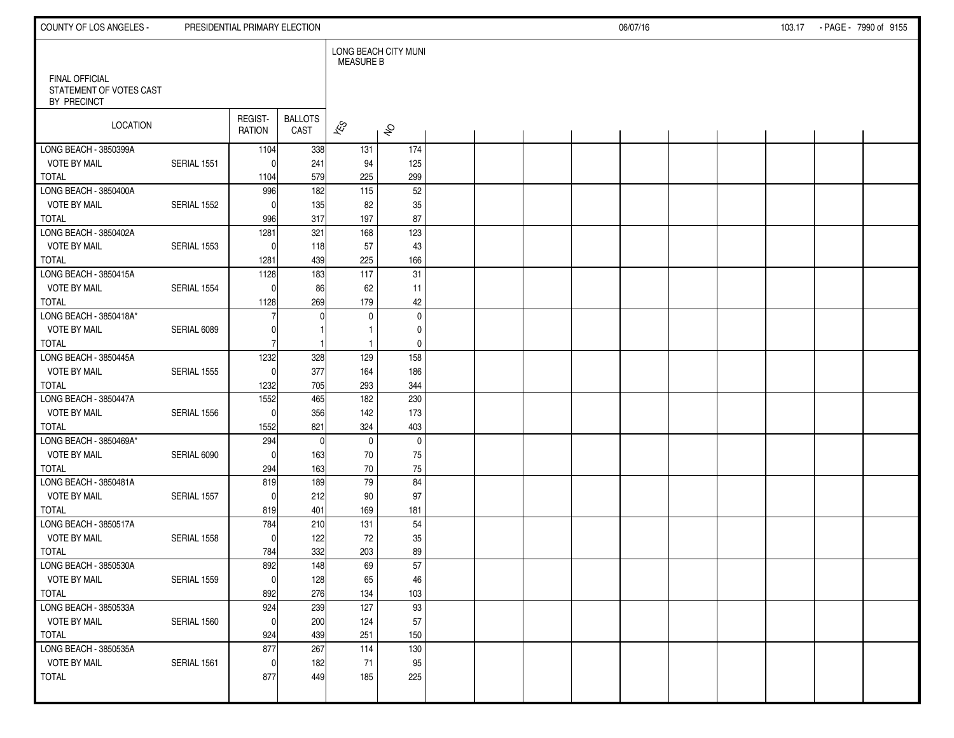| COUNTY OF LOS ANGELES -                      |             | PRESIDENTIAL PRIMARY ELECTION |                        |                                          |                     |  |  | 06/07/16 |  | 103.17 - PAGE - 7990 of 9155 |  |
|----------------------------------------------|-------------|-------------------------------|------------------------|------------------------------------------|---------------------|--|--|----------|--|------------------------------|--|
| <b>FINAL OFFICIAL</b>                        |             |                               |                        | LONG BEACH CITY MUNI<br><b>MEASURE B</b> |                     |  |  |          |  |                              |  |
| STATEMENT OF VOTES CAST<br>BY PRECINCT       |             |                               |                        |                                          |                     |  |  |          |  |                              |  |
| LOCATION                                     |             | REGIST-<br>RATION             | <b>BALLOTS</b><br>CAST | $\overline{\mathcal{K}}$ S               | $\hat{\mathcal{S}}$ |  |  |          |  |                              |  |
| LONG BEACH - 3850399A                        |             | 1104                          | 338                    | 131                                      | 174                 |  |  |          |  |                              |  |
| <b>VOTE BY MAIL</b>                          | SERIAL 1551 | $\Omega$                      | 241                    | 94                                       | 125                 |  |  |          |  |                              |  |
| <b>TOTAL</b>                                 |             | 1104                          | 579                    | 225                                      | 299                 |  |  |          |  |                              |  |
| LONG BEACH - 3850400A                        |             | 996                           | 182                    | 115                                      | $52\,$              |  |  |          |  |                              |  |
| <b>VOTE BY MAIL</b>                          | SERIAL 1552 | $\Omega$                      | 135                    | 82                                       | $35\,$              |  |  |          |  |                              |  |
| <b>TOTAL</b>                                 |             | 996                           | 317                    | 197                                      | 87                  |  |  |          |  |                              |  |
| LONG BEACH - 3850402A                        |             | 1281                          | 321                    | 168                                      | 123                 |  |  |          |  |                              |  |
| <b>VOTE BY MAIL</b>                          | SERIAL 1553 | $\Omega$                      | 118                    | 57                                       | 43                  |  |  |          |  |                              |  |
| <b>TOTAL</b>                                 |             | 1281                          | 439                    | 225                                      | 166                 |  |  |          |  |                              |  |
| LONG BEACH - 3850415A                        |             | 1128                          | 183                    | 117                                      | 31                  |  |  |          |  |                              |  |
| <b>VOTE BY MAIL</b>                          | SERIAL 1554 | $\Omega$                      | 86                     | 62                                       | 11                  |  |  |          |  |                              |  |
| <b>TOTAL</b>                                 |             | 1128                          | 269                    | 179                                      | 42                  |  |  |          |  |                              |  |
| LONG BEACH - 3850418A*                       |             |                               |                        | 0                                        | $\pmb{0}$           |  |  |          |  |                              |  |
| <b>VOTE BY MAIL</b>                          | SERIAL 6089 |                               |                        |                                          | 0                   |  |  |          |  |                              |  |
| <b>TOTAL</b>                                 |             |                               |                        | $\mathbf{1}$                             | 0                   |  |  |          |  |                              |  |
| LONG BEACH - 3850445A                        |             | 1232                          | 328                    | 129                                      | 158                 |  |  |          |  |                              |  |
| <b>VOTE BY MAIL</b>                          | SERIAL 1555 | $\Omega$                      | 377                    | 164                                      | 186                 |  |  |          |  |                              |  |
| <b>TOTAL</b>                                 |             | 1232                          | 705                    | 293                                      | 344                 |  |  |          |  |                              |  |
| LONG BEACH - 3850447A                        |             | 1552                          | 465                    | 182                                      | 230                 |  |  |          |  |                              |  |
| <b>VOTE BY MAIL</b>                          | SERIAL 1556 | $\Omega$                      | 356                    | 142                                      | 173                 |  |  |          |  |                              |  |
| <b>TOTAL</b><br>LONG BEACH - 3850469A*       |             | 1552                          | 821                    | 324                                      | 403                 |  |  |          |  |                              |  |
|                                              |             | 294<br>$\Omega$               | $\mathbf{0}$           | $\mathbf 0$                              | $\mathbf 0$         |  |  |          |  |                              |  |
| <b>VOTE BY MAIL</b>                          | SERIAL 6090 |                               | 163                    | 70                                       | 75<br>$75\,$        |  |  |          |  |                              |  |
| <b>TOTAL</b>                                 |             | 294                           | 163                    | $70\,$                                   | 84                  |  |  |          |  |                              |  |
| LONG BEACH - 3850481A<br><b>VOTE BY MAIL</b> | SERIAL 1557 | 819<br>$\mathbf{0}$           | 189                    | $79\,$                                   | 97                  |  |  |          |  |                              |  |
| <b>TOTAL</b>                                 |             | 819                           | 212<br>401             | 90<br>169                                | 181                 |  |  |          |  |                              |  |
| LONG BEACH - 3850517A                        |             | 784                           | 210                    | 131                                      | 54                  |  |  |          |  |                              |  |
| <b>VOTE BY MAIL</b>                          | SERIAL 1558 | $\Omega$                      | 122                    | 72                                       | 35                  |  |  |          |  |                              |  |
|                                              |             | 784                           | 332                    | 203                                      | 89                  |  |  |          |  |                              |  |
| TOTAL<br>LONG BEACH - 3850530A               |             | 892                           | 148                    | 69                                       | 57                  |  |  |          |  |                              |  |
| <b>VOTE BY MAIL</b>                          | SERIAL 1559 | $\Omega$                      | 128                    | 65                                       | 46                  |  |  |          |  |                              |  |
| <b>TOTAL</b>                                 |             | 892                           | 276                    | 134                                      | 103                 |  |  |          |  |                              |  |
| LONG BEACH - 3850533A                        |             | 924                           | 239                    | 127                                      | 93                  |  |  |          |  |                              |  |
| <b>VOTE BY MAIL</b>                          | SERIAL 1560 | $\mathbf{0}$                  | 200                    | 124                                      | 57                  |  |  |          |  |                              |  |
| <b>TOTAL</b>                                 |             | 924                           | 439                    | 251                                      | 150                 |  |  |          |  |                              |  |
| LONG BEACH - 3850535A                        |             | 877                           | 267                    | 114                                      | 130                 |  |  |          |  |                              |  |
| <b>VOTE BY MAIL</b>                          | SERIAL 1561 | $\mathbf 0$                   | 182                    | 71                                       | 95                  |  |  |          |  |                              |  |
| <b>TOTAL</b>                                 |             | 877                           | 449                    | 185                                      | 225                 |  |  |          |  |                              |  |
|                                              |             |                               |                        |                                          |                     |  |  |          |  |                              |  |
|                                              |             |                               |                        |                                          |                     |  |  |          |  |                              |  |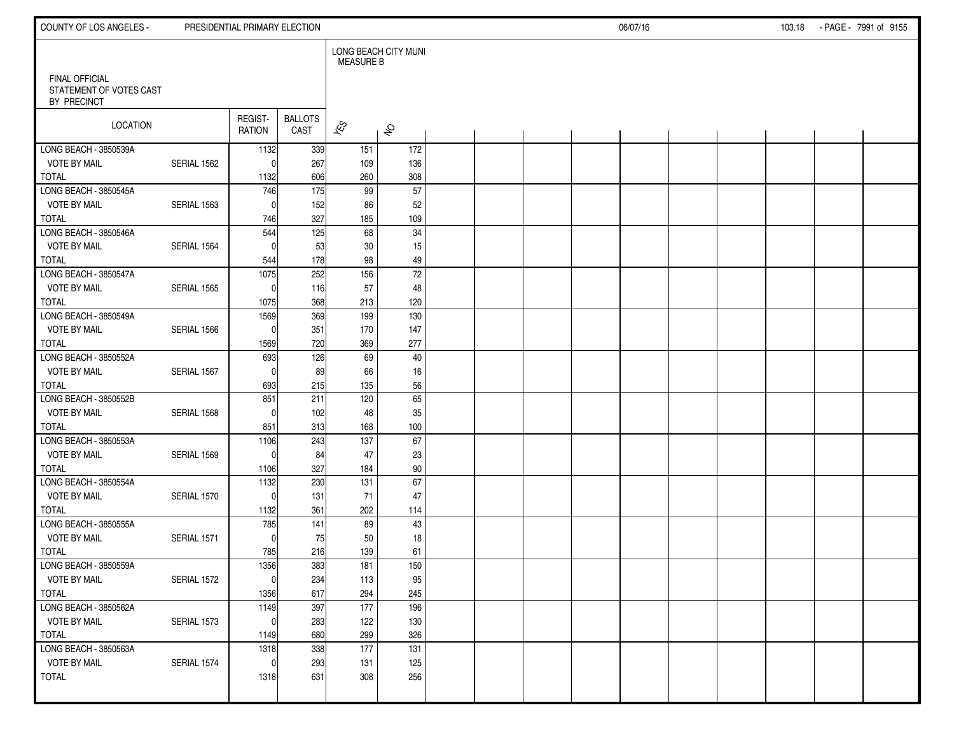| COUNTY OF LOS ANGELES -                      |             | PRESIDENTIAL PRIMARY ELECTION |                        |                                          |                     |  |  | 06/07/16 |  | 103.18 - PAGE - 7991 of 9155 |  |
|----------------------------------------------|-------------|-------------------------------|------------------------|------------------------------------------|---------------------|--|--|----------|--|------------------------------|--|
| <b>FINAL OFFICIAL</b>                        |             |                               |                        | LONG BEACH CITY MUNI<br><b>MEASURE B</b> |                     |  |  |          |  |                              |  |
| STATEMENT OF VOTES CAST<br>BY PRECINCT       |             |                               |                        |                                          |                     |  |  |          |  |                              |  |
| LOCATION                                     |             | REGIST-<br>RATION             | <b>BALLOTS</b><br>CAST | $\overline{\mathcal{K}}$ S               | $\hat{\mathcal{S}}$ |  |  |          |  |                              |  |
| LONG BEACH - 3850539A                        |             | 1132                          | 339                    | 151                                      | 172                 |  |  |          |  |                              |  |
| <b>VOTE BY MAIL</b>                          | SERIAL 1562 | $\Omega$                      | 267                    | 109                                      | 136                 |  |  |          |  |                              |  |
| <b>TOTAL</b>                                 |             | 1132                          | 606                    | 260                                      | 308                 |  |  |          |  |                              |  |
| LONG BEACH - 3850545A                        |             | 746                           | 175                    | 99                                       | 57                  |  |  |          |  |                              |  |
| <b>VOTE BY MAIL</b>                          | SERIAL 1563 | $\Omega$                      | 152                    | 86                                       | 52                  |  |  |          |  |                              |  |
| <b>TOTAL</b>                                 |             | 746                           | 327                    | 185                                      | 109                 |  |  |          |  |                              |  |
| LONG BEACH - 3850546A                        |             | 544                           | 125                    | 68                                       | 34                  |  |  |          |  |                              |  |
| <b>VOTE BY MAIL</b>                          | SERIAL 1564 | $\Omega$                      | 53                     | 30                                       | 15                  |  |  |          |  |                              |  |
| <b>TOTAL</b>                                 |             | 544                           | 178                    | 98                                       | 49                  |  |  |          |  |                              |  |
| LONG BEACH - 3850547A                        |             | 1075                          | 252                    | 156                                      | 72                  |  |  |          |  |                              |  |
| <b>VOTE BY MAIL</b>                          | SERIAL 1565 | $\Omega$                      | 116                    | 57                                       | 48                  |  |  |          |  |                              |  |
| <b>TOTAL</b>                                 |             | 1075                          | 368                    | 213                                      | 120                 |  |  |          |  |                              |  |
| LONG BEACH - 3850549A                        |             | 1569                          | 369                    | 199                                      | 130                 |  |  |          |  |                              |  |
| <b>VOTE BY MAIL</b>                          | SERIAL 1566 | $\Omega$                      | 351                    | 170                                      | 147                 |  |  |          |  |                              |  |
| <b>TOTAL</b>                                 |             | 1569                          | 720                    | 369                                      | 277                 |  |  |          |  |                              |  |
| LONG BEACH - 3850552A                        |             | 693                           | 126                    | 69                                       | 40                  |  |  |          |  |                              |  |
| <b>VOTE BY MAIL</b>                          | SERIAL 1567 | $\Omega$                      | 89                     | 66                                       | 16                  |  |  |          |  |                              |  |
| <b>TOTAL</b>                                 |             | 693                           | 215                    | 135                                      | 56                  |  |  |          |  |                              |  |
| LONG BEACH - 3850552B                        |             | 851                           | 211                    | 120                                      | 65                  |  |  |          |  |                              |  |
| <b>VOTE BY MAIL</b>                          | SERIAL 1568 | $\Omega$                      | 102                    | 48                                       | $35\,$              |  |  |          |  |                              |  |
| <b>TOTAL</b><br>LONG BEACH - 3850553A        |             | 851                           | 313                    | 168                                      | 100<br>67           |  |  |          |  |                              |  |
|                                              |             | 1106                          | 243                    | 137                                      |                     |  |  |          |  |                              |  |
| <b>VOTE BY MAIL</b>                          | SERIAL 1569 | $\Omega$                      | 84                     | 47                                       | 23                  |  |  |          |  |                              |  |
| <b>TOTAL</b>                                 |             | 1106                          | 327                    | 184                                      | $90\,$<br>67        |  |  |          |  |                              |  |
| LONG BEACH - 3850554A<br><b>VOTE BY MAIL</b> | SERIAL 1570 | 1132<br>$\Omega$              | 230                    | 131                                      |                     |  |  |          |  |                              |  |
|                                              |             |                               | 131<br>361             | 71<br>202                                | 47                  |  |  |          |  |                              |  |
| <b>TOTAL</b><br>LONG BEACH - 3850555A        |             | 1132<br>785                   | 141                    | 89                                       | 114<br>43           |  |  |          |  |                              |  |
| <b>VOTE BY MAIL</b>                          | SERIAL 1571 | $\Omega$                      | 75                     | 50                                       | 18                  |  |  |          |  |                              |  |
|                                              |             | 785                           | 216                    | 139                                      | 61                  |  |  |          |  |                              |  |
| TOTAL<br>LONG BEACH - 3850559A               |             | 1356                          | 383                    | 181                                      | 150                 |  |  |          |  |                              |  |
| <b>VOTE BY MAIL</b>                          | SERIAL 1572 | $\mathbf{0}$                  | 234                    | 113                                      | 95                  |  |  |          |  |                              |  |
| <b>TOTAL</b>                                 |             | 1356                          | 617                    | 294                                      | 245                 |  |  |          |  |                              |  |
| LONG BEACH - 3850562A                        |             | 1149                          | 397                    | 177                                      | 196                 |  |  |          |  |                              |  |
| <b>VOTE BY MAIL</b>                          | SERIAL 1573 | $\mathbf 0$                   | 283                    | 122                                      | 130                 |  |  |          |  |                              |  |
| <b>TOTAL</b>                                 |             | 1149                          | 680                    | 299                                      | 326                 |  |  |          |  |                              |  |
| LONG BEACH - 3850563A                        |             | 1318                          | 338                    | 177                                      | 131                 |  |  |          |  |                              |  |
| <b>VOTE BY MAIL</b>                          | SERIAL 1574 | $\mathbf 0$                   | 293                    | 131                                      | 125                 |  |  |          |  |                              |  |
| <b>TOTAL</b>                                 |             | 1318                          | 631                    | 308                                      | 256                 |  |  |          |  |                              |  |
|                                              |             |                               |                        |                                          |                     |  |  |          |  |                              |  |
|                                              |             |                               |                        |                                          |                     |  |  |          |  |                              |  |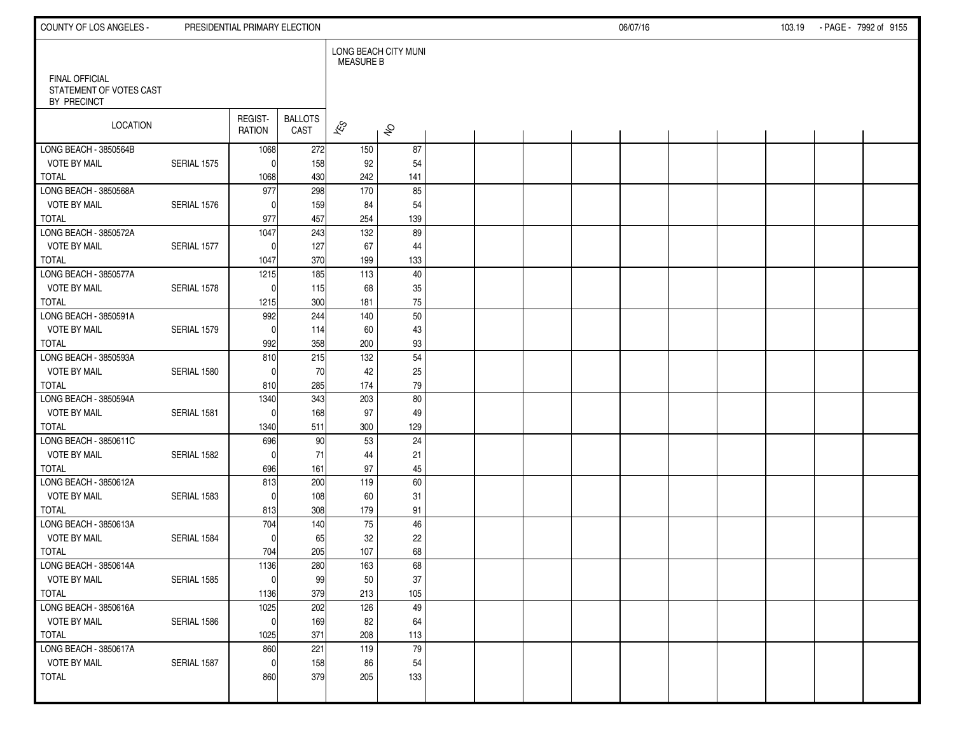| COUNTY OF LOS ANGELES -                                         |             | PRESIDENTIAL PRIMARY ELECTION |                        |                                          |                     |  |  | 06/07/16 |  | 103.19 - PAGE - 7992 of 9155 |  |
|-----------------------------------------------------------------|-------------|-------------------------------|------------------------|------------------------------------------|---------------------|--|--|----------|--|------------------------------|--|
|                                                                 |             |                               |                        | LONG BEACH CITY MUNI<br><b>MEASURE B</b> |                     |  |  |          |  |                              |  |
| <b>FINAL OFFICIAL</b><br>STATEMENT OF VOTES CAST<br>BY PRECINCT |             |                               |                        |                                          |                     |  |  |          |  |                              |  |
| LOCATION                                                        |             | REGIST-<br>RATION             | <b>BALLOTS</b><br>CAST | $\overline{\mathcal{K}}$ S               | $\hat{\mathcal{S}}$ |  |  |          |  |                              |  |
| LONG BEACH - 3850564B                                           |             | 1068                          | 272                    | 150                                      | 87                  |  |  |          |  |                              |  |
| <b>VOTE BY MAIL</b>                                             | SERIAL 1575 | $\Omega$                      | 158                    | 92                                       | 54                  |  |  |          |  |                              |  |
| <b>TOTAL</b>                                                    |             | 1068                          | 430                    | 242                                      | 141                 |  |  |          |  |                              |  |
| LONG BEACH - 3850568A                                           |             | 977                           | 298                    | 170                                      | 85                  |  |  |          |  |                              |  |
| <b>VOTE BY MAIL</b>                                             | SERIAL 1576 | $\Omega$                      | 159                    | 84                                       | 54                  |  |  |          |  |                              |  |
| <b>TOTAL</b>                                                    |             | 977                           | 457                    | 254                                      | 139                 |  |  |          |  |                              |  |
| LONG BEACH - 3850572A                                           |             | 1047                          | 243                    | 132                                      | 89                  |  |  |          |  |                              |  |
| <b>VOTE BY MAIL</b>                                             | SERIAL 1577 | $\Omega$                      | 127                    | 67                                       | 44                  |  |  |          |  |                              |  |
| <b>TOTAL</b>                                                    |             | 1047                          | 370                    | 199                                      | 133                 |  |  |          |  |                              |  |
| LONG BEACH - 3850577A                                           |             | 1215                          | 185                    | 113                                      | 40                  |  |  |          |  |                              |  |
| <b>VOTE BY MAIL</b>                                             | SERIAL 1578 | $\Omega$                      | 115                    | 68                                       | 35                  |  |  |          |  |                              |  |
| <b>TOTAL</b>                                                    |             | 1215                          | 300                    | 181                                      | $75\,$              |  |  |          |  |                              |  |
| LONG BEACH - 3850591A                                           |             | 992                           | 244                    | 140                                      | 50                  |  |  |          |  |                              |  |
| <b>VOTE BY MAIL</b>                                             | SERIAL 1579 | $\mathbf{0}$                  | 114                    | 60                                       | 43                  |  |  |          |  |                              |  |
| <b>TOTAL</b>                                                    |             | 992                           | 358                    | 200                                      | $93\,$              |  |  |          |  |                              |  |
| LONG BEACH - 3850593A                                           |             | 810                           | 215                    | 132                                      | 54                  |  |  |          |  |                              |  |
| <b>VOTE BY MAIL</b>                                             | SERIAL 1580 | $\Omega$                      | 70                     | 42                                       | 25                  |  |  |          |  |                              |  |
| <b>TOTAL</b>                                                    |             | 810                           | 285                    | 174                                      | 79                  |  |  |          |  |                              |  |
| LONG BEACH - 3850594A                                           |             | 1340                          | 343                    | 203                                      | $80\,$              |  |  |          |  |                              |  |
| <b>VOTE BY MAIL</b>                                             | SERIAL 1581 | $\Omega$                      | 168                    | 97                                       | 49                  |  |  |          |  |                              |  |
| <b>TOTAL</b>                                                    |             | 1340                          | 511                    | 300                                      | 129                 |  |  |          |  |                              |  |
| LONG BEACH - 3850611C                                           |             | 696                           | 90                     | 53                                       | $\overline{24}$     |  |  |          |  |                              |  |
| <b>VOTE BY MAIL</b>                                             | SERIAL 1582 | $\Omega$                      | 71                     | 44                                       | 21                  |  |  |          |  |                              |  |
| <b>TOTAL</b>                                                    |             | 696                           | 161                    | 97                                       | 45                  |  |  |          |  |                              |  |
| LONG BEACH - 3850612A                                           |             | 813                           | 200                    | 119                                      | 60                  |  |  |          |  |                              |  |
| <b>VOTE BY MAIL</b>                                             | SERIAL 1583 | $\mathbf{0}$                  | 108                    | 60                                       | 31                  |  |  |          |  |                              |  |
| <b>TOTAL</b><br>LONG BEACH - 3850613A                           |             | 813                           | 308                    | 179                                      | 91                  |  |  |          |  |                              |  |
| <b>VOTE BY MAIL</b>                                             | SERIAL 1584 | 704<br>$\Omega$               | 140                    | 75<br>32                                 | 46                  |  |  |          |  |                              |  |
|                                                                 |             | 704                           | 65<br>205              | 107                                      | 22<br>68            |  |  |          |  |                              |  |
| TOTAL<br>LONG BEACH - 3850614A                                  |             |                               |                        |                                          |                     |  |  |          |  |                              |  |
| <b>VOTE BY MAIL</b>                                             | SERIAL 1585 | 1136<br>$\Omega$              | 280<br>99              | 163<br>50                                | 68<br>37            |  |  |          |  |                              |  |
| <b>TOTAL</b>                                                    |             | 1136                          | 379                    | 213                                      | 105                 |  |  |          |  |                              |  |
| LONG BEACH - 3850616A                                           |             | 1025                          | 202                    | 126                                      | 49                  |  |  |          |  |                              |  |
| <b>VOTE BY MAIL</b>                                             | SERIAL 1586 | $\mathbf{0}$                  | 169                    | 82                                       | 64                  |  |  |          |  |                              |  |
| <b>TOTAL</b>                                                    |             | 1025                          | 371                    | 208                                      | 113                 |  |  |          |  |                              |  |
| LONG BEACH - 3850617A                                           |             | 860                           | 221                    | 119                                      | 79                  |  |  |          |  |                              |  |
| <b>VOTE BY MAIL</b>                                             | SERIAL 1587 | $\mathbf 0$                   | 158                    | 86                                       | 54                  |  |  |          |  |                              |  |
| <b>TOTAL</b>                                                    |             | 860                           | 379                    | 205                                      | 133                 |  |  |          |  |                              |  |
|                                                                 |             |                               |                        |                                          |                     |  |  |          |  |                              |  |
|                                                                 |             |                               |                        |                                          |                     |  |  |          |  |                              |  |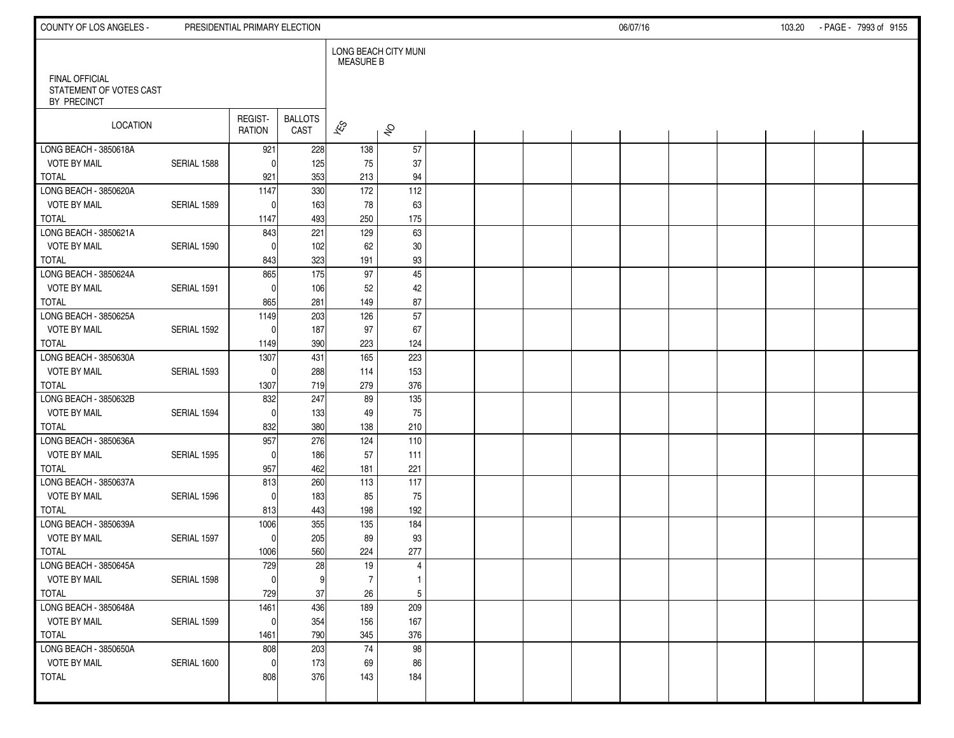| COUNTY OF LOS ANGELES -                |             | PRESIDENTIAL PRIMARY ELECTION |                        |                                          |                     |  |  | 06/07/16 |  | 103.20 | - PAGE - 7993 of 9155 |  |
|----------------------------------------|-------------|-------------------------------|------------------------|------------------------------------------|---------------------|--|--|----------|--|--------|-----------------------|--|
| <b>FINAL OFFICIAL</b>                  |             |                               |                        | LONG BEACH CITY MUNI<br><b>MEASURE B</b> |                     |  |  |          |  |        |                       |  |
| STATEMENT OF VOTES CAST<br>BY PRECINCT |             |                               |                        |                                          |                     |  |  |          |  |        |                       |  |
| LOCATION                               |             | REGIST-<br>RATION             | <b>BALLOTS</b><br>CAST | $\overline{\mathcal{K}}$ S               | $\hat{\mathcal{S}}$ |  |  |          |  |        |                       |  |
| LONG BEACH - 3850618A                  |             | 921                           | 228                    | 138                                      | 57                  |  |  |          |  |        |                       |  |
| <b>VOTE BY MAIL</b>                    | SERIAL 1588 | $\Omega$                      | 125                    | 75                                       | 37                  |  |  |          |  |        |                       |  |
| <b>TOTAL</b>                           |             | 921                           | 353                    | 213                                      | 94                  |  |  |          |  |        |                       |  |
| LONG BEACH - 3850620A                  |             | 1147                          | 330                    | 172                                      | 112                 |  |  |          |  |        |                       |  |
| <b>VOTE BY MAIL</b>                    | SERIAL 1589 | $\Omega$                      | 163                    | 78                                       | 63                  |  |  |          |  |        |                       |  |
| <b>TOTAL</b>                           |             | 1147                          | 493                    | 250                                      | 175                 |  |  |          |  |        |                       |  |
| LONG BEACH - 3850621A                  |             | 843                           | 221                    | 129                                      | 63                  |  |  |          |  |        |                       |  |
| <b>VOTE BY MAIL</b>                    | SERIAL 1590 | $\Omega$                      | 102                    | 62                                       | $30\,$              |  |  |          |  |        |                       |  |
| <b>TOTAL</b>                           |             | 843                           | 323                    | 191                                      | $93\,$              |  |  |          |  |        |                       |  |
| LONG BEACH - 3850624A                  |             | 865                           | 175                    | 97                                       | 45                  |  |  |          |  |        |                       |  |
| <b>VOTE BY MAIL</b>                    | SERIAL 1591 | $\Omega$                      | 106                    | 52                                       | 42                  |  |  |          |  |        |                       |  |
| <b>TOTAL</b>                           |             | 865                           | 281                    | 149                                      | 87                  |  |  |          |  |        |                       |  |
| LONG BEACH - 3850625A                  |             | 1149                          | 203                    | 126                                      | 57                  |  |  |          |  |        |                       |  |
| <b>VOTE BY MAIL</b>                    | SERIAL 1592 | $\Omega$                      | 187                    | 97                                       | 67                  |  |  |          |  |        |                       |  |
| <b>TOTAL</b>                           |             | 1149                          | 390                    | 223                                      | 124                 |  |  |          |  |        |                       |  |
| LONG BEACH - 3850630A                  |             | 1307                          | 431                    | 165                                      | 223                 |  |  |          |  |        |                       |  |
| <b>VOTE BY MAIL</b>                    | SERIAL 1593 | $\Omega$                      | 288                    | 114                                      | 153                 |  |  |          |  |        |                       |  |
| <b>TOTAL</b>                           |             | 1307                          | 719                    | 279                                      | 376                 |  |  |          |  |        |                       |  |
| LONG BEACH - 3850632B                  |             | 832                           | 247                    | 89                                       | 135                 |  |  |          |  |        |                       |  |
| <b>VOTE BY MAIL</b>                    | SERIAL 1594 | $\Omega$                      | 133                    | 49                                       | 75                  |  |  |          |  |        |                       |  |
| <b>TOTAL</b>                           |             | 832                           | 380                    | 138                                      | 210                 |  |  |          |  |        |                       |  |
| LONG BEACH - 3850636A                  |             | 957                           | 276                    | 124                                      | 110                 |  |  |          |  |        |                       |  |
| <b>VOTE BY MAIL</b>                    | SERIAL 1595 | $\Omega$                      | 186                    | 57                                       | 111                 |  |  |          |  |        |                       |  |
| <b>TOTAL</b>                           |             | 957                           | 462                    | 181                                      | 221                 |  |  |          |  |        |                       |  |
| LONG BEACH - 3850637A                  |             | 813                           | 260                    | 113                                      | 117                 |  |  |          |  |        |                       |  |
| <b>VOTE BY MAIL</b>                    | SERIAL 1596 | $\mathbf{0}$                  | 183                    | 85                                       | 75<br>192           |  |  |          |  |        |                       |  |
| <b>TOTAL</b><br>LONG BEACH - 3850639A  |             | 813<br>1006                   | 443<br>355             | 198                                      | 184                 |  |  |          |  |        |                       |  |
| <b>VOTE BY MAIL</b>                    | SERIAL 1597 | $\Omega$                      | 205                    | 135<br>89                                | 93                  |  |  |          |  |        |                       |  |
|                                        |             | 1006                          | 560                    | 224                                      | 277                 |  |  |          |  |        |                       |  |
| TOTAL<br>LONG BEACH - 3850645A         |             |                               |                        | 19                                       |                     |  |  |          |  |        |                       |  |
| <b>VOTE BY MAIL</b>                    | SERIAL 1598 | 729<br>$\Omega$               | 28<br>9                | $\overline{7}$                           | 4<br>$\mathbf{1}$   |  |  |          |  |        |                       |  |
| <b>TOTAL</b>                           |             | 729                           | 37                     | 26                                       | 5                   |  |  |          |  |        |                       |  |
| LONG BEACH - 3850648A                  |             | 1461                          | 436                    | 189                                      | 209                 |  |  |          |  |        |                       |  |
| <b>VOTE BY MAIL</b>                    | SERIAL 1599 | $\mathbf 0$                   | 354                    | 156                                      | 167                 |  |  |          |  |        |                       |  |
| <b>TOTAL</b>                           |             | 1461                          | 790                    | 345                                      | 376                 |  |  |          |  |        |                       |  |
| LONG BEACH - 3850650A                  |             | 808                           | 203                    | 74                                       | 98                  |  |  |          |  |        |                       |  |
| <b>VOTE BY MAIL</b>                    | SERIAL 1600 | $\mathbf 0$                   | 173                    | 69                                       | 86                  |  |  |          |  |        |                       |  |
| <b>TOTAL</b>                           |             | 808                           | 376                    | 143                                      | 184                 |  |  |          |  |        |                       |  |
|                                        |             |                               |                        |                                          |                     |  |  |          |  |        |                       |  |
|                                        |             |                               |                        |                                          |                     |  |  |          |  |        |                       |  |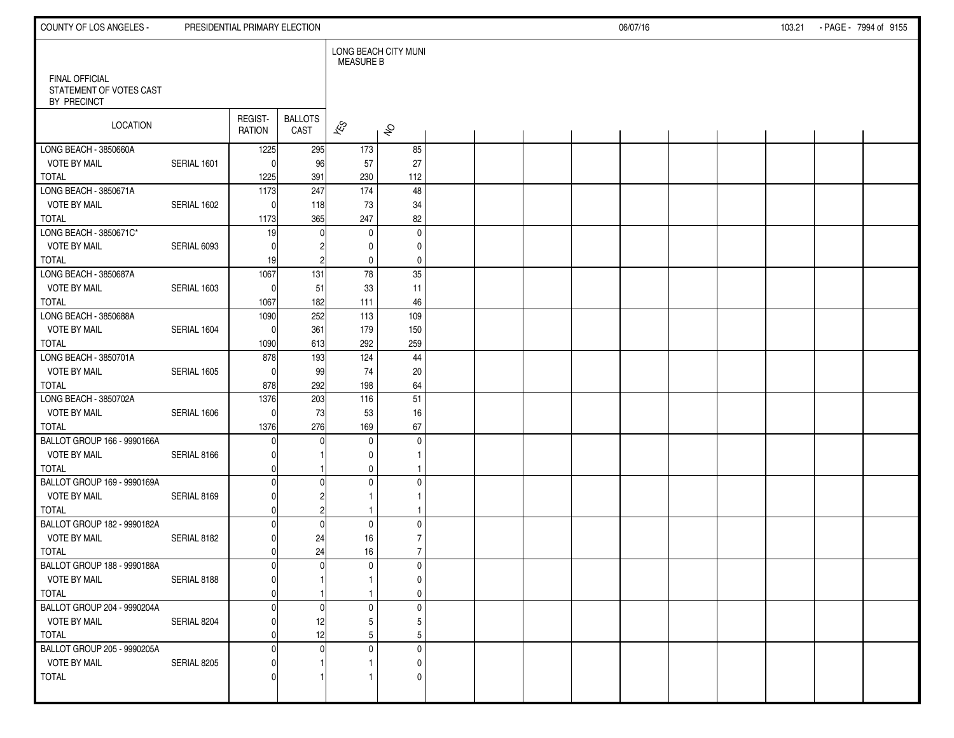| COUNTY OF LOS ANGELES -                |             | PRESIDENTIAL PRIMARY ELECTION |                        |                          |                      |  |  | 06/07/16 |  | 103.21 | - PAGE - 7994 of 9155 |  |
|----------------------------------------|-------------|-------------------------------|------------------------|--------------------------|----------------------|--|--|----------|--|--------|-----------------------|--|
| <b>FINAL OFFICIAL</b>                  |             |                               |                        | <b>MEASURE B</b>         | LONG BEACH CITY MUNI |  |  |          |  |        |                       |  |
| STATEMENT OF VOTES CAST<br>BY PRECINCT |             |                               |                        |                          |                      |  |  |          |  |        |                       |  |
| LOCATION                               |             | REGIST-<br>RATION             | <b>BALLOTS</b><br>CAST | $\overline{\mathscr{K}}$ | $\hat{\mathcal{S}}$  |  |  |          |  |        |                       |  |
| LONG BEACH - 3850660A                  |             | 1225                          | 295                    | 173                      | 85                   |  |  |          |  |        |                       |  |
| <b>VOTE BY MAIL</b>                    | SERIAL 1601 | $\Omega$                      | 96                     | 57                       | 27                   |  |  |          |  |        |                       |  |
| <b>TOTAL</b>                           |             | 1225                          | 391                    | 230                      | 112                  |  |  |          |  |        |                       |  |
| LONG BEACH - 3850671A                  |             | 1173                          | 247                    | 174                      | 48                   |  |  |          |  |        |                       |  |
| <b>VOTE BY MAIL</b>                    | SERIAL 1602 | $\Omega$                      | 118                    | 73                       | 34                   |  |  |          |  |        |                       |  |
| <b>TOTAL</b>                           |             | 1173                          | 365                    | 247                      | 82                   |  |  |          |  |        |                       |  |
| LONG BEACH - 3850671C*                 |             | 19                            |                        | $\mathbf 0$              | $\pmb{0}$            |  |  |          |  |        |                       |  |
| <b>VOTE BY MAIL</b>                    | SERIAL 6093 | $\Omega$                      |                        | $\mathbf 0$              | $\pmb{0}$            |  |  |          |  |        |                       |  |
| <b>TOTAL</b>                           |             | 19                            |                        | $\mathbf 0$              | $\pmb{0}$            |  |  |          |  |        |                       |  |
| LONG BEACH - 3850687A                  |             | 1067                          | 131                    | 78                       | 35                   |  |  |          |  |        |                       |  |
| <b>VOTE BY MAIL</b>                    | SERIAL 1603 | $\Omega$                      | 51                     | 33                       | 11                   |  |  |          |  |        |                       |  |
| <b>TOTAL</b>                           |             | 1067                          | 182                    | 111                      | 46                   |  |  |          |  |        |                       |  |
| LONG BEACH - 3850688A                  |             | 1090                          | 252                    | 113                      | 109                  |  |  |          |  |        |                       |  |
| <b>VOTE BY MAIL</b>                    | SERIAL 1604 | $\mathbf{0}$                  | 361                    | 179                      | 150                  |  |  |          |  |        |                       |  |
| <b>TOTAL</b>                           |             | 1090                          | 613                    | 292                      | 259                  |  |  |          |  |        |                       |  |
| LONG BEACH - 3850701A                  |             | 878                           | 193                    | 124                      | 44                   |  |  |          |  |        |                       |  |
| <b>VOTE BY MAIL</b>                    | SERIAL 1605 | $\Omega$                      | 99                     | 74                       | 20                   |  |  |          |  |        |                       |  |
| <b>TOTAL</b>                           |             | 878                           | 292                    | 198                      | 64                   |  |  |          |  |        |                       |  |
| LONG BEACH - 3850702A                  |             | 1376                          | 203                    | 116                      | 51                   |  |  |          |  |        |                       |  |
| <b>VOTE BY MAIL</b>                    | SERIAL 1606 | $\Omega$                      | 73                     | 53                       | 16                   |  |  |          |  |        |                       |  |
| <b>TOTAL</b>                           |             | 1376                          | 276                    | 169                      | 67                   |  |  |          |  |        |                       |  |
| BALLOT GROUP 166 - 9990166A            |             |                               |                        | $\mathbf 0$              | $\mathbf 0$          |  |  |          |  |        |                       |  |
| <b>VOTE BY MAIL</b>                    | SERIAL 8166 |                               |                        | $\mathbf 0$              |                      |  |  |          |  |        |                       |  |
| <b>TOTAL</b>                           |             |                               |                        | 0                        |                      |  |  |          |  |        |                       |  |
| BALLOT GROUP 169 - 9990169A            |             |                               | O                      | $\mathbf 0$              | $\mathbf 0$          |  |  |          |  |        |                       |  |
| VOTE BY MAIL                           | SERIAL 8169 |                               |                        |                          |                      |  |  |          |  |        |                       |  |
| <b>TOTAL</b>                           |             | O                             | $\overline{c}$         | $\mathbf{1}$             |                      |  |  |          |  |        |                       |  |
| BALLOT GROUP 182 - 9990182A            |             |                               |                        | $\mathbf 0$              | $\pmb{0}$            |  |  |          |  |        |                       |  |
| VOTE BY MAIL                           | SERIAL 8182 |                               | 24                     | 16                       | $\overline{7}$       |  |  |          |  |        |                       |  |
| TOTAL                                  |             | O                             | 24                     | $16\,$                   | $\overline{7}$       |  |  |          |  |        |                       |  |
| BALLOT GROUP 188 - 9990188A            |             | <sup>0</sup>                  |                        | $\mathbf{0}$             | 0                    |  |  |          |  |        |                       |  |
| <b>VOTE BY MAIL</b>                    | SERIAL 8188 |                               |                        |                          | $\Omega$             |  |  |          |  |        |                       |  |
| <b>TOTAL</b>                           |             |                               |                        |                          | 0                    |  |  |          |  |        |                       |  |
| BALLOT GROUP 204 - 9990204A            |             |                               | O                      | $\mathbf 0$              | $\mathbf 0$          |  |  |          |  |        |                       |  |
| <b>VOTE BY MAIL</b>                    | SERIAL 8204 |                               | 12                     | 5                        | 5                    |  |  |          |  |        |                       |  |
| <b>TOTAL</b>                           |             |                               | 12<br>C                | 5                        | 5<br>$\mathbf 0$     |  |  |          |  |        |                       |  |
| BALLOT GROUP 205 - 9990205A            |             |                               |                        | $\mathbf{0}$             | $\Omega$             |  |  |          |  |        |                       |  |
| <b>VOTE BY MAIL</b>                    | SERIAL 8205 |                               |                        |                          |                      |  |  |          |  |        |                       |  |
| TOTAL                                  |             |                               |                        |                          | 0                    |  |  |          |  |        |                       |  |
|                                        |             |                               |                        |                          |                      |  |  |          |  |        |                       |  |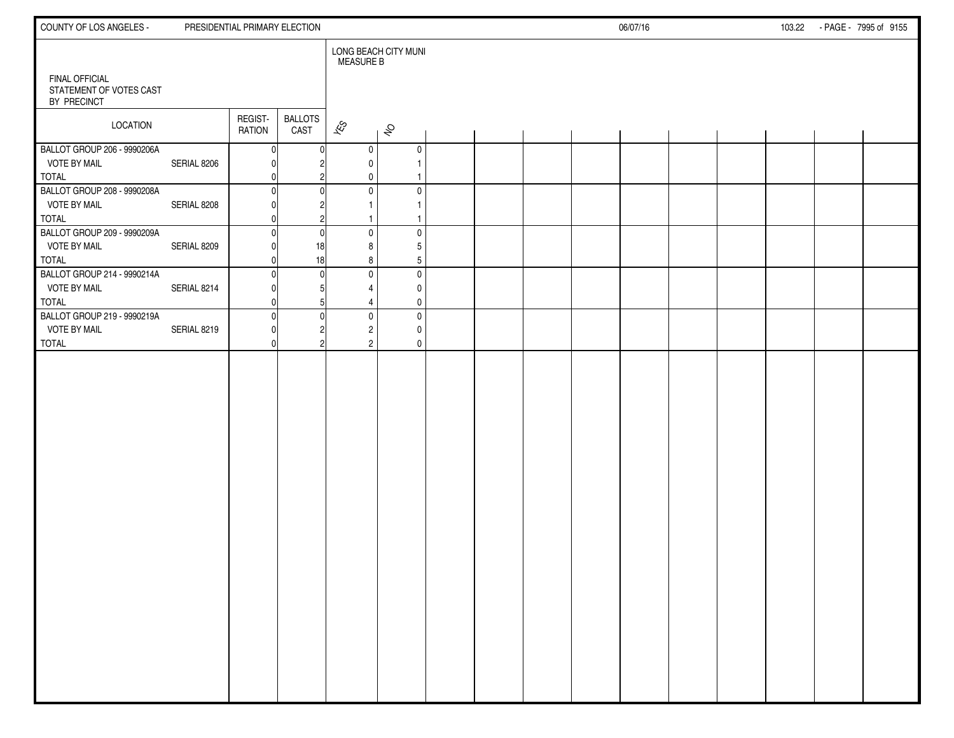| COUNTY OF LOS ANGELES -                                         |             | PRESIDENTIAL PRIMARY ELECTION |                |                             |                      |  |  | 06/07/16 |  | 103.22 - PAGE - 7995 of 9155 |  |
|-----------------------------------------------------------------|-------------|-------------------------------|----------------|-----------------------------|----------------------|--|--|----------|--|------------------------------|--|
|                                                                 |             |                               |                | <b>MEASURE B</b>            | LONG BEACH CITY MUNI |  |  |          |  |                              |  |
| <b>FINAL OFFICIAL</b><br>STATEMENT OF VOTES CAST<br>BY PRECINCT |             |                               |                |                             |                      |  |  |          |  |                              |  |
|                                                                 |             | REGIST-                       | <b>BALLOTS</b> |                             |                      |  |  |          |  |                              |  |
| <b>LOCATION</b>                                                 |             | <b>RATION</b>                 | CAST           | $\mathscr{E}_{\mathcal{S}}$ | $\hat{\mathcal{S}}$  |  |  |          |  |                              |  |
| BALLOT GROUP 206 - 9990206A                                     |             | 0l                            |                | 0                           | 0                    |  |  |          |  |                              |  |
| <b>VOTE BY MAIL</b>                                             | SERIAL 8206 |                               |                | 0                           |                      |  |  |          |  |                              |  |
| <b>TOTAL</b><br>BALLOT GROUP 208 - 9990208A                     |             |                               |                | 0<br>0                      | $\pmb{0}$            |  |  |          |  |                              |  |
| <b>VOTE BY MAIL</b>                                             | SERIAL 8208 |                               |                | 1                           | 1                    |  |  |          |  |                              |  |
| <b>TOTAL</b>                                                    |             |                               |                | 1                           |                      |  |  |          |  |                              |  |
| BALLOT GROUP 209 - 9990209A                                     |             |                               |                | 0                           | $\pmb{0}$            |  |  |          |  |                              |  |
| <b>VOTE BY MAIL</b>                                             | SERIAL 8209 |                               | 18             | 8                           | 5                    |  |  |          |  |                              |  |
| <b>TOTAL</b>                                                    |             |                               | 18             | 8                           | 5                    |  |  |          |  |                              |  |
| BALLOT GROUP 214 - 9990214A                                     |             |                               |                | 0                           | $\pmb{0}$            |  |  |          |  |                              |  |
| <b>VOTE BY MAIL</b>                                             | SERIAL 8214 |                               |                | 4                           | 0                    |  |  |          |  |                              |  |
| <b>TOTAL</b>                                                    |             |                               |                | 4                           | 0                    |  |  |          |  |                              |  |
| BALLOT GROUP 219 - 9990219A                                     |             | 01                            |                | $\mathbf 0$                 | $\pmb{0}$            |  |  |          |  |                              |  |
| <b>VOTE BY MAIL</b>                                             | SERIAL 8219 |                               |                | $\overline{c}$              | 0                    |  |  |          |  |                              |  |
| TOTAL                                                           |             |                               |                | $\overline{c}$              | 0                    |  |  |          |  |                              |  |
|                                                                 |             |                               |                |                             |                      |  |  |          |  |                              |  |
|                                                                 |             |                               |                |                             |                      |  |  |          |  |                              |  |
|                                                                 |             |                               |                |                             |                      |  |  |          |  |                              |  |
|                                                                 |             |                               |                |                             |                      |  |  |          |  |                              |  |
|                                                                 |             |                               |                |                             |                      |  |  |          |  |                              |  |
|                                                                 |             |                               |                |                             |                      |  |  |          |  |                              |  |
|                                                                 |             |                               |                |                             |                      |  |  |          |  |                              |  |
|                                                                 |             |                               |                |                             |                      |  |  |          |  |                              |  |
|                                                                 |             |                               |                |                             |                      |  |  |          |  |                              |  |
|                                                                 |             |                               |                |                             |                      |  |  |          |  |                              |  |
|                                                                 |             |                               |                |                             |                      |  |  |          |  |                              |  |
|                                                                 |             |                               |                |                             |                      |  |  |          |  |                              |  |
|                                                                 |             |                               |                |                             |                      |  |  |          |  |                              |  |
|                                                                 |             |                               |                |                             |                      |  |  |          |  |                              |  |
|                                                                 |             |                               |                |                             |                      |  |  |          |  |                              |  |
|                                                                 |             |                               |                |                             |                      |  |  |          |  |                              |  |
|                                                                 |             |                               |                |                             |                      |  |  |          |  |                              |  |
|                                                                 |             |                               |                |                             |                      |  |  |          |  |                              |  |
|                                                                 |             |                               |                |                             |                      |  |  |          |  |                              |  |
|                                                                 |             |                               |                |                             |                      |  |  |          |  |                              |  |
|                                                                 |             |                               |                |                             |                      |  |  |          |  |                              |  |
|                                                                 |             |                               |                |                             |                      |  |  |          |  |                              |  |
|                                                                 |             |                               |                |                             |                      |  |  |          |  |                              |  |